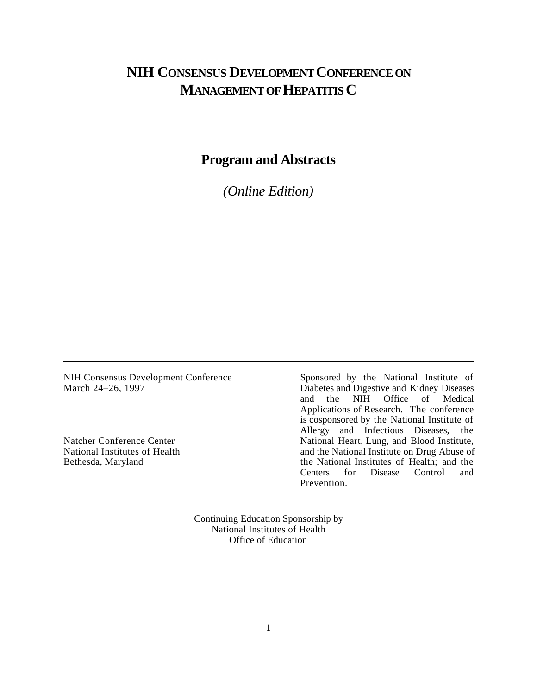# **NIH CONSENSUS DEVELOPMENT CONFERENCE ON MANAGEMENT OF HEPATITIS C**

# **Program and Abstracts**

*(Online Edition)* 

NIH Consensus Development Conference Sponsored by the National Institute of March 24–26, 1997 Diabetes and Digestive and Kidney Diseases and the NIH Office of Medical Applications of Research. The conference is cosponsored by the National Institute of Allergy and Infectious Diseases, the Natcher Conference Center National Heart, Lung, and Blood Institute, National Institutes of Health and the National Institute on Drug Abuse of Bethesda, Maryland the National Institutes of Health; and the Centers for Disease Control and Prevention.

> Continuing Education Sponsorship by National Institutes of Health Office of Education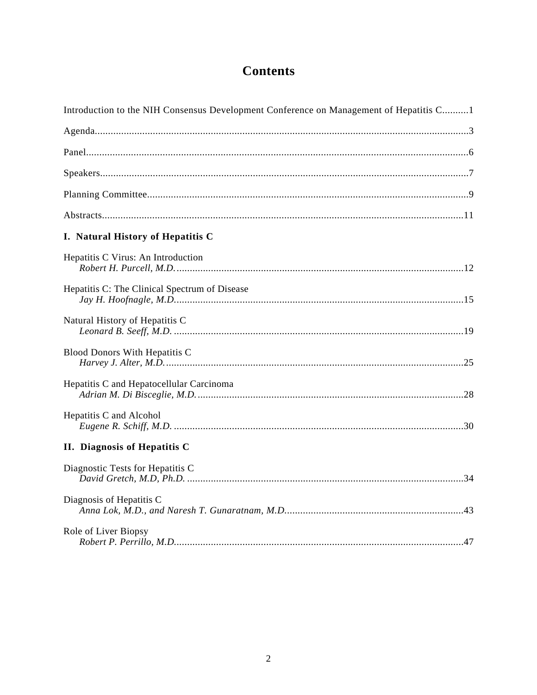# **Contents**

| Introduction to the NIH Consensus Development Conference on Management of Hepatitis C1 |
|----------------------------------------------------------------------------------------|
|                                                                                        |
|                                                                                        |
|                                                                                        |
|                                                                                        |
|                                                                                        |
| I. Natural History of Hepatitis C                                                      |
| Hepatitis C Virus: An Introduction                                                     |
| Hepatitis C: The Clinical Spectrum of Disease                                          |
| Natural History of Hepatitis C                                                         |
| Blood Donors With Hepatitis C                                                          |
| Hepatitis C and Hepatocellular Carcinoma                                               |
| Hepatitis C and Alcohol                                                                |
| II. Diagnosis of Hepatitis C                                                           |
| Diagnostic Tests for Hepatitis C                                                       |
| Diagnosis of Hepatitis C                                                               |
| Role of Liver Biopsy                                                                   |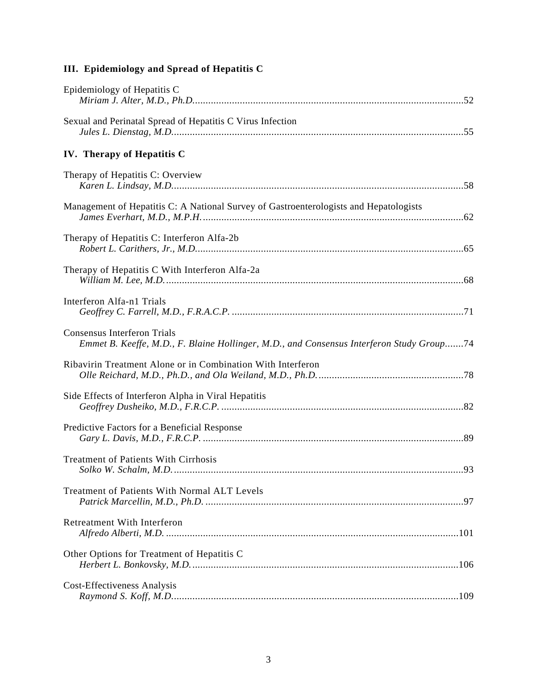| III. Epidemiology and Spread of Hepatitis C                                                                                    |
|--------------------------------------------------------------------------------------------------------------------------------|
| Epidemiology of Hepatitis C                                                                                                    |
| Sexual and Perinatal Spread of Hepatitis C Virus Infection                                                                     |
| IV. Therapy of Hepatitis C                                                                                                     |
| Therapy of Hepatitis C: Overview                                                                                               |
| Management of Hepatitis C: A National Survey of Gastroenterologists and Hepatologists                                          |
| Therapy of Hepatitis C: Interferon Alfa-2b                                                                                     |
| Therapy of Hepatitis C With Interferon Alfa-2a                                                                                 |
| Interferon Alfa-n1 Trials                                                                                                      |
| <b>Consensus Interferon Trials</b><br>Emmet B. Keeffe, M.D., F. Blaine Hollinger, M.D., and Consensus Interferon Study Group74 |
| Ribavirin Treatment Alone or in Combination With Interferon                                                                    |
| Side Effects of Interferon Alpha in Viral Hepatitis                                                                            |
| Predictive Factors for a Beneficial Response                                                                                   |
| <b>Treatment of Patients With Cirrhosis</b>                                                                                    |
| Treatment of Patients With Normal ALT Levels                                                                                   |
| <b>Retreatment With Interferon</b>                                                                                             |
| Other Options for Treatment of Hepatitis C                                                                                     |
| Cost-Effectiveness Analysis                                                                                                    |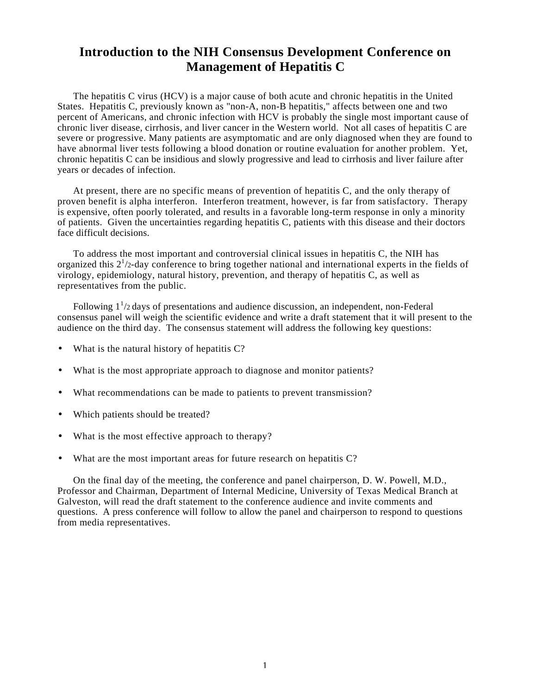# <span id="page-4-0"></span>**Introduction to the NIH Consensus Development Conference on Management of Hepatitis C**

The hepatitis C virus (HCV) is a major cause of both acute and chronic hepatitis in the United States. Hepatitis C, previously known as "non-A, non-B hepatitis," affects between one and two percent of Americans, and chronic infection with HCV is probably the single most important cause of chronic liver disease, cirrhosis, and liver cancer in the Western world. Not all cases of hepatitis C are severe or progressive. Many patients are asymptomatic and are only diagnosed when they are found to have abnormal liver tests following a blood donation or routine evaluation for another problem. Yet, chronic hepatitis C can be insidious and slowly progressive and lead to cirrhosis and liver failure after years or decades of infection.

At present, there are no specific means of prevention of hepatitis C, and the only therapy of proven benefit is alpha interferon. Interferon treatment, however, is far from satisfactory. Therapy is expensive, often poorly tolerated, and results in a favorable long-term response in only a minority of patients. Given the uncertainties regarding hepatitis C, patients with this disease and their doctors face difficult decisions.

To address the most important and controversial clinical issues in hepatitis C, the NIH has organized this  $2^{1}/2$ -day conference to bring together national and international experts in the fields of virology, epidemiology, natural history, prevention, and therapy of hepatitis C, as well as representatives from the public.

Following  $1<sup>1</sup>/2$  days of presentations and audience discussion, an independent, non-Federal consensus panel will weigh the scientific evidence and write a draft statement that it will present to the audience on the third day. The consensus statement will address the following key questions:

- What is the natural history of hepatitis C?
- What is the most appropriate approach to diagnose and monitor patients?
- What recommendations can be made to patients to prevent transmission?
- Which patients should be treated?
- What is the most effective approach to therapy?
- What are the most important areas for future research on hepatitis C?

On the final day of the meeting, the conference and panel chairperson, D. W. Powell, M.D., Professor and Chairman, Department of Internal Medicine, University of Texas Medical Branch at Galveston, will read the draft statement to the conference audience and invite comments and questions. A press conference will follow to allow the panel and chairperson to respond to questions from media representatives.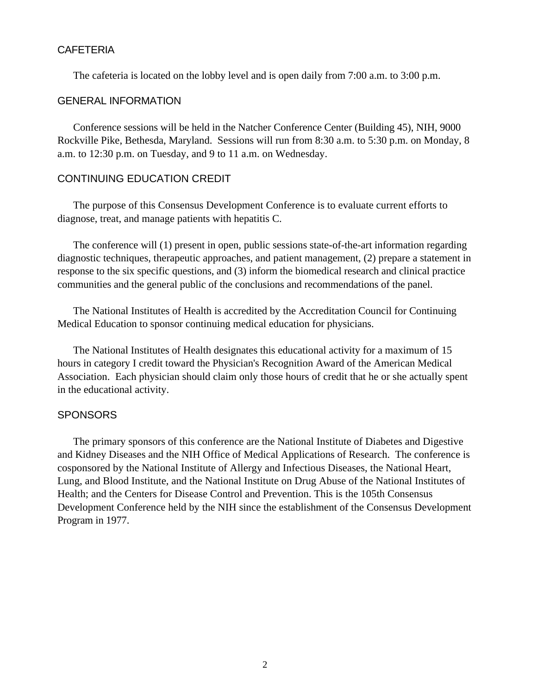### **CAFETERIA**

The cafeteria is located on the lobby level and is open daily from 7:00 a.m. to 3:00 p.m.

### GENERAL INFORMATION

Conference sessions will be held in the Natcher Conference Center (Building 45), NIH, 9000 Rockville Pike, Bethesda, Maryland. Sessions will run from 8:30 a.m. to 5:30 p.m. on Monday, 8 a.m. to 12:30 p.m. on Tuesday, and 9 to 11 a.m. on Wednesday.

### CONTINUING EDUCATION CREDIT

The purpose of this Consensus Development Conference is to evaluate current efforts to diagnose, treat, and manage patients with hepatitis C.

The conference will (1) present in open, public sessions state-of-the-art information regarding diagnostic techniques, therapeutic approaches, and patient management, (2) prepare a statement in response to the six specific questions, and (3) inform the biomedical research and clinical practice communities and the general public of the conclusions and recommendations of the panel.

The National Institutes of Health is accredited by the Accreditation Council for Continuing Medical Education to sponsor continuing medical education for physicians.

The National Institutes of Health designates this educational activity for a maximum of 15 hours in category I credit toward the Physician's Recognition Award of the American Medical Association. Each physician should claim only those hours of credit that he or she actually spent in the educational activity.

### SPONSORS

The primary sponsors of this conference are the National Institute of Diabetes and Digestive and Kidney Diseases and the NIH Office of Medical Applications of Research. The conference is cosponsored by the National Institute of Allergy and Infectious Diseases, the National Heart, Lung, and Blood Institute, and the National Institute on Drug Abuse of the National Institutes of Health; and the Centers for Disease Control and Prevention. This is the 105th Consensus Development Conference held by the NIH since the establishment of the Consensus Development Program in 1977.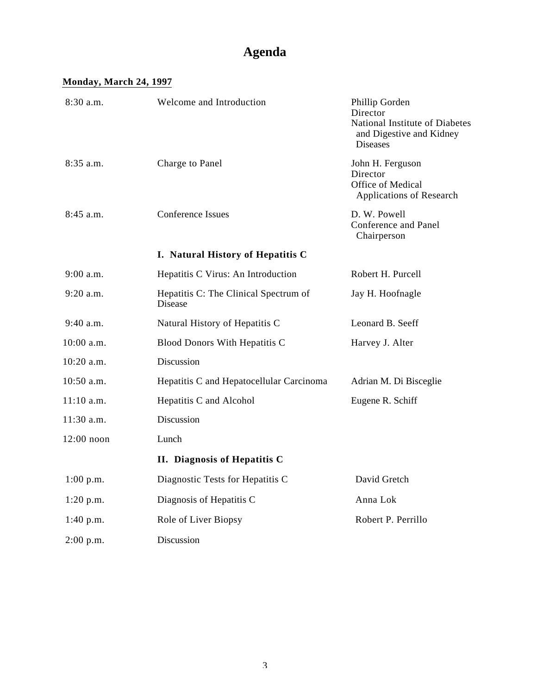# **Agenda**

# **Monday, March 24, 1997**

| $8:30$ a.m.  | Welcome and Introduction                                | Phillip Gorden<br>Director<br>National Institute of Diabetes<br>and Digestive and Kidney<br><b>Diseases</b> |
|--------------|---------------------------------------------------------|-------------------------------------------------------------------------------------------------------------|
| $8:35$ a.m.  | Charge to Panel                                         | John H. Ferguson<br>Director<br>Office of Medical<br><b>Applications of Research</b>                        |
| $8:45$ a.m.  | <b>Conference Issues</b>                                | D. W. Powell<br>Conference and Panel<br>Chairperson                                                         |
|              | I. Natural History of Hepatitis C                       |                                                                                                             |
| $9:00$ a.m.  | Hepatitis C Virus: An Introduction                      | Robert H. Purcell                                                                                           |
| $9:20$ a.m.  | Hepatitis C: The Clinical Spectrum of<br><b>Disease</b> | Jay H. Hoofnagle                                                                                            |
| $9:40$ a.m.  | Natural History of Hepatitis C                          | Leonard B. Seeff                                                                                            |
| $10:00$ a.m. | Blood Donors With Hepatitis C                           | Harvey J. Alter                                                                                             |
| 10:20 a.m.   | Discussion                                              |                                                                                                             |
| 10:50 a.m.   | Hepatitis C and Hepatocellular Carcinoma                | Adrian M. Di Bisceglie                                                                                      |
| 11:10 a.m.   | Hepatitis C and Alcohol                                 | Eugene R. Schiff                                                                                            |
| 11:30 a.m.   | Discussion                                              |                                                                                                             |
| $12:00$ noon | Lunch                                                   |                                                                                                             |
|              | II. Diagnosis of Hepatitis C                            |                                                                                                             |
| $1:00$ p.m.  | Diagnostic Tests for Hepatitis C                        | David Gretch                                                                                                |
| 1:20 p.m.    | Diagnosis of Hepatitis C                                | Anna Lok                                                                                                    |
| 1:40 p.m.    | Role of Liver Biopsy                                    | Robert P. Perrillo                                                                                          |
| 2:00 p.m.    | Discussion                                              |                                                                                                             |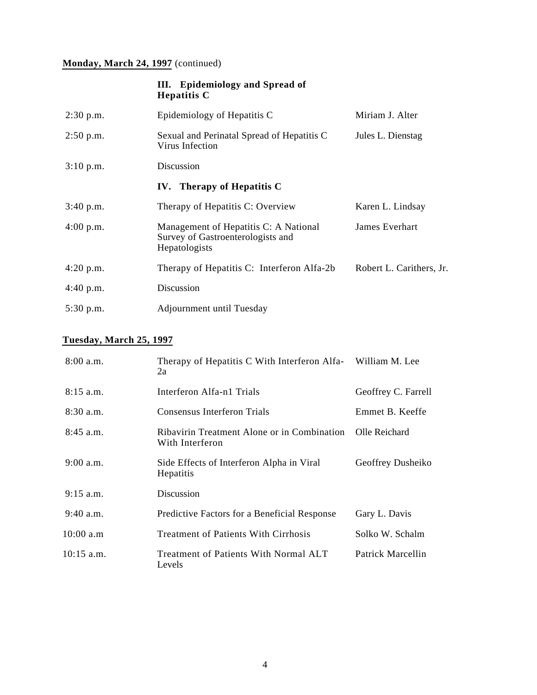# **Monday, March 24, 1997** (continued)

|             | <b>III.</b> Epidemiology and Spread of<br><b>Hepatitis C</b>                                |                          |
|-------------|---------------------------------------------------------------------------------------------|--------------------------|
| $2:30$ p.m. | Epidemiology of Hepatitis C                                                                 | Miriam J. Alter          |
| $2:50$ p.m. | Sexual and Perinatal Spread of Hepatitis C<br>Virus Infection                               | Jules L. Dienstag        |
| $3:10$ p.m. | Discussion                                                                                  |                          |
|             | IV. Therapy of Hepatitis C                                                                  |                          |
| 3:40 p.m.   | Therapy of Hepatitis C: Overview                                                            | Karen L. Lindsay         |
| $4:00$ p.m. | Management of Hepatitis C: A National<br>Survey of Gastroenterologists and<br>Hepatologists | James Everhart           |
| 4:20 p.m.   | Therapy of Hepatitis C: Interferon Alfa-2b                                                  | Robert L. Carithers, Jr. |
| $4:40$ p.m. | Discussion                                                                                  |                          |
| $5:30$ p.m. | Adjournment until Tuesday                                                                   |                          |

# **Tuesday, March 25, 1997**

| $8:00$ a.m.  | Therapy of Hepatitis C With Interferon Alfa- William M. Lee<br>2a |                     |
|--------------|-------------------------------------------------------------------|---------------------|
| $8:15$ a.m.  | Interferon Alfa-n1 Trials                                         | Geoffrey C. Farrell |
| $8:30$ a.m.  | Consensus Interferon Trials                                       | Emmet B. Keeffe     |
| $8:45$ a.m.  | Ribavirin Treatment Alone or in Combination<br>With Interferon    | Olle Reichard       |
| $9:00$ a.m.  | Side Effects of Interferon Alpha in Viral<br>Hepatitis            | Geoffrey Dusheiko   |
| $9:15$ a.m.  | Discussion                                                        |                     |
| $9:40$ a.m.  | Predictive Factors for a Beneficial Response                      | Gary L. Davis       |
| 10:00 a.m    | <b>Treatment of Patients With Cirrhosis</b>                       | Solko W. Schalm     |
| $10:15$ a.m. | Treatment of Patients With Normal ALT<br>Levels                   | Patrick Marcellin   |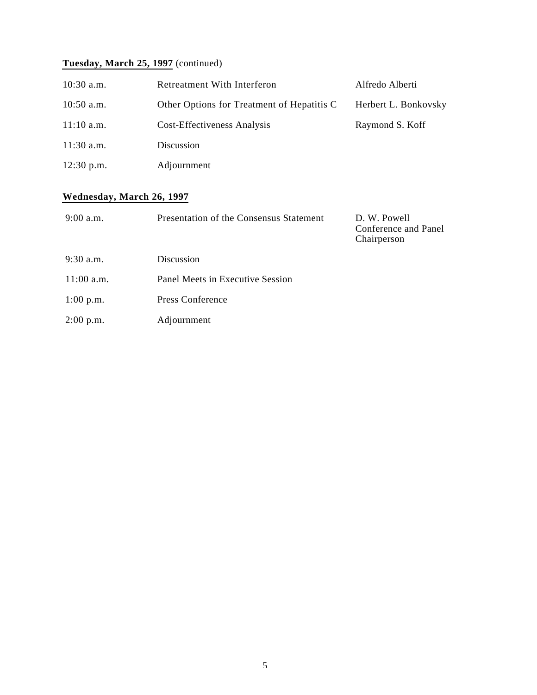# **Tuesday, March 25, 1997** (continued)

| $10:30$ a.m. | Retreatment With Interferon                | Alfredo Alberti      |
|--------------|--------------------------------------------|----------------------|
| $10:50$ a.m. | Other Options for Treatment of Hepatitis C | Herbert L. Bonkovsky |
| $11:10$ a.m. | Cost-Effectiveness Analysis                | Raymond S. Koff      |
| $11:30$ a.m. | Discussion                                 |                      |
| $12:30$ p.m. | Adjournment                                |                      |

# **Wednesday, March 26, 1997**

| $9:00$ a.m.  | Presentation of the Consensus Statement | D. W. Powell<br>Conference and Panel<br>Chairperson |
|--------------|-----------------------------------------|-----------------------------------------------------|
| $9:30$ a.m.  | Discussion                              |                                                     |
| $11:00$ a.m. | Panel Meets in Executive Session        |                                                     |
| $1:00$ p.m.  | <b>Press Conference</b>                 |                                                     |
| $2:00$ p.m.  | Adjournment                             |                                                     |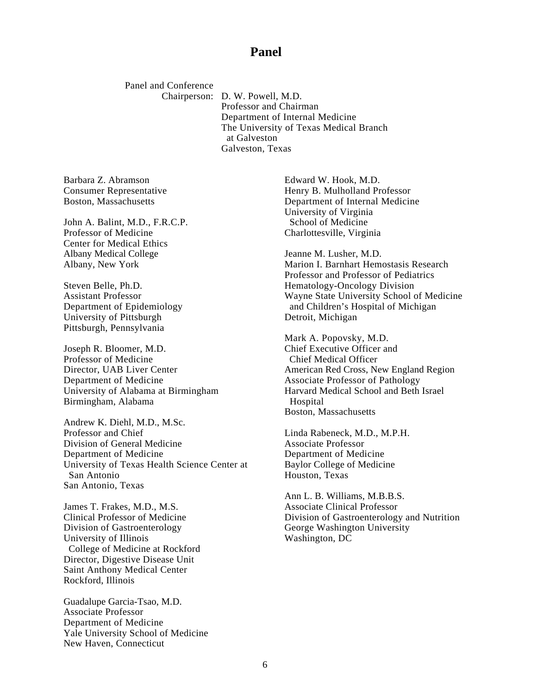### **Panel**

Panel and Conference Chairperson: D. W. Powell, M.D. Professor and Chairman Department of Internal Medicine The University of Texas Medical Branch at Galveston Galveston, Texas

Barbara Z. Abramson Edward W. Hook, M.D.

John A. Balint, M.D., F.R.C.P. School of Medicine Professor of Medicine Charlottesville, Virginia Center for Medical Ethics Albany Medical College Jeanne M. Lusher, M.D.

University of Pittsburgh Detroit, Michigan Pittsburgh, Pennsylvania

Joseph R. Bloomer, M.D. Chief Executive Officer and Professor of Medicine Chief Medical Officer Department of Medicine Associate Professor of Pathology Birmingham, Alabama Hospital

Andrew K. Diehl, M.D., M.Sc. Professor and Chief Linda Rabeneck, M.D., M.P.H. Division of General Medicine Associate Professor Department of Medicine Department of Medicine University of Texas Health Science Center at Baylor College of Medicine San Antonio Houston, Texas San Antonio, Texas

James T. Frakes, M.D., M.S. Associate Clinical Professor Division of Gastroenterology George Washington University University of Illinois Washington, DC College of Medicine at Rockford Director, Digestive Disease Unit Saint Anthony Medical Center Rockford, Illinois

Guadalupe Garcia-Tsao, M.D. Associate Professor Department of Medicine Yale University School of Medicine New Haven, Connecticut

Consumer Representative **Henry B. Mulholland Professor** Boston, Massachusetts Department of Internal Medicine University of Virginia

Albany, New York **Marion I. Barnhart Hemostasis Research** Marion I. Barnhart Hemostasis Research Professor and Professor of Pediatrics Steven Belle, Ph.D. **Hematology-Oncology Division** Assistant Professor Wayne State University School of Medicine Department of Epidemiology and Children's Hospital of Michigan

Mark A. Popovsky, M.D. Director, UAB Liver Center American Red Cross, New England Region University of Alabama at Birmingham Harvard Medical School and Beth Israel Boston, Massachusetts

Ann L. B. Williams, M.B.B.S. Clinical Professor of Medicine Division of Gastroenterology and Nutrition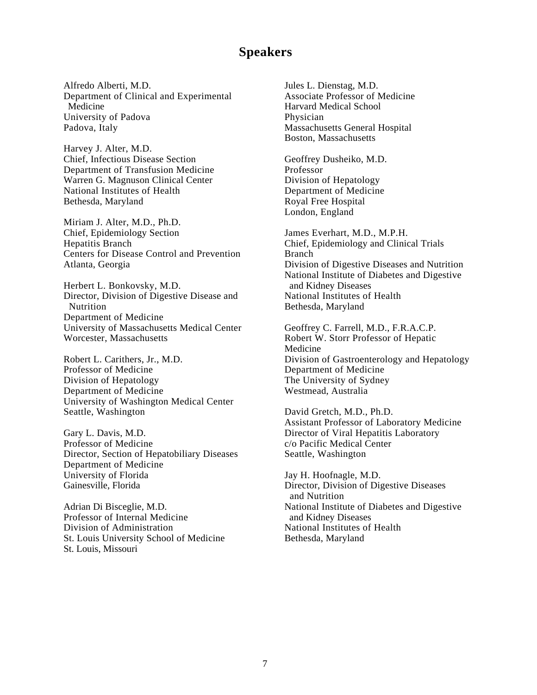# **Speakers**

<span id="page-10-0"></span>Alfredo Alberti, M.D. Department of Clinical and Experimental Medicine University of Padova Padova, Italy

Harvey J. Alter, M.D. Chief, Infectious Disease Section Department of Transfusion Medicine Warren G. Magnuson Clinical Center National Institutes of Health Bethesda, Maryland

Miriam J. Alter, M.D., Ph.D. Chief, Epidemiology Section Hepatitis Branch Centers for Disease Control and Prevention Atlanta, Georgia

Herbert L. Bonkovsky, M.D. Director, Division of Digestive Disease and Nutrition Department of Medicine University of Massachusetts Medical Center Worcester, Massachusetts

Robert L. Carithers, Jr., M.D. Professor of Medicine Division of Hepatology Department of Medicine University of Washington Medical Center Seattle, Washington

Gary L. Davis, M.D. Professor of Medicine Director, Section of Hepatobiliary Diseases Department of Medicine University of Florida Gainesville, Florida

Adrian Di Bisceglie, M.D. Professor of Internal Medicine Division of Administration St. Louis University School of Medicine St. Louis, Missouri

Jules L. Dienstag, M.D. Associate Professor of Medicine Harvard Medical School Physician Massachusetts General Hospital Boston, Massachusetts

Geoffrey Dusheiko, M.D. Professor Division of Hepatology Department of Medicine Royal Free Hospital London, England

James Everhart, M.D., M.P.H. Chief, Epidemiology and Clinical Trials Branch Division of Digestive Diseases and Nutrition National Institute of Diabetes and Digestive and Kidney Diseases National Institutes of Health Bethesda, Maryland

Geoffrey C. Farrell, M.D., F.R.A.C.P. Robert W. Storr Professor of Hepatic Medicine Division of Gastroenterology and Hepatology Department of Medicine The University of Sydney Westmead, Australia

David Gretch, M.D., Ph.D. Assistant Professor of Laboratory Medicine Director of Viral Hepatitis Laboratory c/o Pacific Medical Center Seattle, Washington

Jay H. Hoofnagle, M.D. Director, Division of Digestive Diseases and Nutrition National Institute of Diabetes and Digestive and Kidney Diseases National Institutes of Health Bethesda, Maryland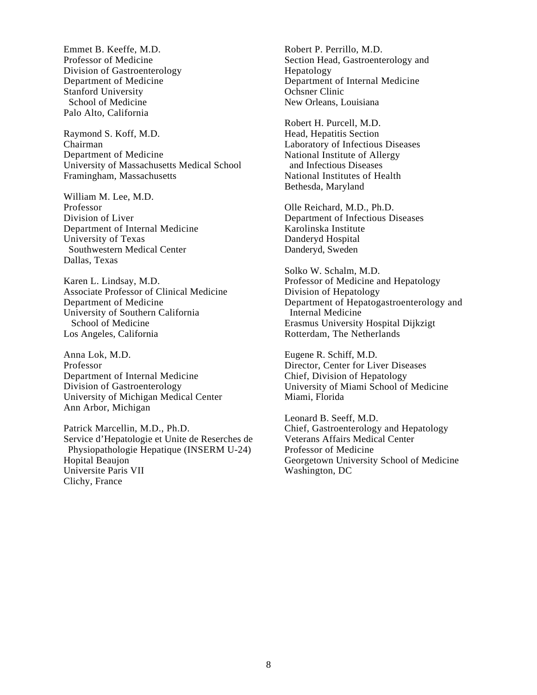Emmet B. Keeffe, M.D. Professor of Medicine Division of Gastroenterology Department of Medicine Stanford University School of Medicine Palo Alto, California

Raymond S. Koff, M.D. Chairman Department of Medicine University of Massachusetts Medical School Framingham, Massachusetts

William M. Lee, M.D. Professor Division of Liver Department of Internal Medicine University of Texas Southwestern Medical Center Dallas, Texas

Karen L. Lindsay, M.D. Associate Professor of Clinical Medicine Department of Medicine University of Southern California School of Medicine Los Angeles, California

Anna Lok, M.D. Professor Department of Internal Medicine Division of Gastroenterology University of Michigan Medical Center Ann Arbor, Michigan

Patrick Marcellin, M.D., Ph.D. Service d'Hepatologie et Unite de Reserches de Physiopathologie Hepatique (INSERM U-24) Hopital Beaujon Universite Paris VII Clichy, France

Robert P. Perrillo, M.D. Section Head, Gastroenterology and Hepatology Department of Internal Medicine Ochsner Clinic New Orleans, Louisiana

Robert H. Purcell, M.D. Head, Hepatitis Section Laboratory of Infectious Diseases National Institute of Allergy and Infectious Diseases National Institutes of Health Bethesda, Maryland

Olle Reichard, M.D., Ph.D. Department of Infectious Diseases Karolinska Institute Danderyd Hospital Danderyd, Sweden

Solko W. Schalm, M.D. Professor of Medicine and Hepatology Division of Hepatology Department of Hepatogastroenterology and Internal Medicine Erasmus University Hospital Dijkzigt Rotterdam, The Netherlands

Eugene R. Schiff, M.D. Director, Center for Liver Diseases Chief, Division of Hepatology University of Miami School of Medicine Miami, Florida

Leonard B. Seeff, M.D. Chief, Gastroenterology and Hepatology Veterans Affairs Medical Center Professor of Medicine Georgetown University School of Medicine Washington, DC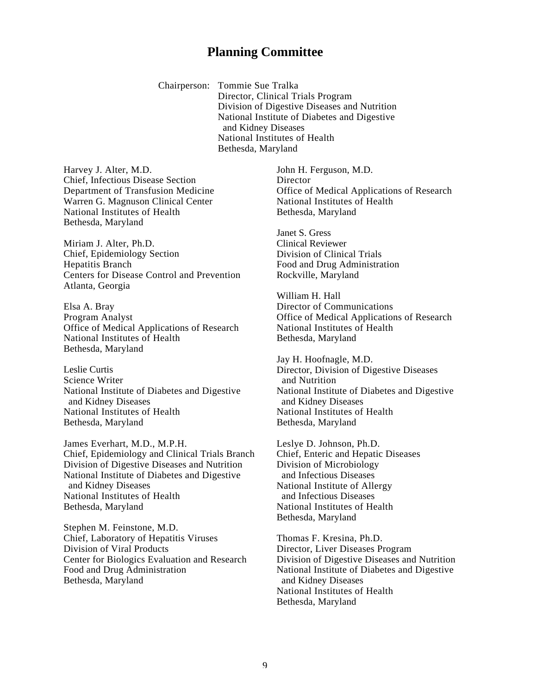# **Planning Committee**

Chairperson: Tommie Sue Tralka Director, Clinical Trials Program Division of Digestive Diseases and Nutrition National Institute of Diabetes and Digestive and Kidney Diseases National Institutes of Health Bethesda, Maryland

<span id="page-12-0"></span>Harvey J. Alter, M.D. Chief, Infectious Disease Section Department of Transfusion Medicine Warren G. Magnuson Clinical Center National Institutes of Health Bethesda, Maryland

Miriam J. Alter, Ph.D. Chief, Epidemiology Section Hepatitis Branch Centers for Disease Control and Prevention Atlanta, Georgia

Elsa A. Bray Program Analyst Office of Medical Applications of Research National Institutes of Health Bethesda, Maryland

Leslie Curtis Science Writer National Institute of Diabetes and Digestive and Kidney Diseases National Institutes of Health Bethesda, Maryland

James Everhart, M.D., M.P.H. Chief, Epidemiology and Clinical Trials Branch Division of Digestive Diseases and Nutrition National Institute of Diabetes and Digestive and Kidney Diseases National Institutes of Health Bethesda, Maryland

Stephen M. Feinstone, M.D. Chief, Laboratory of Hepatitis Viruses Division of Viral Products Center for Biologics Evaluation and Research Food and Drug Administration Bethesda, Maryland

John H. Ferguson, M.D. Director Office of Medical Applications of Research National Institutes of Health Bethesda, Maryland

Janet S. Gress Clinical Reviewer Division of Clinical Trials Food and Drug Administration Rockville, Maryland

William H. Hall Director of Communications Office of Medical Applications of Research National Institutes of Health Bethesda, Maryland

Jay H. Hoofnagle, M.D. Director, Division of Digestive Diseases and Nutrition National Institute of Diabetes and Digestive and Kidney Diseases National Institutes of Health Bethesda, Maryland

Leslye D. Johnson, Ph.D. Chief, Enteric and Hepatic Diseases Division of Microbiology and Infectious Diseases National Institute of Allergy and Infectious Diseases National Institutes of Health Bethesda, Maryland

Thomas F. Kresina, Ph.D. Director, Liver Diseases Program Division of Digestive Diseases and Nutrition National Institute of Diabetes and Digestive and Kidney Diseases National Institutes of Health Bethesda, Maryland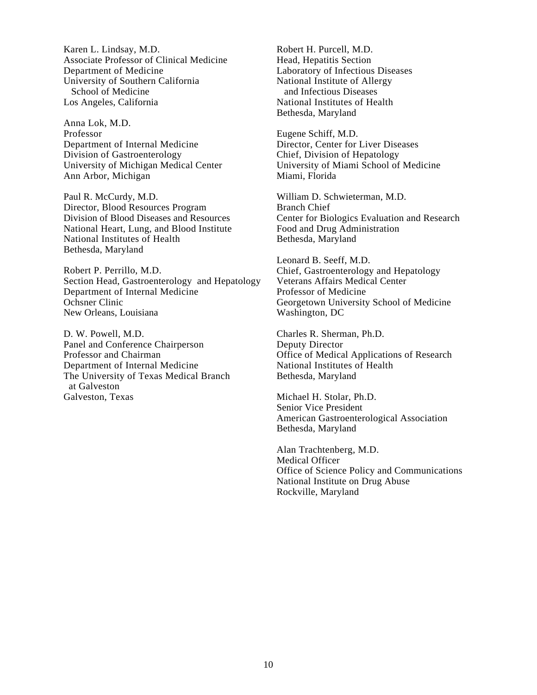Karen L. Lindsay, M.D. Associate Professor of Clinical Medicine Department of Medicine University of Southern California School of Medicine Los Angeles, California

Anna Lok, M.D. Professor Department of Internal Medicine Division of Gastroenterology University of Michigan Medical Center Ann Arbor, Michigan

Paul R. McCurdy, M.D. Director, Blood Resources Program Division of Blood Diseases and Resources National Heart, Lung, and Blood Institute National Institutes of Health Bethesda, Maryland

Robert P. Perrillo, M.D. Section Head, Gastroenterology and Hepatology Department of Internal Medicine Ochsner Clinic New Orleans, Louisiana

D. W. Powell, M.D. Panel and Conference Chairperson Professor and Chairman Department of Internal Medicine The University of Texas Medical Branch at Galveston Galveston, Texas

Robert H. Purcell, M.D. Head, Hepatitis Section Laboratory of Infectious Diseases National Institute of Allergy and Infectious Diseases National Institutes of Health Bethesda, Maryland

Eugene Schiff, M.D. Director, Center for Liver Diseases Chief, Division of Hepatology University of Miami School of Medicine Miami, Florida

William D. Schwieterman, M.D. Branch Chief Center for Biologics Evaluation and Research Food and Drug Administration Bethesda, Maryland

Leonard B. Seeff, M.D. Chief, Gastroenterology and Hepatology Veterans Affairs Medical Center Professor of Medicine Georgetown University School of Medicine Washington, DC

Charles R. Sherman, Ph.D. Deputy Director Office of Medical Applications of Research National Institutes of Health Bethesda, Maryland

Michael H. Stolar, Ph.D. Senior Vice President American Gastroenterological Association Bethesda, Maryland

Alan Trachtenberg, M.D. Medical Officer Office of Science Policy and Communications National Institute on Drug Abuse Rockville, Maryland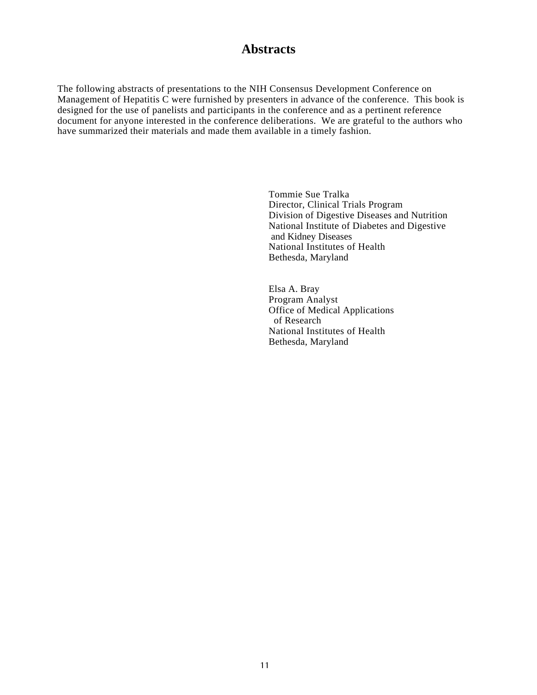# **Abstracts**

<span id="page-14-0"></span>The following abstracts of presentations to the NIH Consensus Development Conference on Management of Hepatitis C were furnished by presenters in advance of the conference. This book is designed for the use of panelists and participants in the conference and as a pertinent reference document for anyone interested in the conference deliberations. We are grateful to the authors who have summarized their materials and made them available in a timely fashion.

> Tommie Sue Tralka Director, Clinical Trials Program Division of Digestive Diseases and Nutrition National Institute of Diabetes and Digestive and Kidney Diseases National Institutes of Health Bethesda, Maryland

Elsa A. Bray Program Analyst Office of Medical Applications of Research National Institutes of Health Bethesda, Maryland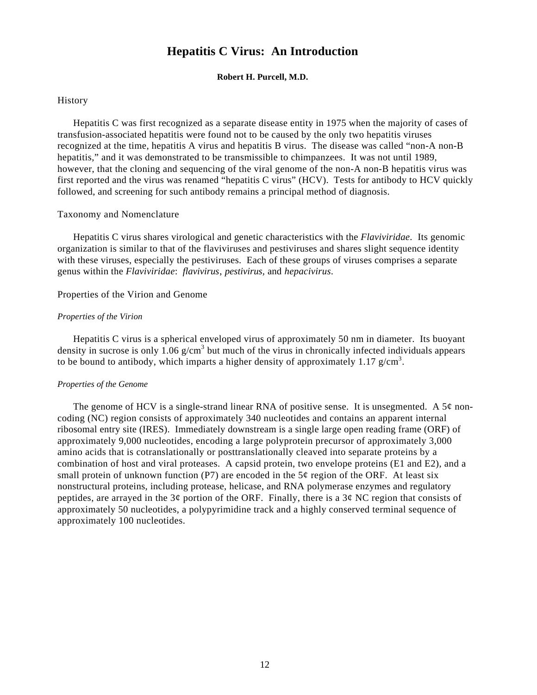# **Hepatitis C Virus: An Introduction**

**Robert H. Purcell, M.D.** 

#### <span id="page-15-0"></span>History

Hepatitis C was first recognized as a separate disease entity in 1975 when the majority of cases of transfusion-associated hepatitis were found not to be caused by the only two hepatitis viruses recognized at the time, hepatitis A virus and hepatitis B virus. The disease was called "non-A non-B hepatitis," and it was demonstrated to be transmissible to chimpanzees. It was not until 1989, however, that the cloning and sequencing of the viral genome of the non-A non-B hepatitis virus was first reported and the virus was renamed "hepatitis C virus" (HCV). Tests for antibody to HCV quickly followed, and screening for such antibody remains a principal method of diagnosis.

#### Taxonomy and Nomenclature

Hepatitis C virus shares virological and genetic characteristics with the *Flaviviridae*. Its genomic organization is similar to that of the flaviviruses and pestiviruses and shares slight sequence identity with these viruses, especially the pestiviruses. Each of these groups of viruses comprises a separate genus within the *Flaviviridae*: *flavivirus*, *pestivirus,* and *hepacivirus*.

#### Properties of the Virion and Genome

#### *Properties of the Virion*

Hepatitis C virus is a spherical enveloped virus of approximately 50 nm in diameter. Its buoyant density in sucrose is only  $1.06$  g/cm<sup>3</sup> but much of the virus in chronically infected individuals appears to be bound to antibody, which imparts a higher density of approximately  $1.17 \text{ g/cm}^3$ .

#### *Properties of the Genome*

The genome of HCV is a single-strand linear RNA of positive sense. It is unsegmented. A  $5¢$  noncoding (NC) region consists of approximately 340 nucleotides and contains an apparent internal ribosomal entry site (IRES). Immediately downstream is a single large open reading frame (ORF) of approximately 9,000 nucleotides, encoding a large polyprotein precursor of approximately 3,000 amino acids that is cotranslationally or posttranslationally cleaved into separate proteins by a combination of host and viral proteases. A capsid protein, two envelope proteins (E1 and E2), and a small protein of unknown function (P7) are encoded in the  $5¢$  region of the ORF. At least six nonstructural proteins, including protease, helicase, and RNA polymerase enzymes and regulatory peptides, are arrayed in the  $3¢$  portion of the ORF. Finally, there is a  $3¢$  NC region that consists of approximately 50 nucleotides, a polypyrimidine track and a highly conserved terminal sequence of approximately 100 nucleotides.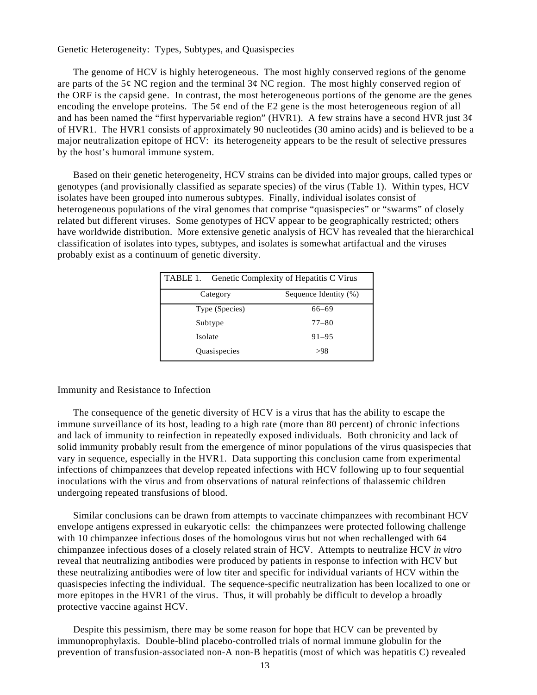#### Genetic Heterogeneity: Types, Subtypes, and Quasispecies

The genome of HCV is highly heterogeneous. The most highly conserved regions of the genome are parts of the 5 $\ell$  NC region and the terminal 3 $\ell$  NC region. The most highly conserved region of the ORF is the capsid gene. In contrast, the most heterogeneous portions of the genome are the genes encoding the envelope proteins. The  $5¢$  end of the E2 gene is the most heterogeneous region of all and has been named the "first hypervariable region" (HVR1). A few strains have a second HVR just  $3\phi$ of HVR1. The HVR1 consists of approximately 90 nucleotides (30 amino acids) and is believed to be a major neutralization epitope of HCV: its heterogeneity appears to be the result of selective pressures by the host's humoral immune system.

Based on their genetic heterogeneity, HCV strains can be divided into major groups, called types or genotypes (and provisionally classified as separate species) of the virus (Table 1). Within types, HCV isolates have been grouped into numerous subtypes. Finally, individual isolates consist of heterogeneous populations of the viral genomes that comprise "quasispecies" or "swarms" of closely related but different viruses. Some genotypes of HCV appear to be geographically restricted; others have worldwide distribution. More extensive genetic analysis of HCV has revealed that the hierarchical classification of isolates into types, subtypes, and isolates is somewhat artifactual and the viruses probably exist as a continuum of genetic diversity.

| TABLE 1.       | Genetic Complexity of Hepatitis C Virus |
|----------------|-----------------------------------------|
| Category       | Sequence Identity (%)                   |
| Type (Species) | 66–69                                   |
| Subtype        | $77 - 80$                               |
| Isolate        | $91 - 95$                               |
| Quasispecies   | >98                                     |

#### Immunity and Resistance to Infection

The consequence of the genetic diversity of HCV is a virus that has the ability to escape the immune surveillance of its host, leading to a high rate (more than 80 percent) of chronic infections and lack of immunity to reinfection in repeatedly exposed individuals. Both chronicity and lack of solid immunity probably result from the emergence of minor populations of the virus quasispecies that vary in sequence, especially in the HVR1. Data supporting this conclusion came from experimental infections of chimpanzees that develop repeated infections with HCV following up to four sequential inoculations with the virus and from observations of natural reinfections of thalassemic children undergoing repeated transfusions of blood.

Similar conclusions can be drawn from attempts to vaccinate chimpanzees with recombinant HCV envelope antigens expressed in eukaryotic cells: the chimpanzees were protected following challenge with 10 chimpanzee infectious doses of the homologous virus but not when rechallenged with 64 chimpanzee infectious doses of a closely related strain of HCV. Attempts to neutralize HCV *in vitro*  reveal that neutralizing antibodies were produced by patients in response to infection with HCV but these neutralizing antibodies were of low titer and specific for individual variants of HCV within the quasispecies infecting the individual. The sequence-specific neutralization has been localized to one or more epitopes in the HVR1 of the virus. Thus, it will probably be difficult to develop a broadly protective vaccine against HCV.

Despite this pessimism, there may be some reason for hope that HCV can be prevented by immunoprophylaxis. Double-blind placebo-controlled trials of normal immune globulin for the prevention of transfusion-associated non-A non-B hepatitis (most of which was hepatitis C) revealed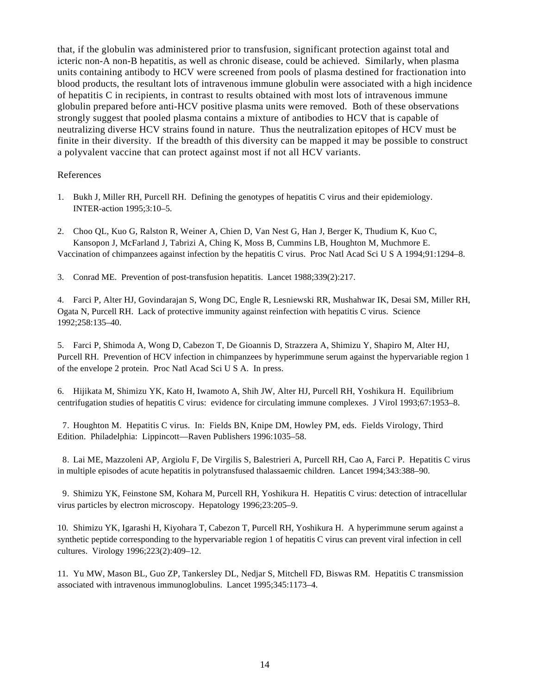that, if the globulin was administered prior to transfusion, significant protection against total and icteric non-A non-B hepatitis, as well as chronic disease, could be achieved. Similarly, when plasma units containing antibody to HCV were screened from pools of plasma destined for fractionation into blood products, the resultant lots of intravenous immune globulin were associated with a high incidence of hepatitis C in recipients, in contrast to results obtained with most lots of intravenous immune globulin prepared before anti-HCV positive plasma units were removed. Both of these observations strongly suggest that pooled plasma contains a mixture of antibodies to HCV that is capable of neutralizing diverse HCV strains found in nature. Thus the neutralization epitopes of HCV must be finite in their diversity. If the breadth of this diversity can be mapped it may be possible to construct a polyvalent vaccine that can protect against most if not all HCV variants.

#### References

- 1. Bukh J, Miller RH, Purcell RH. Defining the genotypes of hepatitis C virus and their epidemiology. INTER-action 1995;3:10–5.
- 2. Choo QL, Kuo G, Ralston R, Weiner A, Chien D, Van Nest G, Han J, Berger K, Thudium K, Kuo C, Kansopon J, McFarland J, Tabrizi A, Ching K, Moss B, Cummins LB, Houghton M, Muchmore E. Vaccination of chimpanzees against infection by the hepatitis C virus. Proc Natl Acad Sci U S A 1994;91:1294–8.
- 3. Conrad ME. Prevention of post-transfusion hepatitis. Lancet 1988;339(2):217.

4. Farci P, Alter HJ, Govindarajan S, Wong DC, Engle R, Lesniewski RR, Mushahwar IK, Desai SM, Miller RH, Ogata N, Purcell RH. Lack of protective immunity against reinfection with hepatitis C virus. Science 1992;258:135–40.

5. Farci P, Shimoda A, Wong D, Cabezon T, De Gioannis D, Strazzera A, Shimizu Y, Shapiro M, Alter HJ, Purcell RH. Prevention of HCV infection in chimpanzees by hyperimmune serum against the hypervariable region 1 of the envelope 2 protein. Proc Natl Acad Sci U S A. In press.

6. Hijikata M, Shimizu YK, Kato H, Iwamoto A, Shih JW, Alter HJ, Purcell RH, Yoshikura H. Equilibrium centrifugation studies of hepatitis C virus: evidence for circulating immune complexes. J Virol 1993;67:1953–8.

 7. Houghton M. Hepatitis C virus. In: Fields BN, Knipe DM, Howley PM, eds. Fields Virology, Third Edition. Philadelphia: Lippincott—Raven Publishers 1996:1035–58.

 8. Lai ME, Mazzoleni AP, Argiolu F, De Virgilis S, Balestrieri A, Purcell RH, Cao A, Farci P. Hepatitis C virus in multiple episodes of acute hepatitis in polytransfused thalassaemic children. Lancet 1994;343:388–90.

 9. Shimizu YK, Feinstone SM, Kohara M, Purcell RH, Yoshikura H. Hepatitis C virus: detection of intracellular virus particles by electron microscopy. Hepatology 1996;23:205–9.

10. Shimizu YK, Igarashi H, Kiyohara T, Cabezon T, Purcell RH, Yoshikura H. A hyperimmune serum against a synthetic peptide corresponding to the hypervariable region 1 of hepatitis C virus can prevent viral infection in cell cultures. Virology 1996;223(2):409–12.

11. Yu MW, Mason BL, Guo ZP, Tankersley DL, Nedjar S, Mitchell FD, Biswas RM. Hepatitis C transmission associated with intravenous immunoglobulins. Lancet 1995;345:1173–4.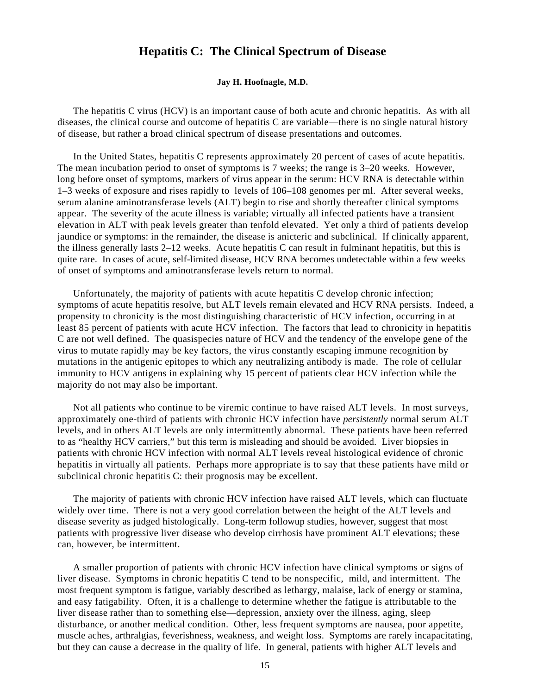# **Hepatitis C: The Clinical Spectrum of Disease**

#### **Jay H. Hoofnagle, M.D.**

<span id="page-18-0"></span>The hepatitis C virus (HCV) is an important cause of both acute and chronic hepatitis. As with all diseases, the clinical course and outcome of hepatitis C are variable—there is no single natural history of disease, but rather a broad clinical spectrum of disease presentations and outcomes.

In the United States, hepatitis C represents approximately 20 percent of cases of acute hepatitis. The mean incubation period to onset of symptoms is 7 weeks; the range is 3–20 weeks. However, long before onset of symptoms, markers of virus appear in the serum: HCV RNA is detectable within 1–3 weeks of exposure and rises rapidly to levels of 106–108 genomes per ml. After several weeks, serum alanine aminotransferase levels (ALT) begin to rise and shortly thereafter clinical symptoms appear. The severity of the acute illness is variable; virtually all infected patients have a transient elevation in ALT with peak levels greater than tenfold elevated. Yet only a third of patients develop jaundice or symptoms: in the remainder, the disease is anicteric and subclinical. If clinically apparent, the illness generally lasts  $2-12$  weeks. Acute hepatitis C can result in fulminant hepatitis, but this is quite rare. In cases of acute, self-limited disease, HCV RNA becomes undetectable within a few weeks of onset of symptoms and aminotransferase levels return to normal.

Unfortunately, the majority of patients with acute hepatitis C develop chronic infection; symptoms of acute hepatitis resolve, but ALT levels remain elevated and HCV RNA persists. Indeed, a propensity to chronicity is the most distinguishing characteristic of HCV infection, occurring in at least 85 percent of patients with acute HCV infection. The factors that lead to chronicity in hepatitis C are not well defined. The quasispecies nature of HCV and the tendency of the envelope gene of the virus to mutate rapidly may be key factors, the virus constantly escaping immune recognition by mutations in the antigenic epitopes to which any neutralizing antibody is made. The role of cellular immunity to HCV antigens in explaining why 15 percent of patients clear HCV infection while the majority do not may also be important.

Not all patients who continue to be viremic continue to have raised ALT levels. In most surveys, approximately one-third of patients with chronic HCV infection have *persistently* normal serum ALT levels, and in others ALT levels are only intermittently abnormal. These patients have been referred to as "healthy HCV carriers," but this term is misleading and should be avoided. Liver biopsies in patients with chronic HCV infection with normal ALT levels reveal histological evidence of chronic hepatitis in virtually all patients. Perhaps more appropriate is to say that these patients have mild or subclinical chronic hepatitis C: their prognosis may be excellent.

The majority of patients with chronic HCV infection have raised ALT levels, which can fluctuate widely over time. There is not a very good correlation between the height of the ALT levels and disease severity as judged histologically. Long-term followup studies, however, suggest that most patients with progressive liver disease who develop cirrhosis have prominent ALT elevations; these can, however, be intermittent.

A smaller proportion of patients with chronic HCV infection have clinical symptoms or signs of liver disease. Symptoms in chronic hepatitis C tend to be nonspecific, mild, and intermittent. The most frequent symptom is fatigue, variably described as lethargy, malaise, lack of energy or stamina, and easy fatigability. Often, it is a challenge to determine whether the fatigue is attributable to the liver disease rather than to something else—depression, anxiety over the illness, aging, sleep disturbance, or another medical condition. Other, less frequent symptoms are nausea, poor appetite, muscle aches, arthralgias, feverishness, weakness, and weight loss. Symptoms are rarely incapacitating, but they can cause a decrease in the quality of life. In general, patients with higher ALT levels and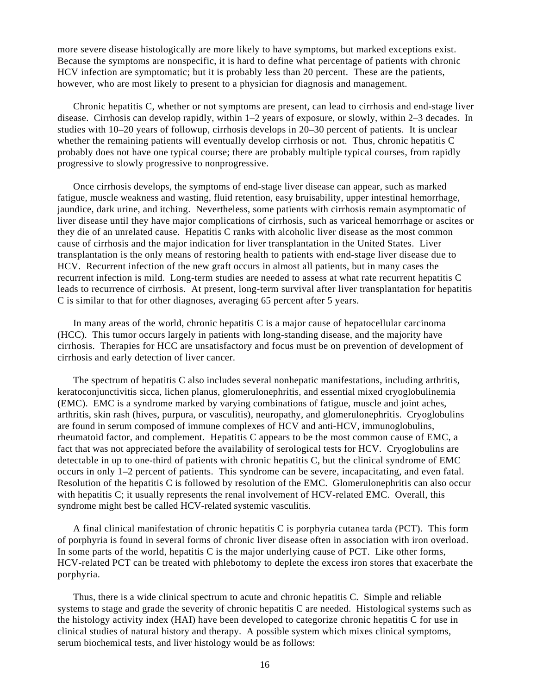more severe disease histologically are more likely to have symptoms, but marked exceptions exist. Because the symptoms are nonspecific, it is hard to define what percentage of patients with chronic HCV infection are symptomatic; but it is probably less than 20 percent. These are the patients, however, who are most likely to present to a physician for diagnosis and management.

Chronic hepatitis C, whether or not symptoms are present, can lead to cirrhosis and end-stage liver disease. Cirrhosis can develop rapidly, within 1–2 years of exposure, or slowly, within 2–3 decades. In studies with 10–20 years of followup, cirrhosis develops in 20–30 percent of patients. It is unclear whether the remaining patients will eventually develop cirrhosis or not. Thus, chronic hepatitis C probably does not have one typical course; there are probably multiple typical courses, from rapidly progressive to slowly progressive to nonprogressive.

Once cirrhosis develops, the symptoms of end-stage liver disease can appear, such as marked fatigue, muscle weakness and wasting, fluid retention, easy bruisability, upper intestinal hemorrhage, jaundice, dark urine, and itching. Nevertheless, some patients with cirrhosis remain asymptomatic of liver disease until they have major complications of cirrhosis, such as variceal hemorrhage or ascites or they die of an unrelated cause. Hepatitis C ranks with alcoholic liver disease as the most common cause of cirrhosis and the major indication for liver transplantation in the United States. Liver transplantation is the only means of restoring health to patients with end-stage liver disease due to HCV. Recurrent infection of the new graft occurs in almost all patients, but in many cases the recurrent infection is mild. Long-term studies are needed to assess at what rate recurrent hepatitis C leads to recurrence of cirrhosis. At present, long-term survival after liver transplantation for hepatitis C is similar to that for other diagnoses, averaging 65 percent after 5 years.

In many areas of the world, chronic hepatitis C is a major cause of hepatocellular carcinoma (HCC). This tumor occurs largely in patients with long-standing disease, and the majority have cirrhosis. Therapies for HCC are unsatisfactory and focus must be on prevention of development of cirrhosis and early detection of liver cancer.

The spectrum of hepatitis C also includes several nonhepatic manifestations, including arthritis, keratoconjunctivitis sicca, lichen planus, glomerulonephritis, and essential mixed cryoglobulinemia (EMC). EMC is a syndrome marked by varying combinations of fatigue, muscle and joint aches, arthritis, skin rash (hives, purpura, or vasculitis), neuropathy, and glomerulonephritis. Cryoglobulins are found in serum composed of immune complexes of HCV and anti-HCV, immunoglobulins, rheumatoid factor, and complement. Hepatitis C appears to be the most common cause of EMC, a fact that was not appreciated before the availability of serological tests for HCV. Cryoglobulins are detectable in up to one-third of patients with chronic hepatitis C, but the clinical syndrome of EMC occurs in only 1–2 percent of patients. This syndrome can be severe, incapacitating, and even fatal. Resolution of the hepatitis C is followed by resolution of the EMC. Glomerulonephritis can also occur with hepatitis C; it usually represents the renal involvement of HCV-related EMC. Overall, this syndrome might best be called HCV-related systemic vasculitis.

A final clinical manifestation of chronic hepatitis C is porphyria cutanea tarda (PCT). This form of porphyria is found in several forms of chronic liver disease often in association with iron overload. In some parts of the world, hepatitis C is the major underlying cause of PCT. Like other forms, HCV-related PCT can be treated with phlebotomy to deplete the excess iron stores that exacerbate the porphyria.

Thus, there is a wide clinical spectrum to acute and chronic hepatitis C. Simple and reliable systems to stage and grade the severity of chronic hepatitis C are needed. Histological systems such as the histology activity index (HAI) have been developed to categorize chronic hepatitis C for use in clinical studies of natural history and therapy. A possible system which mixes clinical symptoms, serum biochemical tests, and liver histology would be as follows: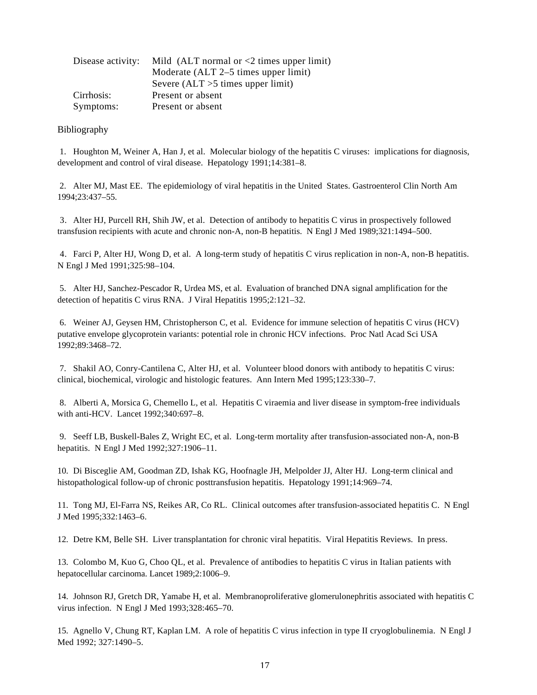|            | Disease activity: Mild (ALT normal or $\lt 2$ times upper limit) |
|------------|------------------------------------------------------------------|
|            | Moderate (ALT $2-5$ times upper limit)                           |
|            | Severe $(ALT > 5$ times upper limit)                             |
| Cirrhosis: | Present or absent                                                |
| Symptoms:  | Present or absent                                                |

#### Bibliography

 1. Houghton M, Weiner A, Han J, et al. Molecular biology of the hepatitis C viruses: implications for diagnosis, development and control of viral disease. Hepatology 1991;14:381–8.

 2. Alter MJ, Mast EE. The epidemiology of viral hepatitis in the United States. Gastroenterol Clin North Am 1994;23:437–55.

 3. Alter HJ, Purcell RH, Shih JW, et al. Detection of antibody to hepatitis C virus in prospectively followed transfusion recipients with acute and chronic non-A, non-B hepatitis. N Engl J Med 1989;321:1494–500.

 4. Farci P, Alter HJ, Wong D, et al. A long-term study of hepatitis C virus replication in non-A, non-B hepatitis. N Engl J Med 1991;325:98–104.

 5. Alter HJ, Sanchez-Pescador R, Urdea MS, et al. Evaluation of branched DNA signal amplification for the detection of hepatitis C virus RNA. J Viral Hepatitis 1995;2:121–32.

 6. Weiner AJ, Geysen HM, Christopherson C, et al. Evidence for immune selection of hepatitis C virus (HCV) putative envelope glycoprotein variants: potential role in chronic HCV infections. Proc Natl Acad Sci USA 1992;89:3468–72.

 7. Shakil AO, Conry-Cantilena C, Alter HJ, et al. Volunteer blood donors with antibody to hepatitis C virus: clinical, biochemical, virologic and histologic features. Ann Intern Med 1995;123:330–7.

 8. Alberti A, Morsica G, Chemello L, et al. Hepatitis C viraemia and liver disease in symptom-free individuals with anti-HCV. Lancet 1992;340:697–8.

 9. Seeff LB, Buskell-Bales Z, Wright EC, et al. Long-term mortality after transfusion-associated non-A, non-B hepatitis. N Engl J Med 1992;327:1906–11.

10. Di Bisceglie AM, Goodman ZD, Ishak KG, Hoofnagle JH, Melpolder JJ, Alter HJ. Long-term clinical and histopathological follow-up of chronic posttransfusion hepatitis. Hepatology 1991;14:969–74.

11. Tong MJ, El-Farra NS, Reikes AR, Co RL. Clinical outcomes after transfusion-associated hepatitis C. N Engl J Med 1995;332:1463–6.

12. Detre KM, Belle SH. Liver transplantation for chronic viral hepatitis. Viral Hepatitis Reviews. In press.

13. Colombo M, Kuo G, Choo QL, et al. Prevalence of antibodies to hepatitis C virus in Italian patients with hepatocellular carcinoma. Lancet 1989;2:1006–9.

14. Johnson RJ, Gretch DR, Yamabe H, et al. Membranoproliferative glomerulonephritis associated with hepatitis C virus infection. N Engl J Med 1993;328:465–70.

15. Agnello V, Chung RT, Kaplan LM. A role of hepatitis C virus infection in type II cryoglobulinemia. N Engl J Med 1992; 327:1490–5.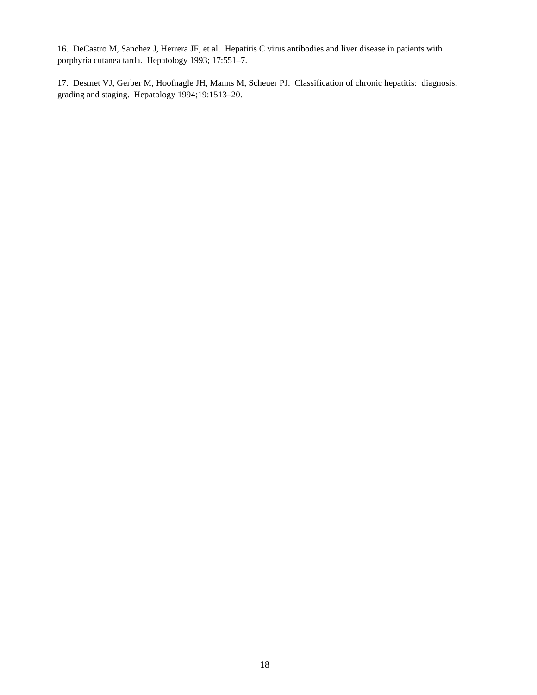16. DeCastro M, Sanchez J, Herrera JF, et al. Hepatitis C virus antibodies and liver disease in patients with porphyria cutanea tarda. Hepatology 1993; 17:551–7.

17. Desmet VJ, Gerber M, Hoofnagle JH, Manns M, Scheuer PJ. Classification of chronic hepatitis: diagnosis, grading and staging. Hepatology 1994;19:1513–20.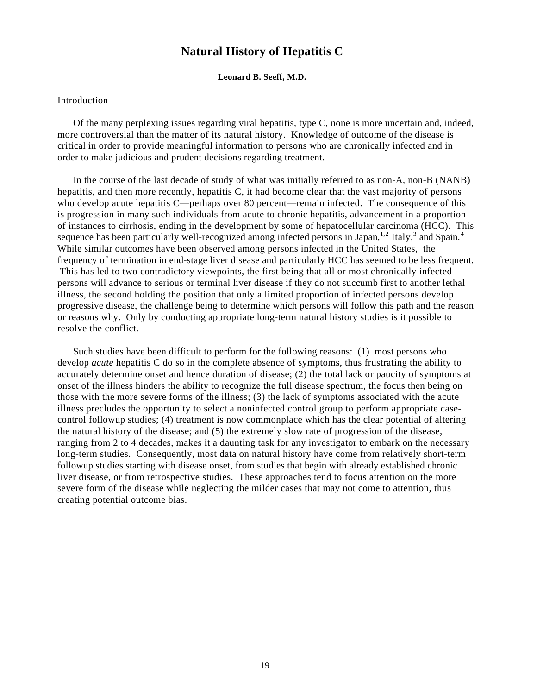### **Natural History of Hepatitis C**

**Leonard B. Seeff, M.D.** 

#### <span id="page-22-0"></span>Introduction

Of the many perplexing issues regarding viral hepatitis, type C, none is more uncertain and, indeed, more controversial than the matter of its natural history. Knowledge of outcome of the disease is critical in order to provide meaningful information to persons who are chronically infected and in order to make judicious and prudent decisions regarding treatment.

In the course of the last decade of study of what was initially referred to as non-A, non-B (NANB) hepatitis, and then more recently, hepatitis C, it had become clear that the vast majority of persons who develop acute hepatitis C—perhaps over 80 percent—remain infected. The consequence of this is progression in many such individuals from acute to chronic hepatitis, advancement in a proportion of instances to cirrhosis, ending in the development by some of hepatocellular carcinoma (HCC). This sequence has been particularly well-recognized among infected persons in Japan,  $1,2$  Italy,  $3$  and Spain.<sup>4</sup> While similar outcomes have been observed among persons infected in the United States, the frequency of termination in end-stage liver disease and particularly HCC has seemed to be less frequent. This has led to two contradictory viewpoints, the first being that all or most chronically infected persons will advance to serious or terminal liver disease if they do not succumb first to another lethal illness, the second holding the position that only a limited proportion of infected persons develop progressive disease, the challenge being to determine which persons will follow this path and the reason or reasons why. Only by conducting appropriate long-term natural history studies is it possible to resolve the conflict.

Such studies have been difficult to perform for the following reasons: (1) most persons who develop *acute* hepatitis C do so in the complete absence of symptoms, thus frustrating the ability to accurately determine onset and hence duration of disease; (2) the total lack or paucity of symptoms at onset of the illness hinders the ability to recognize the full disease spectrum, the focus then being on those with the more severe forms of the illness; (3) the lack of symptoms associated with the acute illness precludes the opportunity to select a noninfected control group to perform appropriate casecontrol followup studies; (4) treatment is now commonplace which has the clear potential of altering the natural history of the disease; and (5) the extremely slow rate of progression of the disease, ranging from 2 to 4 decades, makes it a daunting task for any investigator to embark on the necessary long-term studies. Consequently, most data on natural history have come from relatively short-term followup studies starting with disease onset, from studies that begin with already established chronic liver disease, or from retrospective studies. These approaches tend to focus attention on the more severe form of the disease while neglecting the milder cases that may not come to attention, thus creating potential outcome bias.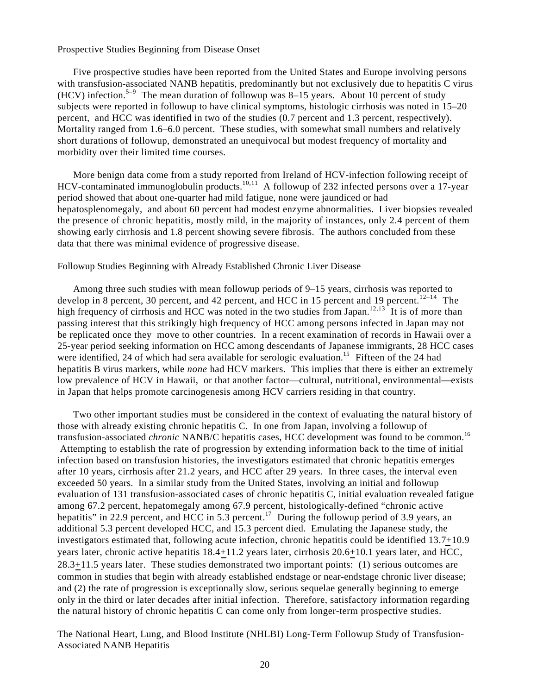#### Prospective Studies Beginning from Disease Onset

Five prospective studies have been reported from the United States and Europe involving persons with transfusion-associated NANB hepatitis, predominantly but not exclusively due to hepatitis C virus (HCV) infection.<sup>5–9</sup> The mean duration of followup was 8–15 years. About 10 percent of study subjects were reported in followup to have clinical symptoms, histologic cirrhosis was noted in 15–20 percent, and HCC was identified in two of the studies (0.7 percent and 1.3 percent, respectively). Mortality ranged from 1.6–6.0 percent. These studies, with somewhat small numbers and relatively short durations of followup, demonstrated an unequivocal but modest frequency of mortality and morbidity over their limited time courses.

More benign data come from a study reported from Ireland of HCV-infection following receipt of HCV-contaminated immunoglobulin products.<sup>10,11</sup> A followup of 232 infected persons over a 17-year period showed that about one-quarter had mild fatigue, none were jaundiced or had hepatosplenomegaly, and about 60 percent had modest enzyme abnormalities. Liver biopsies revealed the presence of chronic hepatitis, mostly mild, in the majority of instances, only 2.4 percent of them showing early cirrhosis and 1.8 percent showing severe fibrosis. The authors concluded from these data that there was minimal evidence of progressive disease.

#### Followup Studies Beginning with Already Established Chronic Liver Disease

Among three such studies with mean followup periods of 9–15 years, cirrhosis was reported to develop in 8 percent, 30 percent, and 42 percent, and HCC in 15 percent and 19 percent.<sup>12–14</sup> The high frequency of cirrhosis and HCC was noted in the two studies from Japan.<sup>12,13</sup> It is of more than passing interest that this strikingly high frequency of HCC among persons infected in Japan may not be replicated once they move to other countries. In a recent examination of records in Hawaii over a 25-year period seeking information on HCC among descendants of Japanese immigrants, 28 HCC cases were identified, 24 of which had sera available for serologic evaluation.<sup>15</sup> Fifteen of the 24 had hepatitis B virus markers, while *none* had HCV markers. This implies that there is either an extremely low prevalence of HCV in Hawaii, or that another factor—cultural, nutritional, environmental**—**exists in Japan that helps promote carcinogenesis among HCV carriers residing in that country.

Two other important studies must be considered in the context of evaluating the natural history of those with already existing chronic hepatitis C. In one from Japan, involving a followup of transfusion-associated *chronic* NANB/C hepatitis cases, HCC development was found to be common.<sup>16</sup> Attempting to establish the rate of progression by extending information back to the time of initial infection based on transfusion histories, the investigators estimated that chronic hepatitis emerges after 10 years, cirrhosis after 21.2 years, and HCC after 29 years. In three cases, the interval even exceeded 50 years. In a similar study from the United States, involving an initial and followup evaluation of 131 transfusion-associated cases of chronic hepatitis C, initial evaluation revealed fatigue among 67.2 percent, hepatomegaly among 67.9 percent, histologically-defined "chronic active hepatitis" in 22.9 percent, and HCC in 5.3 percent.<sup>17</sup> During the followup period of 3.9 years, an additional 5.3 percent developed HCC, and 15.3 percent died. Emulating the Japanese study, the investigators estimated that, following acute infection, chronic hepatitis could be identified 13.7+10.9 years later, chronic active hepatitis 18.4+11.2 years later, cirrhosis 20.6+10.1 years later, and HCC, 28.3+11.5 years later. These studies demonstrated two important points: (1) serious outcomes are common in studies that begin with already established endstage or near-endstage chronic liver disease; and (2) the rate of progression is exceptionally slow, serious sequelae generally beginning to emerge only in the third or later decades after initial infection. Therefore, satisfactory information regarding the natural history of chronic hepatitis C can come only from longer-term prospective studies.

The National Heart, Lung, and Blood Institute (NHLBI) Long-Term Followup Study of Transfusion-Associated NANB Hepatitis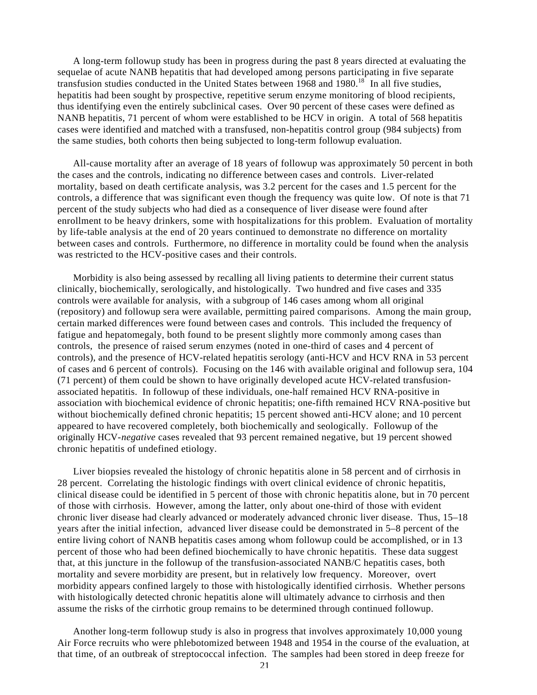A long-term followup study has been in progress during the past 8 years directed at evaluating the sequelae of acute NANB hepatitis that had developed among persons participating in five separate transfusion studies conducted in the United States between 1968 and 1980.<sup>18</sup> In all five studies, hepatitis had been sought by prospective, repetitive serum enzyme monitoring of blood recipients, thus identifying even the entirely subclinical cases. Over 90 percent of these cases were defined as NANB hepatitis, 71 percent of whom were established to be HCV in origin. A total of 568 hepatitis cases were identified and matched with a transfused, non-hepatitis control group (984 subjects) from the same studies, both cohorts then being subjected to long-term followup evaluation.

All-cause mortality after an average of 18 years of followup was approximately 50 percent in both the cases and the controls, indicating no difference between cases and controls. Liver-related mortality, based on death certificate analysis, was 3.2 percent for the cases and 1.5 percent for the controls, a difference that was significant even though the frequency was quite low. Of note is that 71 percent of the study subjects who had died as a consequence of liver disease were found after enrollment to be heavy drinkers, some with hospitalizations for this problem. Evaluation of mortality by life-table analysis at the end of 20 years continued to demonstrate no difference on mortality between cases and controls. Furthermore, no difference in mortality could be found when the analysis was restricted to the HCV-positive cases and their controls.

Morbidity is also being assessed by recalling all living patients to determine their current status clinically, biochemically, serologically, and histologically. Two hundred and five cases and 335 controls were available for analysis, with a subgroup of 146 cases among whom all original (repository) and followup sera were available, permitting paired comparisons. Among the main group, certain marked differences were found between cases and controls. This included the frequency of fatigue and hepatomegaly, both found to be present slightly more commonly among cases than controls, the presence of raised serum enzymes (noted in one-third of cases and 4 percent of controls), and the presence of HCV-related hepatitis serology (anti-HCV and HCV RNA in 53 percent of cases and 6 percent of controls). Focusing on the 146 with available original and followup sera, 104 (71 percent) of them could be shown to have originally developed acute HCV-related transfusionassociated hepatitis. In followup of these individuals, one-half remained HCV RNA-positive in association with biochemical evidence of chronic hepatitis; one-fifth remained HCV RNA-positive but without biochemically defined chronic hepatitis; 15 percent showed anti-HCV alone; and 10 percent appeared to have recovered completely, both biochemically and seologically. Followup of the originally HCV-*negative* cases revealed that 93 percent remained negative, but 19 percent showed chronic hepatitis of undefined etiology.

Liver biopsies revealed the histology of chronic hepatitis alone in 58 percent and of cirrhosis in 28 percent. Correlating the histologic findings with overt clinical evidence of chronic hepatitis, clinical disease could be identified in 5 percent of those with chronic hepatitis alone, but in 70 percent of those with cirrhosis. However, among the latter, only about one-third of those with evident chronic liver disease had clearly advanced or moderately advanced chronic liver disease. Thus, 15–18 years after the initial infection, advanced liver disease could be demonstrated in 5–8 percent of the entire living cohort of NANB hepatitis cases among whom followup could be accomplished, or in 13 percent of those who had been defined biochemically to have chronic hepatitis. These data suggest that, at this juncture in the followup of the transfusion-associated NANB/C hepatitis cases, both mortality and severe morbidity are present, but in relatively low frequency. Moreover, overt morbidity appears confined largely to those with histologically identified cirrhosis. Whether persons with histologically detected chronic hepatitis alone will ultimately advance to cirrhosis and then assume the risks of the cirrhotic group remains to be determined through continued followup.

Another long-term followup study is also in progress that involves approximately 10,000 young Air Force recruits who were phlebotomized between 1948 and 1954 in the course of the evaluation, at that time, of an outbreak of streptococcal infection. The samples had been stored in deep freeze for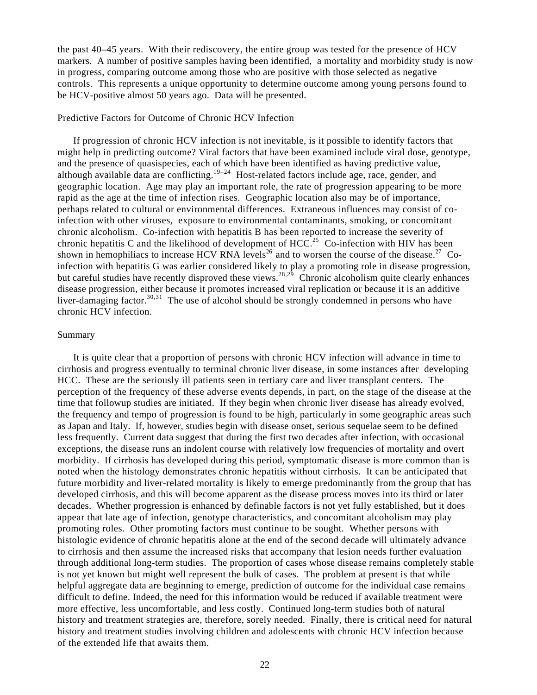the past 40–45 years. With their rediscovery, the entire group was tested for the presence of HCV markers. A number of positive samples having been identified, a mortality and morbidity study is now in progress, comparing outcome among those who are positive with those selected as negative controls. This represents a unique opportunity to determine outcome among young persons found to be HCV-positive almost 50 years ago. Data will be presented.

#### Predictive Factors for Outcome of Chronic HCV Infection

If progression of chronic HCV infection is not inevitable, is it possible to identify factors that might help in predicting outcome? Viral factors that have been examined include viral dose, genotype, and the presence of quasispecies, each of which have been identified as having predictive value, although available data are conflicting.<sup>19–24</sup> Host-related factors include age, race, gender, and geographic location. Age may play an important role, the rate of progression appearing to be more rapid as the age at the time of infection rises. Geographic location also may be of importance, perhaps related to cultural or environmental differences. Extraneous influences may consist of coinfection with other viruses, exposure to environmental contaminants, smoking, or concomitant chronic alcoholism. Co-infection with hepatitis B has been reported to increase the severity of chronic hepatitis C and the likelihood of development of HCC.<sup>25</sup> Co-infection with HIV has been shown in hemophiliacs to increase HCV RNA levels<sup>26</sup> and to worsen the course of the disease.<sup>27</sup> Coinfection with hepatitis G was earlier considered likely to play a promoting role in disease progression, but careful studies have recently disproved these views.<sup>28,29</sup> Chronic alcoholism quite clearly enhances disease progression, either because it promotes increased viral replication or because it is an additive liver-damaging factor.<sup>30,31</sup> The use of alcohol should be strongly condemned in persons who have chronic HCV infection.

#### Summary

It is quite clear that a proportion of persons with chronic HCV infection will advance in time to cirrhosis and progress eventually to terminal chronic liver disease, in some instances after developing HCC. These are the seriously ill patients seen in tertiary care and liver transplant centers. The perception of the frequency of these adverse events depends, in part, on the stage of the disease at the time that followup studies are initiated. If they begin when chronic liver disease has already evolved, the frequency and tempo of progression is found to be high, particularly in some geographic areas such as Japan and Italy. If, however, studies begin with disease onset, serious sequelae seem to be defined less frequently. Current data suggest that during the first two decades after infection, with occasional exceptions, the disease runs an indolent course with relatively low frequencies of mortality and overt morbidity. If cirrhosis has developed during this period, symptomatic disease is more common than is noted when the histology demonstrates chronic hepatitis without cirrhosis. It can be anticipated that future morbidity and liver-related mortality is likely to emerge predominantly from the group that has developed cirrhosis, and this will become apparent as the disease process moves into its third or later decades. Whether progression is enhanced by definable factors is not yet fully established, but it does appear that late age of infection, genotype characteristics, and concomitant alcoholism may play promoting roles. Other promoting factors must continue to be sought. Whether persons with histologic evidence of chronic hepatitis alone at the end of the second decade will ultimately advance to cirrhosis and then assume the increased risks that accompany that lesion needs further evaluation through additional long-term studies. The proportion of cases whose disease remains completely stable is not yet known but might well represent the bulk of cases. The problem at present is that while helpful aggregate data are beginning to emerge, prediction of outcome for the individual case remains difficult to define. Indeed, the need for this information would be reduced if available treatment were more effective, less uncomfortable, and less costly. Continued long-term studies both of natural history and treatment strategies are, therefore, sorely needed. Finally, there is critical need for natural history and treatment studies involving children and adolescents with chronic HCV infection because of the extended life that awaits them.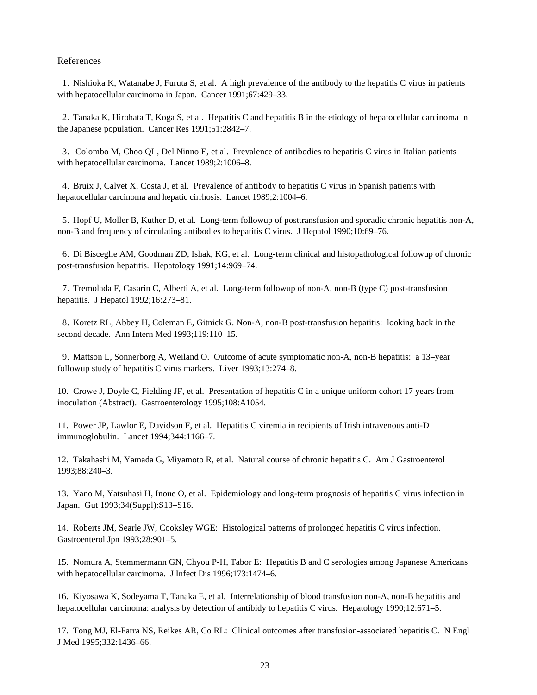#### References

 1. Nishioka K, Watanabe J, Furuta S, et al. A high prevalence of the antibody to the hepatitis C virus in patients with hepatocellular carcinoma in Japan. Cancer 1991;67:429–33.

 2. Tanaka K, Hirohata T, Koga S, et al. Hepatitis C and hepatitis B in the etiology of hepatocellular carcinoma in the Japanese population. Cancer Res 1991;51:2842–7.

 3. Colombo M, Choo QL, Del Ninno E, et al. Prevalence of antibodies to hepatitis C virus in Italian patients with hepatocellular carcinoma. Lancet 1989;2:1006–8.

 4. Bruix J, Calvet X, Costa J, et al. Prevalence of antibody to hepatitis C virus in Spanish patients with hepatocellular carcinoma and hepatic cirrhosis. Lancet 1989;2:1004–6.

 5. Hopf U, Moller B, Kuther D, et al. Long-term followup of posttransfusion and sporadic chronic hepatitis non-A, non-B and frequency of circulating antibodies to hepatitis C virus. J Hepatol 1990;10:69–76.

 6. Di Bisceglie AM, Goodman ZD, Ishak, KG, et al. Long-term clinical and histopathological followup of chronic post-transfusion hepatitis. Hepatology 1991;14:969–74.

 7. Tremolada F, Casarin C, Alberti A, et al. Long-term followup of non-A, non-B (type C) post-transfusion hepatitis. J Hepatol 1992;16:273–81.

 8. Koretz RL, Abbey H, Coleman E, Gitnick G. Non-A, non-B post-transfusion hepatitis: looking back in the second decade. Ann Intern Med 1993;119:110–15.

 9. Mattson L, Sonnerborg A, Weiland O. Outcome of acute symptomatic non-A, non-B hepatitis: a 13–year followup study of hepatitis C virus markers. Liver 1993;13:274–8.

10. Crowe J, Doyle C, Fielding JF, et al. Presentation of hepatitis C in a unique uniform cohort 17 years from inoculation (Abstract). Gastroenterology 1995;108:A1054.

11. Power JP, Lawlor E, Davidson F, et al. Hepatitis C viremia in recipients of Irish intravenous anti-D immunoglobulin. Lancet 1994;344:1166–7.

12. Takahashi M, Yamada G, Miyamoto R, et al. Natural course of chronic hepatitis C. Am J Gastroenterol 1993;88:240–3.

13. Yano M, Yatsuhasi H, Inoue O, et al. Epidemiology and long-term prognosis of hepatitis C virus infection in Japan. Gut 1993;34(Suppl):S13–S16.

14. Roberts JM, Searle JW, Cooksley WGE: Histological patterns of prolonged hepatitis C virus infection. Gastroenterol Jpn 1993;28:901–5.

15. Nomura A, Stemmermann GN, Chyou P-H, Tabor E: Hepatitis B and C serologies among Japanese Americans with hepatocellular carcinoma. J Infect Dis 1996;173:1474–6.

16. Kiyosawa K, Sodeyama T, Tanaka E, et al. Interrelationship of blood transfusion non-A, non-B hepatitis and hepatocellular carcinoma: analysis by detection of antibidy to hepatitis C virus. Hepatology 1990;12:671–5.

17. Tong MJ, El-Farra NS, Reikes AR, Co RL: Clinical outcomes after transfusion-associated hepatitis C. N Engl J Med 1995;332:1436–66.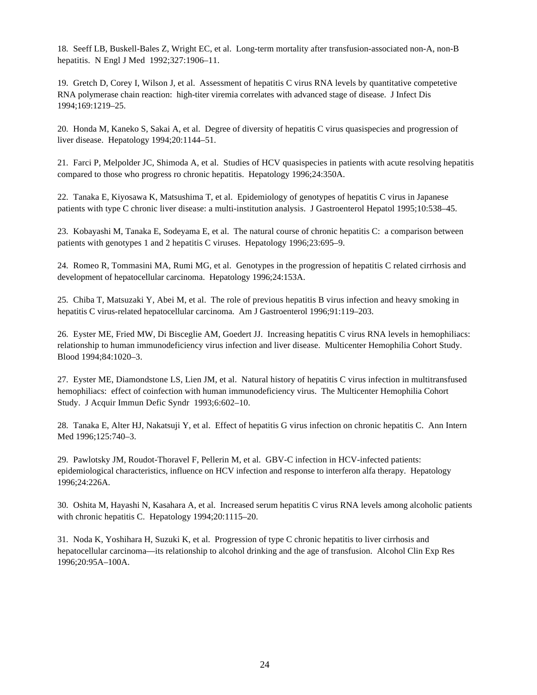18. Seeff LB, Buskell-Bales Z, Wright EC, et al. Long-term mortality after transfusion-associated non-A, non-B hepatitis. N Engl J Med 1992;327:1906–11.

19. Gretch D, Corey I, Wilson J, et al. Assessment of hepatitis C virus RNA levels by quantitative competetive RNA polymerase chain reaction: high-titer viremia correlates with advanced stage of disease. J Infect Dis 1994;169:1219–25.

20. Honda M, Kaneko S, Sakai A, et al. Degree of diversity of hepatitis C virus quasispecies and progression of liver disease. Hepatology 1994;20:1144–51.

21. Farci P, Melpolder JC, Shimoda A, et al. Studies of HCV quasispecies in patients with acute resolving hepatitis compared to those who progress ro chronic hepatitis. Hepatology 1996;24:350A.

22. Tanaka E, Kiyosawa K, Matsushima T, et al. Epidemiology of genotypes of hepatitis C virus in Japanese patients with type C chronic liver disease: a multi-institution analysis. J Gastroenterol Hepatol 1995;10:538–45.

23. Kobayashi M, Tanaka E, Sodeyama E, et al. The natural course of chronic hepatitis C: a comparison between patients with genotypes 1 and 2 hepatitis C viruses. Hepatology 1996;23:695–9.

24. Romeo R, Tommasini MA, Rumi MG, et al. Genotypes in the progression of hepatitis C related cirrhosis and development of hepatocellular carcinoma. Hepatology 1996;24:153A.

25. Chiba T, Matsuzaki Y, Abei M, et al. The role of previous hepatitis B virus infection and heavy smoking in hepatitis C virus-related hepatocellular carcinoma. Am J Gastroenterol 1996;91:119–203.

26. Eyster ME, Fried MW, Di Bisceglie AM, Goedert JJ. Increasing hepatitis C virus RNA levels in hemophiliacs: relationship to human immunodeficiency virus infection and liver disease. Multicenter Hemophilia Cohort Study. Blood 1994;84:1020–3.

27. Eyster ME, Diamondstone LS, Lien JM, et al. Natural history of hepatitis C virus infection in multitransfused hemophiliacs: effect of coinfection with human immunodeficiency virus. The Multicenter Hemophilia Cohort Study. J Acquir Immun Defic Syndr 1993;6:602–10.

28. Tanaka E, Alter HJ, Nakatsuji Y, et al. Effect of hepatitis G virus infection on chronic hepatitis C. Ann Intern Med 1996;125:740–3.

29. Pawlotsky JM, Roudot-Thoravel F, Pellerin M, et al. GBV-C infection in HCV-infected patients: epidemiological characteristics, influence on HCV infection and response to interferon alfa therapy. Hepatology 1996;24:226A.

30. Oshita M, Hayashi N, Kasahara A, et al. Increased serum hepatitis C virus RNA levels among alcoholic patients with chronic hepatitis C. Hepatology 1994;20:1115–20.

31. Noda K, Yoshihara H, Suzuki K, et al. Progression of type C chronic hepatitis to liver cirrhosis and hepatocellular carcinoma—its relationship to alcohol drinking and the age of transfusion. Alcohol Clin Exp Res 1996;20:95A–100A.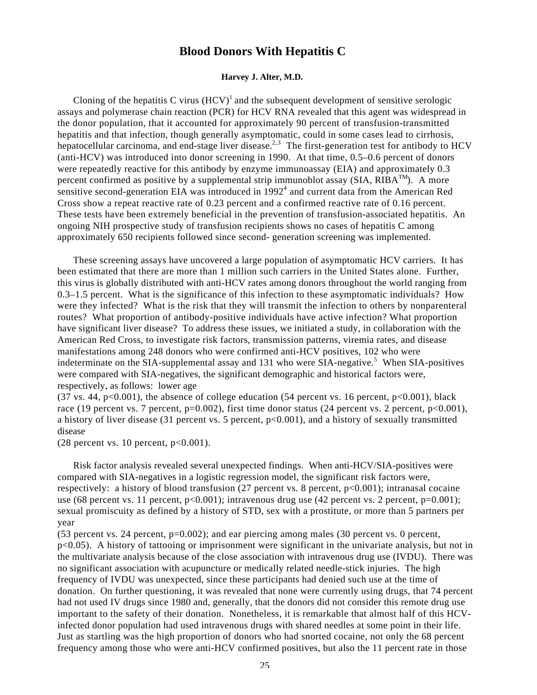### **Blood Donors With Hepatitis C**

#### **Harvey J. Alter, M.D.**

<span id="page-28-0"></span>Cloning of the hepatitis C virus  $(HCV)^{1}$  and the subsequent development of sensitive serologic assays and polymerase chain reaction (PCR) for HCV RNA revealed that this agent was widespread in the donor population, that it accounted for approximately 90 percent of transfusion-transmitted hepatitis and that infection, though generally asymptomatic, could in some cases lead to cirrhosis, hepatocellular carcinoma, and end-stage liver disease.<sup>2,3</sup> The first-generation test for antibody to HCV (anti-HCV) was introduced into donor screening in 1990. At that time, 0.5–0.6 percent of donors were repeatedly reactive for this antibody by enzyme immunoassay (EIA) and approximately 0.3 percent confirmed as positive by a supplemental strip immunoblot assay (SIA, RIBA<sup>TM</sup>). A more sensitive second-generation EIA was introduced in  $1992<sup>4</sup>$  and current data from the American Red Cross show a repeat reactive rate of 0.23 percent and a confirmed reactive rate of 0.16 percent. These tests have been extremely beneficial in the prevention of transfusion-associated hepatitis. An ongoing NIH prospective study of transfusion recipients shows no cases of hepatitis C among approximately 650 recipients followed since second- generation screening was implemented.

These screening assays have uncovered a large population of asymptomatic HCV carriers. It has been estimated that there are more than 1 million such carriers in the United States alone. Further, this virus is globally distributed with anti-HCV rates among donors throughout the world ranging from 0.3–1.5 percent. What is the significance of this infection to these asymptomatic individuals? How were they infected? What is the risk that they will transmit the infection to others by nonparenteral routes? What proportion of antibody-positive individuals have active infection? What proportion have significant liver disease? To address these issues, we initiated a study, in collaboration with the American Red Cross, to investigate risk factors, transmission patterns, viremia rates, and disease manifestations among 248 donors who were confirmed anti-HCV positives, 102 who were indeterminate on the SIA-supplemental assay and 131 who were SIA-negative.<sup>5</sup> When SIA-positives were compared with SIA-negatives, the significant demographic and historical factors were, respectively, as follows: lower age

 $(37 \text{ vs. } 44, \text{ p} < 0.001)$ , the absence of college education  $(54 \text{ percent vs. } 16 \text{ percent, } p < 0.001)$ , black race (19 percent vs. 7 percent,  $p=0.002$ ), first time donor status (24 percent vs. 2 percent,  $p<0.001$ ), a history of liver disease (31 percent vs. 5 percent, p<0.001), and a history of sexually transmitted disease

 $(28$  percent vs. 10 percent,  $p<0.001$ ).

Risk factor analysis revealed several unexpected findings. When anti-HCV/SIA-positives were compared with SIA-negatives in a logistic regression model, the significant risk factors were, respectively: a history of blood transfusion (27 percent vs. 8 percent, p<0.001); intranasal cocaine use (68 percent vs. 11 percent,  $p<0.001$ ); intravenous drug use (42 percent vs. 2 percent,  $p=0.001$ ); sexual promiscuity as defined by a history of STD, sex with a prostitute, or more than 5 partners per year

 $(53$  percent vs. 24 percent,  $p=0.002$ ); and ear piercing among males  $(30$  percent vs. 0 percent, p<0.05). A history of tattooing or imprisonment were significant in the univariate analysis, but not in the multivariate analysis because of the close association with intravenous drug use (IVDU). There was no significant association with acupuncture or medically related needle-stick injuries. The high frequency of IVDU was unexpected, since these participants had denied such use at the time of donation. On further questioning, it was revealed that none were currently using drugs, that 74 percent had not used IV drugs since 1980 and, generally, that the donors did not consider this remote drug use important to the safety of their donation. Nonetheless, it is remarkable that almost half of this HCVinfected donor population had used intravenous drugs with shared needles at some point in their life. Just as startling was the high proportion of donors who had snorted cocaine, not only the 68 percent frequency among those who were anti-HCV confirmed positives, but also the 11 percent rate in those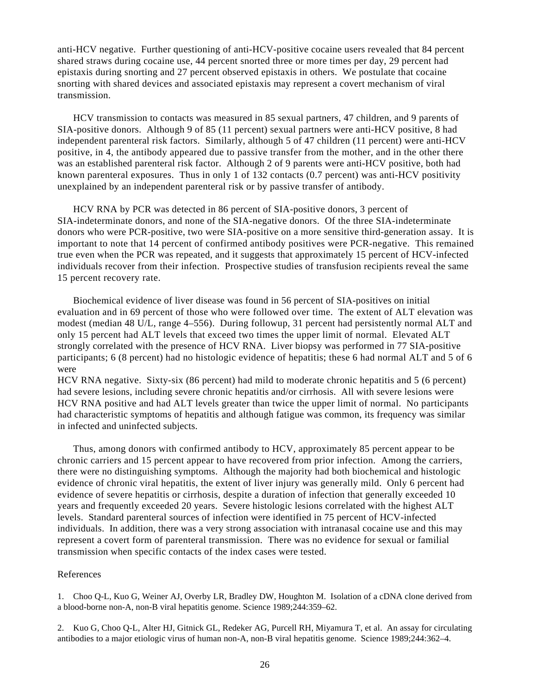anti-HCV negative. Further questioning of anti-HCV-positive cocaine users revealed that 84 percent shared straws during cocaine use, 44 percent snorted three or more times per day, 29 percent had epistaxis during snorting and 27 percent observed epistaxis in others. We postulate that cocaine snorting with shared devices and associated epistaxis may represent a covert mechanism of viral transmission.

HCV transmission to contacts was measured in 85 sexual partners, 47 children, and 9 parents of SIA-positive donors. Although 9 of 85 (11 percent) sexual partners were anti-HCV positive, 8 had independent parenteral risk factors. Similarly, although 5 of 47 children (11 percent) were anti-HCV positive, in 4, the antibody appeared due to passive transfer from the mother, and in the other there was an established parenteral risk factor. Although 2 of 9 parents were anti-HCV positive, both had known parenteral exposures. Thus in only 1 of 132 contacts (0.7 percent) was anti-HCV positivity unexplained by an independent parenteral risk or by passive transfer of antibody.

HCV RNA by PCR was detected in 86 percent of SIA-positive donors, 3 percent of SIA-indeterminate donors, and none of the SIA-negative donors. Of the three SIA-indeterminate donors who were PCR-positive, two were SIA-positive on a more sensitive third-generation assay. It is important to note that 14 percent of confirmed antibody positives were PCR-negative. This remained true even when the PCR was repeated, and it suggests that approximately 15 percent of HCV-infected individuals recover from their infection. Prospective studies of transfusion recipients reveal the same 15 percent recovery rate.

Biochemical evidence of liver disease was found in 56 percent of SIA-positives on initial evaluation and in 69 percent of those who were followed over time. The extent of ALT elevation was modest (median 48 U/L, range 4–556). During followup, 31 percent had persistently normal ALT and only 15 percent had ALT levels that exceed two times the upper limit of normal. Elevated ALT strongly correlated with the presence of HCV RNA. Liver biopsy was performed in 77 SIA-positive participants; 6 (8 percent) had no histologic evidence of hepatitis; these 6 had normal ALT and 5 of 6 were

HCV RNA negative. Sixty-six (86 percent) had mild to moderate chronic hepatitis and 5 (6 percent) had severe lesions, including severe chronic hepatitis and/or cirrhosis. All with severe lesions were HCV RNA positive and had ALT levels greater than twice the upper limit of normal. No participants had characteristic symptoms of hepatitis and although fatigue was common, its frequency was similar in infected and uninfected subjects.

Thus, among donors with confirmed antibody to HCV, approximately 85 percent appear to be chronic carriers and 15 percent appear to have recovered from prior infection. Among the carriers, there were no distinguishing symptoms. Although the majority had both biochemical and histologic evidence of chronic viral hepatitis, the extent of liver injury was generally mild. Only 6 percent had evidence of severe hepatitis or cirrhosis, despite a duration of infection that generally exceeded 10 years and frequently exceeded 20 years. Severe histologic lesions correlated with the highest ALT levels. Standard parenteral sources of infection were identified in 75 percent of HCV-infected individuals. In addition, there was a very strong association with intranasal cocaine use and this may represent a covert form of parenteral transmission. There was no evidence for sexual or familial transmission when specific contacts of the index cases were tested.

#### References

1. Choo Q-L, Kuo G, Weiner AJ, Overby LR, Bradley DW, Houghton M. Isolation of a cDNA clone derived from a blood-borne non-A, non-B viral hepatitis genome. Science 1989;244:359–62.

2. Kuo G, Choo Q-L, Alter HJ, Gitnick GL, Redeker AG, Purcell RH, Miyamura T, et al. An assay for circulating antibodies to a major etiologic virus of human non-A, non-B viral hepatitis genome. Science 1989;244:362–4.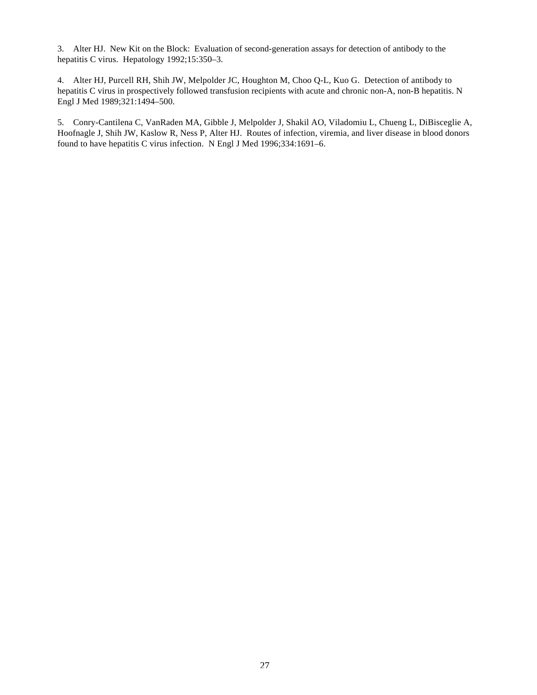3. Alter HJ. New Kit on the Block: Evaluation of second-generation assays for detection of antibody to the hepatitis C virus. Hepatology 1992;15:350-3.

4. Alter HJ, Purcell RH, Shih JW, Melpolder JC, Houghton M, Choo Q-L, Kuo G. Detection of antibody to hepatitis C virus in prospectively followed transfusion recipients with acute and chronic non-A, non-B hepatitis. N Engl J Med 1989;321:1494–500.

5. Conry-Cantilena C, VanRaden MA, Gibble J, Melpolder J, Shakil AO, Viladomiu L, Chueng L, DiBisceglie A, Hoofnagle J, Shih JW, Kaslow R, Ness P, Alter HJ. Routes of infection, viremia, and liver disease in blood donors found to have hepatitis C virus infection. N Engl J Med 1996;334:1691–6.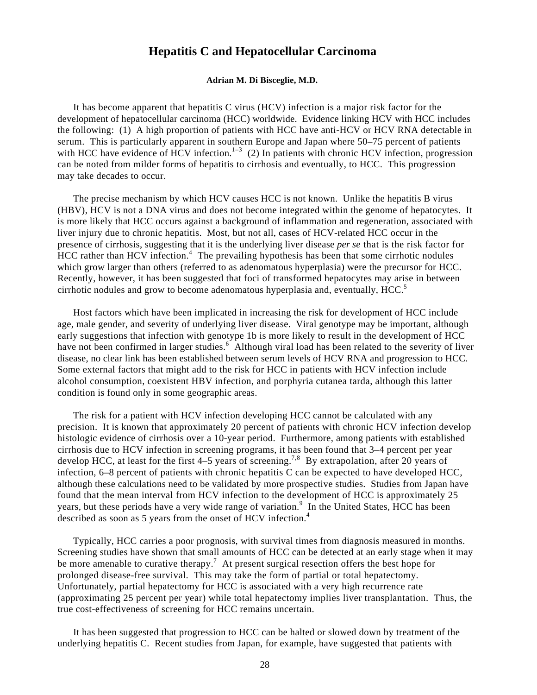### **Hepatitis C and Hepatocellular Carcinoma**

#### **Adrian M. Di Bisceglie, M.D.**

<span id="page-31-0"></span>It has become apparent that hepatitis C virus (HCV) infection is a major risk factor for the development of hepatocellular carcinoma (HCC) worldwide. Evidence linking HCV with HCC includes the following: (1) A high proportion of patients with HCC have anti-HCV or HCV RNA detectable in serum. This is particularly apparent in southern Europe and Japan where 50–75 percent of patients with HCC have evidence of HCV infection.<sup>1–3</sup> (2) In patients with chronic HCV infection, progression can be noted from milder forms of hepatitis to cirrhosis and eventually, to HCC. This progression may take decades to occur.

The precise mechanism by which HCV causes HCC is not known. Unlike the hepatitis B virus (HBV), HCV is not a DNA virus and does not become integrated within the genome of hepatocytes. It is more likely that HCC occurs against a background of inflammation and regeneration, associated with liver injury due to chronic hepatitis. Most, but not all, cases of HCV-related HCC occur in the presence of cirrhosis, suggesting that it is the underlying liver disease *per se* that is the risk factor for  $HCC$  rather than  $HCV$  infection.<sup>4</sup> The prevailing hypothesis has been that some cirrhotic nodules which grow larger than others (referred to as adenomatous hyperplasia) were the precursor for HCC. Recently, however, it has been suggested that foci of transformed hepatocytes may arise in between cirrhotic nodules and grow to become adenomatous hyperplasia and, eventually,  $HCC<sup>5</sup>$ 

Host factors which have been implicated in increasing the risk for development of HCC include age, male gender, and severity of underlying liver disease. Viral genotype may be important, although early suggestions that infection with genotype 1b is more likely to result in the development of HCC have not been confirmed in larger studies.<sup>6</sup> Although viral load has been related to the severity of liver disease, no clear link has been established between serum levels of HCV RNA and progression to HCC. Some external factors that might add to the risk for HCC in patients with HCV infection include alcohol consumption, coexistent HBV infection, and porphyria cutanea tarda, although this latter condition is found only in some geographic areas.

The risk for a patient with HCV infection developing HCC cannot be calculated with any precision. It is known that approximately 20 percent of patients with chronic HCV infection develop histologic evidence of cirrhosis over a 10-year period. Furthermore, among patients with established cirrhosis due to HCV infection in screening programs, it has been found that 3–4 percent per year develop HCC, at least for the first 4–5 years of screening.<sup>7,8</sup> By extrapolation, after 20 years of infection, 6–8 percent of patients with chronic hepatitis C can be expected to have developed HCC, although these calculations need to be validated by more prospective studies. Studies from Japan have found that the mean interval from HCV infection to the development of HCC is approximately 25 years, but these periods have a very wide range of variation.<sup>9</sup> In the United States, HCC has been described as soon as 5 years from the onset of HCV infection.<sup>4</sup>

Typically, HCC carries a poor prognosis, with survival times from diagnosis measured in months. Screening studies have shown that small amounts of HCC can be detected at an early stage when it may be more amenable to curative therapy.<sup>7</sup> At present surgical resection offers the best hope for prolonged disease-free survival. This may take the form of partial or total hepatectomy. Unfortunately, partial hepatectomy for HCC is associated with a very high recurrence rate (approximating 25 percent per year) while total hepatectomy implies liver transplantation. Thus, the true cost-effectiveness of screening for HCC remains uncertain.

It has been suggested that progression to HCC can be halted or slowed down by treatment of the underlying hepatitis C. Recent studies from Japan, for example, have suggested that patients with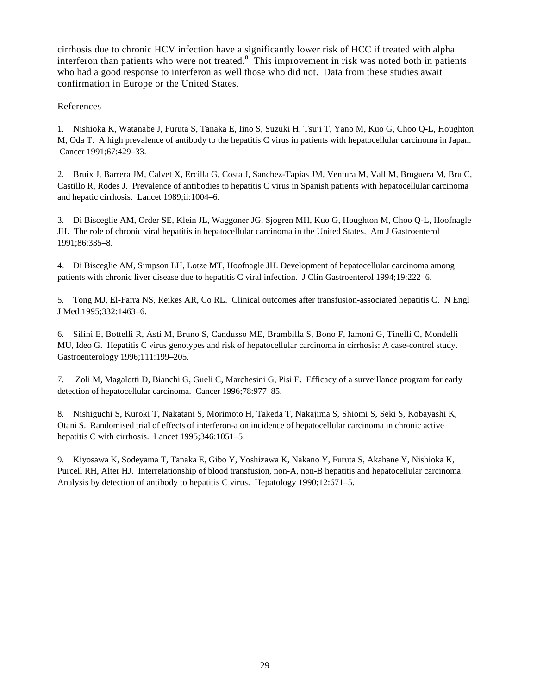cirrhosis due to chronic HCV infection have a significantly lower risk of HCC if treated with alpha interferon than patients who were not treated. $8\text{ This improvement in risk was noted both in patients}$ who had a good response to interferon as well those who did not. Data from these studies await confirmation in Europe or the United States.

### References

1. Nishioka K, Watanabe J, Furuta S, Tanaka E, Iino S, Suzuki H, Tsuji T, Yano M, Kuo G, Choo Q-L, Houghton M, Oda T. A high prevalence of antibody to the hepatitis C virus in patients with hepatocellular carcinoma in Japan. Cancer 1991;67:429–33.

2. Bruix J, Barrera JM, Calvet X, Ercilla G, Costa J, Sanchez-Tapias JM, Ventura M, Vall M, Bruguera M, Bru C, Castillo R, Rodes J. Prevalence of antibodies to hepatitis C virus in Spanish patients with hepatocellular carcinoma and hepatic cirrhosis. Lancet 1989;ii:1004–6.

3. Di Bisceglie AM, Order SE, Klein JL, Waggoner JG, Sjogren MH, Kuo G, Houghton M, Choo Q-L, Hoofnagle JH. The role of chronic viral hepatitis in hepatocellular carcinoma in the United States. Am J Gastroenterol 1991;86:335–8.

4. Di Bisceglie AM, Simpson LH, Lotze MT, Hoofnagle JH. Development of hepatocellular carcinoma among patients with chronic liver disease due to hepatitis C viral infection. J Clin Gastroenterol 1994;19:222–6.

5. Tong MJ, El-Farra NS, Reikes AR, Co RL. Clinical outcomes after transfusion-associated hepatitis C. N Engl J Med 1995;332:1463–6.

6. Silini E, Bottelli R, Asti M, Bruno S, Candusso ME, Brambilla S, Bono F, Iamoni G, Tinelli C, Mondelli MU, Ideo G. Hepatitis C virus genotypes and risk of hepatocellular carcinoma in cirrhosis: A case-control study. Gastroenterology 1996;111:199–205.

7. Zoli M, Magalotti D, Bianchi G, Gueli C, Marchesini G, Pisi E. Efficacy of a surveillance program for early detection of hepatocellular carcinoma. Cancer 1996;78:977–85.

8. Nishiguchi S, Kuroki T, Nakatani S, Morimoto H, Takeda T, Nakajima S, Shiomi S, Seki S, Kobayashi K, Otani S. Randomised trial of effects of interferon-a on incidence of hepatocellular carcinoma in chronic active hepatitis C with cirrhosis. Lancet 1995;346:1051–5.

9. Kiyosawa K, Sodeyama T, Tanaka E, Gibo Y, Yoshizawa K, Nakano Y, Furuta S, Akahane Y, Nishioka K, Purcell RH, Alter HJ. Interrelationship of blood transfusion, non-A, non-B hepatitis and hepatocellular carcinoma: Analysis by detection of antibody to hepatitis C virus. Hepatology 1990;12:671–5.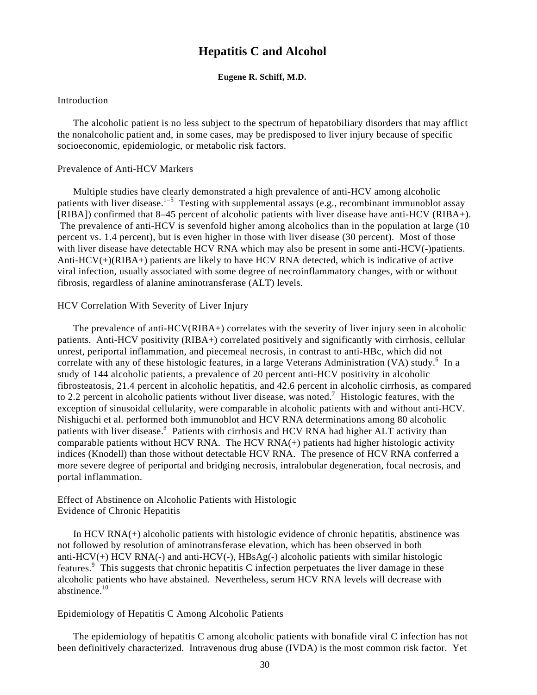### **Hepatitis C and Alcohol**

**Eugene R. Schiff, M.D.** 

#### <span id="page-33-0"></span>Introduction

The alcoholic patient is no less subject to the spectrum of hepatobiliary disorders that may afflict the nonalcoholic patient and, in some cases, may be predisposed to liver injury because of specific socioeconomic, epidemiologic, or metabolic risk factors.

### Prevalence of Anti-HCV Markers

Multiple studies have clearly demonstrated a high prevalence of anti-HCV among alcoholic patients with liver disease.<sup>1–5</sup> Testing with supplemental assays (e.g., recombinant immunoblot assay [RIBA]) confirmed that 8–45 percent of alcoholic patients with liver disease have anti-HCV (RIBA+). The prevalence of anti-HCV is sevenfold higher among alcoholics than in the population at large (10 percent vs. 1.4 percent), but is even higher in those with liver disease (30 percent). Most of those with liver disease have detectable HCV RNA which may also be present in some anti-HCV(-)patients. Anti-HCV(+)(RIBA+) patients are likely to have HCV RNA detected, which is indicative of active viral infection, usually associated with some degree of necroinflammatory changes, with or without fibrosis, regardless of alanine aminotransferase (ALT) levels.

#### HCV Correlation With Severity of Liver Injury

The prevalence of anti-HCV(RIBA+) correlates with the severity of liver injury seen in alcoholic patients. Anti-HCV positivity (RIBA+) correlated positively and significantly with cirrhosis, cellular unrest, periportal inflammation, and piecemeal necrosis, in contrast to anti-HBc, which did not correlate with any of these histologic features, in a large Veterans Administration (VA) study.<sup>6</sup> In a study of 144 alcoholic patients, a prevalence of 20 percent anti-HCV positivity in alcoholic fibrosteatosis, 21.4 percent in alcoholic hepatitis, and 42.6 percent in alcoholic cirrhosis, as compared to 2.2 percent in alcoholic patients without liver disease, was noted.<sup>7</sup> Histologic features, with the exception of sinusoidal cellularity, were comparable in alcoholic patients with and without anti-HCV. Nishiguchi et al. performed both immunoblot and HCV RNA determinations among 80 alcoholic patients with liver disease.<sup>8</sup> Patients with cirrhosis and HCV RNA had higher ALT activity than comparable patients without HCV RNA. The HCV RNA $(+)$  patients had higher histologic activity indices (Knodell) than those without detectable HCV RNA. The presence of HCV RNA conferred a more severe degree of periportal and bridging necrosis, intralobular degeneration, focal necrosis, and portal inflammation.

#### Effect of Abstinence on Alcoholic Patients with Histologic Evidence of Chronic Hepatitis

In  $HCV RNA(+)$  alcoholic patients with histologic evidence of chronic hepatitis, abstinence was not followed by resolution of aminotransferase elevation, which has been observed in both anti-HCV(+) HCV RNA(-) and anti-HCV(-),  $HBsAg(-)$  alcoholic patients with similar histologic features.<sup>9</sup> This suggests that chronic hepatitis C infection perpetuates the liver damage in these alcoholic patients who have abstained. Nevertheless, serum HCV RNA levels will decrease with abstinence.<sup>10</sup>

#### Epidemiology of Hepatitis C Among Alcoholic Patients

The epidemiology of hepatitis C among alcoholic patients with bonafide viral C infection has not been definitively characterized. Intravenous drug abuse (IVDA) is the most common risk factor. Yet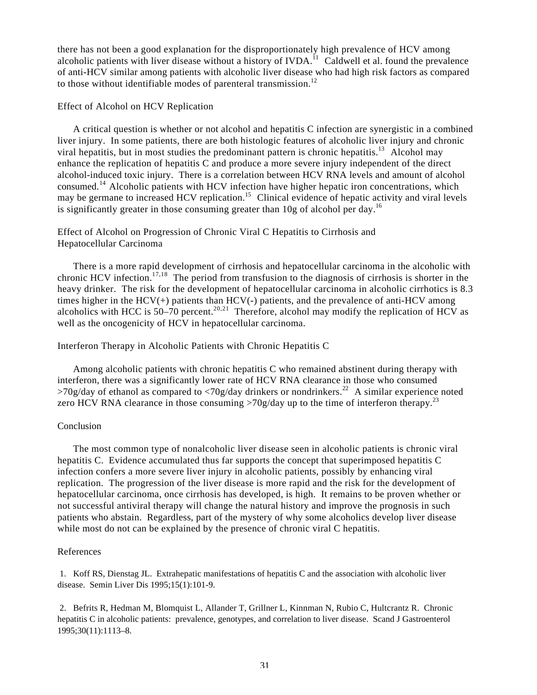there has not been a good explanation for the disproportionately high prevalence of HCV among alcoholic patients with liver disease without a history of IVDA.<sup>11</sup> Caldwell et al. found the prevalence of anti-HCV similar among patients with alcoholic liver disease who had high risk factors as compared to those without identifiable modes of parenteral transmission.<sup>12</sup>

#### Effect of Alcohol on HCV Replication

A critical question is whether or not alcohol and hepatitis C infection are synergistic in a combined liver injury. In some patients, there are both histologic features of alcoholic liver injury and chronic viral hepatitis, but in most studies the predominant pattern is chronic hepatitis.<sup>13</sup> Alcohol may enhance the replication of hepatitis C and produce a more severe injury independent of the direct alcohol-induced toxic injury. There is a correlation between HCV RNA levels and amount of alcohol consumed.<sup>14</sup> Alcoholic patients with HCV infection have higher hepatic iron concentrations, which may be germane to increased HCV replication.<sup>15</sup> Clinical evidence of hepatic activity and viral levels is significantly greater in those consuming greater than 10g of alcohol per day.<sup>16</sup>

### Effect of Alcohol on Progression of Chronic Viral C Hepatitis to Cirrhosis and Hepatocellular Carcinoma

There is a more rapid development of cirrhosis and hepatocellular carcinoma in the alcoholic with chronic HCV infection.<sup>17,18</sup> The period from transfusion to the diagnosis of cirrhosis is shorter in the heavy drinker. The risk for the development of hepatocellular carcinoma in alcoholic cirrhotics is 8.3 times higher in the  $HCV(+)$  patients than  $HCV(-)$  patients, and the prevalence of anti-HCV among alcoholics with HCC is  $50-70$  percent.<sup>20,21</sup> Therefore, alcohol may modify the replication of HCV as well as the oncogenicity of HCV in hepatocellular carcinoma.

#### Interferon Therapy in Alcoholic Patients with Chronic Hepatitis C

Among alcoholic patients with chronic hepatitis C who remained abstinent during therapy with interferon, there was a significantly lower rate of HCV RNA clearance in those who consumed  $>70$ g/day of ethanol as compared to  $<70$ g/day drinkers or nondrinkers.<sup>22</sup> A similar experience noted zero HCV RNA clearance in those consuming  $>70g/day$  up to the time of interferon therapy.<sup>23</sup>

#### Conclusion

The most common type of nonalcoholic liver disease seen in alcoholic patients is chronic viral hepatitis C. Evidence accumulated thus far supports the concept that superimposed hepatitis C infection confers a more severe liver injury in alcoholic patients, possibly by enhancing viral replication. The progression of the liver disease is more rapid and the risk for the development of hepatocellular carcinoma, once cirrhosis has developed, is high. It remains to be proven whether or not successful antiviral therapy will change the natural history and improve the prognosis in such patients who abstain. Regardless, part of the mystery of why some alcoholics develop liver disease while most do not can be explained by the presence of chronic viral C hepatitis.

#### References

 1. Koff RS, Dienstag JL. Extrahepatic manifestations of hepatitis C and the association with alcoholic liver disease. Semin Liver Dis 1995;15(1):101-9.

 2. Befrits R, Hedman M, Blomquist L, Allander T, Grillner L, Kinnman N, Rubio C, Hultcrantz R. Chronic hepatitis C in alcoholic patients: prevalence, genotypes, and correlation to liver disease. Scand J Gastroenterol 1995;30(11):1113–8.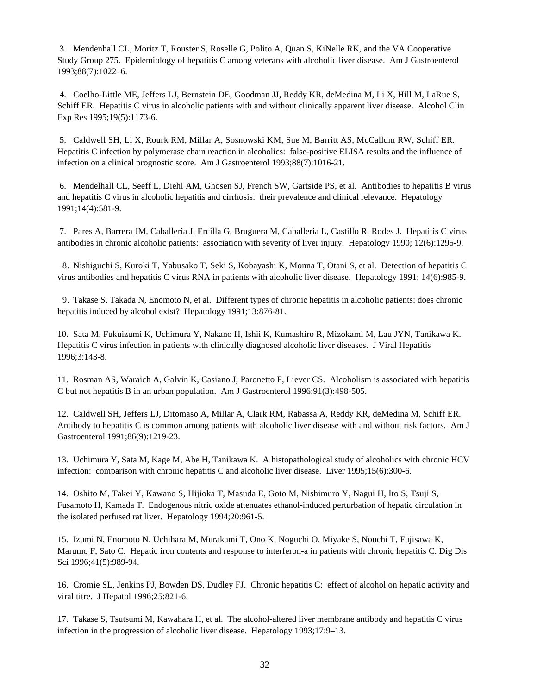3. Mendenhall CL, Moritz T, Rouster S, Roselle G, Polito A, Quan S, KiNelle RK, and the VA Cooperative Study Group 275. Epidemiology of hepatitis C among veterans with alcoholic liver disease. Am J Gastroenterol 1993;88(7):1022–6.

 4. Coelho-Little ME, Jeffers LJ, Bernstein DE, Goodman JJ, Reddy KR, deMedina M, Li X, Hill M, LaRue S, Schiff ER. Hepatitis C virus in alcoholic patients with and without clinically apparent liver disease. Alcohol Clin Exp Res 1995;19(5):1173-6.

 5. Caldwell SH, Li X, Rourk RM, Millar A, Sosnowski KM, Sue M, Barritt AS, McCallum RW, Schiff ER. Hepatitis C infection by polymerase chain reaction in alcoholics: false-positive ELISA results and the influence of infection on a clinical prognostic score. Am J Gastroenterol 1993;88(7):1016-21.

 6. Mendelhall CL, Seeff L, Diehl AM, Ghosen SJ, French SW, Gartside PS, et al. Antibodies to hepatitis B virus and hepatitis C virus in alcoholic hepatitis and cirrhosis: their prevalence and clinical relevance. Hepatology 1991;14(4):581-9.

 7. Pares A, Barrera JM, Caballeria J, Ercilla G, Bruguera M, Caballeria L, Castillo R, Rodes J. Hepatitis C virus antibodies in chronic alcoholic patients: association with severity of liver injury. Hepatology 1990; 12(6):1295-9.

 8. Nishiguchi S, Kuroki T, Yabusako T, Seki S, Kobayashi K, Monna T, Otani S, et al. Detection of hepatitis C virus antibodies and hepatitis C virus RNA in patients with alcoholic liver disease. Hepatology 1991; 14(6):985-9.

 9. Takase S, Takada N, Enomoto N, et al. Different types of chronic hepatitis in alcoholic patients: does chronic hepatitis induced by alcohol exist? Hepatology 1991;13:876-81.

10. Sata M, Fukuizumi K, Uchimura Y, Nakano H, Ishii K, Kumashiro R, Mizokami M, Lau JYN, Tanikawa K. Hepatitis C virus infection in patients with clinically diagnosed alcoholic liver diseases. J Viral Hepatitis 1996;3:143-8.

11. Rosman AS, Waraich A, Galvin K, Casiano J, Paronetto F, Liever CS. Alcoholism is associated with hepatitis C but not hepatitis B in an urban population. Am J Gastroenterol 1996;91(3):498-505.

12. Caldwell SH, Jeffers LJ, Ditomaso A, Millar A, Clark RM, Rabassa A, Reddy KR, deMedina M, Schiff ER. Antibody to hepatitis C is common among patients with alcoholic liver disease with and without risk factors. Am J Gastroenterol 1991;86(9):1219-23.

13. Uchimura Y, Sata M, Kage M, Abe H, Tanikawa K. A histopathological study of alcoholics with chronic HCV infection: comparison with chronic hepatitis C and alcoholic liver disease. Liver 1995;15(6):300-6.

14. Oshito M, Takei Y, Kawano S, Hijioka T, Masuda E, Goto M, Nishimuro Y, Nagui H, Ito S, Tsuji S, Fusamoto H, Kamada T. Endogenous nitric oxide attenuates ethanol-induced perturbation of hepatic circulation in the isolated perfused rat liver. Hepatology 1994;20:961-5.

15. Izumi N, Enomoto N, Uchihara M, Murakami T, Ono K, Noguchi O, Miyake S, Nouchi T, Fujisawa K, Marumo F, Sato C. Hepatic iron contents and response to interferon-a in patients with chronic hepatitis C. Dig Dis Sci 1996;41(5):989-94.

16. Cromie SL, Jenkins PJ, Bowden DS, Dudley FJ. Chronic hepatitis C: effect of alcohol on hepatic activity and viral titre. J Hepatol 1996;25:821-6.

17. Takase S, Tsutsumi M, Kawahara H, et al. The alcohol-altered liver membrane antibody and hepatitis C virus infection in the progression of alcoholic liver disease. Hepatology 1993;17:9–13.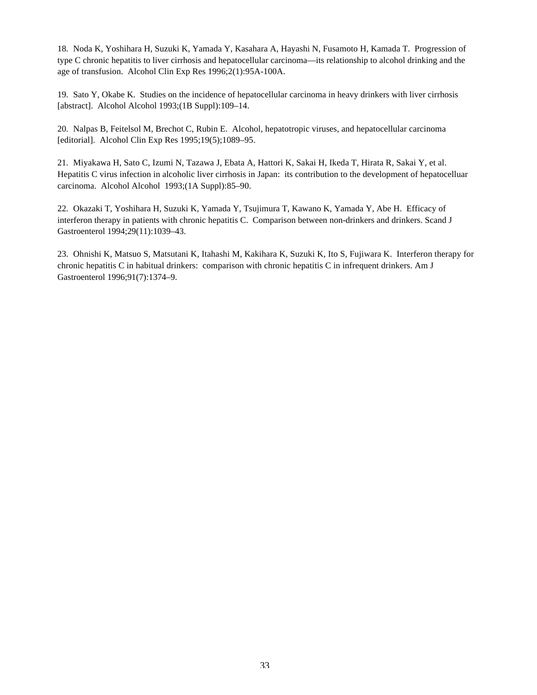18. Noda K, Yoshihara H, Suzuki K, Yamada Y, Kasahara A, Hayashi N, Fusamoto H, Kamada T. Progression of type C chronic hepatitis to liver cirrhosis and hepatocellular carcinoma—its relationship to alcohol drinking and the age of transfusion. Alcohol Clin Exp Res 1996;2(1):95A-100A.

19. Sato Y, Okabe K. Studies on the incidence of hepatocellular carcinoma in heavy drinkers with liver cirrhosis [abstract]. Alcohol Alcohol 1993;(1B Suppl):109–14.

20. Nalpas B, Feitelsol M, Brechot C, Rubin E. Alcohol, hepatotropic viruses, and hepatocellular carcinoma [editorial]. Alcohol Clin Exp Res 1995;19(5);1089–95.

21. Miyakawa H, Sato C, Izumi N, Tazawa J, Ebata A, Hattori K, Sakai H, Ikeda T, Hirata R, Sakai Y, et al. Hepatitis C virus infection in alcoholic liver cirrhosis in Japan: its contribution to the development of hepatocelluar carcinoma. Alcohol Alcohol 1993;(1A Suppl):85–90.

22. Okazaki T, Yoshihara H, Suzuki K, Yamada Y, Tsujimura T, Kawano K, Yamada Y, Abe H. Efficacy of interferon therapy in patients with chronic hepatitis C. Comparison between non-drinkers and drinkers. Scand J Gastroenterol 1994;29(11):1039–43.

23. Ohnishi K, Matsuo S, Matsutani K, Itahashi M, Kakihara K, Suzuki K, Ito S, Fujiwara K. Interferon therapy for chronic hepatitis C in habitual drinkers: comparison with chronic hepatitis C in infrequent drinkers. Am J Gastroenterol 1996;91(7):1374–9.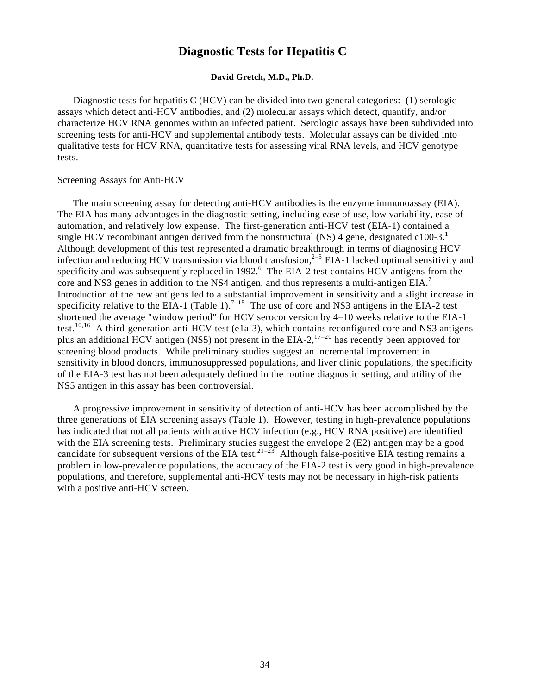## **Diagnostic Tests for Hepatitis C**

#### **David Gretch, M.D., Ph.D.**

Diagnostic tests for hepatitis C (HCV) can be divided into two general categories: (1) serologic assays which detect anti-HCV antibodies, and (2) molecular assays which detect, quantify, and/or characterize HCV RNA genomes within an infected patient. Serologic assays have been subdivided into screening tests for anti-HCV and supplemental antibody tests. Molecular assays can be divided into qualitative tests for HCV RNA, quantitative tests for assessing viral RNA levels, and HCV genotype tests.

#### Screening Assays for Anti-HCV

The main screening assay for detecting anti-HCV antibodies is the enzyme immunoassay (EIA). The EIA has many advantages in the diagnostic setting, including ease of use, low variability, ease of automation, and relatively low expense. The first-generation anti-HCV test (EIA-1) contained a single HCV recombinant antigen derived from the nonstructural (NS) 4 gene, designated c100-3.<sup>1</sup> Although development of this test represented a dramatic breakthrough in terms of diagnosing HCV infection and reducing HCV transmission via blood transfusion, $^{2-5}$  EIA-1 lacked optimal sensitivity and specificity and was subsequently replaced in 1992.<sup>6</sup> The EIA-2 test contains HCV antigens from the core and NS3 genes in addition to the NS4 antigen, and thus represents a multi-antigen EIA.<sup>7</sup> Introduction of the new antigens led to a substantial improvement in sensitivity and a slight increase in specificity relative to the EIA-1 (Table 1).<sup>7–15</sup> The use of core and NS3 antigens in the EIA-2 test shortened the average "window period" for HCV seroconversion by 4–10 weeks relative to the EIA-1 test.<sup>10,16</sup> A third-generation anti-HCV test (e1a-3), which contains reconfigured core and NS3 antigens plus an additional HCV antigen (NS5) not present in the EIA-2,  $17-20$  has recently been approved for screening blood products. While preliminary studies suggest an incremental improvement in sensitivity in blood donors, immunosuppressed populations, and liver clinic populations, the specificity of the EIA-3 test has not been adequately defined in the routine diagnostic setting, and utility of the NS5 antigen in this assay has been controversial.

A progressive improvement in sensitivity of detection of anti-HCV has been accomplished by the three generations of EIA screening assays (Table 1). However, testing in high-prevalence populations has indicated that not all patients with active HCV infection (e.g., HCV RNA positive) are identified with the EIA screening tests. Preliminary studies suggest the envelope 2 (E2) antigen may be a good candidate for subsequent versions of the EIA test.<sup>21–23</sup> Although false-positive EIA testing remains a problem in low-prevalence populations, the accuracy of the EIA-2 test is very good in high-prevalence populations, and therefore, supplemental anti-HCV tests may not be necessary in high-risk patients with a positive anti-HCV screen.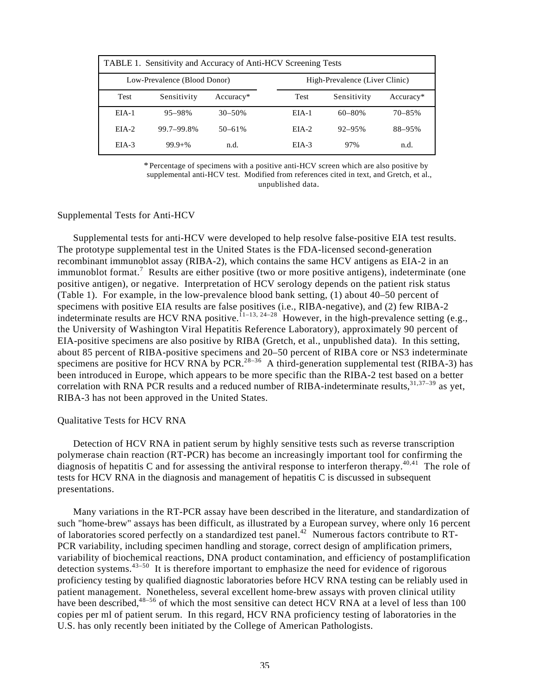| TABLE 1. Sensitivity and Accuracy of Anti-HCV Screening Tests |             |              |  |                                |             |             |
|---------------------------------------------------------------|-------------|--------------|--|--------------------------------|-------------|-------------|
| Low-Prevalence (Blood Donor)                                  |             |              |  | High-Prevalence (Liver Clinic) |             |             |
| Test                                                          | Sensitivity | $Accuracy^*$ |  | Test                           | Sensitivity | $Accuracy*$ |
| $EIA-1$                                                       | 95-98%      | $30 - 50%$   |  | $EIA-1$                        | $60 - 80%$  | 70-85%      |
| $EIA-2$                                                       | 99.7–99.8%  | $50 - 61\%$  |  | $EIA-2$                        | $92 - 95%$  | 88-95%      |
| $EIA-3$                                                       | $99.9 + \%$ | n.d.         |  | $EIA-3$                        | 97%         | n.d.        |

 \* Percentage of specimens with a positive anti-HCV screen which are also positive by supplemental anti-HCV test. Modified from references cited in text, and Gretch, et al., unpublished data.

#### Supplemental Tests for Anti-HCV

Supplemental tests for anti-HCV were developed to help resolve false-positive EIA test results. The prototype supplemental test in the United States is the FDA-licensed second-generation recombinant immunoblot assay (RIBA-2), which contains the same HCV antigens as EIA-2 in an immunoblot format.<sup>7</sup> Results are either positive (two or more positive antigens), indeterminate (one positive antigen), or negative. Interpretation of HCV serology depends on the patient risk status (Table 1). For example, in the low-prevalence blood bank setting, (1) about 40–50 percent of specimens with positive EIA results are false positives (i.e., RIBA-negative), and (2) few RIBA-2 indeterminate results are HCV RNA positive.<sup>11–13, 24–28</sup> However, in the high-prevalence setting (e.g., the University of Washington Viral Hepatitis Reference Laboratory), approximately 90 percent of EIA-positive specimens are also positive by RIBA (Gretch, et al., unpublished data). In this setting, about 85 percent of RIBA-positive specimens and 20–50 percent of RIBA core or NS3 indeterminate specimens are positive for HCV RNA by PCR.<sup>28–36</sup> A third-generation supplemental test (RIBA-3) has been introduced in Europe, which appears to be more specific than the RIBA-2 test based on a better correlation with RNA PCR results and a reduced number of RIBA-indeterminate results, 31,37-39 as yet, RIBA-3 has not been approved in the United States.

#### Qualitative Tests for HCV RNA

Detection of HCV RNA in patient serum by highly sensitive tests such as reverse transcription polymerase chain reaction (RT-PCR) has become an increasingly important tool for confirming the diagnosis of hepatitis C and for assessing the antiviral response to interferon therapy.<sup>40,41</sup> The role of tests for HCV RNA in the diagnosis and management of hepatitis C is discussed in subsequent presentations.

Many variations in the RT-PCR assay have been described in the literature, and standardization of such "home-brew" assays has been difficult, as illustrated by a European survey, where only 16 percent of laboratories scored perfectly on a standardized test panel.<sup>42</sup> Numerous factors contribute to RT-PCR variability, including specimen handling and storage, correct design of amplification primers, variability of biochemical reactions, DNA product contamination, and efficiency of postamplification detection systems. $43-50$  It is therefore important to emphasize the need for evidence of rigorous proficiency testing by qualified diagnostic laboratories before HCV RNA testing can be reliably used in patient management. Nonetheless, several excellent home-brew assays with proven clinical utility have been described,  $48-56$  of which the most sensitive can detect HCV RNA at a level of less than 100 copies per ml of patient serum. In this regard, HCV RNA proficiency testing of laboratories in the U.S. has only recently been initiated by the College of American Pathologists.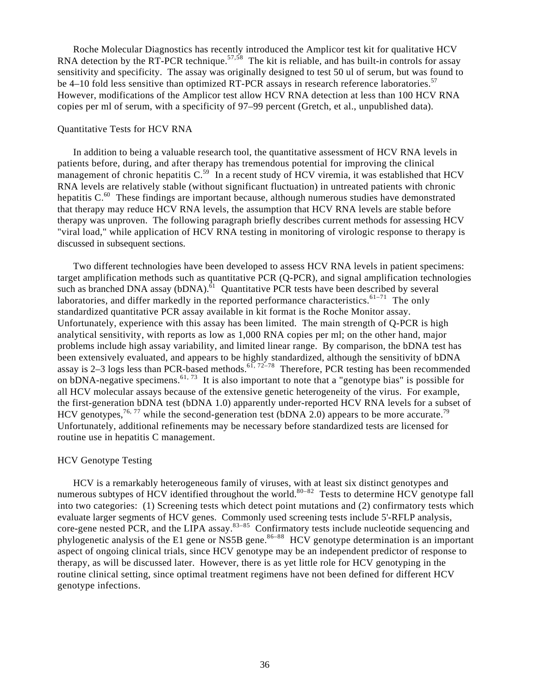Roche Molecular Diagnostics has recently introduced the Amplicor test kit for qualitative HCV RNA detection by the RT-PCR technique.<sup>57,58</sup> The kit is reliable, and has built-in controls for assay sensitivity and specificity. The assay was originally designed to test 50 ul of serum, but was found to be 4–10 fold less sensitive than optimized RT-PCR assays in research reference laboratories.<sup>57</sup> However, modifications of the Amplicor test allow HCV RNA detection at less than 100 HCV RNA copies per ml of serum, with a specificity of 97–99 percent (Gretch, et al., unpublished data).

#### Quantitative Tests for HCV RNA

In addition to being a valuable research tool, the quantitative assessment of HCV RNA levels in patients before, during, and after therapy has tremendous potential for improving the clinical management of chronic hepatitis  $C^{59}$ . In a recent study of HCV viremia, it was established that HCV RNA levels are relatively stable (without significant fluctuation) in untreated patients with chronic hepatitis  $C^{60}$  These findings are important because, although numerous studies have demonstrated that therapy may reduce HCV RNA levels, the assumption that HCV RNA levels are stable before therapy was unproven. The following paragraph briefly describes current methods for assessing HCV "viral load," while application of HCV RNA testing in monitoring of virologic response to therapy is discussed in subsequent sections.

Two different technologies have been developed to assess HCV RNA levels in patient specimens: target amplification methods such as quantitative PCR (Q-PCR), and signal amplification technologies such as branched DNA assay ( $bDNA$ ).<sup>61</sup> Quantitative PCR tests have been described by several laboratories, and differ markedly in the reported performance characteristics.<sup>61–71</sup> The only standardized quantitative PCR assay available in kit format is the Roche Monitor assay. Unfortunately, experience with this assay has been limited. The main strength of Q-PCR is high analytical sensitivity, with reports as low as 1,000 RNA copies per ml; on the other hand, major problems include high assay variability, and limited linear range. By comparison, the bDNA test has been extensively evaluated, and appears to be highly standardized, although the sensitivity of bDNA assay is 2–3 logs less than PCR-based methods.<sup>61, 72–78</sup> Therefore, PCR testing has been recommended on bDNA-negative specimens.<sup>61, 73</sup> It is also important to note that a "genotype bias" is possible for all HCV molecular assays because of the extensive genetic heterogeneity of the virus. For example, the first-generation bDNA test (bDNA 1.0) apparently under-reported HCV RNA levels for a subset of HCV genotypes,  $^{76, 77}$  while the second-generation test (bDNA 2.0) appears to be more accurate.<sup>79</sup> Unfortunately, additional refinements may be necessary before standardized tests are licensed for routine use in hepatitis C management.

#### HCV Genotype Testing

HCV is a remarkably heterogeneous family of viruses, with at least six distinct genotypes and numerous subtypes of HCV identified throughout the world.<sup>80–82</sup> Tests to determine HCV genotype fall into two categories: (1) Screening tests which detect point mutations and (2) confirmatory tests which evaluate larger segments of HCV genes. Commonly used screening tests include 5'-RFLP analysis, core-gene nested PCR, and the LIPA assay.<sup>83-85</sup> Confirmatory tests include nucleotide sequencing and phylogenetic analysis of the E1 gene or NS5B gene.<sup>86–88</sup> HCV genotype determination is an important aspect of ongoing clinical trials, since HCV genotype may be an independent predictor of response to therapy, as will be discussed later. However, there is as yet little role for HCV genotyping in the routine clinical setting, since optimal treatment regimens have not been defined for different HCV genotype infections.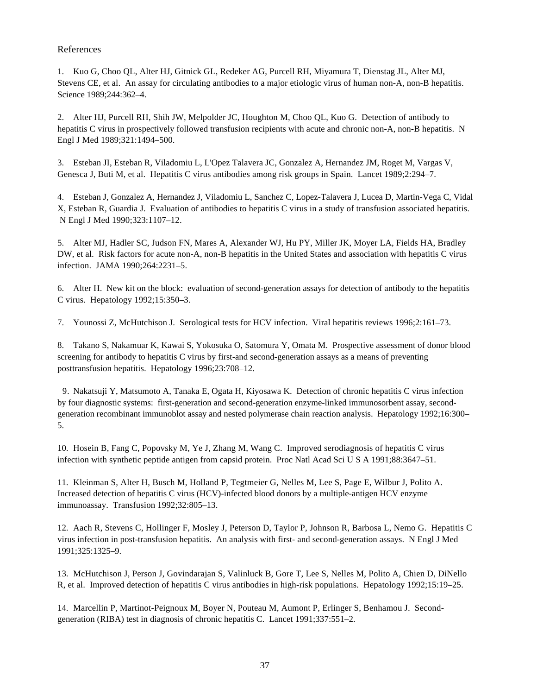#### References

1. Kuo G, Choo QL, Alter HJ, Gitnick GL, Redeker AG, Purcell RH, Miyamura T, Dienstag JL, Alter MJ, Stevens CE, et al. An assay for circulating antibodies to a major etiologic virus of human non-A, non-B hepatitis. Science 1989;244:362–4.

2. Alter HJ, Purcell RH, Shih JW, Melpolder JC, Houghton M, Choo QL, Kuo G. Detection of antibody to hepatitis C virus in prospectively followed transfusion recipients with acute and chronic non-A, non-B hepatitis. N Engl J Med 1989;321:1494–500.

3. Esteban JI, Esteban R, Viladomiu L, L'Opez Talavera JC, Gonzalez A, Hernandez JM, Roget M, Vargas V, Genesca J, Buti M, et al. Hepatitis C virus antibodies among risk groups in Spain. Lancet 1989;2:294–7.

4. Esteban J, Gonzalez A, Hernandez J, Viladomiu L, Sanchez C, Lopez-Talavera J, Lucea D, Martin-Vega C, Vidal X, Esteban R, Guardia J. Evaluation of antibodies to hepatitis C virus in a study of transfusion associated hepatitis. N Engl J Med 1990;323:1107–12.

5. Alter MJ, Hadler SC, Judson FN, Mares A, Alexander WJ, Hu PY, Miller JK, Moyer LA, Fields HA, Bradley DW, et al. Risk factors for acute non-A, non-B hepatitis in the United States and association with hepatitis C virus infection. JAMA 1990;264:2231–5.

6. Alter H. New kit on the block: evaluation of second-generation assays for detection of antibody to the hepatitis C virus. Hepatology 1992;15:350–3.

7. Younossi Z, McHutchison J. Serological tests for HCV infection. Viral hepatitis reviews 1996;2:161–73.

8. Takano S, Nakamuar K, Kawai S, Yokosuka O, Satomura Y, Omata M. Prospective assessment of donor blood screening for antibody to hepatitis C virus by first-and second-generation assays as a means of preventing posttransfusion hepatitis. Hepatology 1996;23:708–12.

 9. Nakatsuji Y, Matsumoto A, Tanaka E, Ogata H, Kiyosawa K. Detection of chronic hepatitis C virus infection by four diagnostic systems: first-generation and second-generation enzyme-linked immunosorbent assay, secondgeneration recombinant immunoblot assay and nested polymerase chain reaction analysis. Hepatology 1992;16:300– 5.

10. Hosein B, Fang C, Popovsky M, Ye J, Zhang M, Wang C. Improved serodiagnosis of hepatitis C virus infection with synthetic peptide antigen from capsid protein. Proc Natl Acad Sci U S A 1991;88:3647–51.

11. Kleinman S, Alter H, Busch M, Holland P, Tegtmeier G, Nelles M, Lee S, Page E, Wilbur J, Polito A. Increased detection of hepatitis C virus (HCV)-infected blood donors by a multiple-antigen HCV enzyme immunoassay. Transfusion 1992;32:805–13.

12. Aach R, Stevens C, Hollinger F, Mosley J, Peterson D, Taylor P, Johnson R, Barbosa L, Nemo G. Hepatitis C virus infection in post-transfusion hepatitis. An analysis with first- and second-generation assays. N Engl J Med 1991;325:1325–9.

13. McHutchison J, Person J, Govindarajan S, Valinluck B, Gore T, Lee S, Nelles M, Polito A, Chien D, DiNello R, et al. Improved detection of hepatitis C virus antibodies in high-risk populations. Hepatology 1992;15:19–25.

14. Marcellin P, Martinot-Peignoux M, Boyer N, Pouteau M, Aumont P, Erlinger S, Benhamou J. Secondgeneration (RIBA) test in diagnosis of chronic hepatitis C. Lancet 1991;337:551–2.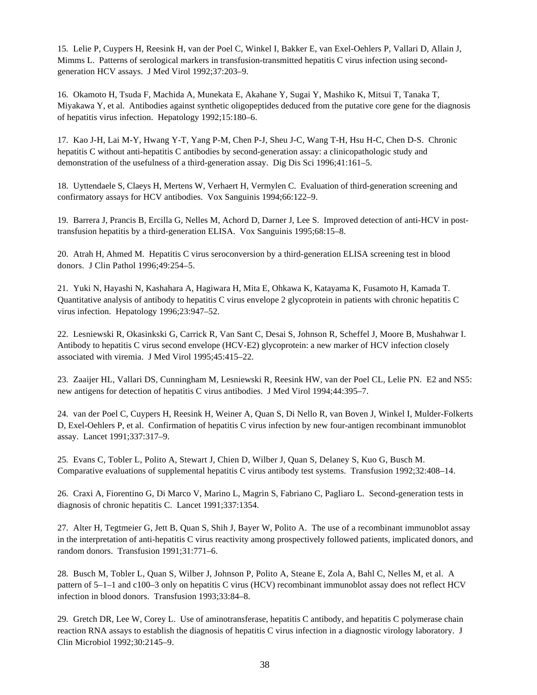15. Lelie P, Cuypers H, Reesink H, van der Poel C, Winkel I, Bakker E, van Exel-Oehlers P, Vallari D, Allain J, Mimms L. Patterns of serological markers in transfusion-transmitted hepatitis C virus infection using secondgeneration HCV assays. J Med Virol 1992;37:203–9.

16. Okamoto H, Tsuda F, Machida A, Munekata E, Akahane Y, Sugai Y, Mashiko K, Mitsui T, Tanaka T, Miyakawa Y, et al. Antibodies against synthetic oligopeptides deduced from the putative core gene for the diagnosis of hepatitis virus infection. Hepatology 1992;15:180–6.

17. Kao J-H, Lai M-Y, Hwang Y-T, Yang P-M, Chen P-J, Sheu J-C, Wang T-H, Hsu H-C, Chen D-S. Chronic hepatitis C without anti-hepatitis C antibodies by second-generation assay: a clinicopathologic study and demonstration of the usefulness of a third-generation assay. Dig Dis Sci 1996;41:161–5.

18. Uyttendaele S, Claeys H, Mertens W, Verhaert H, Vermylen C. Evaluation of third-generation screening and confirmatory assays for HCV antibodies. Vox Sanguinis 1994;66:122–9.

19. Barrera J, Prancis B, Ercilla G, Nelles M, Achord D, Darner J, Lee S. Improved detection of anti-HCV in posttransfusion hepatitis by a third-generation ELISA. Vox Sanguinis 1995;68:15–8.

20. Atrah H, Ahmed M. Hepatitis C virus seroconversion by a third-generation ELISA screening test in blood donors. J Clin Pathol 1996;49:254–5.

21. Yuki N, Hayashi N, Kashahara A, Hagiwara H, Mita E, Ohkawa K, Katayama K, Fusamoto H, Kamada T. Quantitative analysis of antibody to hepatitis C virus envelope 2 glycoprotein in patients with chronic hepatitis C virus infection. Hepatology 1996;23:947–52.

22. Lesniewski R, Okasinkski G, Carrick R, Van Sant C, Desai S, Johnson R, Scheffel J, Moore B, Mushahwar I. Antibody to hepatitis C virus second envelope (HCV-E2) glycoprotein: a new marker of HCV infection closely associated with viremia. J Med Virol 1995;45:415–22.

23. Zaaijer HL, Vallari DS, Cunningham M, Lesniewski R, Reesink HW, van der Poel CL, Lelie PN. E2 and NS5: new antigens for detection of hepatitis C virus antibodies. J Med Virol 1994;44:395–7.

24. van der Poel C, Cuypers H, Reesink H, Weiner A, Quan S, Di Nello R, van Boven J, Winkel I, Mulder-Folkerts D, Exel-Oehlers P, et al. Confirmation of hepatitis C virus infection by new four-antigen recombinant immunoblot assay. Lancet 1991;337:317–9.

25. Evans C, Tobler L, Polito A, Stewart J, Chien D, Wilber J, Quan S, Delaney S, Kuo G, Busch M. Comparative evaluations of supplemental hepatitis C virus antibody test systems. Transfusion 1992;32:408–14.

26. Craxi A, Fiorentino G, Di Marco V, Marino L, Magrin S, Fabriano C, Pagliaro L. Second-generation tests in diagnosis of chronic hepatitis C. Lancet 1991;337:1354.

27. Alter H, Tegtmeier G, Jett B, Quan S, Shih J, Bayer W, Polito A. The use of a recombinant immunoblot assay in the interpretation of anti-hepatitis C virus reactivity among prospectively followed patients, implicated donors, and random donors. Transfusion 1991;31:771–6.

28. Busch M, Tobler L, Quan S, Wilber J, Johnson P, Polito A, Steane E, Zola A, Bahl C, Nelles M, et al. A pattern of 5–1–1 and c100–3 only on hepatitis C virus (HCV) recombinant immunoblot assay does not reflect HCV infection in blood donors. Transfusion 1993;33:84–8.

29. Gretch DR, Lee W, Corey L. Use of aminotransferase, hepatitis C antibody, and hepatitis C polymerase chain reaction RNA assays to establish the diagnosis of hepatitis C virus infection in a diagnostic virology laboratory. J Clin Microbiol 1992;30:2145–9.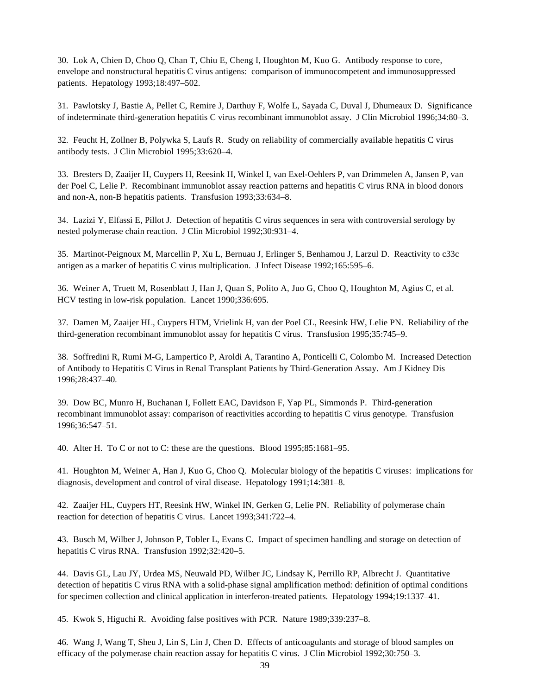30. Lok A, Chien D, Choo Q, Chan T, Chiu E, Cheng I, Houghton M, Kuo G. Antibody response to core, envelope and nonstructural hepatitis C virus antigens: comparison of immunocompetent and immunosuppressed patients. Hepatology 1993;18:497–502.

31. Pawlotsky J, Bastie A, Pellet C, Remire J, Darthuy F, Wolfe L, Sayada C, Duval J, Dhumeaux D. Significance of indeterminate third-generation hepatitis C virus recombinant immunoblot assay. J Clin Microbiol 1996;34:80–3.

32. Feucht H, Zollner B, Polywka S, Laufs R. Study on reliability of commercially available hepatitis C virus antibody tests. J Clin Microbiol 1995;33:620–4.

33. Bresters D, Zaaijer H, Cuypers H, Reesink H, Winkel I, van Exel-Oehlers P, van Drimmelen A, Jansen P, van der Poel C, Lelie P. Recombinant immunoblot assay reaction patterns and hepatitis C virus RNA in blood donors and non-A, non-B hepatitis patients. Transfusion 1993;33:634–8.

34. Lazizi Y, Elfassi E, Pillot J. Detection of hepatitis C virus sequences in sera with controversial serology by nested polymerase chain reaction. J Clin Microbiol 1992;30:931–4.

35. Martinot-Peignoux M, Marcellin P, Xu L, Bernuau J, Erlinger S, Benhamou J, Larzul D. Reactivity to c33c antigen as a marker of hepatitis C virus multiplication. J Infect Disease 1992;165:595–6.

36. Weiner A, Truett M, Rosenblatt J, Han J, Quan S, Polito A, Juo G, Choo Q, Houghton M, Agius C, et al. HCV testing in low-risk population. Lancet 1990;336:695.

37. Damen M, Zaaijer HL, Cuypers HTM, Vrielink H, van der Poel CL, Reesink HW, Lelie PN. Reliability of the third-generation recombinant immunoblot assay for hepatitis C virus. Transfusion 1995;35:745–9.

38. Soffredini R, Rumi M-G, Lampertico P, Aroldi A, Tarantino A, Ponticelli C, Colombo M. Increased Detection of Antibody to Hepatitis C Virus in Renal Transplant Patients by Third-Generation Assay. Am J Kidney Dis 1996;28:437–40.

39. Dow BC, Munro H, Buchanan I, Follett EAC, Davidson F, Yap PL, Simmonds P. Third-generation recombinant immunoblot assay: comparison of reactivities according to hepatitis C virus genotype. Transfusion 1996;36:547–51.

40. Alter H. To C or not to C: these are the questions. Blood 1995;85:1681–95.

41. Houghton M, Weiner A, Han J, Kuo G, Choo Q. Molecular biology of the hepatitis C viruses: implications for diagnosis, development and control of viral disease. Hepatology 1991;14:381–8.

42. Zaaijer HL, Cuypers HT, Reesink HW, Winkel IN, Gerken G, Lelie PN. Reliability of polymerase chain reaction for detection of hepatitis C virus. Lancet 1993;341:722–4.

43. Busch M, Wilber J, Johnson P, Tobler L, Evans C. Impact of specimen handling and storage on detection of hepatitis C virus RNA. Transfusion 1992;32:420-5.

44. Davis GL, Lau JY, Urdea MS, Neuwald PD, Wilber JC, Lindsay K, Perrillo RP, Albrecht J. Quantitative detection of hepatitis C virus RNA with a solid-phase signal amplification method: definition of optimal conditions for specimen collection and clinical application in interferon-treated patients. Hepatology 1994;19:1337–41.

45. Kwok S, Higuchi R. Avoiding false positives with PCR. Nature 1989;339:237–8.

46. Wang J, Wang T, Sheu J, Lin S, Lin J, Chen D. Effects of anticoagulants and storage of blood samples on efficacy of the polymerase chain reaction assay for hepatitis C virus. J Clin Microbiol 1992;30:750–3.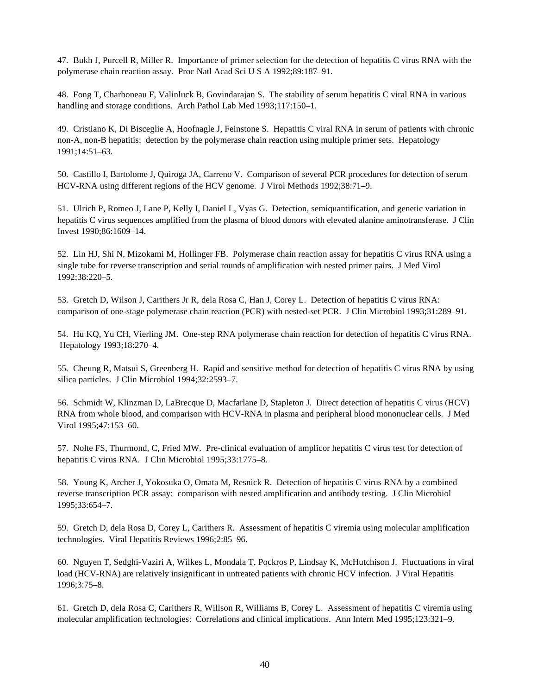47. Bukh J, Purcell R, Miller R. Importance of primer selection for the detection of hepatitis C virus RNA with the polymerase chain reaction assay. Proc Natl Acad Sci U S A 1992;89:187–91.

48. Fong T, Charboneau F, Valinluck B, Govindarajan S. The stability of serum hepatitis C viral RNA in various handling and storage conditions. Arch Pathol Lab Med 1993;117:150-1.

49. Cristiano K, Di Bisceglie A, Hoofnagle J, Feinstone S. Hepatitis C viral RNA in serum of patients with chronic non-A, non-B hepatitis: detection by the polymerase chain reaction using multiple primer sets. Hepatology 1991;14:51–63.

50. Castillo I, Bartolome J, Quiroga JA, Carreno V. Comparison of several PCR procedures for detection of serum HCV-RNA using different regions of the HCV genome. J Virol Methods 1992;38:71–9.

51. Ulrich P, Romeo J, Lane P, Kelly I, Daniel L, Vyas G. Detection, semiquantification, and genetic variation in hepatitis C virus sequences amplified from the plasma of blood donors with elevated alanine aminotransferase. J Clin Invest 1990;86:1609–14.

52. Lin HJ, Shi N, Mizokami M, Hollinger FB. Polymerase chain reaction assay for hepatitis C virus RNA using a single tube for reverse transcription and serial rounds of amplification with nested primer pairs. J Med Virol 1992;38:220–5.

53. Gretch D, Wilson J, Carithers Jr R, dela Rosa C, Han J, Corey L. Detection of hepatitis C virus RNA: comparison of one-stage polymerase chain reaction (PCR) with nested-set PCR. J Clin Microbiol 1993;31:289–91.

54. Hu KQ, Yu CH, Vierling JM. One-step RNA polymerase chain reaction for detection of hepatitis C virus RNA. Hepatology 1993;18:270–4.

55. Cheung R, Matsui S, Greenberg H. Rapid and sensitive method for detection of hepatitis C virus RNA by using silica particles. J Clin Microbiol 1994;32:2593–7.

56. Schmidt W, Klinzman D, LaBrecque D, Macfarlane D, Stapleton J. Direct detection of hepatitis C virus (HCV) RNA from whole blood, and comparison with HCV-RNA in plasma and peripheral blood mononuclear cells. J Med Virol 1995;47:153–60.

57. Nolte FS, Thurmond, C, Fried MW. Pre-clinical evaluation of amplicor hepatitis C virus test for detection of hepatitis C virus RNA. J Clin Microbiol 1995;33:1775–8.

58. Young K, Archer J, Yokosuka O, Omata M, Resnick R. Detection of hepatitis C virus RNA by a combined reverse transcription PCR assay: comparison with nested amplification and antibody testing. J Clin Microbiol 1995;33:654–7.

59. Gretch D, dela Rosa D, Corey L, Carithers R. Assessment of hepatitis C viremia using molecular amplification technologies. Viral Hepatitis Reviews 1996;2:85–96.

60. Nguyen T, Sedghi-Vaziri A, Wilkes L, Mondala T, Pockros P, Lindsay K, McHutchison J. Fluctuations in viral load (HCV-RNA) are relatively insignificant in untreated patients with chronic HCV infection. J Viral Hepatitis 1996;3:75–8.

61. Gretch D, dela Rosa C, Carithers R, Willson R, Williams B, Corey L. Assessment of hepatitis C viremia using molecular amplification technologies: Correlations and clinical implications. Ann Intern Med 1995;123:321–9.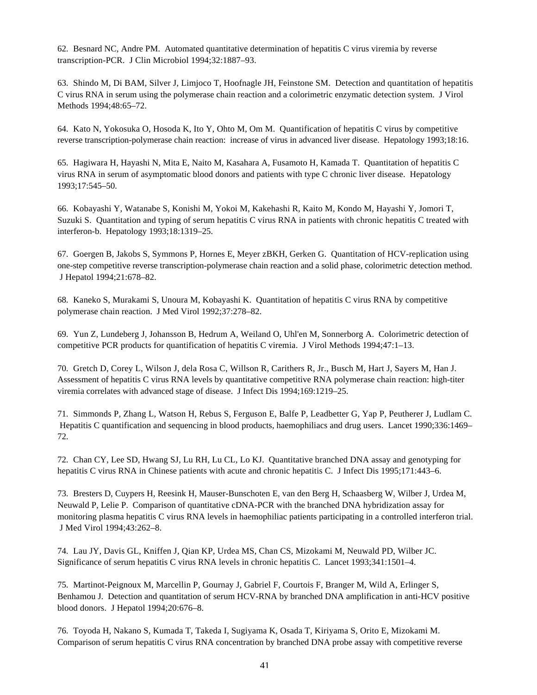62. Besnard NC, Andre PM. Automated quantitative determination of hepatitis C virus viremia by reverse transcription-PCR. J Clin Microbiol 1994;32:1887–93.

63. Shindo M, Di BAM, Silver J, Limjoco T, Hoofnagle JH, Feinstone SM. Detection and quantitation of hepatitis C virus RNA in serum using the polymerase chain reaction and a colorimetric enzymatic detection system. J Virol Methods 1994;48:65–72.

64. Kato N, Yokosuka O, Hosoda K, Ito Y, Ohto M, Om M. Quantification of hepatitis C virus by competitive reverse transcription-polymerase chain reaction: increase of virus in advanced liver disease. Hepatology 1993;18:16.

65. Hagiwara H, Hayashi N, Mita E, Naito M, Kasahara A, Fusamoto H, Kamada T. Quantitation of hepatitis C virus RNA in serum of asymptomatic blood donors and patients with type C chronic liver disease. Hepatology 1993;17:545–50.

66. Kobayashi Y, Watanabe S, Konishi M, Yokoi M, Kakehashi R, Kaito M, Kondo M, Hayashi Y, Jomori T, Suzuki S. Quantitation and typing of serum hepatitis C virus RNA in patients with chronic hepatitis C treated with interferon-b. Hepatology 1993;18:1319–25.

67. Goergen B, Jakobs S, Symmons P, Hornes E, Meyer zBKH, Gerken G. Quantitation of HCV-replication using one-step competitive reverse transcription-polymerase chain reaction and a solid phase, colorimetric detection method. J Hepatol 1994;21:678–82.

68. Kaneko S, Murakami S, Unoura M, Kobayashi K. Quantitation of hepatitis C virus RNA by competitive polymerase chain reaction. J Med Virol 1992;37:278–82.

69. Yun Z, Lundeberg J, Johansson B, Hedrum A, Weiland O, Uhl'en M, Sonnerborg A. Colorimetric detection of competitive PCR products for quantification of hepatitis C viremia. J Virol Methods 1994;47:1–13.

70. Gretch D, Corey L, Wilson J, dela Rosa C, Willson R, Carithers R, Jr., Busch M, Hart J, Sayers M, Han J. Assessment of hepatitis C virus RNA levels by quantitative competitive RNA polymerase chain reaction: high-titer viremia correlates with advanced stage of disease. J Infect Dis 1994;169:1219–25.

71. Simmonds P, Zhang L, Watson H, Rebus S, Ferguson E, Balfe P, Leadbetter G, Yap P, Peutherer J, Ludlam C. Hepatitis C quantification and sequencing in blood products, haemophiliacs and drug users. Lancet 1990;336:1469– 72.

72. Chan CY, Lee SD, Hwang SJ, Lu RH, Lu CL, Lo KJ. Quantitative branched DNA assay and genotyping for hepatitis C virus RNA in Chinese patients with acute and chronic hepatitis C. J Infect Dis 1995;171:443–6.

73. Bresters D, Cuypers H, Reesink H, Mauser-Bunschoten E, van den Berg H, Schaasberg W, Wilber J, Urdea M, Neuwald P, Lelie P. Comparison of quantitative cDNA-PCR with the branched DNA hybridization assay for monitoring plasma hepatitis C virus RNA levels in haemophiliac patients participating in a controlled interferon trial. J Med Virol 1994;43:262–8.

74. Lau JY, Davis GL, Kniffen J, Qian KP, Urdea MS, Chan CS, Mizokami M, Neuwald PD, Wilber JC. Significance of serum hepatitis C virus RNA levels in chronic hepatitis C. Lancet 1993;341:1501–4.

75. Martinot-Peignoux M, Marcellin P, Gournay J, Gabriel F, Courtois F, Branger M, Wild A, Erlinger S, Benhamou J. Detection and quantitation of serum HCV-RNA by branched DNA amplification in anti-HCV positive blood donors. J Hepatol 1994;20:676–8.

76. Toyoda H, Nakano S, Kumada T, Takeda I, Sugiyama K, Osada T, Kiriyama S, Orito E, Mizokami M. Comparison of serum hepatitis C virus RNA concentration by branched DNA probe assay with competitive reverse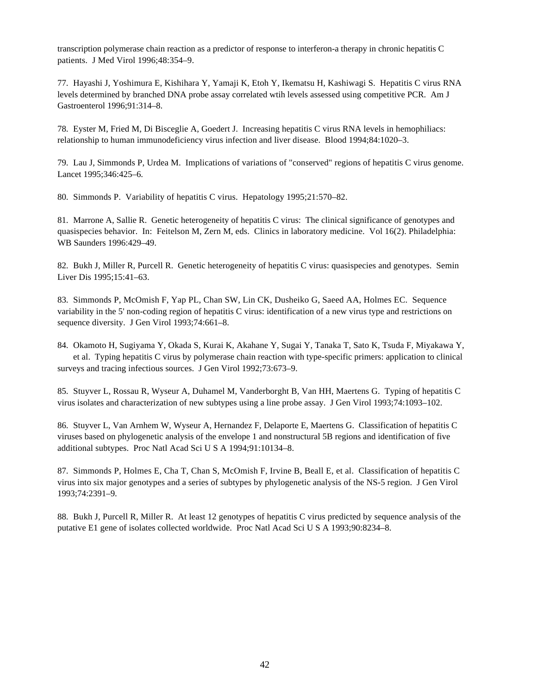transcription polymerase chain reaction as a predictor of response to interferon-a therapy in chronic hepatitis C patients. J Med Virol 1996;48:354–9.

77. Hayashi J, Yoshimura E, Kishihara Y, Yamaji K, Etoh Y, Ikematsu H, Kashiwagi S. Hepatitis C virus RNA levels determined by branched DNA probe assay correlated wtih levels assessed using competitive PCR. Am J Gastroenterol 1996;91:314–8.

78. Eyster M, Fried M, Di Bisceglie A, Goedert J. Increasing hepatitis C virus RNA levels in hemophiliacs: relationship to human immunodeficiency virus infection and liver disease. Blood 1994;84:1020–3.

79. Lau J, Simmonds P, Urdea M. Implications of variations of "conserved" regions of hepatitis C virus genome. Lancet 1995;346:425–6.

80. Simmonds P. Variability of hepatitis C virus. Hepatology 1995;21:570–82.

81. Marrone A, Sallie R. Genetic heterogeneity of hepatitis C virus: The clinical significance of genotypes and quasispecies behavior. In: Feitelson M, Zern M, eds. Clinics in laboratory medicine. Vol 16(2). Philadelphia: WB Saunders 1996:429–49.

82. Bukh J, Miller R, Purcell R. Genetic heterogeneity of hepatitis C virus: quasispecies and genotypes. Semin Liver Dis 1995;15:41–63.

83. Simmonds P, McOmish F, Yap PL, Chan SW, Lin CK, Dusheiko G, Saeed AA, Holmes EC. Sequence variability in the 5' non-coding region of hepatitis C virus: identification of a new virus type and restrictions on sequence diversity. J Gen Virol 1993;74:661–8.

84. Okamoto H, Sugiyama Y, Okada S, Kurai K, Akahane Y, Sugai Y, Tanaka T, Sato K, Tsuda F, Miyakawa Y, et al. Typing hepatitis C virus by polymerase chain reaction with type-specific primers: application to clinical surveys and tracing infectious sources. J Gen Virol 1992;73:673–9.

85. Stuyver L, Rossau R, Wyseur A, Duhamel M, Vanderborght B, Van HH, Maertens G. Typing of hepatitis C virus isolates and characterization of new subtypes using a line probe assay. J Gen Virol 1993;74:1093–102.

86. Stuyver L, Van Arnhem W, Wyseur A, Hernandez F, Delaporte E, Maertens G. Classification of hepatitis C viruses based on phylogenetic analysis of the envelope 1 and nonstructural 5B regions and identification of five additional subtypes. Proc Natl Acad Sci U S A 1994;91:10134–8.

87. Simmonds P, Holmes E, Cha T, Chan S, McOmish F, Irvine B, Beall E, et al. Classification of hepatitis C virus into six major genotypes and a series of subtypes by phylogenetic analysis of the NS-5 region. J Gen Virol 1993;74:2391–9.

88. Bukh J, Purcell R, Miller R. At least 12 genotypes of hepatitis C virus predicted by sequence analysis of the putative E1 gene of isolates collected worldwide. Proc Natl Acad Sci U S A 1993;90:8234–8.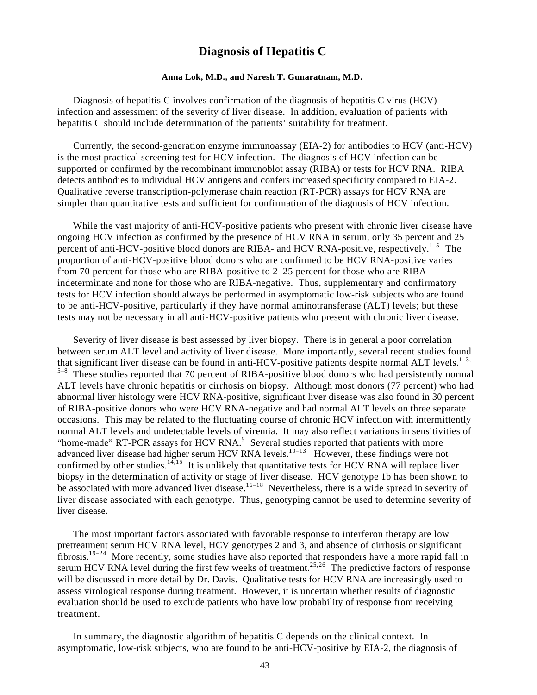### **Diagnosis of Hepatitis C**

#### **Anna Lok, M.D., and Naresh T. Gunaratnam, M.D.**

Diagnosis of hepatitis C involves confirmation of the diagnosis of hepatitis C virus (HCV) infection and assessment of the severity of liver disease. In addition, evaluation of patients with hepatitis C should include determination of the patients' suitability for treatment.

Currently, the second-generation enzyme immunoassay (EIA-2) for antibodies to HCV (anti-HCV) is the most practical screening test for HCV infection. The diagnosis of HCV infection can be supported or confirmed by the recombinant immunoblot assay (RIBA) or tests for HCV RNA. RIBA detects antibodies to individual HCV antigens and confers increased specificity compared to EIA-2. Qualitative reverse transcription-polymerase chain reaction (RT-PCR) assays for HCV RNA are simpler than quantitative tests and sufficient for confirmation of the diagnosis of HCV infection.

While the vast majority of anti-HCV-positive patients who present with chronic liver disease have ongoing HCV infection as confirmed by the presence of HCV RNA in serum, only 35 percent and 25 percent of anti-HCV-positive blood donors are RIBA- and HCV RNA-positive, respectively.<sup>1–5</sup> The proportion of anti-HCV-positive blood donors who are confirmed to be HCV RNA-positive varies from 70 percent for those who are RIBA-positive to 2–25 percent for those who are RIBAindeterminate and none for those who are RIBA-negative. Thus, supplementary and confirmatory tests for HCV infection should always be performed in asymptomatic low-risk subjects who are found to be anti-HCV-positive, particularly if they have normal aminotransferase (ALT) levels; but these tests may not be necessary in all anti-HCV-positive patients who present with chronic liver disease.

Severity of liver disease is best assessed by liver biopsy. There is in general a poor correlation between serum ALT level and activity of liver disease. More importantly, several recent studies found that significant liver disease can be found in anti-HCV-positive patients despite normal ALT levels. $1-3$ ,  $5-8$  These studies reported that 70 percent of RIBA-positive blood donors who had persistently normal ALT levels have chronic hepatitis or cirrhosis on biopsy. Although most donors (77 percent) who had abnormal liver histology were HCV RNA-positive, significant liver disease was also found in 30 percent of RIBA-positive donors who were HCV RNA-negative and had normal ALT levels on three separate occasions. This may be related to the fluctuating course of chronic HCV infection with intermittently normal ALT levels and undetectable levels of viremia. It may also reflect variations in sensitivities of "home-made" RT-PCR assays for HCV RNA. $9$  Several studies reported that patients with more advanced liver disease had higher serum HCV RNA levels.<sup>10-13</sup> However, these findings were not confirmed by other studies.<sup>14,15</sup> It is unlikely that quantitative tests for HCV RNA will replace liver biopsy in the determination of activity or stage of liver disease. HCV genotype 1b has been shown to be associated with more advanced liver disease.<sup>16–18</sup> Nevertheless, there is a wide spread in severity of liver disease associated with each genotype. Thus, genotyping cannot be used to determine severity of liver disease.

The most important factors associated with favorable response to interferon therapy are low pretreatment serum HCV RNA level, HCV genotypes 2 and 3, and absence of cirrhosis or significant fibrosis.<sup>19–24</sup> More recently, some studies have also reported that responders have a more rapid fall in serum HCV RNA level during the first few weeks of treatment.<sup>25,26</sup> The predictive factors of response will be discussed in more detail by Dr. Davis. Qualitative tests for HCV RNA are increasingly used to assess virological response during treatment. However, it is uncertain whether results of diagnostic evaluation should be used to exclude patients who have low probability of response from receiving treatment.

In summary, the diagnostic algorithm of hepatitis C depends on the clinical context. In asymptomatic, low-risk subjects, who are found to be anti-HCV-positive by EIA-2, the diagnosis of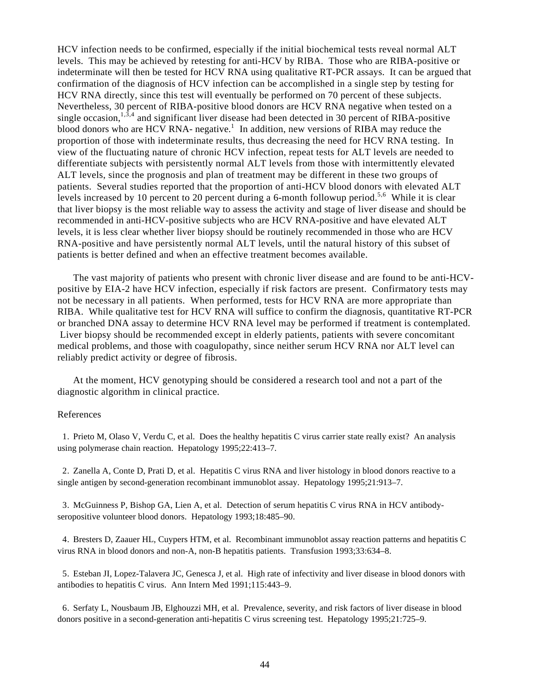HCV infection needs to be confirmed, especially if the initial biochemical tests reveal normal ALT levels. This may be achieved by retesting for anti-HCV by RIBA. Those who are RIBA-positive or indeterminate will then be tested for HCV RNA using qualitative RT-PCR assays. It can be argued that confirmation of the diagnosis of HCV infection can be accomplished in a single step by testing for HCV RNA directly, since this test will eventually be performed on 70 percent of these subjects. Nevertheless, 30 percent of RIBA-positive blood donors are HCV RNA negative when tested on a single occasion,  $1,3,4$  and significant liver disease had been detected in 30 percent of RIBA-positive blood donors who are HCV RNA- negative.<sup>1</sup> In addition, new versions of RIBA may reduce the proportion of those with indeterminate results, thus decreasing the need for HCV RNA testing. In view of the fluctuating nature of chronic HCV infection, repeat tests for ALT levels are needed to differentiate subjects with persistently normal ALT levels from those with intermittently elevated ALT levels, since the prognosis and plan of treatment may be different in these two groups of patients. Several studies reported that the proportion of anti-HCV blood donors with elevated ALT levels increased by 10 percent to 20 percent during a 6-month followup period.<sup>5,6</sup> While it is clear that liver biopsy is the most reliable way to assess the activity and stage of liver disease and should be recommended in anti-HCV-positive subjects who are HCV RNA-positive and have elevated ALT levels, it is less clear whether liver biopsy should be routinely recommended in those who are HCV RNA-positive and have persistently normal ALT levels, until the natural history of this subset of patients is better defined and when an effective treatment becomes available.

The vast majority of patients who present with chronic liver disease and are found to be anti-HCVpositive by EIA-2 have HCV infection, especially if risk factors are present. Confirmatory tests may not be necessary in all patients. When performed, tests for HCV RNA are more appropriate than RIBA. While qualitative test for HCV RNA will suffice to confirm the diagnosis, quantitative RT-PCR or branched DNA assay to determine HCV RNA level may be performed if treatment is contemplated. Liver biopsy should be recommended except in elderly patients, patients with severe concomitant medical problems, and those with coagulopathy, since neither serum HCV RNA nor ALT level can reliably predict activity or degree of fibrosis.

At the moment, HCV genotyping should be considered a research tool and not a part of the diagnostic algorithm in clinical practice.

#### References

 1. Prieto M, Olaso V, Verdu C, et al. Does the healthy hepatitis C virus carrier state really exist? An analysis using polymerase chain reaction. Hepatology 1995;22:413–7.

 2. Zanella A, Conte D, Prati D, et al. Hepatitis C virus RNA and liver histology in blood donors reactive to a single antigen by second-generation recombinant immunoblot assay. Hepatology 1995;21:913–7.

 3. McGuinness P, Bishop GA, Lien A, et al. Detection of serum hepatitis C virus RNA in HCV antibodyseropositive volunteer blood donors. Hepatology 1993;18:485–90.

 4. Bresters D, Zaauer HL, Cuypers HTM, et al. Recombinant immunoblot assay reaction patterns and hepatitis C virus RNA in blood donors and non-A, non-B hepatitis patients. Transfusion 1993;33:634–8.

 5. Esteban JI, Lopez-Talavera JC, Genesca J, et al. High rate of infectivity and liver disease in blood donors with antibodies to hepatitis C virus. Ann Intern Med 1991;115:443–9.

 6. Serfaty L, Nousbaum JB, Elghouzzi MH, et al. Prevalence, severity, and risk factors of liver disease in blood donors positive in a second-generation anti-hepatitis C virus screening test. Hepatology 1995;21:725–9.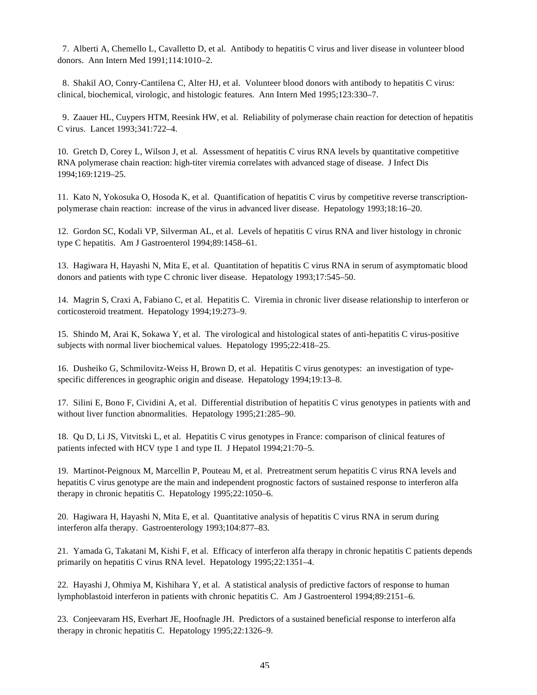7. Alberti A, Chemello L, Cavalletto D, et al. Antibody to hepatitis C virus and liver disease in volunteer blood donors. Ann Intern Med 1991;114:1010–2.

 8. Shakil AO, Conry-Cantilena C, Alter HJ, et al. Volunteer blood donors with antibody to hepatitis C virus: clinical, biochemical, virologic, and histologic features. Ann Intern Med 1995;123:330–7.

 9. Zaauer HL, Cuypers HTM, Reesink HW, et al. Reliability of polymerase chain reaction for detection of hepatitis C virus. Lancet 1993;341:722–4.

10. Gretch D, Corey L, Wilson J, et al. Assessment of hepatitis C virus RNA levels by quantitative competitive RNA polymerase chain reaction: high-titer viremia correlates with advanced stage of disease. J Infect Dis 1994;169:1219–25.

11. Kato N, Yokosuka O, Hosoda K, et al. Quantification of hepatitis C virus by competitive reverse transcriptionpolymerase chain reaction: increase of the virus in advanced liver disease. Hepatology 1993;18:16–20.

12. Gordon SC, Kodali VP, Silverman AL, et al. Levels of hepatitis C virus RNA and liver histology in chronic type C hepatitis. Am J Gastroenterol 1994;89:1458–61.

13. Hagiwara H, Hayashi N, Mita E, et al. Quantitation of hepatitis C virus RNA in serum of asymptomatic blood donors and patients with type C chronic liver disease. Hepatology 1993;17:545–50.

14. Magrin S, Craxi A, Fabiano C, et al. Hepatitis C. Viremia in chronic liver disease relationship to interferon or corticosteroid treatment. Hepatology 1994;19:273–9.

15. Shindo M, Arai K, Sokawa Y, et al. The virological and histological states of anti-hepatitis C virus-positive subjects with normal liver biochemical values. Hepatology 1995;22:418–25.

16. Dusheiko G, Schmilovitz-Weiss H, Brown D, et al. Hepatitis C virus genotypes: an investigation of typespecific differences in geographic origin and disease. Hepatology 1994;19:13–8.

17. Silini E, Bono F, Cividini A, et al. Differential distribution of hepatitis C virus genotypes in patients with and without liver function abnormalities. Hepatology 1995;21:285–90.

18. Qu D, Li JS, Vitvitski L, et al. Hepatitis C virus genotypes in France: comparison of clinical features of patients infected with HCV type 1 and type II. J Hepatol 1994;21:70–5.

19. Martinot-Peignoux M, Marcellin P, Pouteau M, et al. Pretreatment serum hepatitis C virus RNA levels and hepatitis C virus genotype are the main and independent prognostic factors of sustained response to interferon alfa therapy in chronic hepatitis C. Hepatology 1995;22:1050–6.

20. Hagiwara H, Hayashi N, Mita E, et al. Quantitative analysis of hepatitis C virus RNA in serum during interferon alfa therapy. Gastroenterology 1993;104:877–83.

21. Yamada G, Takatani M, Kishi F, et al. Efficacy of interferon alfa therapy in chronic hepatitis C patients depends primarily on hepatitis C virus RNA level. Hepatology 1995;22:1351–4.

22. Hayashi J, Ohmiya M, Kishihara Y, et al. A statistical analysis of predictive factors of response to human lymphoblastoid interferon in patients with chronic hepatitis C. Am J Gastroenterol 1994;89:2151–6.

23. Conjeevaram HS, Everhart JE, Hoofnagle JH. Predictors of a sustained beneficial response to interferon alfa therapy in chronic hepatitis C. Hepatology 1995;22:1326–9.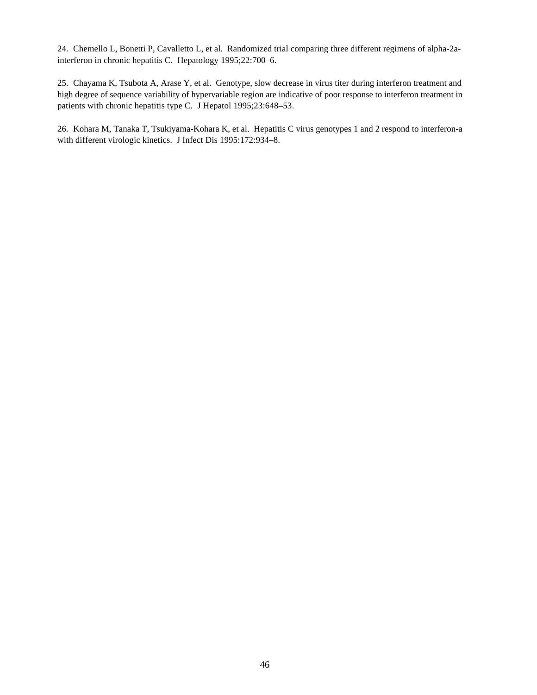24. Chemello L, Bonetti P, Cavalletto L, et al. Randomized trial comparing three different regimens of alpha-2ainterferon in chronic hepatitis C. Hepatology 1995;22:700–6.

25. Chayama K, Tsubota A, Arase Y, et al. Genotype, slow decrease in virus titer during interferon treatment and high degree of sequence variability of hypervariable region are indicative of poor response to interferon treatment in patients with chronic hepatitis type C. J Hepatol 1995;23:648–53.

26. Kohara M, Tanaka T, Tsukiyama-Kohara K, et al. Hepatitis C virus genotypes 1 and 2 respond to interferon-a with different virologic kinetics. J Infect Dis 1995:172:934–8.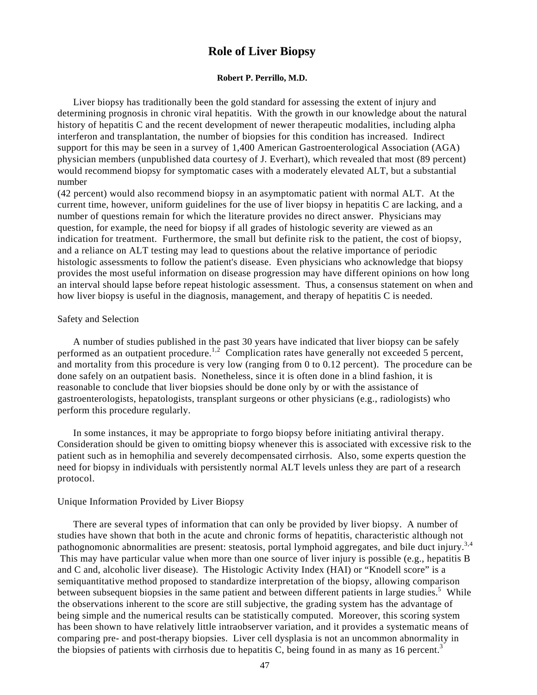## **Role of Liver Biopsy**

#### **Robert P. Perrillo, M.D.**

Liver biopsy has traditionally been the gold standard for assessing the extent of injury and determining prognosis in chronic viral hepatitis. With the growth in our knowledge about the natural history of hepatitis C and the recent development of newer therapeutic modalities, including alpha interferon and transplantation, the number of biopsies for this condition has increased. Indirect support for this may be seen in a survey of 1,400 American Gastroenterological Association (AGA) physician members (unpublished data courtesy of J. Everhart), which revealed that most (89 percent) would recommend biopsy for symptomatic cases with a moderately elevated ALT, but a substantial number

(42 percent) would also recommend biopsy in an asymptomatic patient with normal ALT. At the current time, however, uniform guidelines for the use of liver biopsy in hepatitis C are lacking, and a number of questions remain for which the literature provides no direct answer. Physicians may question, for example, the need for biopsy if all grades of histologic severity are viewed as an indication for treatment. Furthermore, the small but definite risk to the patient, the cost of biopsy, and a reliance on ALT testing may lead to questions about the relative importance of periodic histologic assessments to follow the patient's disease. Even physicians who acknowledge that biopsy provides the most useful information on disease progression may have different opinions on how long an interval should lapse before repeat histologic assessment. Thus, a consensus statement on when and how liver biopsy is useful in the diagnosis, management, and therapy of hepatitis C is needed.

#### Safety and Selection

A number of studies published in the past 30 years have indicated that liver biopsy can be safely performed as an outpatient procedure.<sup>1,2</sup> Complication rates have generally not exceeded 5 percent, and mortality from this procedure is very low (ranging from 0 to 0.12 percent). The procedure can be done safely on an outpatient basis. Nonetheless, since it is often done in a blind fashion, it is reasonable to conclude that liver biopsies should be done only by or with the assistance of gastroenterologists, hepatologists, transplant surgeons or other physicians (e.g., radiologists) who perform this procedure regularly.

In some instances, it may be appropriate to forgo biopsy before initiating antiviral therapy. Consideration should be given to omitting biopsy whenever this is associated with excessive risk to the patient such as in hemophilia and severely decompensated cirrhosis. Also, some experts question the need for biopsy in individuals with persistently normal ALT levels unless they are part of a research protocol.

#### Unique Information Provided by Liver Biopsy

There are several types of information that can only be provided by liver biopsy. A number of studies have shown that both in the acute and chronic forms of hepatitis, characteristic although not pathognomonic abnormalities are present: steatosis, portal lymphoid aggregates, and bile duct injury.<sup>3,4</sup> This may have particular value when more than one source of liver injury is possible (e.g., hepatitis B and C and, alcoholic liver disease). The Histologic Activity Index (HAI) or "Knodell score" is a semiquantitative method proposed to standardize interpretation of the biopsy, allowing comparison between subsequent biopsies in the same patient and between different patients in large studies.<sup>5</sup> While the observations inherent to the score are still subjective, the grading system has the advantage of being simple and the numerical results can be statistically computed. Moreover, this scoring system has been shown to have relatively little intraobserver variation, and it provides a systematic means of comparing pre- and post-therapy biopsies. Liver cell dysplasia is not an uncommon abnormality in the biopsies of patients with cirrhosis due to hepatitis C, being found in as many as 16 percent.<sup>3</sup>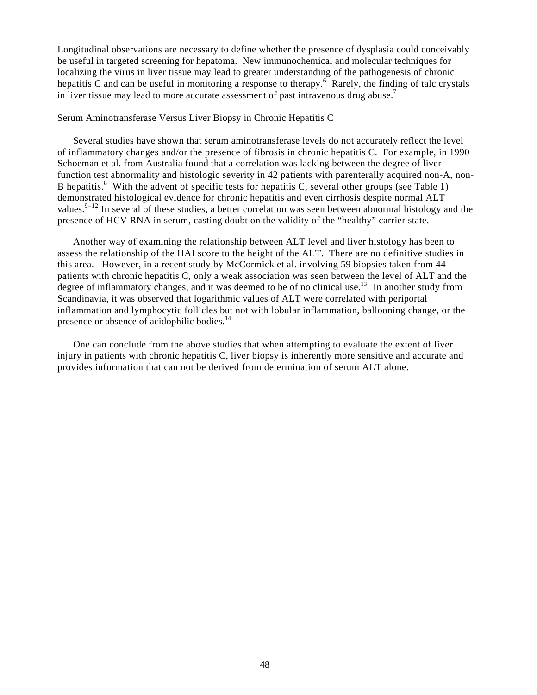Longitudinal observations are necessary to define whether the presence of dysplasia could conceivably be useful in targeted screening for hepatoma. New immunochemical and molecular techniques for localizing the virus in liver tissue may lead to greater understanding of the pathogenesis of chronic hepatitis C and can be useful in monitoring a response to therapy.<sup>6</sup> Rarely, the finding of talc crystals in liver tissue may lead to more accurate assessment of past intravenous drug abuse.<sup>7</sup>

#### Serum Aminotransferase Versus Liver Biopsy in Chronic Hepatitis C

Several studies have shown that serum aminotransferase levels do not accurately reflect the level of inflammatory changes and/or the presence of fibrosis in chronic hepatitis C. For example, in 1990 Schoeman et al. from Australia found that a correlation was lacking between the degree of liver function test abnormality and histologic severity in 42 patients with parenterally acquired non-A, non-B hepatitis.<sup>8</sup> With the advent of specific tests for hepatitis C, several other groups (see Table 1) demonstrated histological evidence for chronic hepatitis and even cirrhosis despite normal ALT values.<sup>9–12</sup> In several of these studies, a better correlation was seen between abnormal histology and the presence of HCV RNA in serum, casting doubt on the validity of the "healthy" carrier state.

Another way of examining the relationship between ALT level and liver histology has been to assess the relationship of the HAI score to the height of the ALT. There are no definitive studies in this area. However, in a recent study by McCormick et al. involving 59 biopsies taken from 44 patients with chronic hepatitis C, only a weak association was seen between the level of ALT and the degree of inflammatory changes, and it was deemed to be of no clinical use.<sup>13</sup> In another study from Scandinavia, it was observed that logarithmic values of ALT were correlated with periportal inflammation and lymphocytic follicles but not with lobular inflammation, ballooning change, or the presence or absence of acidophilic bodies.<sup>14</sup>

One can conclude from the above studies that when attempting to evaluate the extent of liver injury in patients with chronic hepatitis C, liver biopsy is inherently more sensitive and accurate and provides information that can not be derived from determination of serum ALT alone.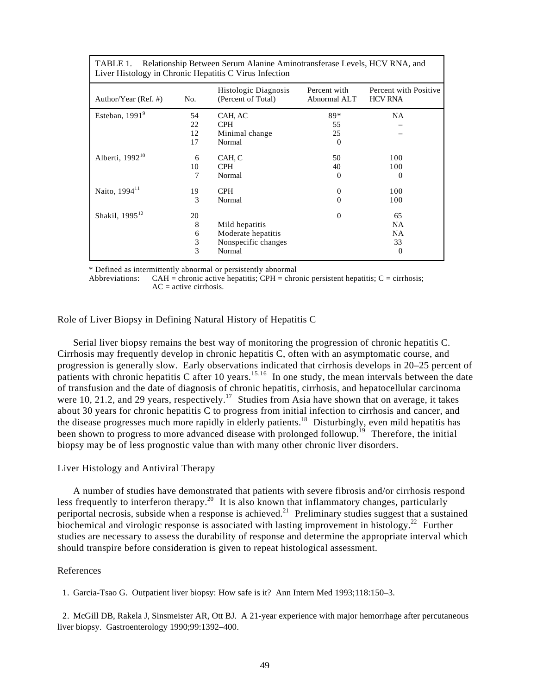| Relationship Between Serum Alanine Aminotransferase Levels, HCV RNA, and<br>TABLE 1.<br>Liver Histology in Chronic Hepatitis C Virus Infection |     |                                            |                              |                                         |
|------------------------------------------------------------------------------------------------------------------------------------------------|-----|--------------------------------------------|------------------------------|-----------------------------------------|
| Author/Year (Ref. #)                                                                                                                           | No. | Histologic Diagnosis<br>(Percent of Total) | Percent with<br>Abnormal ALT | Percent with Positive<br><b>HCV RNA</b> |
| Esteban, $19919$                                                                                                                               | 54  | CAH, AC                                    | 89*                          | NA.                                     |
|                                                                                                                                                | 22  | <b>CPH</b>                                 | 55                           |                                         |
|                                                                                                                                                | 12  | Minimal change                             | 25                           |                                         |
|                                                                                                                                                | 17  | Normal                                     | $\Omega$                     |                                         |
| Alberti, 1992 <sup>10</sup>                                                                                                                    | 6   | CAH, C                                     | 50                           | 100                                     |
|                                                                                                                                                | 10  | <b>CPH</b>                                 | 40                           | 100                                     |
|                                                                                                                                                | 7   | Normal                                     | $\Omega$                     | $\Omega$                                |
| Naito, 1994 <sup>11</sup>                                                                                                                      | 19  | <b>CPH</b>                                 | $\Omega$                     | 100                                     |
|                                                                                                                                                | 3   | Normal                                     | $\Omega$                     | 100                                     |
| Shakil, 1995 <sup>12</sup>                                                                                                                     | 20  |                                            | $\theta$                     | 65                                      |
|                                                                                                                                                | 8   | Mild hepatitis                             |                              | NA.                                     |
|                                                                                                                                                | 6   | Moderate hepatitis                         |                              | NA.                                     |
|                                                                                                                                                | 3   | Nonspecific changes                        |                              | 33                                      |
|                                                                                                                                                | 3   | Normal                                     |                              | $\Omega$                                |

\* Defined as intermittently abnormal or persistently abnormal

Abbreviations: CAH = chronic active hepatitis; CPH = chronic persistent hepatitis;  $C =$  cirrhosis;  $AC =$  active cirrhosis.

Role of Liver Biopsy in Defining Natural History of Hepatitis C

Serial liver biopsy remains the best way of monitoring the progression of chronic hepatitis C. Cirrhosis may frequently develop in chronic hepatitis C, often with an asymptomatic course, and progression is generally slow. Early observations indicated that cirrhosis develops in 20–25 percent of patients with chronic hepatitis C after 10 years.<sup>15,16</sup> In one study, the mean intervals between the date of transfusion and the date of diagnosis of chronic hepatitis, cirrhosis, and hepatocellular carcinoma were 10, 21.2, and 29 years, respectively.<sup>17</sup> Studies from Asia have shown that on average, it takes about 30 years for chronic hepatitis C to progress from initial infection to cirrhosis and cancer, and the disease progresses much more rapidly in elderly patients.<sup>18</sup> Disturbingly, even mild hepatitis has been shown to progress to more advanced disease with prolonged followup.<sup>19</sup> Therefore, the initial biopsy may be of less prognostic value than with many other chronic liver disorders.

### Liver Histology and Antiviral Therapy

A number of studies have demonstrated that patients with severe fibrosis and/or cirrhosis respond less frequently to interferon therapy.<sup>20</sup> It is also known that inflammatory changes, particularly periportal necrosis, subside when a response is achieved.<sup>21</sup> Preliminary studies suggest that a sustained biochemical and virologic response is associated with lasting improvement in histology.<sup>22</sup> Further studies are necessary to assess the durability of response and determine the appropriate interval which should transpire before consideration is given to repeat histological assessment.

### References

1. Garcia-Tsao G. Outpatient liver biopsy: How safe is it? Ann Intern Med 1993;118:150–3.

 2. McGill DB, Rakela J, Sinsmeister AR, Ott BJ. A 21-year experience with major hemorrhage after percutaneous liver biopsy. Gastroenterology 1990;99:1392–400.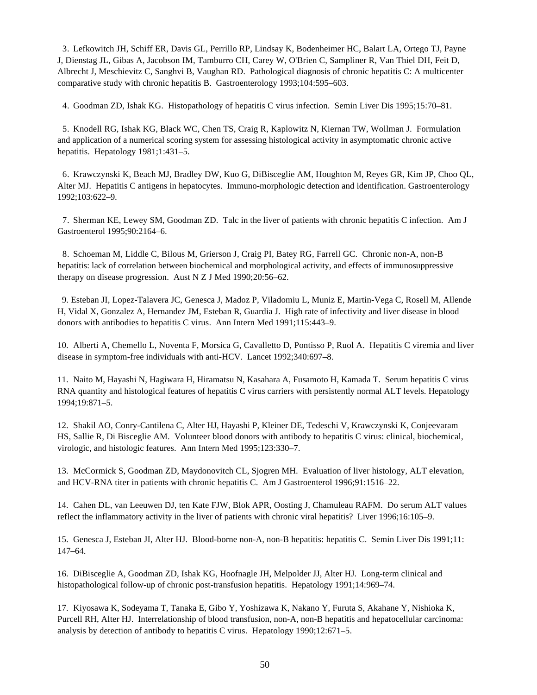3. Lefkowitch JH, Schiff ER, Davis GL, Perrillo RP, Lindsay K, Bodenheimer HC, Balart LA, Ortego TJ, Payne J, Dienstag JL, Gibas A, Jacobson IM, Tamburro CH, Carey W, O'Brien C, Sampliner R, Van Thiel DH, Feit D, Albrecht J, Meschievitz C, Sanghvi B, Vaughan RD. Pathological diagnosis of chronic hepatitis C: A multicenter comparative study with chronic hepatitis B. Gastroenterology 1993;104:595–603.

4. Goodman ZD, Ishak KG. Histopathology of hepatitis C virus infection. Semin Liver Dis 1995;15:70–81.

 5. Knodell RG, Ishak KG, Black WC, Chen TS, Craig R, Kaplowitz N, Kiernan TW, Wollman J. Formulation and application of a numerical scoring system for assessing histological activity in asymptomatic chronic active hepatitis. Hepatology 1981;1:431–5.

 6. Krawczynski K, Beach MJ, Bradley DW, Kuo G, DiBisceglie AM, Houghton M, Reyes GR, Kim JP, Choo QL, Alter MJ. Hepatitis C antigens in hepatocytes. Immuno-morphologic detection and identification. Gastroenterology 1992;103:622–9.

 7. Sherman KE, Lewey SM, Goodman ZD. Talc in the liver of patients with chronic hepatitis C infection. Am J Gastroenterol 1995;90:2164–6.

 8. Schoeman M, Liddle C, Bilous M, Grierson J, Craig PI, Batey RG, Farrell GC. Chronic non-A, non-B hepatitis: lack of correlation between biochemical and morphological activity, and effects of immunosuppressive therapy on disease progression. Aust N Z J Med 1990;20:56–62.

 9. Esteban JI, Lopez-Talavera JC, Genesca J, Madoz P, Viladomiu L, Muniz E, Martin-Vega C, Rosell M, Allende H, Vidal X, Gonzalez A, Hernandez JM, Esteban R, Guardia J. High rate of infectivity and liver disease in blood donors with antibodies to hepatitis C virus. Ann Intern Med 1991;115:443–9.

10. Alberti A, Chemello L, Noventa F, Morsica G, Cavalletto D, Pontisso P, Ruol A. Hepatitis C viremia and liver disease in symptom-free individuals with anti-HCV. Lancet 1992;340:697–8.

11. Naito M, Hayashi N, Hagiwara H, Hiramatsu N, Kasahara A, Fusamoto H, Kamada T. Serum hepatitis C virus RNA quantity and histological features of hepatitis C virus carriers with persistently normal ALT levels. Hepatology 1994;19:871–5.

12. Shakil AO, Conry-Cantilena C, Alter HJ, Hayashi P, Kleiner DE, Tedeschi V, Krawczynski K, Conjeevaram HS, Sallie R, Di Bisceglie AM. Volunteer blood donors with antibody to hepatitis C virus: clinical, biochemical, virologic, and histologic features. Ann Intern Med 1995;123:330–7.

13. McCormick S, Goodman ZD, Maydonovitch CL, Sjogren MH. Evaluation of liver histology, ALT elevation, and HCV-RNA titer in patients with chronic hepatitis C. Am J Gastroenterol 1996;91:1516–22.

14. Cahen DL, van Leeuwen DJ, ten Kate FJW, Blok APR, Oosting J, Chamuleau RAFM. Do serum ALT values reflect the inflammatory activity in the liver of patients with chronic viral hepatitis? Liver 1996;16:105–9.

15. Genesca J, Esteban JI, Alter HJ. Blood-borne non-A, non-B hepatitis: hepatitis C. Semin Liver Dis 1991;11: 147–64.

16. DiBisceglie A, Goodman ZD, Ishak KG, Hoofnagle JH, Melpolder JJ, Alter HJ. Long-term clinical and histopathological follow-up of chronic post-transfusion hepatitis. Hepatology 1991;14:969–74.

17. Kiyosawa K, Sodeyama T, Tanaka E, Gibo Y, Yoshizawa K, Nakano Y, Furuta S, Akahane Y, Nishioka K, Purcell RH, Alter HJ. Interrelationship of blood transfusion, non-A, non-B hepatitis and hepatocellular carcinoma: analysis by detection of antibody to hepatitis C virus. Hepatology 1990;12:671–5.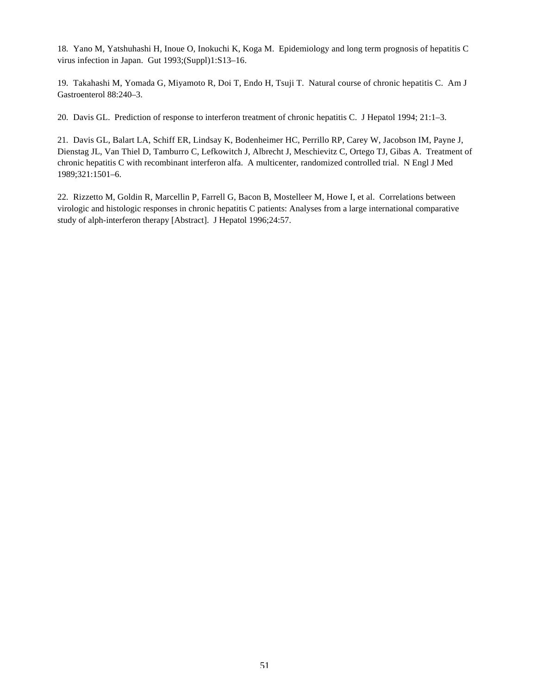18. Yano M, Yatshuhashi H, Inoue O, Inokuchi K, Koga M. Epidemiology and long term prognosis of hepatitis C virus infection in Japan. Gut 1993;(Suppl)1:S13–16.

19. Takahashi M, Yomada G, Miyamoto R, Doi T, Endo H, Tsuji T. Natural course of chronic hepatitis C. Am J Gastroenterol 88:240–3.

20. Davis GL. Prediction of response to interferon treatment of chronic hepatitis C. J Hepatol 1994; 21:1–3.

21. Davis GL, Balart LA, Schiff ER, Lindsay K, Bodenheimer HC, Perrillo RP, Carey W, Jacobson IM, Payne J, Dienstag JL, Van Thiel D, Tamburro C, Lefkowitch J, Albrecht J, Meschievitz C, Ortego TJ, Gibas A. Treatment of chronic hepatitis C with recombinant interferon alfa. A multicenter, randomized controlled trial. N Engl J Med 1989;321:1501–6.

22. Rizzetto M, Goldin R, Marcellin P, Farrell G, Bacon B, Mostelleer M, Howe I, et al. Correlations between virologic and histologic responses in chronic hepatitis C patients: Analyses from a large international comparative study of alph-interferon therapy [Abstract]. J Hepatol 1996;24:57.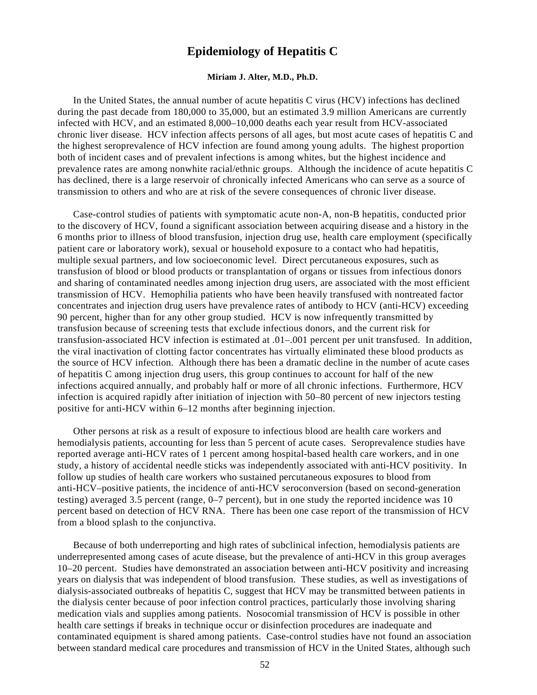## **Epidemiology of Hepatitis C**

#### **Miriam J. Alter, M.D., Ph.D.**

In the United States, the annual number of acute hepatitis C virus (HCV) infections has declined during the past decade from 180,000 to 35,000, but an estimated 3.9 million Americans are currently infected with HCV, and an estimated 8,000–10,000 deaths each year result from HCV-associated chronic liver disease. HCV infection affects persons of all ages, but most acute cases of hepatitis C and the highest seroprevalence of HCV infection are found among young adults. The highest proportion both of incident cases and of prevalent infections is among whites, but the highest incidence and prevalence rates are among nonwhite racial/ethnic groups. Although the incidence of acute hepatitis C has declined, there is a large reservoir of chronically infected Americans who can serve as a source of transmission to others and who are at risk of the severe consequences of chronic liver disease.

Case-control studies of patients with symptomatic acute non-A, non-B hepatitis, conducted prior to the discovery of HCV, found a significant association between acquiring disease and a history in the 6 months prior to illness of blood transfusion, injection drug use, health care employment (specifically patient care or laboratory work), sexual or household exposure to a contact who had hepatitis, multiple sexual partners, and low socioeconomic level. Direct percutaneous exposures, such as transfusion of blood or blood products or transplantation of organs or tissues from infectious donors and sharing of contaminated needles among injection drug users, are associated with the most efficient transmission of HCV. Hemophilia patients who have been heavily transfused with nontreated factor concentrates and injection drug users have prevalence rates of antibody to HCV (anti-HCV) exceeding 90 percent, higher than for any other group studied. HCV is now infrequently transmitted by transfusion because of screening tests that exclude infectious donors, and the current risk for transfusion-associated HCV infection is estimated at .01–.001 percent per unit transfused. In addition, the viral inactivation of clotting factor concentrates has virtually eliminated these blood products as the source of HCV infection. Although there has been a dramatic decline in the number of acute cases of hepatitis C among injection drug users, this group continues to account for half of the new infections acquired annually, and probably half or more of all chronic infections. Furthermore, HCV infection is acquired rapidly after initiation of injection with 50–80 percent of new injectors testing positive for anti-HCV within 6–12 months after beginning injection.

Other persons at risk as a result of exposure to infectious blood are health care workers and hemodialysis patients, accounting for less than 5 percent of acute cases. Seroprevalence studies have reported average anti-HCV rates of 1 percent among hospital-based health care workers, and in one study, a history of accidental needle sticks was independently associated with anti-HCV positivity. In follow up studies of health care workers who sustained percutaneous exposures to blood from anti-HCV–positive patients, the incidence of anti-HCV seroconversion (based on second-generation testing) averaged 3.5 percent (range, 0–7 percent), but in one study the reported incidence was 10 percent based on detection of HCV RNA. There has been one case report of the transmission of HCV from a blood splash to the conjunctiva.

Because of both underreporting and high rates of subclinical infection, hemodialysis patients are underrepresented among cases of acute disease, but the prevalence of anti-HCV in this group averages 10–20 percent. Studies have demonstrated an association between anti-HCV positivity and increasing years on dialysis that was independent of blood transfusion. These studies, as well as investigations of dialysis-associated outbreaks of hepatitis C, suggest that HCV may be transmitted between patients in the dialysis center because of poor infection control practices, particularly those involving sharing medication vials and supplies among patients. Nosocomial transmission of HCV is possible in other health care settings if breaks in technique occur or disinfection procedures are inadequate and contaminated equipment is shared among patients. Case-control studies have not found an association between standard medical care procedures and transmission of HCV in the United States, although such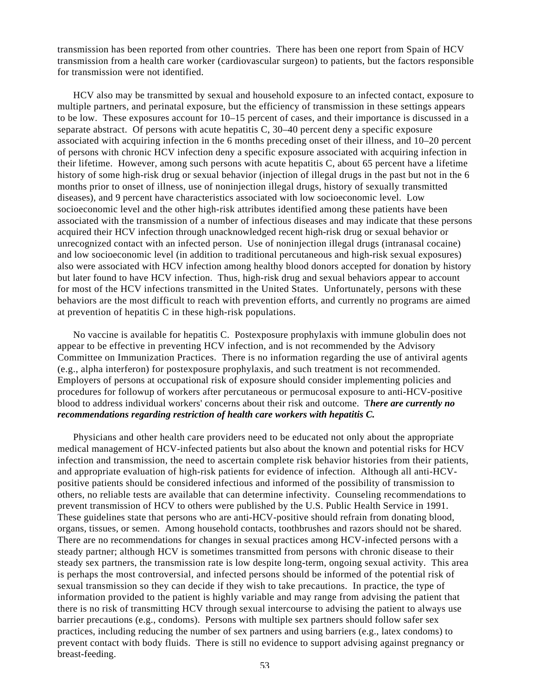transmission has been reported from other countries. There has been one report from Spain of HCV transmission from a health care worker (cardiovascular surgeon) to patients, but the factors responsible for transmission were not identified.

HCV also may be transmitted by sexual and household exposure to an infected contact, exposure to multiple partners, and perinatal exposure, but the efficiency of transmission in these settings appears to be low. These exposures account for 10–15 percent of cases, and their importance is discussed in a separate abstract. Of persons with acute hepatitis C, 30–40 percent deny a specific exposure associated with acquiring infection in the 6 months preceding onset of their illness, and 10–20 percent of persons with chronic HCV infection deny a specific exposure associated with acquiring infection in their lifetime. However, among such persons with acute hepatitis C, about 65 percent have a lifetime history of some high-risk drug or sexual behavior (injection of illegal drugs in the past but not in the 6 months prior to onset of illness, use of noninjection illegal drugs, history of sexually transmitted diseases), and 9 percent have characteristics associated with low socioeconomic level. Low socioeconomic level and the other high-risk attributes identified among these patients have been associated with the transmission of a number of infectious diseases and may indicate that these persons acquired their HCV infection through unacknowledged recent high-risk drug or sexual behavior or unrecognized contact with an infected person. Use of noninjection illegal drugs (intranasal cocaine) and low socioeconomic level (in addition to traditional percutaneous and high-risk sexual exposures) also were associated with HCV infection among healthy blood donors accepted for donation by history but later found to have HCV infection. Thus, high-risk drug and sexual behaviors appear to account for most of the HCV infections transmitted in the United States. Unfortunately, persons with these behaviors are the most difficult to reach with prevention efforts, and currently no programs are aimed at prevention of hepatitis C in these high-risk populations.

No vaccine is available for hepatitis C. Postexposure prophylaxis with immune globulin does not appear to be effective in preventing HCV infection, and is not recommended by the Advisory Committee on Immunization Practices. There is no information regarding the use of antiviral agents (e.g., alpha interferon) for postexposure prophylaxis, and such treatment is not recommended. Employers of persons at occupational risk of exposure should consider implementing policies and procedures for followup of workers after percutaneous or permucosal exposure to anti-HCV-positive blood to address individual workers' concerns about their risk and outcome. T*here are currently no recommendations regarding restriction of health care workers with hepatitis C.* 

Physicians and other health care providers need to be educated not only about the appropriate medical management of HCV-infected patients but also about the known and potential risks for HCV infection and transmission, the need to ascertain complete risk behavior histories from their patients, and appropriate evaluation of high-risk patients for evidence of infection. Although all anti-HCVpositive patients should be considered infectious and informed of the possibility of transmission to others, no reliable tests are available that can determine infectivity. Counseling recommendations to prevent transmission of HCV to others were published by the U.S. Public Health Service in 1991. These guidelines state that persons who are anti-HCV-positive should refrain from donating blood, organs, tissues, or semen. Among household contacts, toothbrushes and razors should not be shared. There are no recommendations for changes in sexual practices among HCV-infected persons with a steady partner; although HCV is sometimes transmitted from persons with chronic disease to their steady sex partners, the transmission rate is low despite long-term, ongoing sexual activity. This area is perhaps the most controversial, and infected persons should be informed of the potential risk of sexual transmission so they can decide if they wish to take precautions. In practice, the type of information provided to the patient is highly variable and may range from advising the patient that there is no risk of transmitting HCV through sexual intercourse to advising the patient to always use barrier precautions (e.g., condoms). Persons with multiple sex partners should follow safer sex practices, including reducing the number of sex partners and using barriers (e.g., latex condoms) to prevent contact with body fluids. There is still no evidence to support advising against pregnancy or breast-feeding.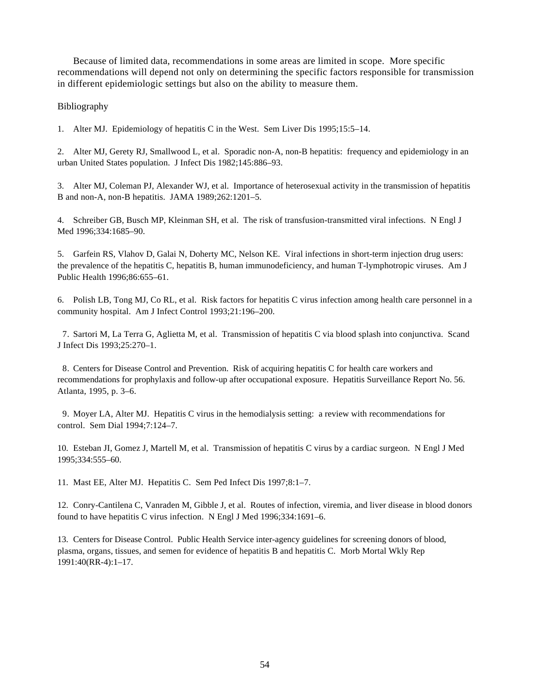Because of limited data, recommendations in some areas are limited in scope. More specific recommendations will depend not only on determining the specific factors responsible for transmission in different epidemiologic settings but also on the ability to measure them.

Bibliography

1. Alter MJ. Epidemiology of hepatitis C in the West. Sem Liver Dis 1995;15:5–14.

2. Alter MJ, Gerety RJ, Smallwood L, et al. Sporadic non-A, non-B hepatitis: frequency and epidemiology in an urban United States population. J Infect Dis 1982;145:886–93.

3. Alter MJ, Coleman PJ, Alexander WJ, et al. Importance of heterosexual activity in the transmission of hepatitis B and non-A, non-B hepatitis. JAMA 1989;262:1201–5.

4. Schreiber GB, Busch MP, Kleinman SH, et al. The risk of transfusion-transmitted viral infections. N Engl J Med 1996;334:1685–90.

5. Garfein RS, Vlahov D, Galai N, Doherty MC, Nelson KE. Viral infections in short-term injection drug users: the prevalence of the hepatitis C, hepatitis B, human immunodeficiency, and human T-lymphotropic viruses. Am J Public Health 1996;86:655–61.

6. Polish LB, Tong MJ, Co RL, et al. Risk factors for hepatitis C virus infection among health care personnel in a community hospital. Am J Infect Control 1993;21:196–200.

 7. Sartori M, La Terra G, Aglietta M, et al. Transmission of hepatitis C via blood splash into conjunctiva. Scand J Infect Dis 1993;25:270–1.

 8. Centers for Disease Control and Prevention. Risk of acquiring hepatitis C for health care workers and recommendations for prophylaxis and follow-up after occupational exposure. Hepatitis Surveillance Report No. 56. Atlanta, 1995, p. 3–6.

 9. Moyer LA, Alter MJ. Hepatitis C virus in the hemodialysis setting: a review with recommendations for control. Sem Dial 1994;7:124–7.

10. Esteban JI, Gomez J, Martell M, et al. Transmission of hepatitis C virus by a cardiac surgeon. N Engl J Med 1995;334:555–60.

11. Mast EE, Alter MJ. Hepatitis C. Sem Ped Infect Dis 1997;8:1–7.

12. Conry-Cantilena C, Vanraden M, Gibble J, et al. Routes of infection, viremia, and liver disease in blood donors found to have hepatitis C virus infection. N Engl J Med 1996;334:1691–6.

13. Centers for Disease Control. Public Health Service inter-agency guidelines for screening donors of blood, plasma, organs, tissues, and semen for evidence of hepatitis B and hepatitis C. Morb Mortal Wkly Rep 1991:40(RR-4):1–17.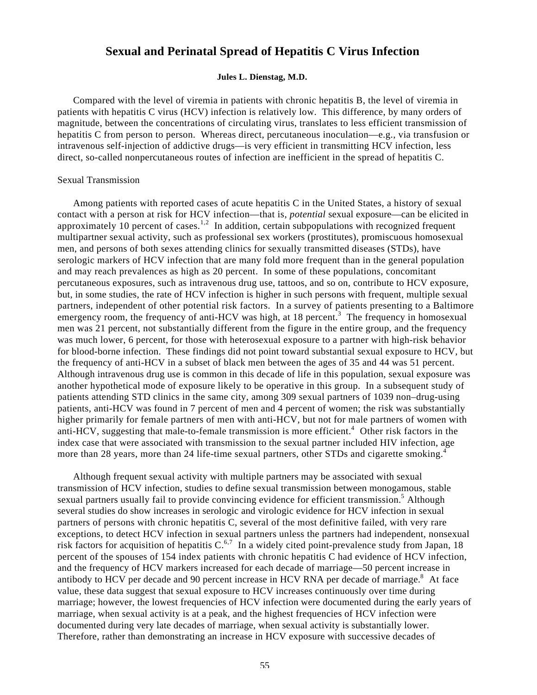## **Sexual and Perinatal Spread of Hepatitis C Virus Infection**

#### **Jules L. Dienstag, M.D.**

Compared with the level of viremia in patients with chronic hepatitis B, the level of viremia in patients with hepatitis C virus (HCV) infection is relatively low. This difference, by many orders of magnitude, between the concentrations of circulating virus, translates to less efficient transmission of hepatitis C from person to person. Whereas direct, percutaneous inoculation—e.g., via transfusion or intravenous self-injection of addictive drugs—is very efficient in transmitting HCV infection, less direct, so-called nonpercutaneous routes of infection are inefficient in the spread of hepatitis C.

#### Sexual Transmission

Among patients with reported cases of acute hepatitis C in the United States, a history of sexual contact with a person at risk for HCV infection—that is, *potential* sexual exposure—can be elicited in approximately 10 percent of cases.<sup>1,2</sup> In addition, certain subpopulations with recognized frequent multipartner sexual activity, such as professional sex workers (prostitutes), promiscuous homosexual men, and persons of both sexes attending clinics for sexually transmitted diseases (STDs), have serologic markers of HCV infection that are many fold more frequent than in the general population and may reach prevalences as high as 20 percent. In some of these populations, concomitant percutaneous exposures, such as intravenous drug use, tattoos, and so on, contribute to HCV exposure, but, in some studies, the rate of HCV infection is higher in such persons with frequent, multiple sexual partners, independent of other potential risk factors. In a survey of patients presenting to a Baltimore emergency room, the frequency of anti-HCV was high, at 18 percent.<sup>3</sup> The frequency in homosexual men was 21 percent, not substantially different from the figure in the entire group, and the frequency was much lower, 6 percent, for those with heterosexual exposure to a partner with high-risk behavior for blood-borne infection. These findings did not point toward substantial sexual exposure to HCV, but the frequency of anti-HCV in a subset of black men between the ages of 35 and 44 was 51 percent. Although intravenous drug use is common in this decade of life in this population, sexual exposure was another hypothetical mode of exposure likely to be operative in this group. In a subsequent study of patients attending STD clinics in the same city, among 309 sexual partners of 1039 non–drug-using patients, anti-HCV was found in 7 percent of men and 4 percent of women; the risk was substantially higher primarily for female partners of men with anti-HCV, but not for male partners of women with anti-HCV, suggesting that male-to-female transmission is more efficient.<sup>4</sup> Other risk factors in the index case that were associated with transmission to the sexual partner included HIV infection, age more than 28 years, more than 24 life-time sexual partners, other STDs and cigarette smoking.<sup>4</sup>

Although frequent sexual activity with multiple partners may be associated with sexual transmission of HCV infection, studies to define sexual transmission between monogamous, stable sexual partners usually fail to provide convincing evidence for efficient transmission.<sup>5</sup> Although several studies do show increases in serologic and virologic evidence for HCV infection in sexual partners of persons with chronic hepatitis C, several of the most definitive failed, with very rare exceptions, to detect HCV infection in sexual partners unless the partners had independent, nonsexual risk factors for acquisition of hepatitis  $C^{6,7}$ . In a widely cited point-prevalence study from Japan, 18 percent of the spouses of 154 index patients with chronic hepatitis C had evidence of HCV infection, and the frequency of HCV markers increased for each decade of marriage—50 percent increase in antibody to HCV per decade and 90 percent increase in HCV RNA per decade of marriage.<sup>8</sup> At face value, these data suggest that sexual exposure to HCV increases continuously over time during marriage; however, the lowest frequencies of HCV infection were documented during the early years of marriage, when sexual activity is at a peak, and the highest frequencies of HCV infection were documented during very late decades of marriage, when sexual activity is substantially lower. Therefore, rather than demonstrating an increase in HCV exposure with successive decades of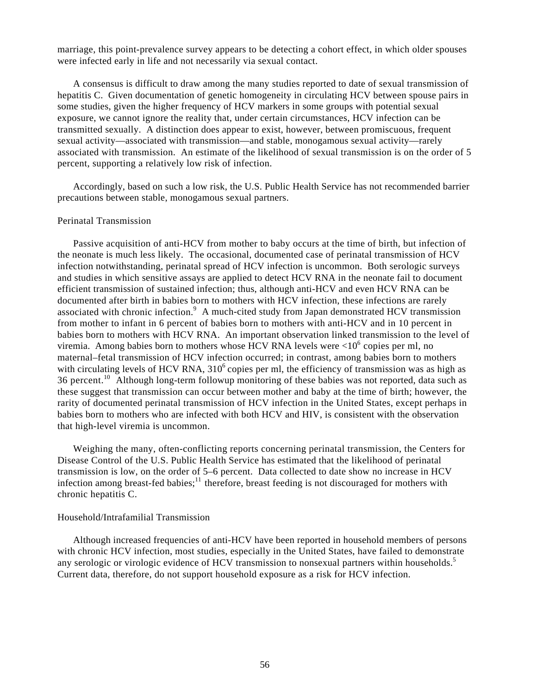marriage, this point-prevalence survey appears to be detecting a cohort effect, in which older spouses were infected early in life and not necessarily via sexual contact.

A consensus is difficult to draw among the many studies reported to date of sexual transmission of hepatitis C. Given documentation of genetic homogeneity in circulating HCV between spouse pairs in some studies, given the higher frequency of HCV markers in some groups with potential sexual exposure, we cannot ignore the reality that, under certain circumstances, HCV infection can be transmitted sexually. A distinction does appear to exist, however, between promiscuous, frequent sexual activity—associated with transmission—and stable, monogamous sexual activity—rarely associated with transmission. An estimate of the likelihood of sexual transmission is on the order of 5 percent, supporting a relatively low risk of infection.

Accordingly, based on such a low risk, the U.S. Public Health Service has not recommended barrier precautions between stable, monogamous sexual partners.

#### Perinatal Transmission

Passive acquisition of anti-HCV from mother to baby occurs at the time of birth, but infection of the neonate is much less likely. The occasional, documented case of perinatal transmission of HCV infection notwithstanding, perinatal spread of HCV infection is uncommon. Both serologic surveys and studies in which sensitive assays are applied to detect HCV RNA in the neonate fail to document efficient transmission of sustained infection; thus, although anti-HCV and even HCV RNA can be documented after birth in babies born to mothers with HCV infection, these infections are rarely associated with chronic infection.<sup>9</sup> A much-cited study from Japan demonstrated HCV transmission from mother to infant in 6 percent of babies born to mothers with anti-HCV and in 10 percent in babies born to mothers with HCV RNA. An important observation linked transmission to the level of viremia. Among babies born to mothers whose  $\overline{HCV}$  RNA levels were <10<sup>6</sup> copies per ml, no maternal–fetal transmission of HCV infection occurred; in contrast, among babies born to mothers with circulating levels of HCV RNA,  $310^6$  copies per ml, the efficiency of transmission was as high as 36 percent.<sup>10</sup> Although long-term followup monitoring of these babies was not reported, data such as these suggest that transmission can occur between mother and baby at the time of birth; however, the rarity of documented perinatal transmission of HCV infection in the United States, except perhaps in babies born to mothers who are infected with both HCV and HIV, is consistent with the observation that high-level viremia is uncommon.

Weighing the many, often-conflicting reports concerning perinatal transmission, the Centers for Disease Control of the U.S. Public Health Service has estimated that the likelihood of perinatal transmission is low, on the order of 5–6 percent. Data collected to date show no increase in HCV infection among breast-fed babies;<sup>11</sup> therefore, breast feeding is not discouraged for mothers with chronic hepatitis C.

#### Household/Intrafamilial Transmission

Although increased frequencies of anti-HCV have been reported in household members of persons with chronic HCV infection, most studies, especially in the United States, have failed to demonstrate any serologic or virologic evidence of HCV transmission to nonsexual partners within households.<sup>5</sup> Current data, therefore, do not support household exposure as a risk for HCV infection.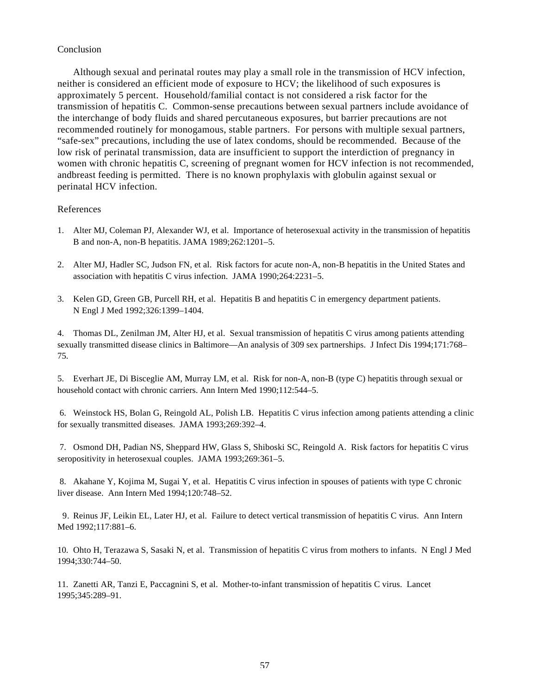#### Conclusion

Although sexual and perinatal routes may play a small role in the transmission of HCV infection, neither is considered an efficient mode of exposure to HCV; the likelihood of such exposures is approximately 5 percent. Household/familial contact is not considered a risk factor for the transmission of hepatitis C. Common-sense precautions between sexual partners include avoidance of the interchange of body fluids and shared percutaneous exposures, but barrier precautions are not recommended routinely for monogamous, stable partners. For persons with multiple sexual partners, "safe-sex" precautions, including the use of latex condoms, should be recommended. Because of the low risk of perinatal transmission, data are insufficient to support the interdiction of pregnancy in women with chronic hepatitis C, screening of pregnant women for HCV infection is not recommended, andbreast feeding is permitted. There is no known prophylaxis with globulin against sexual or perinatal HCV infection.

#### References

- 1. Alter MJ, Coleman PJ, Alexander WJ, et al. Importance of heterosexual activity in the transmission of hepatitis B and non-A, non-B hepatitis. JAMA 1989;262:1201–5.
- 2. Alter MJ, Hadler SC, Judson FN, et al. Risk factors for acute non-A, non-B hepatitis in the United States and association with hepatitis C virus infection. JAMA 1990;264:2231–5.
- 3. Kelen GD, Green GB, Purcell RH, et al. Hepatitis B and hepatitis C in emergency department patients. N Engl J Med 1992;326:1399–1404.

4. Thomas DL, Zenilman JM, Alter HJ, et al. Sexual transmission of hepatitis C virus among patients attending sexually transmitted disease clinics in Baltimore—An analysis of 309 sex partnerships. J Infect Dis 1994;171:768– 75.

5. Everhart JE, Di Bisceglie AM, Murray LM, et al. Risk for non-A, non-B (type C) hepatitis through sexual or household contact with chronic carriers. Ann Intern Med 1990;112:544–5.

 6. Weinstock HS, Bolan G, Reingold AL, Polish LB. Hepatitis C virus infection among patients attending a clinic for sexually transmitted diseases. JAMA 1993;269:392–4.

 7. Osmond DH, Padian NS, Sheppard HW, Glass S, Shiboski SC, Reingold A. Risk factors for hepatitis C virus seropositivity in heterosexual couples. JAMA 1993;269:361–5.

 8. Akahane Y, Kojima M, Sugai Y, et al. Hepatitis C virus infection in spouses of patients with type C chronic liver disease. Ann Intern Med 1994;120:748–52.

 9. Reinus JF, Leikin EL, Later HJ, et al. Failure to detect vertical transmission of hepatitis C virus. Ann Intern Med 1992;117:881–6.

10. Ohto H, Terazawa S, Sasaki N, et al. Transmission of hepatitis C virus from mothers to infants. N Engl J Med 1994;330:744–50.

11. Zanetti AR, Tanzi E, Paccagnini S, et al. Mother-to-infant transmission of hepatitis C virus. Lancet 1995;345:289–91.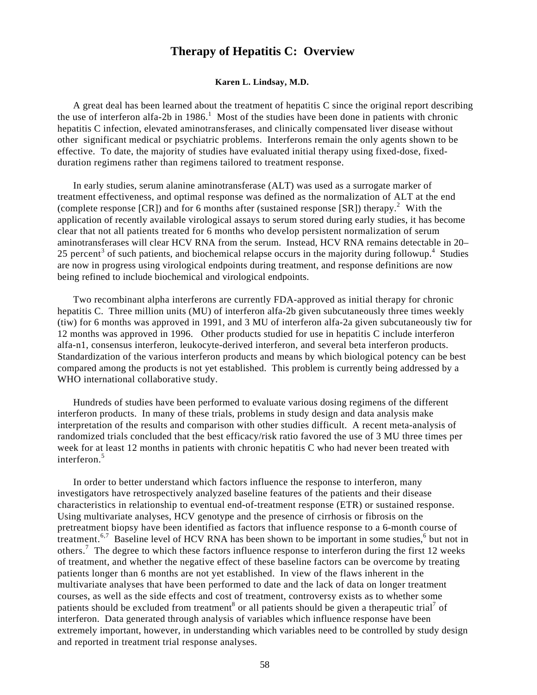## **Therapy of Hepatitis C: Overview**

#### **Karen L. Lindsay, M.D.**

A great deal has been learned about the treatment of hepatitis C since the original report describing the use of interferon alfa-2b in  $1986<sup>1</sup>$  Most of the studies have been done in patients with chronic hepatitis C infection, elevated aminotransferases, and clinically compensated liver disease without other significant medical or psychiatric problems. Interferons remain the only agents shown to be effective. To date, the majority of studies have evaluated initial therapy using fixed-dose, fixedduration regimens rather than regimens tailored to treatment response.

In early studies, serum alanine aminotransferase (ALT) was used as a surrogate marker of treatment effectiveness, and optimal response was defined as the normalization of ALT at the end (complete response  $[CR]$ ) and for 6 months after (sustained response  $[SR]$ ) therapy.<sup>2</sup> With the application of recently available virological assays to serum stored during early studies, it has become clear that not all patients treated for 6 months who develop persistent normalization of serum aminotransferases will clear HCV RNA from the serum. Instead, HCV RNA remains detectable in 20– 25 percent<sup>3</sup> of such patients, and biochemical relapse occurs in the majority during followup.<sup>4</sup> Studies are now in progress using virological endpoints during treatment, and response definitions are now being refined to include biochemical and virological endpoints.

Two recombinant alpha interferons are currently FDA-approved as initial therapy for chronic hepatitis C. Three million units (MU) of interferon alfa-2b given subcutaneously three times weekly (tiw) for 6 months was approved in 1991, and 3 MU of interferon alfa-2a given subcutaneously tiw for 12 months was approved in 1996. Other products studied for use in hepatitis C include interferon alfa-n1, consensus interferon, leukocyte-derived interferon, and several beta interferon products. Standardization of the various interferon products and means by which biological potency can be best compared among the products is not yet established. This problem is currently being addressed by a WHO international collaborative study.

Hundreds of studies have been performed to evaluate various dosing regimens of the different interferon products. In many of these trials, problems in study design and data analysis make interpretation of the results and comparison with other studies difficult. A recent meta-analysis of randomized trials concluded that the best efficacy/risk ratio favored the use of 3 MU three times per week for at least 12 months in patients with chronic hepatitis C who had never been treated with interferon.<sup>5</sup>

In order to better understand which factors influence the response to interferon, many investigators have retrospectively analyzed baseline features of the patients and their disease characteristics in relationship to eventual end-of-treatment response (ETR) or sustained response. Using multivariate analyses, HCV genotype and the presence of cirrhosis or fibrosis on the pretreatment biopsy have been identified as factors that influence response to a 6-month course of treatment.<sup>6,7</sup> Baseline level of HCV RNA has been shown to be important in some studies,<sup>6</sup> but not in others.<sup>7</sup> The degree to which these factors influence response to interferon during the first 12 weeks of treatment, and whether the negative effect of these baseline factors can be overcome by treating patients longer than 6 months are not yet established. In view of the flaws inherent in the multivariate analyses that have been performed to date and the lack of data on longer treatment courses, as well as the side effects and cost of treatment, controversy exists as to whether some patients should be excluded from treatment<sup>8</sup> or all patients should be given a therapeutic trial<sup>7</sup> of interferon. Data generated through analysis of variables which influence response have been extremely important, however, in understanding which variables need to be controlled by study design and reported in treatment trial response analyses.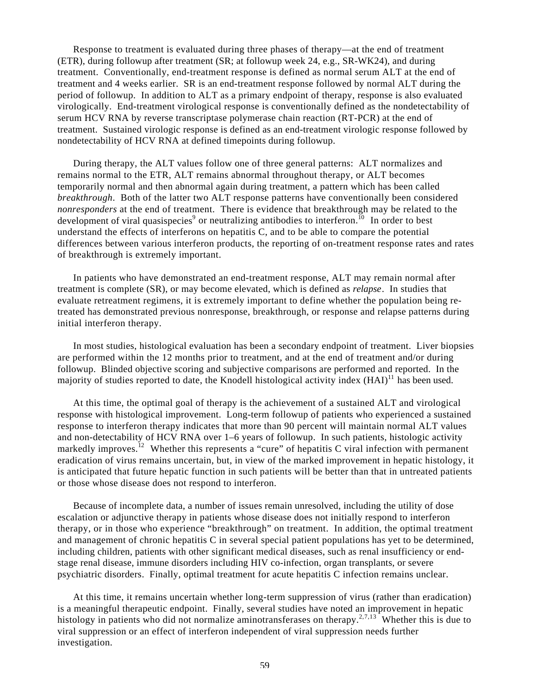Response to treatment is evaluated during three phases of therapy—at the end of treatment (ETR), during followup after treatment (SR; at followup week 24, e.g., SR-WK24), and during treatment. Conventionally, end-treatment response is defined as normal serum ALT at the end of treatment and 4 weeks earlier. SR is an end-treatment response followed by normal ALT during the period of followup. In addition to ALT as a primary endpoint of therapy, response is also evaluated virologically. End-treatment virological response is conventionally defined as the nondetectability of serum HCV RNA by reverse transcriptase polymerase chain reaction (RT-PCR) at the end of treatment. Sustained virologic response is defined as an end-treatment virologic response followed by nondetectability of HCV RNA at defined timepoints during followup.

During therapy, the ALT values follow one of three general patterns: ALT normalizes and remains normal to the ETR, ALT remains abnormal throughout therapy, or ALT becomes temporarily normal and then abnormal again during treatment, a pattern which has been called *breakthrough*. Both of the latter two ALT response patterns have conventionally been considered *nonresponders* at the end of treatment. There is evidence that breakthrough may be related to the development of viral quasispecies<sup>9</sup> or neutralizing antibodies to interferon.<sup>10</sup> In order to best understand the effects of interferons on hepatitis C, and to be able to compare the potential differences between various interferon products, the reporting of on-treatment response rates and rates of breakthrough is extremely important.

In patients who have demonstrated an end-treatment response, ALT may remain normal after treatment is complete (SR), or may become elevated, which is defined as *relapse*. In studies that evaluate retreatment regimens, it is extremely important to define whether the population being retreated has demonstrated previous nonresponse, breakthrough, or response and relapse patterns during initial interferon therapy.

In most studies, histological evaluation has been a secondary endpoint of treatment. Liver biopsies are performed within the 12 months prior to treatment, and at the end of treatment and/or during followup. Blinded objective scoring and subjective comparisons are performed and reported. In the majority of studies reported to date, the Knodell histological activity index  $(HAI)^{11}$  has been used.

At this time, the optimal goal of therapy is the achievement of a sustained ALT and virological response with histological improvement. Long-term followup of patients who experienced a sustained response to interferon therapy indicates that more than 90 percent will maintain normal ALT values and non-detectability of HCV RNA over 1–6 years of followup. In such patients, histologic activity markedly improves.<sup>12</sup> Whether this represents a "cure" of hepatitis C viral infection with permanent eradication of virus remains uncertain, but, in view of the marked improvement in hepatic histology, it is anticipated that future hepatic function in such patients will be better than that in untreated patients or those whose disease does not respond to interferon.

Because of incomplete data, a number of issues remain unresolved, including the utility of dose escalation or adjunctive therapy in patients whose disease does not initially respond to interferon therapy, or in those who experience "breakthrough" on treatment. In addition, the optimal treatment and management of chronic hepatitis C in several special patient populations has yet to be determined, including children, patients with other significant medical diseases, such as renal insufficiency or endstage renal disease, immune disorders including HIV co-infection, organ transplants, or severe psychiatric disorders. Finally, optimal treatment for acute hepatitis C infection remains unclear.

At this time, it remains uncertain whether long-term suppression of virus (rather than eradication) is a meaningful therapeutic endpoint. Finally, several studies have noted an improvement in hepatic histology in patients who did not normalize aminotransferases on therapy.<sup>2,7,13</sup> Whether this is due to viral suppression or an effect of interferon independent of viral suppression needs further investigation.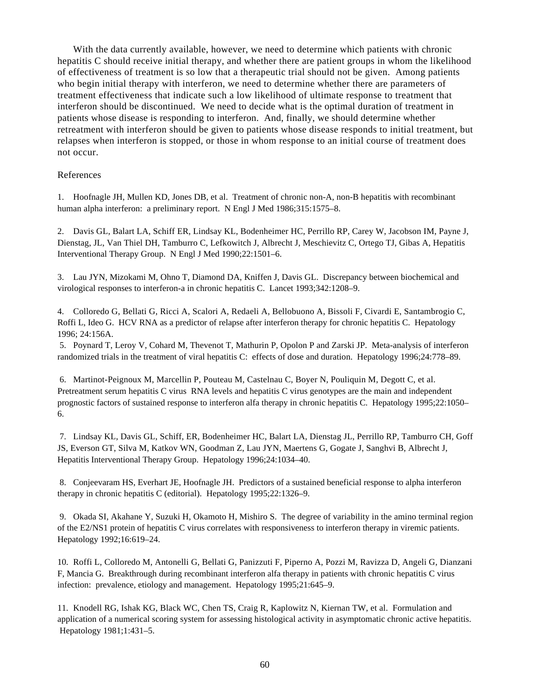With the data currently available, however, we need to determine which patients with chronic hepatitis C should receive initial therapy, and whether there are patient groups in whom the likelihood of effectiveness of treatment is so low that a therapeutic trial should not be given. Among patients who begin initial therapy with interferon, we need to determine whether there are parameters of treatment effectiveness that indicate such a low likelihood of ultimate response to treatment that interferon should be discontinued. We need to decide what is the optimal duration of treatment in patients whose disease is responding to interferon. And, finally, we should determine whether retreatment with interferon should be given to patients whose disease responds to initial treatment, but relapses when interferon is stopped, or those in whom response to an initial course of treatment does not occur.

#### References

1. Hoofnagle JH, Mullen KD, Jones DB, et al. Treatment of chronic non-A, non-B hepatitis with recombinant human alpha interferon: a preliminary report. N Engl J Med 1986;315:1575–8.

2. Davis GL, Balart LA, Schiff ER, Lindsay KL, Bodenheimer HC, Perrillo RP, Carey W, Jacobson IM, Payne J, Dienstag, JL, Van Thiel DH, Tamburro C, Lefkowitch J, Albrecht J, Meschievitz C, Ortego TJ, Gibas A, Hepatitis Interventional Therapy Group. N Engl J Med 1990;22:1501–6.

3. Lau JYN, Mizokami M, Ohno T, Diamond DA, Kniffen J, Davis GL. Discrepancy between biochemical and virological responses to interferon-a in chronic hepatitis C. Lancet 1993;342:1208–9.

4. Colloredo G, Bellati G, Ricci A, Scalori A, Redaeli A, Bellobuono A, Bissoli F, Civardi E, Santambrogio C, Roffi L, Ideo G. HCV RNA as a predictor of relapse after interferon therapy for chronic hepatitis C. Hepatology 1996; 24:156A.

 5. Poynard T, Leroy V, Cohard M, Thevenot T, Mathurin P, Opolon P and Zarski JP. Meta-analysis of interferon randomized trials in the treatment of viral hepatitis C: effects of dose and duration. Hepatology 1996;24:778–89.

 6. Martinot-Peignoux M, Marcellin P, Pouteau M, Castelnau C, Boyer N, Pouliquin M, Degott C, et al. Pretreatment serum hepatitis C virus RNA levels and hepatitis C virus genotypes are the main and independent prognostic factors of sustained response to interferon alfa therapy in chronic hepatitis C. Hepatology 1995;22:1050– 6.

 7. Lindsay KL, Davis GL, Schiff, ER, Bodenheimer HC, Balart LA, Dienstag JL, Perrillo RP, Tamburro CH, Goff JS, Everson GT, Silva M, Katkov WN, Goodman Z, Lau JYN, Maertens G, Gogate J, Sanghvi B, Albrecht J, Hepatitis Interventional Therapy Group. Hepatology 1996;24:1034–40.

 8. Conjeevaram HS, Everhart JE, Hoofnagle JH. Predictors of a sustained beneficial response to alpha interferon therapy in chronic hepatitis C (editorial). Hepatology 1995;22:1326–9.

 9. Okada SI, Akahane Y, Suzuki H, Okamoto H, Mishiro S. The degree of variability in the amino terminal region of the E2/NS1 protein of hepatitis C virus correlates with responsiveness to interferon therapy in viremic patients. Hepatology 1992;16:619–24.

10. Roffi L, Colloredo M, Antonelli G, Bellati G, Panizzuti F, Piperno A, Pozzi M, Ravizza D, Angeli G, Dianzani F, Mancia G. Breakthrough during recombinant interferon alfa therapy in patients with chronic hepatitis C virus infection: prevalence, etiology and management. Hepatology 1995;21:645–9.

11. Knodell RG, Ishak KG, Black WC, Chen TS, Craig R, Kaplowitz N, Kiernan TW, et al. Formulation and application of a numerical scoring system for assessing histological activity in asymptomatic chronic active hepatitis. Hepatology 1981;1:431–5.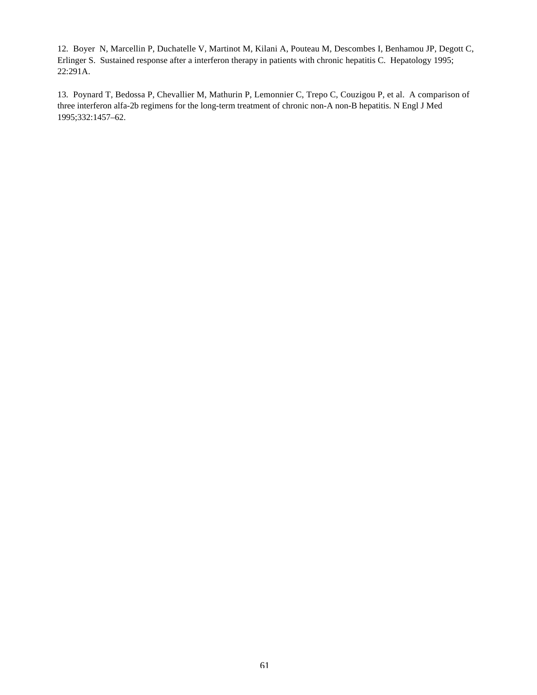12. Boyer N, Marcellin P, Duchatelle V, Martinot M, Kilani A, Pouteau M, Descombes I, Benhamou JP, Degott C, Erlinger S. Sustained response after a interferon therapy in patients with chronic hepatitis C. Hepatology 1995; 22:291A.

13. Poynard T, Bedossa P, Chevallier M, Mathurin P, Lemonnier C, Trepo C, Couzigou P, et al. A comparison of three interferon alfa-2b regimens for the long-term treatment of chronic non-A non-B hepatitis. N Engl J Med 1995;332:1457–62.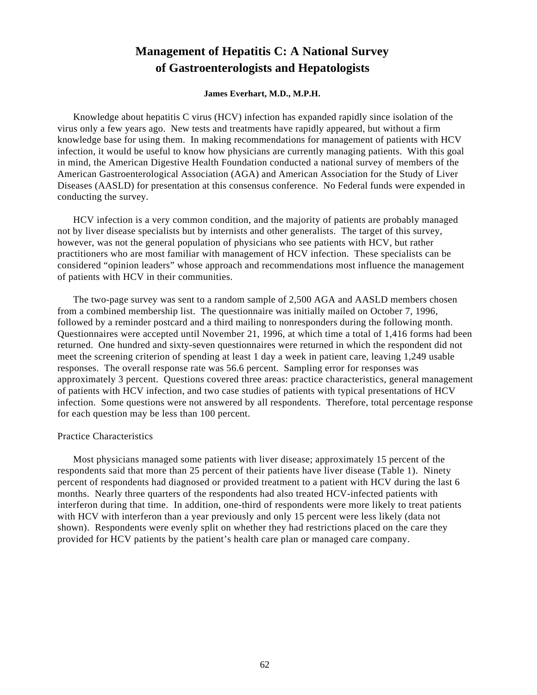# **Management of Hepatitis C: A National Survey of Gastroenterologists and Hepatologists**

#### **James Everhart, M.D., M.P.H.**

Knowledge about hepatitis C virus (HCV) infection has expanded rapidly since isolation of the virus only a few years ago. New tests and treatments have rapidly appeared, but without a firm knowledge base for using them. In making recommendations for management of patients with HCV infection, it would be useful to know how physicians are currently managing patients. With this goal in mind, the American Digestive Health Foundation conducted a national survey of members of the American Gastroenterological Association (AGA) and American Association for the Study of Liver Diseases (AASLD) for presentation at this consensus conference. No Federal funds were expended in conducting the survey.

HCV infection is a very common condition, and the majority of patients are probably managed not by liver disease specialists but by internists and other generalists. The target of this survey, however, was not the general population of physicians who see patients with HCV, but rather practitioners who are most familiar with management of HCV infection. These specialists can be considered "opinion leaders" whose approach and recommendations most influence the management of patients with HCV in their communities.

The two-page survey was sent to a random sample of 2,500 AGA and AASLD members chosen from a combined membership list. The questionnaire was initially mailed on October 7, 1996, followed by a reminder postcard and a third mailing to nonresponders during the following month. Questionnaires were accepted until November 21, 1996, at which time a total of 1,416 forms had been returned. One hundred and sixty-seven questionnaires were returned in which the respondent did not meet the screening criterion of spending at least 1 day a week in patient care, leaving 1,249 usable responses. The overall response rate was 56.6 percent. Sampling error for responses was approximately 3 percent. Questions covered three areas: practice characteristics, general management of patients with HCV infection, and two case studies of patients with typical presentations of HCV infection. Some questions were not answered by all respondents. Therefore, total percentage response for each question may be less than 100 percent.

#### Practice Characteristics

Most physicians managed some patients with liver disease; approximately 15 percent of the respondents said that more than 25 percent of their patients have liver disease (Table 1). Ninety percent of respondents had diagnosed or provided treatment to a patient with HCV during the last 6 months. Nearly three quarters of the respondents had also treated HCV-infected patients with interferon during that time. In addition, one-third of respondents were more likely to treat patients with HCV with interferon than a year previously and only 15 percent were less likely (data not shown). Respondents were evenly split on whether they had restrictions placed on the care they provided for HCV patients by the patient's health care plan or managed care company.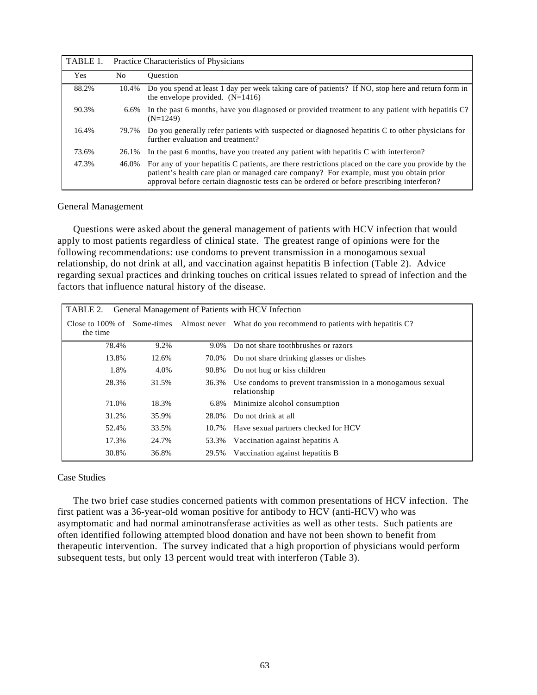| TABLE 1.   | Practice Characteristics of Physicians |                                                                                                                                                                                                                                                                                           |  |  |
|------------|----------------------------------------|-------------------------------------------------------------------------------------------------------------------------------------------------------------------------------------------------------------------------------------------------------------------------------------------|--|--|
| <b>Yes</b> | No.                                    | <b>Ouestion</b>                                                                                                                                                                                                                                                                           |  |  |
| 88.2%      | 10.4%                                  | Do you spend at least 1 day per week taking care of patients? If NO, stop here and return form in<br>the envelope provided. $(N=1416)$                                                                                                                                                    |  |  |
| 90.3%      | 6.6%                                   | In the past 6 months, have you diagnosed or provided treatment to any patient with hepatitis C?<br>$(N=1249)$                                                                                                                                                                             |  |  |
| 16.4%      | 79.7%                                  | Do you generally refer patients with suspected or diagnosed hepatitis C to other physicians for<br>further evaluation and treatment?                                                                                                                                                      |  |  |
| 73.6%      | 26.1%                                  | In the past 6 months, have you treated any patient with hepatitis C with interferon?                                                                                                                                                                                                      |  |  |
| 47.3%      | 46.0%                                  | For any of your hepatitis C patients, are there restrictions placed on the care you provide by the<br>patient's health care plan or managed care company? For example, must you obtain prior<br>approval before certain diagnostic tests can be ordered or before prescribing interferon? |  |  |

#### General Management

Questions were asked about the general management of patients with HCV infection that would apply to most patients regardless of clinical state. The greatest range of opinions were for the following recommendations: use condoms to prevent transmission in a monogamous sexual relationship, do not drink at all, and vaccination against hepatitis B infection (Table 2). Advice regarding sexual practices and drinking touches on critical issues related to spread of infection and the factors that influence natural history of the disease.

| General Management of Patients with HCV Infection<br>TABLE 2. |         |         |                                                                            |  |
|---------------------------------------------------------------|---------|---------|----------------------------------------------------------------------------|--|
| Close to 100% of Some-times Almost never<br>the time          |         |         | What do you recommend to patients with hepatitis C?                        |  |
| 78.4%                                                         | $9.2\%$ | $9.0\%$ | Do not share toothbrushes or razors                                        |  |
| 13.8%                                                         | 12.6%   | 70.0%   | Do not share drinking glasses or dishes                                    |  |
| 1.8%                                                          | 4.0%    | 90.8%   | Do not hug or kiss children                                                |  |
| 28.3%                                                         | 31.5%   | 36.3%   | Use condoms to prevent transmission in a monogamous sexual<br>relationship |  |
| 71.0%                                                         | 18.3%   | 6.8%    | Minimize alcohol consumption                                               |  |
| 31.2%                                                         | 35.9%   | 28.0%   | Do not drink at all                                                        |  |
| 52.4%                                                         | 33.5%   | 10.7%   | Have sexual partners checked for HCV                                       |  |
| 17.3%                                                         | 24.7%   | 53.3%   | Vaccination against hepatitis A                                            |  |
| 30.8%                                                         | 36.8%   | 29.5%   | Vaccination against hepatitis B                                            |  |

#### Case Studies

The two brief case studies concerned patients with common presentations of HCV infection. The first patient was a 36-year-old woman positive for antibody to HCV (anti-HCV) who was asymptomatic and had normal aminotransferase activities as well as other tests. Such patients are often identified following attempted blood donation and have not been shown to benefit from therapeutic intervention. The survey indicated that a high proportion of physicians would perform subsequent tests, but only 13 percent would treat with interferon (Table 3).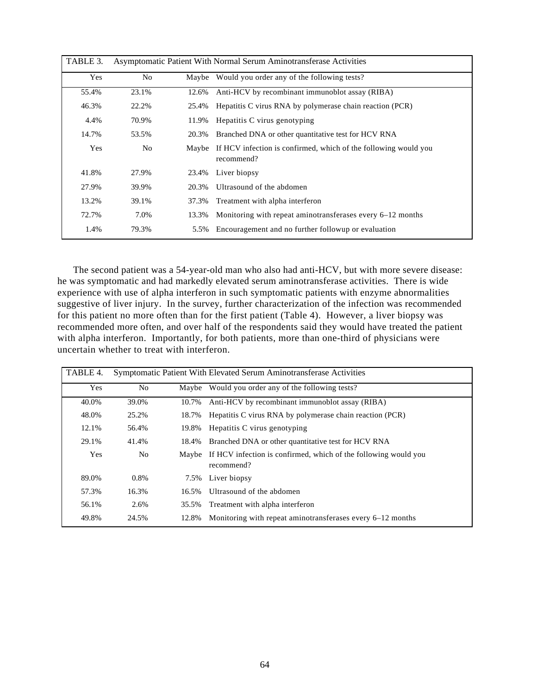| TABLE 3. | Asymptomatic Patient With Normal Serum Aminotransferase Activities |       |                                                                               |  |
|----------|--------------------------------------------------------------------|-------|-------------------------------------------------------------------------------|--|
| Yes      | N <sub>o</sub>                                                     |       | Maybe Would you order any of the following tests?                             |  |
| 55.4%    | 23.1%                                                              | 12.6% | Anti-HCV by recombinant immunoblot assay (RIBA)                               |  |
| 46.3%    | 22.2%                                                              | 25.4% | Hepatitis C virus RNA by polymerase chain reaction (PCR)                      |  |
| 4.4%     | 70.9%                                                              | 11.9% | Hepatitis C virus genotyping                                                  |  |
| 14.7%    | 53.5%                                                              | 20.3% | Branched DNA or other quantitative test for HCV RNA                           |  |
| Yes      | N <sub>0</sub>                                                     | Maybe | If HCV infection is confirmed, which of the following would you<br>recommend? |  |
| 41.8%    | 27.9%                                                              | 23.4% | Liver biopsy                                                                  |  |
| 27.9%    | 39.9%                                                              | 20.3% | Ultrasound of the abdomen                                                     |  |
| 13.2%    | 39.1%                                                              | 37.3% | Treatment with alpha interferon                                               |  |
| 72.7%    | 7.0%                                                               | 13.3% | Monitoring with repeat aminotransferases every $6-12$ months                  |  |
| 1.4%     | 79.3%                                                              | 5.5%  | Encouragement and no further followup or evaluation                           |  |

The second patient was a 54-year-old man who also had anti-HCV, but with more severe disease: he was symptomatic and had markedly elevated serum aminotransferase activities. There is wide experience with use of alpha interferon in such symptomatic patients with enzyme abnormalities suggestive of liver injury. In the survey, further characterization of the infection was recommended for this patient no more often than for the first patient (Table 4). However, a liver biopsy was recommended more often, and over half of the respondents said they would have treated the patient with alpha interferon. Importantly, for both patients, more than one-third of physicians were uncertain whether to treat with interferon.

| TABLE 4. | Symptomatic Patient With Elevated Serum Aminotransferase Activities |       |                                                                                     |  |
|----------|---------------------------------------------------------------------|-------|-------------------------------------------------------------------------------------|--|
| Yes      | No.                                                                 | Maybe | Would you order any of the following tests?                                         |  |
| 40.0%    | 39.0%                                                               | 10.7% | Anti-HCV by recombinant immunoblot assay (RIBA)                                     |  |
| 48.0%    | 25.2%                                                               | 18.7% | Hepatitis C virus RNA by polymerase chain reaction (PCR)                            |  |
| 12.1%    | 56.4%                                                               | 19.8% | Hepatitis C virus genotyping                                                        |  |
| 29.1%    | 41.4%                                                               | 18.4% | Branched DNA or other quantitative test for HCV RNA                                 |  |
| Yes      | No.                                                                 |       | Maybe If HCV infection is confirmed, which of the following would you<br>recommend? |  |
| 89.0%    | 0.8%                                                                | 7.5%  | Liver biopsy                                                                        |  |
| 57.3%    | 16.3%                                                               | 16.5% | Ultrasound of the abdomen                                                           |  |
| 56.1%    | 2.6%                                                                | 35.5% | Treatment with alpha interferon                                                     |  |
| 49.8%    | 24.5%                                                               | 12.8% | Monitoring with repeat aminotransferases every 6–12 months                          |  |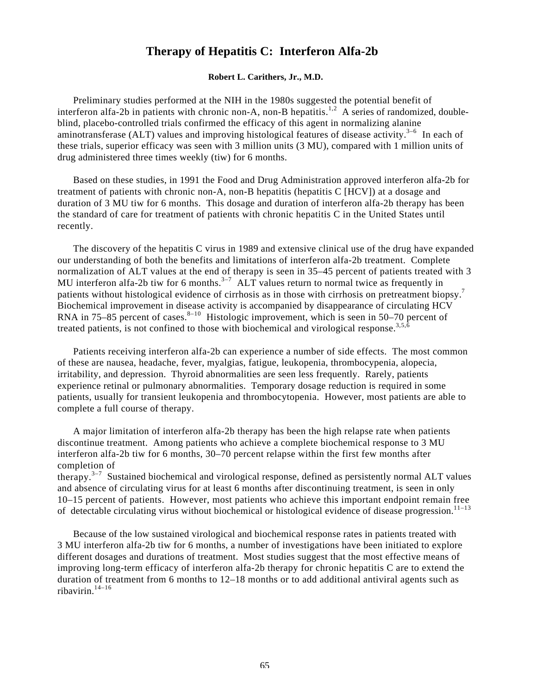### **Therapy of Hepatitis C: Interferon Alfa-2b**

#### **Robert L. Carithers, Jr., M.D.**

Preliminary studies performed at the NIH in the 1980s suggested the potential benefit of interferon alfa-2b in patients with chronic non-A, non-B hepatitis.<sup>1,2</sup> A series of randomized, doubleblind, placebo-controlled trials confirmed the efficacy of this agent in normalizing alanine aminotransferase (ALT) values and improving histological features of disease activity.<sup>3–6</sup> In each of these trials, superior efficacy was seen with 3 million units (3 MU), compared with 1 million units of drug administered three times weekly (tiw) for 6 months.

Based on these studies, in 1991 the Food and Drug Administration approved interferon alfa-2b for treatment of patients with chronic non-A, non-B hepatitis (hepatitis C [HCV]) at a dosage and duration of 3 MU tiw for 6 months. This dosage and duration of interferon alfa-2b therapy has been the standard of care for treatment of patients with chronic hepatitis C in the United States until recently.

The discovery of the hepatitis C virus in 1989 and extensive clinical use of the drug have expanded our understanding of both the benefits and limitations of interferon alfa-2b treatment. Complete normalization of ALT values at the end of therapy is seen in 35–45 percent of patients treated with 3 MU interferon alfa-2b tiw for 6 months.<sup>3-7</sup> ALT values return to normal twice as frequently in patients without histological evidence of cirrhosis as in those with cirrhosis on pretreatment biopsy.<sup>7</sup> Biochemical improvement in disease activity is accompanied by disappearance of circulating HCV RNA in 75–85 percent of cases.<sup>8–10</sup> Histologic improvement, which is seen in 50–70 percent of treated patients, is not confined to those with biochemical and virological response.<sup>3,5,6</sup>

Patients receiving interferon alfa-2b can experience a number of side effects. The most common of these are nausea, headache, fever, myalgias, fatigue, leukopenia, thrombocypenia, alopecia, irritability, and depression. Thyroid abnormalities are seen less frequently. Rarely, patients experience retinal or pulmonary abnormalities. Temporary dosage reduction is required in some patients, usually for transient leukopenia and thrombocytopenia. However, most patients are able to complete a full course of therapy.

A major limitation of interferon alfa-2b therapy has been the high relapse rate when patients discontinue treatment. Among patients who achieve a complete biochemical response to 3 MU interferon alfa-2b tiw for 6 months, 30–70 percent relapse within the first few months after completion of

therapy.<sup>3–7</sup> Sustained biochemical and virological response, defined as persistently normal ALT values and absence of circulating virus for at least 6 months after discontinuing treatment, is seen in only 10–15 percent of patients. However, most patients who achieve this important endpoint remain free of detectable circulating virus without biochemical or histological evidence of disease progression.<sup>11–13</sup>

Because of the low sustained virological and biochemical response rates in patients treated with 3 MU interferon alfa-2b tiw for 6 months, a number of investigations have been initiated to explore different dosages and durations of treatment. Most studies suggest that the most effective means of improving long-term efficacy of interferon alfa-2b therapy for chronic hepatitis C are to extend the duration of treatment from 6 months to 12–18 months or to add additional antiviral agents such as ribavirin.14–16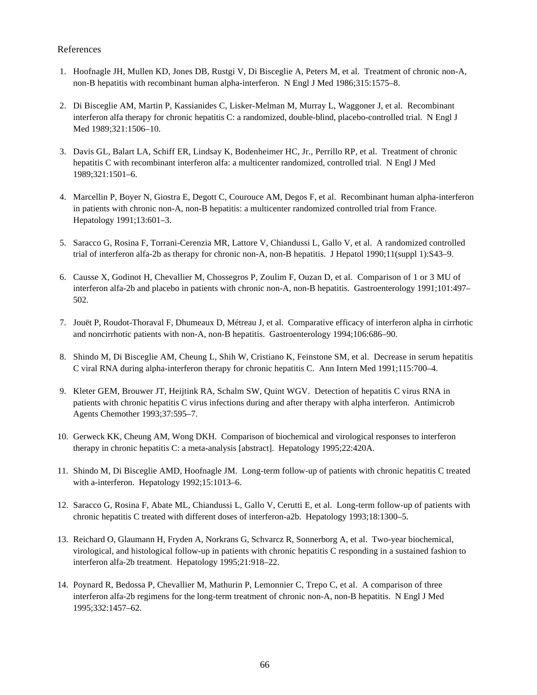#### References

- 1. Hoofnagle JH, Mullen KD, Jones DB, Rustgi V, Di Bisceglie A, Peters M, et al. Treatment of chronic non-A, non-B hepatitis with recombinant human alpha-interferon. N Engl J Med 1986;315:1575–8.
- 2. Di Bisceglie AM, Martin P, Kassianides C, Lisker-Melman M, Murray L, Waggoner J, et al. Recombinant interferon alfa therapy for chronic hepatitis C: a randomized, double-blind, placebo-controlled trial. N Engl J Med 1989;321:1506–10.
- 3. Davis GL, Balart LA, Schiff ER, Lindsay K, Bodenheimer HC, Jr., Perrillo RP, et al. Treatment of chronic hepatitis C with recombinant interferon alfa: a multicenter randomized, controlled trial. N Engl J Med 1989;321:1501–6.
- 4. Marcellin P, Boyer N, Giostra E, Degott C, Courouce AM, Degos F, et al. Recombinant human alpha-interferon in patients with chronic non-A, non-B hepatitis: a multicenter randomized controlled trial from France. Hepatology 1991;13:601–3.
- 5. Saracco G, Rosina F, Torrani-Cerenzia MR, Lattore V, Chiandussi L, Gallo V, et al. A randomized controlled trial of interferon alfa-2b as therapy for chronic non-A, non-B hepatitis. J Hepatol 1990;11(suppl 1):S43–9.
- 6. Causse X, Godinot H, Chevallier M, Chossegros P, Zoulim F, Ouzan D, et al. Comparison of 1 or 3 MU of interferon alfa-2b and placebo in patients with chronic non-A, non-B hepatitis. Gastroenterology 1991;101:497– 502.
- 7. Jouët P, Roudot-Thoraval F, Dhumeaux D, Métreau J, et al. Comparative efficacy of interferon alpha in cirrhotic and noncirrhotic patients with non-A, non-B hepatitis. Gastroenterology 1994;106:686–90.
- 8. Shindo M, Di Bisceglie AM, Cheung L, Shih W, Cristiano K, Feinstone SM, et al. Decrease in serum hepatitis C viral RNA during alpha-interferon therapy for chronic hepatitis C. Ann Intern Med 1991;115:700–4.
- 9. Kleter GEM, Brouwer JT, Heijtink RA, Schalm SW, Quint WGV. Detection of hepatitis C virus RNA in patients with chronic hepatitis C virus infections during and after therapy with alpha interferon. Antimicrob Agents Chemother 1993;37:595–7.
- 10. Gerweck KK, Cheung AM, Wong DKH. Comparison of biochemical and virological responses to interferon therapy in chronic hepatitis C: a meta-analysis [abstract]. Hepatology 1995;22:420A.
- 11. Shindo M, Di Bisceglie AMD, Hoofnagle JM. Long-term follow-up of patients with chronic hepatitis C treated with a-interferon. Hepatology 1992;15:1013–6.
- 12. Saracco G, Rosina F, Abate ML, Chiandussi L, Gallo V, Cerutti E, et al. Long-term follow-up of patients with chronic hepatitis C treated with different doses of interferon-a2b. Hepatology 1993;18:1300–5.
- 13. Reichard O, Glaumann H, Fryden A, Norkrans G, Schvarcz R, Sonnerborg A, et al. Two-year biochemical, virological, and histological follow-up in patients with chronic hepatitis C responding in a sustained fashion to interferon alfa-2b treatment. Hepatology 1995;21:918–22.
- 14. Poynard R, Bedossa P, Chevallier M, Mathurin P, Lemonnier C, Trepo C, et al. A comparison of three interferon alfa-2b regimens for the long-term treatment of chronic non-A, non-B hepatitis. N Engl J Med 1995;332:1457–62.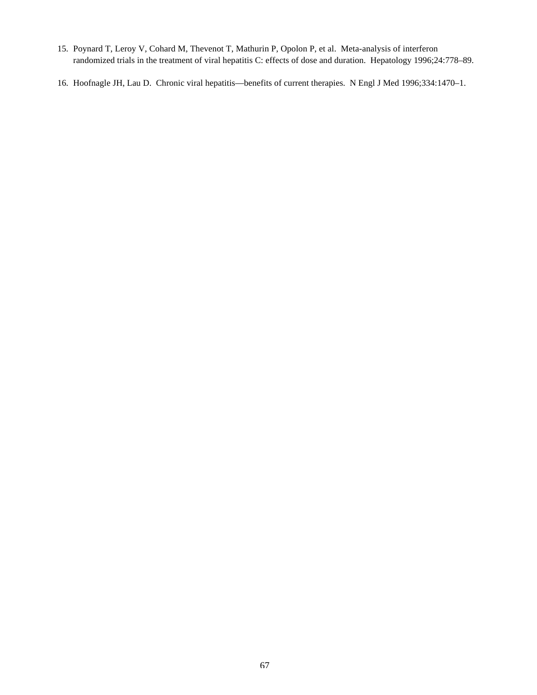- 15. Poynard T, Leroy V, Cohard M, Thevenot T, Mathurin P, Opolon P, et al. Meta-analysis of interferon randomized trials in the treatment of viral hepatitis C: effects of dose and duration. Hepatology 1996;24:778–89.
- 16. Hoofnagle JH, Lau D. Chronic viral hepatitis—benefits of current therapies. N Engl J Med 1996;334:1470–1.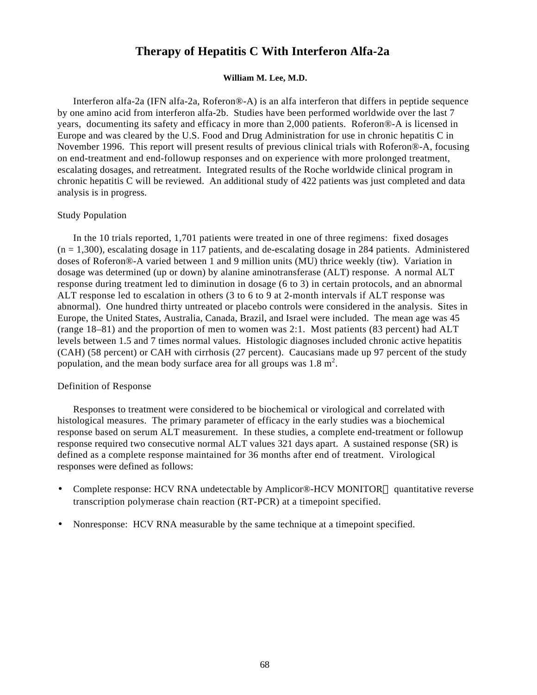## **Therapy of Hepatitis C With Interferon Alfa-2a**

#### **William M. Lee, M.D.**

Interferon alfa-2a (IFN alfa-2a, Roferon®-A) is an alfa interferon that differs in peptide sequence by one amino acid from interferon alfa-2b. Studies have been performed worldwide over the last 7 years, documenting its safety and efficacy in more than 2,000 patients. Roferon®-A is licensed in Europe and was cleared by the U.S. Food and Drug Administration for use in chronic hepatitis C in November 1996. This report will present results of previous clinical trials with Roferon®-A, focusing on end-treatment and end-followup responses and on experience with more prolonged treatment, escalating dosages, and retreatment. Integrated results of the Roche worldwide clinical program in chronic hepatitis C will be reviewed. An additional study of 422 patients was just completed and data analysis is in progress.

#### Study Population

In the 10 trials reported, 1,701 patients were treated in one of three regimens: fixed dosages  $(n = 1,300)$ , escalating dosage in 117 patients, and de-escalating dosage in 284 patients. Administered doses of Roferon®-A varied between 1 and 9 million units (MU) thrice weekly (tiw). Variation in dosage was determined (up or down) by alanine aminotransferase (ALT) response. A normal ALT response during treatment led to diminution in dosage (6 to 3) in certain protocols, and an abnormal ALT response led to escalation in others (3 to 6 to 9 at 2-month intervals if ALT response was abnormal). One hundred thirty untreated or placebo controls were considered in the analysis. Sites in Europe, the United States, Australia, Canada, Brazil, and Israel were included. The mean age was 45 (range 18–81) and the proportion of men to women was 2:1. Most patients (83 percent) had ALT levels between 1.5 and 7 times normal values. Histologic diagnoses included chronic active hepatitis (CAH) (58 percent) or CAH with cirrhosis (27 percent). Caucasians made up 97 percent of the study population, and the mean body surface area for all groups was  $1.8 \text{ m}^2$ .

#### Definition of Response

Responses to treatment were considered to be biochemical or virological and correlated with histological measures. The primary parameter of efficacy in the early studies was a biochemical response based on serum ALT measurement. In these studies, a complete end-treatment or followup response required two consecutive normal ALT values 321 days apart. A sustained response (SR) is defined as a complete response maintained for 36 months after end of treatment. Virological responses were defined as follows:

- Complete response: HCV RNA undetectable by Amplicor®-HCV MONITOR quantitative reverse transcription polymerase chain reaction (RT-PCR) at a timepoint specified.
- Nonresponse: HCV RNA measurable by the same technique at a timepoint specified.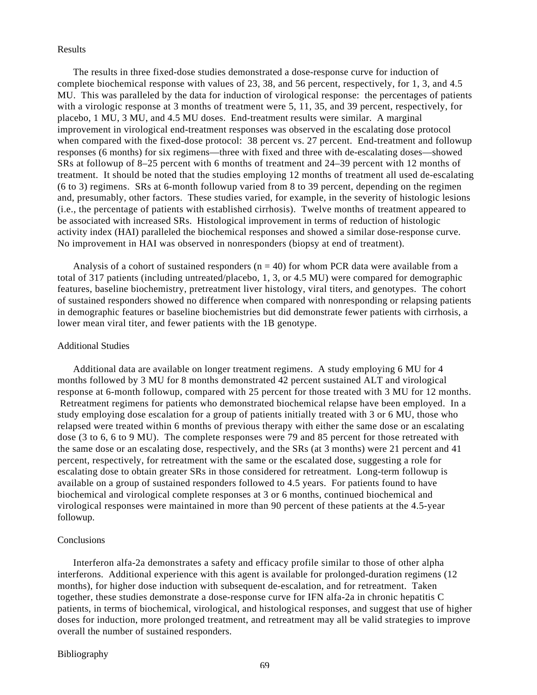### Results

The results in three fixed-dose studies demonstrated a dose-response curve for induction of complete biochemical response with values of 23, 38, and 56 percent, respectively, for 1, 3, and 4.5 MU. This was paralleled by the data for induction of virological response: the percentages of patients with a virologic response at 3 months of treatment were 5, 11, 35, and 39 percent, respectively, for placebo, 1 MU, 3 MU, and 4.5 MU doses. End-treatment results were similar. A marginal improvement in virological end-treatment responses was observed in the escalating dose protocol when compared with the fixed-dose protocol: 38 percent vs. 27 percent. End-treatment and followup responses (6 months) for six regimens—three with fixed and three with de-escalating doses—showed SRs at followup of 8–25 percent with 6 months of treatment and 24–39 percent with 12 months of treatment. It should be noted that the studies employing 12 months of treatment all used de-escalating (6 to 3) regimens. SRs at 6-month followup varied from 8 to 39 percent, depending on the regimen and, presumably, other factors. These studies varied, for example, in the severity of histologic lesions (i.e., the percentage of patients with established cirrhosis). Twelve months of treatment appeared to be associated with increased SRs. Histological improvement in terms of reduction of histologic activity index (HAI) paralleled the biochemical responses and showed a similar dose-response curve. No improvement in HAI was observed in nonresponders (biopsy at end of treatment).

Analysis of a cohort of sustained responders  $(n = 40)$  for whom PCR data were available from a total of 317 patients (including untreated/placebo, 1, 3, or 4.5 MU) were compared for demographic features, baseline biochemistry, pretreatment liver histology, viral titers, and genotypes. The cohort of sustained responders showed no difference when compared with nonresponding or relapsing patients in demographic features or baseline biochemistries but did demonstrate fewer patients with cirrhosis, a lower mean viral titer, and fewer patients with the 1B genotype.

### Additional Studies

Additional data are available on longer treatment regimens. A study employing 6 MU for 4 months followed by 3 MU for 8 months demonstrated 42 percent sustained ALT and virological response at 6-month followup, compared with 25 percent for those treated with 3 MU for 12 months. Retreatment regimens for patients who demonstrated biochemical relapse have been employed. In a study employing dose escalation for a group of patients initially treated with 3 or 6 MU, those who relapsed were treated within 6 months of previous therapy with either the same dose or an escalating dose (3 to 6, 6 to 9 MU). The complete responses were 79 and 85 percent for those retreated with the same dose or an escalating dose, respectively, and the SRs (at 3 months) were 21 percent and 41 percent, respectively, for retreatment with the same or the escalated dose, suggesting a role for escalating dose to obtain greater SRs in those considered for retreatment. Long-term followup is available on a group of sustained responders followed to 4.5 years. For patients found to have biochemical and virological complete responses at 3 or 6 months, continued biochemical and virological responses were maintained in more than 90 percent of these patients at the 4.5-year followup.

### Conclusions

Interferon alfa-2a demonstrates a safety and efficacy profile similar to those of other alpha interferons. Additional experience with this agent is available for prolonged-duration regimens (12 months), for higher dose induction with subsequent de-escalation, and for retreatment. Taken together, these studies demonstrate a dose-response curve for IFN alfa-2a in chronic hepatitis C patients, in terms of biochemical, virological, and histological responses, and suggest that use of higher doses for induction, more prolonged treatment, and retreatment may all be valid strategies to improve overall the number of sustained responders.

#### Bibliography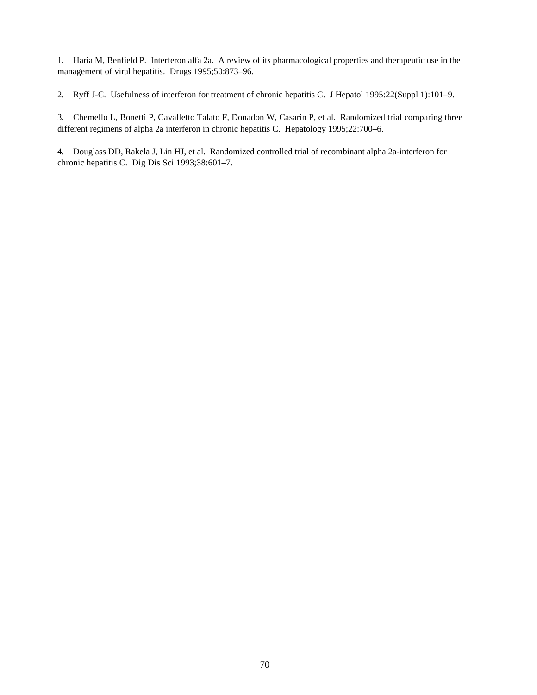1. Haria M, Benfield P. Interferon alfa 2a. A review of its pharmacological properties and therapeutic use in the management of viral hepatitis. Drugs 1995;50:873–96.

2. Ryff J-C. Usefulness of interferon for treatment of chronic hepatitis C. J Hepatol 1995:22(Suppl 1):101–9.

3. Chemello L, Bonetti P, Cavalletto Talato F, Donadon W, Casarin P, et al. Randomized trial comparing three different regimens of alpha 2a interferon in chronic hepatitis C. Hepatology 1995;22:700–6.

4. Douglass DD, Rakela J, Lin HJ, et al. Randomized controlled trial of recombinant alpha 2a-interferon for chronic hepatitis C. Dig Dis Sci 1993;38:601–7.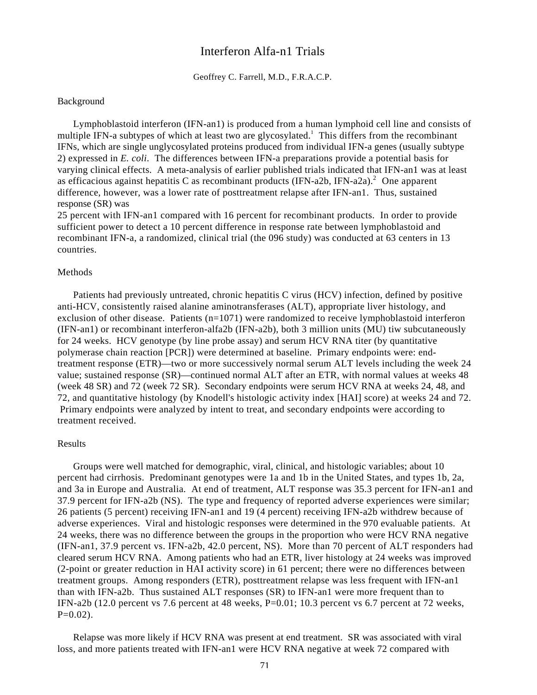# Interferon Alfa-n1 Trials

Geoffrey C. Farrell, M.D., F.R.A.C.P.

### Background

Lymphoblastoid interferon (IFN-an1) is produced from a human lymphoid cell line and consists of multiple IFN-a subtypes of which at least two are glycosylated.<sup>1</sup> This differs from the recombinant IFNs, which are single unglycosylated proteins produced from individual IFN-a genes (usually subtype 2) expressed in *E. coli*. The differences between IFN-a preparations provide a potential basis for varying clinical effects. A meta-analysis of earlier published trials indicated that IFN-an1 was at least as efficacious against hepatitis C as recombinant products (IFN-a2b, IFN-a2a).<sup>2</sup> One apparent difference, however, was a lower rate of posttreatment relapse after IFN-an1. Thus, sustained response (SR) was

25 percent with IFN-an1 compared with 16 percent for recombinant products. In order to provide sufficient power to detect a 10 percent difference in response rate between lymphoblastoid and recombinant IFN-a, a randomized, clinical trial (the 096 study) was conducted at 63 centers in 13 countries.

### Methods

Patients had previously untreated, chronic hepatitis C virus (HCV) infection, defined by positive anti-HCV, consistently raised alanine aminotransferases (ALT), appropriate liver histology, and exclusion of other disease. Patients (n=1071) were randomized to receive lymphoblastoid interferon (IFN-an1) or recombinant interferon-alfa2b (IFN-a2b), both 3 million units (MU) tiw subcutaneously for 24 weeks. HCV genotype (by line probe assay) and serum HCV RNA titer (by quantitative polymerase chain reaction [PCR]) were determined at baseline. Primary endpoints were: endtreatment response (ETR)—two or more successively normal serum ALT levels including the week 24 value; sustained response (SR)—continued normal ALT after an ETR, with normal values at weeks 48 (week 48 SR) and 72 (week 72 SR). Secondary endpoints were serum HCV RNA at weeks 24, 48, and 72, and quantitative histology (by Knodell's histologic activity index [HAI] score) at weeks 24 and 72. Primary endpoints were analyzed by intent to treat, and secondary endpoints were according to treatment received.

## Results

Groups were well matched for demographic, viral, clinical, and histologic variables; about 10 percent had cirrhosis. Predominant genotypes were 1a and 1b in the United States, and types 1b, 2a, and 3a in Europe and Australia. At end of treatment, ALT response was 35.3 percent for IFN-an1 and 37.9 percent for IFN-a2b (NS). The type and frequency of reported adverse experiences were similar; 26 patients (5 percent) receiving IFN-an1 and 19 (4 percent) receiving IFN-a2b withdrew because of adverse experiences. Viral and histologic responses were determined in the 970 evaluable patients. At 24 weeks, there was no difference between the groups in the proportion who were HCV RNA negative (IFN-an1, 37.9 percent vs. IFN-a2b, 42.0 percent, NS). More than 70 percent of ALT responders had cleared serum HCV RNA. Among patients who had an ETR, liver histology at 24 weeks was improved (2-point or greater reduction in HAI activity score) in 61 percent; there were no differences between treatment groups. Among responders (ETR), posttreatment relapse was less frequent with IFN-an1 than with IFN-a2b. Thus sustained ALT responses (SR) to IFN-an1 were more frequent than to IFN-a2b (12.0 percent vs 7.6 percent at 48 weeks, P=0.01; 10.3 percent vs 6.7 percent at 72 weeks,  $P=0.02$ ).

Relapse was more likely if HCV RNA was present at end treatment. SR was associated with viral loss, and more patients treated with IFN-an1 were HCV RNA negative at week 72 compared with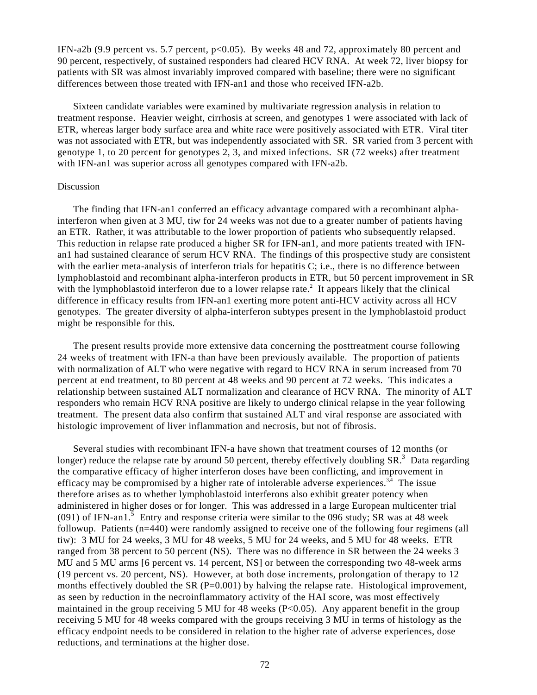IFN-a2b (9.9 percent vs. 5.7 percent,  $p<0.05$ ). By weeks 48 and 72, approximately 80 percent and 90 percent, respectively, of sustained responders had cleared HCV RNA. At week 72, liver biopsy for patients with SR was almost invariably improved compared with baseline; there were no significant differences between those treated with IFN-an1 and those who received IFN-a2b.

Sixteen candidate variables were examined by multivariate regression analysis in relation to treatment response. Heavier weight, cirrhosis at screen, and genotypes 1 were associated with lack of ETR, whereas larger body surface area and white race were positively associated with ETR. Viral titer was not associated with ETR, but was independently associated with SR. SR varied from 3 percent with genotype 1, to 20 percent for genotypes 2, 3, and mixed infections. SR (72 weeks) after treatment with IFN-an1 was superior across all genotypes compared with IFN-a2b.

### Discussion

The finding that IFN-an1 conferred an efficacy advantage compared with a recombinant alphainterferon when given at 3 MU, tiw for 24 weeks was not due to a greater number of patients having an ETR. Rather, it was attributable to the lower proportion of patients who subsequently relapsed. This reduction in relapse rate produced a higher SR for IFN-an1, and more patients treated with IFNan1 had sustained clearance of serum HCV RNA. The findings of this prospective study are consistent with the earlier meta-analysis of interferon trials for hepatitis C; i.e., there is no difference between lymphoblastoid and recombinant alpha-interferon products in ETR, but 50 percent improvement in SR with the lymphoblastoid interferon due to a lower relapse rate.<sup>2</sup> It appears likely that the clinical difference in efficacy results from IFN-an1 exerting more potent anti-HCV activity across all HCV genotypes. The greater diversity of alpha-interferon subtypes present in the lymphoblastoid product might be responsible for this.

The present results provide more extensive data concerning the posttreatment course following 24 weeks of treatment with IFN-a than have been previously available. The proportion of patients with normalization of ALT who were negative with regard to HCV RNA in serum increased from 70 percent at end treatment, to 80 percent at 48 weeks and 90 percent at 72 weeks. This indicates a relationship between sustained ALT normalization and clearance of HCV RNA. The minority of ALT responders who remain HCV RNA positive are likely to undergo clinical relapse in the year following treatment. The present data also confirm that sustained ALT and viral response are associated with histologic improvement of liver inflammation and necrosis, but not of fibrosis.

Several studies with recombinant IFN-a have shown that treatment courses of 12 months (or longer) reduce the relapse rate by around 50 percent, thereby effectively doubling  $SR<sup>3</sup>$  Data regarding the comparative efficacy of higher interferon doses have been conflicting, and improvement in efficacy may be compromised by a higher rate of intolerable adverse experiences.<sup>3,4</sup> The issue therefore arises as to whether lymphoblastoid interferons also exhibit greater potency when administered in higher doses or for longer. This was addressed in a large European multicenter trial  $(091)$  of IFN-an1.<sup>5</sup> Entry and response criteria were similar to the 096 study; SR was at 48 week followup. Patients (n=440) were randomly assigned to receive one of the following four regimens (all tiw): 3 MU for 24 weeks, 3 MU for 48 weeks, 5 MU for 24 weeks, and 5 MU for 48 weeks. ETR ranged from 38 percent to 50 percent (NS). There was no difference in SR between the 24 weeks 3 MU and 5 MU arms [6 percent vs. 14 percent, NS] or between the corresponding two 48-week arms (19 percent vs. 20 percent, NS). However, at both dose increments, prolongation of therapy to 12 months effectively doubled the SR  $(P=0.001)$  by halving the relapse rate. Histological improvement, as seen by reduction in the necroinflammatory activity of the HAI score, was most effectively maintained in the group receiving 5 MU for 48 weeks (P<0.05). Any apparent benefit in the group receiving 5 MU for 48 weeks compared with the groups receiving 3 MU in terms of histology as the efficacy endpoint needs to be considered in relation to the higher rate of adverse experiences, dose reductions, and terminations at the higher dose.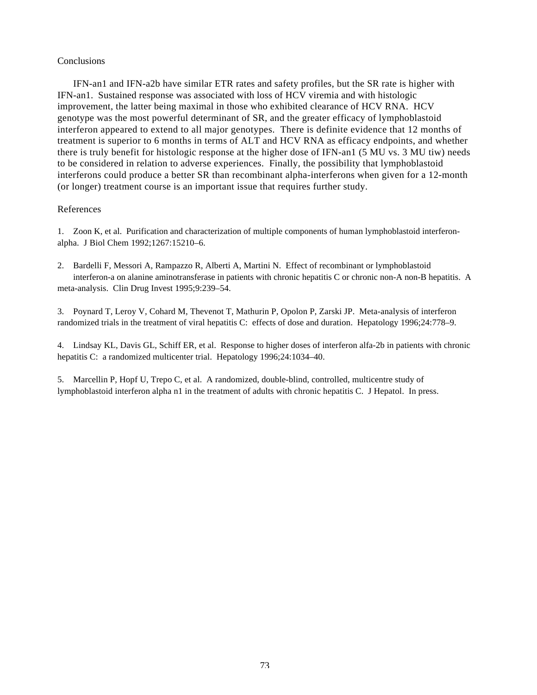# Conclusions

IFN-an1 and IFN-a2b have similar ETR rates and safety profiles, but the SR rate is higher with IFN-an1. Sustained response was associated with loss of HCV viremia and with histologic improvement, the latter being maximal in those who exhibited clearance of HCV RNA. HCV genotype was the most powerful determinant of SR, and the greater efficacy of lymphoblastoid interferon appeared to extend to all major genotypes. There is definite evidence that 12 months of treatment is superior to 6 months in terms of ALT and HCV RNA as efficacy endpoints, and whether there is truly benefit for histologic response at the higher dose of IFN-an1 (5 MU vs. 3 MU tiw) needs to be considered in relation to adverse experiences. Finally, the possibility that lymphoblastoid interferons could produce a better SR than recombinant alpha-interferons when given for a 12-month (or longer) treatment course is an important issue that requires further study.

# References

1. Zoon K, et al. Purification and characterization of multiple components of human lymphoblastoid interferonalpha. J Biol Chem 1992;1267:15210–6.

2. Bardelli F, Messori A, Rampazzo R, Alberti A, Martini N. Effect of recombinant or lymphoblastoid interferon-a on alanine aminotransferase in patients with chronic hepatitis C or chronic non-A non-B hepatitis. A meta-analysis. Clin Drug Invest 1995;9:239–54.

3. Poynard T, Leroy V, Cohard M, Thevenot T, Mathurin P, Opolon P, Zarski JP. Meta-analysis of interferon randomized trials in the treatment of viral hepatitis C: effects of dose and duration. Hepatology 1996;24:778–9.

4. Lindsay KL, Davis GL, Schiff ER, et al. Response to higher doses of interferon alfa-2b in patients with chronic hepatitis C: a randomized multicenter trial. Hepatology 1996;24:1034–40.

5. Marcellin P, Hopf U, Trepo C, et al. A randomized, double-blind, controlled, multicentre study of lymphoblastoid interferon alpha n1 in the treatment of adults with chronic hepatitis C. J Hepatol. In press.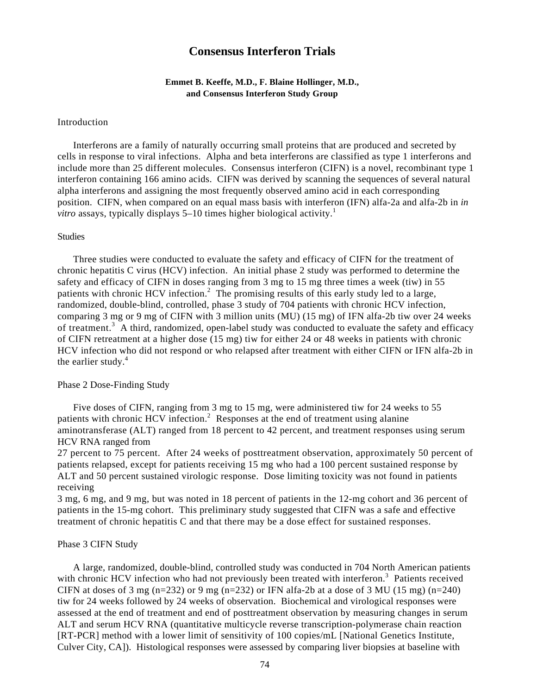# **Consensus Interferon Trials**

# **Emmet B. Keeffe, M.D., F. Blaine Hollinger, M.D., and Consensus Interferon Study Group**

### Introduction

Interferons are a family of naturally occurring small proteins that are produced and secreted by cells in response to viral infections. Alpha and beta interferons are classified as type 1 interferons and include more than 25 different molecules. Consensus interferon (CIFN) is a novel, recombinant type 1 interferon containing 166 amino acids. CIFN was derived by scanning the sequences of several natural alpha interferons and assigning the most frequently observed amino acid in each corresponding position. CIFN, when compared on an equal mass basis with interferon (IFN) alfa-2a and alfa-2b in *in vitro* assays, typically displays  $5-10$  times higher biological activity.<sup>1</sup>

# Studies

Three studies were conducted to evaluate the safety and efficacy of CIFN for the treatment of chronic hepatitis C virus (HCV) infection. An initial phase 2 study was performed to determine the safety and efficacy of CIFN in doses ranging from 3 mg to 15 mg three times a week (tiw) in 55 patients with chronic HCV infection.<sup>2</sup> The promising results of this early study led to a large, randomized, double-blind, controlled, phase 3 study of 704 patients with chronic HCV infection, comparing 3 mg or 9 mg of CIFN with 3 million units (MU) (15 mg) of IFN alfa-2b tiw over 24 weeks of treatment.<sup>3</sup> A third, randomized, open-label study was conducted to evaluate the safety and efficacy of CIFN retreatment at a higher dose (15 mg) tiw for either 24 or 48 weeks in patients with chronic HCV infection who did not respond or who relapsed after treatment with either CIFN or IFN alfa-2b in the earlier study. $4$ 

#### Phase 2 Dose-Finding Study

Five doses of CIFN, ranging from 3 mg to 15 mg, were administered tiw for 24 weeks to 55 patients with chronic HCV infection.<sup>2</sup> Responses at the end of treatment using alanine aminotransferase (ALT) ranged from 18 percent to 42 percent, and treatment responses using serum HCV RNA ranged from

27 percent to 75 percent. After 24 weeks of posttreatment observation, approximately 50 percent of patients relapsed, except for patients receiving 15 mg who had a 100 percent sustained response by ALT and 50 percent sustained virologic response. Dose limiting toxicity was not found in patients receiving

3 mg, 6 mg, and 9 mg, but was noted in 18 percent of patients in the 12-mg cohort and 36 percent of patients in the 15-mg cohort. This preliminary study suggested that CIFN was a safe and effective treatment of chronic hepatitis C and that there may be a dose effect for sustained responses.

## Phase 3 CIFN Study

A large, randomized, double-blind, controlled study was conducted in 704 North American patients with chronic HCV infection who had not previously been treated with interferon.<sup>3</sup> Patients received CIFN at doses of 3 mg ( $n=232$ ) or 9 mg ( $n=232$ ) or IFN alfa-2b at a dose of 3 MU ( $15 \text{ mg}$ ) ( $n=240$ ) tiw for 24 weeks followed by 24 weeks of observation. Biochemical and virological responses were assessed at the end of treatment and end of posttreatment observation by measuring changes in serum ALT and serum HCV RNA (quantitative multicycle reverse transcription-polymerase chain reaction [RT-PCR] method with a lower limit of sensitivity of 100 copies/mL [National Genetics Institute, Culver City, CA]). Histological responses were assessed by comparing liver biopsies at baseline with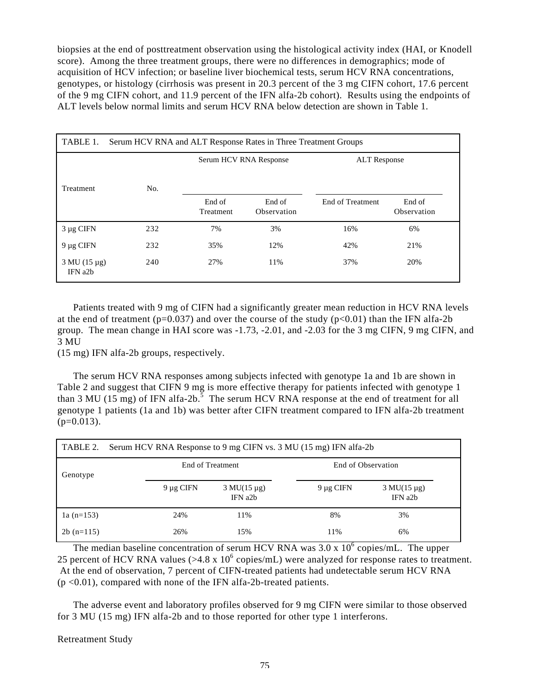biopsies at the end of posttreatment observation using the histological activity index (HAI, or Knodell score). Among the three treatment groups, there were no differences in demographics; mode of acquisition of HCV infection; or baseline liver biochemical tests, serum HCV RNA concentrations, genotypes, or histology (cirrhosis was present in 20.3 percent of the 3 mg CIFN cohort, 17.6 percent of the 9 mg CIFN cohort, and 11.9 percent of the IFN alfa-2b cohort). Results using the endpoints of ALT levels below normal limits and serum HCV RNA below detection are shown in Table 1.

| TABLE 1.                     | Serum HCV RNA and ALT Response Rates in Three Treatment Groups |                        |                       |                     |                       |  |  |
|------------------------------|----------------------------------------------------------------|------------------------|-----------------------|---------------------|-----------------------|--|--|
|                              |                                                                | Serum HCV RNA Response |                       | <b>ALT</b> Response |                       |  |  |
| Treatment                    | No.                                                            |                        |                       |                     |                       |  |  |
|                              |                                                                | End of<br>Treatment    | End of<br>Observation | End of Treatment    | End of<br>Observation |  |  |
| $3 \mu g$ CIFN               | 232                                                            | 7%                     | 3%                    | 16%                 | 6%                    |  |  |
| $9 \mu g$ CIFN               | 232                                                            | 35%                    | 12%                   | 42%                 | 21%                   |  |  |
| $3 MU (15 \mu g)$<br>IFN a2b | 240                                                            | 27%                    | 11%                   | 37%                 | 20%                   |  |  |

Patients treated with 9 mg of CIFN had a significantly greater mean reduction in HCV RNA levels at the end of treatment ( $p=0.037$ ) and over the course of the study ( $p<0.01$ ) than the IFN alfa-2b group. The mean change in HAI score was -1.73, -2.01, and -2.03 for the 3 mg CIFN, 9 mg CIFN, and 3 MU

(15 mg) IFN alfa-2b groups, respectively.

The serum HCV RNA responses among subjects infected with genotype 1a and 1b are shown in Table 2 and suggest that CIFN 9 mg is more effective therapy for patients infected with genotype 1 than 3 MU (15 mg) of IFN alfa-2b.<sup>5</sup> The serum HCV RNA response at the end of treatment for all genotype 1 patients (1a and 1b) was better after CIFN treatment compared to IFN alfa-2b treatment  $(p=0.013)$ .

| TABLE 2.    |  | Serum HCV RNA Response to 9 mg CIFN vs. 3 MU (15 mg) IFN alfa-2b |                                          |                    |                                          |  |  |
|-------------|--|------------------------------------------------------------------|------------------------------------------|--------------------|------------------------------------------|--|--|
| Genotype    |  | End of Treatment                                                 |                                          | End of Observation |                                          |  |  |
|             |  | $9 \mu$ g CIFN                                                   | $3 \text{ MU}(15 \text{ µg})$<br>IFN a2b | $9 \mu$ g CIFN     | $3 \text{ MU}(15 \text{ µg})$<br>IFN a2b |  |  |
| $1a(n=153)$ |  | 24%                                                              | 11%                                      | 8%                 | 3%                                       |  |  |
| $2b(n=115)$ |  | 26%                                                              | 15%                                      | 11%                | 6%                                       |  |  |

The median baseline concentration of serum HCV RNA was  $3.0 \times 10^6$  copies/mL. The upper 25 percent of HCV RNA values (>4.8 x  $10^6$  copies/mL) were analyzed for response rates to treatment. At the end of observation, 7 percent of CIFN-treated patients had undetectable serum HCV RNA  $(p \le 0.01)$ , compared with none of the IFN alfa-2b-treated patients.

The adverse event and laboratory profiles observed for 9 mg CIFN were similar to those observed for 3 MU (15 mg) IFN alfa-2b and to those reported for other type 1 interferons.

Retreatment Study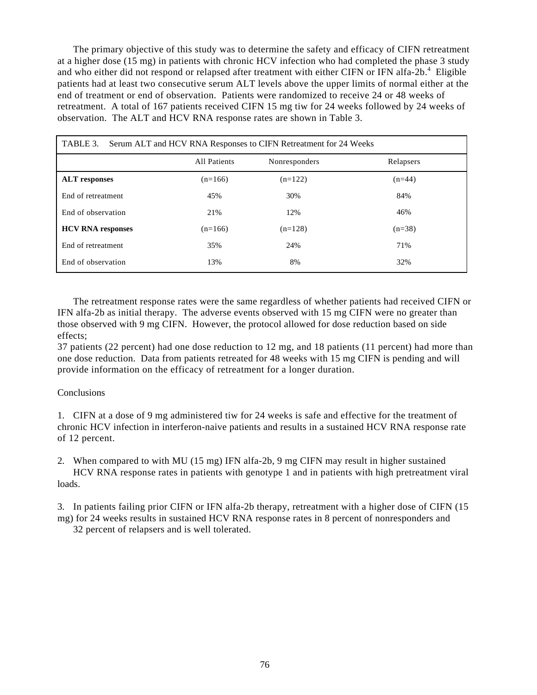The primary objective of this study was to determine the safety and efficacy of CIFN retreatment at a higher dose (15 mg) in patients with chronic HCV infection who had completed the phase 3 study and who either did not respond or relapsed after treatment with either CIFN or IFN alfa-2b.<sup>4</sup> Eligible patients had at least two consecutive serum ALT levels above the upper limits of normal either at the end of treatment or end of observation. Patients were randomized to receive 24 or 48 weeks of retreatment. A total of 167 patients received CIFN 15 mg tiw for 24 weeks followed by 24 weeks of observation. The ALT and HCV RNA response rates are shown in Table 3.

| TABLE 3.<br>Serum ALT and HCV RNA Responses to CIFN Retreatment for 24 Weeks |                     |               |           |  |  |  |  |
|------------------------------------------------------------------------------|---------------------|---------------|-----------|--|--|--|--|
|                                                                              | <b>All Patients</b> | Nonresponders | Relapsers |  |  |  |  |
| <b>ALT</b> responses                                                         | $(n=166)$           | $(n=122)$     | $(n=44)$  |  |  |  |  |
| End of retreatment                                                           | 45%                 | 30%           | 84%       |  |  |  |  |
| End of observation                                                           | 21%                 | 12%           | 46%       |  |  |  |  |
| <b>HCV RNA responses</b>                                                     | $(n=166)$           | $(n=128)$     | $(n=38)$  |  |  |  |  |
| End of retreatment                                                           | 35%                 | 24%           | 71%       |  |  |  |  |
| End of observation                                                           | 13%                 | 8%            | 32%       |  |  |  |  |

The retreatment response rates were the same regardless of whether patients had received CIFN or IFN alfa-2b as initial therapy. The adverse events observed with 15 mg CIFN were no greater than those observed with 9 mg CIFN. However, the protocol allowed for dose reduction based on side effects;

37 patients (22 percent) had one dose reduction to 12 mg, and 18 patients (11 percent) had more than one dose reduction. Data from patients retreated for 48 weeks with 15 mg CIFN is pending and will provide information on the efficacy of retreatment for a longer duration.

# **Conclusions**

1. CIFN at a dose of 9 mg administered tiw for 24 weeks is safe and effective for the treatment of chronic HCV infection in interferon-naive patients and results in a sustained HCV RNA response rate of 12 percent.

2. When compared to with MU (15 mg) IFN alfa-2b, 9 mg CIFN may result in higher sustained HCV RNA response rates in patients with genotype 1 and in patients with high pretreatment viral loads.

3. In patients failing prior CIFN or IFN alfa-2b therapy, retreatment with a higher dose of CIFN (15 mg) for 24 weeks results in sustained HCV RNA response rates in 8 percent of nonresponders and

32 percent of relapsers and is well tolerated.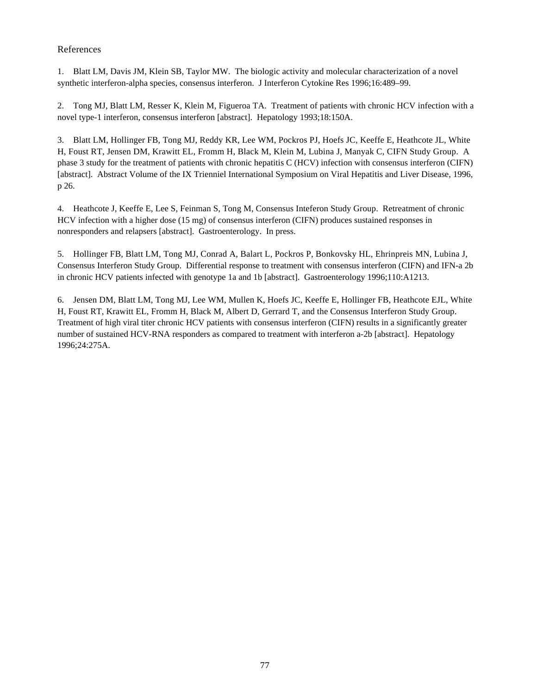# References

1. Blatt LM, Davis JM, Klein SB, Taylor MW. The biologic activity and molecular characterization of a novel synthetic interferon-alpha species, consensus interferon. J Interferon Cytokine Res 1996;16:489–99.

2. Tong MJ, Blatt LM, Resser K, Klein M, Figueroa TA. Treatment of patients with chronic HCV infection with a novel type-1 interferon, consensus interferon [abstract]. Hepatology 1993;18:150A.

3. Blatt LM, Hollinger FB, Tong MJ, Reddy KR, Lee WM, Pockros PJ, Hoefs JC, Keeffe E, Heathcote JL, White H, Foust RT, Jensen DM, Krawitt EL, Fromm H, Black M, Klein M, Lubina J, Manyak C, CIFN Study Group. A phase 3 study for the treatment of patients with chronic hepatitis C (HCV) infection with consensus interferon (CIFN) [abstract]. Abstract Volume of the IX Trienniel International Symposium on Viral Hepatitis and Liver Disease, 1996, p 26.

4. Heathcote J, Keeffe E, Lee S, Feinman S, Tong M, Consensus Inteferon Study Group. Retreatment of chronic HCV infection with a higher dose (15 mg) of consensus interferon (CIFN) produces sustained responses in nonresponders and relapsers [abstract]. Gastroenterology. In press.

5. Hollinger FB, Blatt LM, Tong MJ, Conrad A, Balart L, Pockros P, Bonkovsky HL, Ehrinpreis MN, Lubina J, Consensus Interferon Study Group. Differential response to treatment with consensus interferon (CIFN) and IFN-a 2b in chronic HCV patients infected with genotype 1a and 1b [abstract]. Gastroenterology 1996;110:A1213.

6. Jensen DM, Blatt LM, Tong MJ, Lee WM, Mullen K, Hoefs JC, Keeffe E, Hollinger FB, Heathcote EJL, White H, Foust RT, Krawitt EL, Fromm H, Black M, Albert D, Gerrard T, and the Consensus Interferon Study Group. Treatment of high viral titer chronic HCV patients with consensus interferon (CIFN) results in a significantly greater number of sustained HCV-RNA responders as compared to treatment with interferon a-2b [abstract]. Hepatology 1996;24:275A.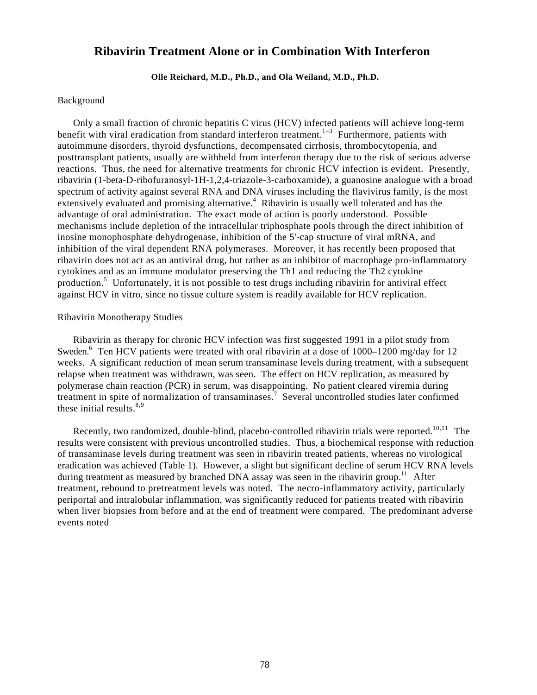# **Ribavirin Treatment Alone or in Combination With Interferon**

**Olle Reichard, M.D., Ph.D., and Ola Weiland, M.D., Ph.D.** 

### Background

Only a small fraction of chronic hepatitis C virus (HCV) infected patients will achieve long-term benefit with viral eradication from standard interferon treatment.<sup>1–3</sup> Furthermore, patients with autoimmune disorders, thyroid dysfunctions, decompensated cirrhosis, thrombocytopenia, and posttransplant patients, usually are withheld from interferon therapy due to the risk of serious adverse reactions. Thus, the need for alternative treatments for chronic HCV infection is evident. Presently, ribavirin (1-beta-D-ribofuranosyl-1H-1,2,4-triazole-3-carboxamide), a guanosine analogue with a broad spectrum of activity against several RNA and DNA viruses including the flavivirus family, is the most extensively evaluated and promising alternative.<sup>4</sup> Ribavirin is usually well tolerated and has the advantage of oral administration. The exact mode of action is poorly understood. Possible mechanisms include depletion of the intracellular triphosphate pools through the direct inhibition of inosine monophosphate dehydrogenase, inhibition of the 5'-cap structure of viral mRNA, and inhibition of the viral dependent RNA polymerases. Moreover, it has recently been proposed that ribavirin does not act as an antiviral drug, but rather as an inhibitor of macrophage pro-inflammatory cytokines and as an immune modulator preserving the Th1 and reducing the Th2 cytokine production.<sup>5</sup> Unfortunately, it is not possible to test drugs including ribavirin for antiviral effect against HCV in vitro, since no tissue culture system is readily available for HCV replication.

### Ribavirin Monotherapy Studies

Ribavirin as therapy for chronic HCV infection was first suggested 1991 in a pilot study from Sweden.<sup>6</sup> Ten HCV patients were treated with oral ribavirin at a dose of  $1000-1200$  mg/day for 12 weeks. A significant reduction of mean serum transaminase levels during treatment, with a subsequent relapse when treatment was withdrawn, was seen. The effect on HCV replication, as measured by polymerase chain reaction (PCR) in serum, was disappointing. No patient cleared viremia during treatment in spite of normalization of transaminases.<sup>7</sup> Several uncontrolled studies later confirmed these initial results  $8,9$ .

Recently, two randomized, double-blind, placebo-controlled ribavirin trials were reported.<sup>10,11</sup> The results were consistent with previous uncontrolled studies. Thus, a biochemical response with reduction of transaminase levels during treatment was seen in ribavirin treated patients, whereas no virological eradication was achieved (Table 1). However, a slight but significant decline of serum HCV RNA levels during treatment as measured by branched DNA assay was seen in the ribavirin group.<sup>11</sup> After treatment, rebound to pretreatment levels was noted. The necro-inflammatory activity, particularly periportal and intralobular inflammation, was significantly reduced for patients treated with ribavirin when liver biopsies from before and at the end of treatment were compared. The predominant adverse events noted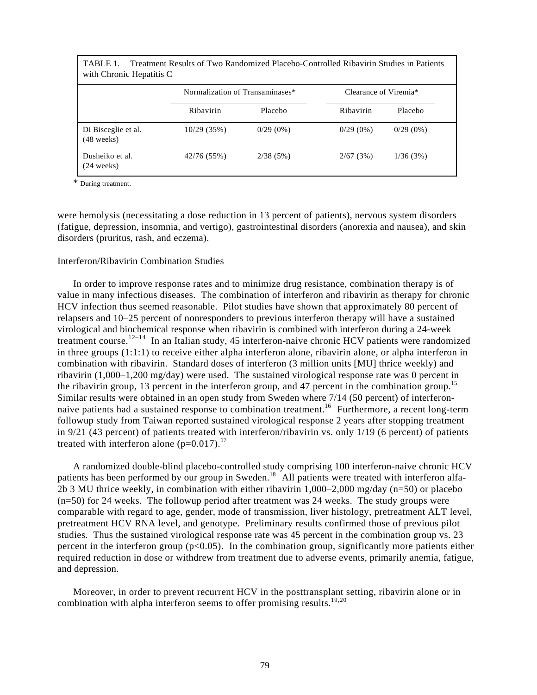| Treatment Results of Two Randomized Placebo-Controlled Ribavirin Studies in Patients<br>TABLE 1.<br>with Chronic Hepatitis C |                                 |             |                                   |             |  |  |  |
|------------------------------------------------------------------------------------------------------------------------------|---------------------------------|-------------|-----------------------------------|-------------|--|--|--|
|                                                                                                                              | Normalization of Transaminases* |             | Clearance of Viremia <sup>*</sup> |             |  |  |  |
|                                                                                                                              | Ribavirin                       | Placebo     | Ribavirin                         | Placebo     |  |  |  |
| Di Bisceglie et al.<br>(48 weeks)                                                                                            | 10/29(35%)                      | $0/29(0\%)$ | $0/29(0\%)$                       | $0/29(0\%)$ |  |  |  |
| Dusheiko et al.<br>$(24 \text{ weeks})$                                                                                      | 42/76 (55%)                     | 2/38(5%)    | 2/67(3%)                          | 1/36(3%)    |  |  |  |

\* During treatment.

were hemolysis (necessitating a dose reduction in 13 percent of patients), nervous system disorders (fatigue, depression, insomnia, and vertigo), gastrointestinal disorders (anorexia and nausea), and skin disorders (pruritus, rash, and eczema).

# Interferon/Ribavirin Combination Studies

In order to improve response rates and to minimize drug resistance, combination therapy is of value in many infectious diseases. The combination of interferon and ribavirin as therapy for chronic HCV infection thus seemed reasonable. Pilot studies have shown that approximately 80 percent of relapsers and 10–25 percent of nonresponders to previous interferon therapy will have a sustained virological and biochemical response when ribavirin is combined with interferon during a 24-week treatment course.<sup>12–14</sup> In an Italian study, 45 interferon-naive chronic HCV patients were randomized in three groups (1:1:1) to receive either alpha interferon alone, ribavirin alone, or alpha interferon in combination with ribavirin. Standard doses of interferon (3 million units [MU] thrice weekly) and ribavirin (1,000–1,200 mg/day) were used. The sustained virological response rate was 0 percent in the ribavirin group, 13 percent in the interferon group, and 47 percent in the combination group.<sup>15</sup> Similar results were obtained in an open study from Sweden where 7/14 (50 percent) of interferonnaive patients had a sustained response to combination treatment.<sup>16</sup> Furthermore, a recent long-term followup study from Taiwan reported sustained virological response 2 years after stopping treatment in  $9/21$  (43 percent) of patients treated with interferon/ribavirin vs. only 1/19 (6 percent) of patients treated with interferon alone  $(p=0.017)$ .<sup>17</sup>

A randomized double-blind placebo-controlled study comprising 100 interferon-naive chronic HCV patients has been performed by our group in Sweden.<sup>18</sup> All patients were treated with interferon alfa-2b 3 MU thrice weekly, in combination with either ribavirin 1,000–2,000 mg/day (n=50) or placebo (n=50) for 24 weeks. The followup period after treatment was 24 weeks. The study groups were comparable with regard to age, gender, mode of transmission, liver histology, pretreatment ALT level, pretreatment HCV RNA level, and genotype. Preliminary results confirmed those of previous pilot studies. Thus the sustained virological response rate was 45 percent in the combination group vs. 23 percent in the interferon group ( $p<0.05$ ). In the combination group, significantly more patients either required reduction in dose or withdrew from treatment due to adverse events, primarily anemia, fatigue, and depression.

Moreover, in order to prevent recurrent HCV in the posttransplant setting, ribavirin alone or in combination with alpha interferon seems to offer promising results.<sup>19,20</sup>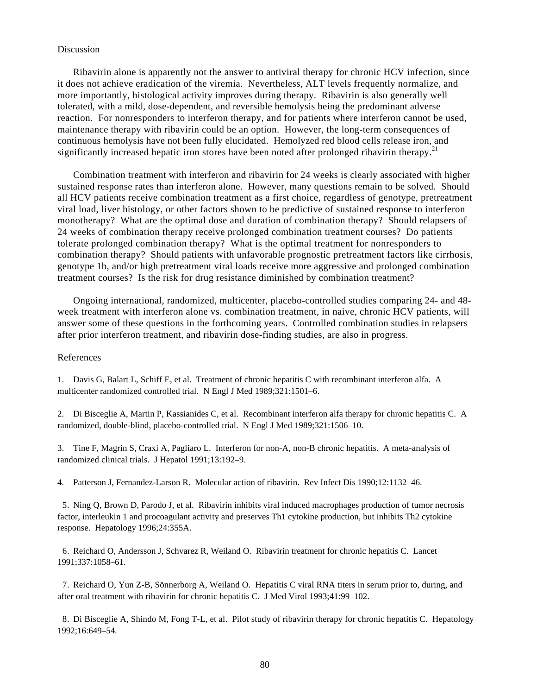### Discussion

Ribavirin alone is apparently not the answer to antiviral therapy for chronic HCV infection, since it does not achieve eradication of the viremia. Nevertheless, ALT levels frequently normalize, and more importantly, histological activity improves during therapy. Ribavirin is also generally well tolerated, with a mild, dose-dependent, and reversible hemolysis being the predominant adverse reaction. For nonresponders to interferon therapy, and for patients where interferon cannot be used, maintenance therapy with ribavirin could be an option. However, the long-term consequences of continuous hemolysis have not been fully elucidated. Hemolyzed red blood cells release iron, and significantly increased hepatic iron stores have been noted after prolonged ribavirin therapy.<sup>21</sup>

Combination treatment with interferon and ribavirin for 24 weeks is clearly associated with higher sustained response rates than interferon alone. However, many questions remain to be solved. Should all HCV patients receive combination treatment as a first choice, regardless of genotype, pretreatment viral load, liver histology, or other factors shown to be predictive of sustained response to interferon monotherapy? What are the optimal dose and duration of combination therapy? Should relapsers of 24 weeks of combination therapy receive prolonged combination treatment courses? Do patients tolerate prolonged combination therapy? What is the optimal treatment for nonresponders to combination therapy? Should patients with unfavorable prognostic pretreatment factors like cirrhosis, genotype 1b, and/or high pretreatment viral loads receive more aggressive and prolonged combination treatment courses? Is the risk for drug resistance diminished by combination treatment?

Ongoing international, randomized, multicenter, placebo-controlled studies comparing 24- and 48 week treatment with interferon alone vs. combination treatment, in naive, chronic HCV patients, will answer some of these questions in the forthcoming years. Controlled combination studies in relapsers after prior interferon treatment, and ribavirin dose-finding studies, are also in progress.

# References

1. Davis G, Balart L, Schiff E, et al. Treatment of chronic hepatitis C with recombinant interferon alfa. A multicenter randomized controlled trial. N Engl J Med 1989;321:1501–6.

2. Di Bisceglie A, Martin P, Kassianides C, et al. Recombinant interferon alfa therapy for chronic hepatitis C. A randomized, double-blind, placebo-controlled trial. N Engl J Med 1989;321:1506–10.

3. Tine F, Magrin S, Craxi A, Pagliaro L. Interferon for non-A, non-B chronic hepatitis. A meta-analysis of randomized clinical trials. J Hepatol 1991;13:192–9.

4. Patterson J, Fernandez-Larson R. Molecular action of ribavirin. Rev Infect Dis 1990;12:1132–46.

 5. Ning Q, Brown D, Parodo J, et al. Ribavirin inhibits viral induced macrophages production of tumor necrosis factor, interleukin 1 and procoagulant activity and preserves Th1 cytokine production, but inhibits Th2 cytokine response. Hepatology 1996;24:355A.

 6. Reichard O, Andersson J, Schvarez R, Weiland O. Ribavirin treatment for chronic hepatitis C. Lancet 1991;337:1058–61.

 7. Reichard O, Yun Z-B, Sönnerborg A, Weiland O. Hepatitis C viral RNA titers in serum prior to, during, and after oral treatment with ribavirin for chronic hepatitis C. J Med Virol 1993;41:99–102.

 8. Di Bisceglie A, Shindo M, Fong T-L, et al. Pilot study of ribavirin therapy for chronic hepatitis C. Hepatology 1992;16:649–54.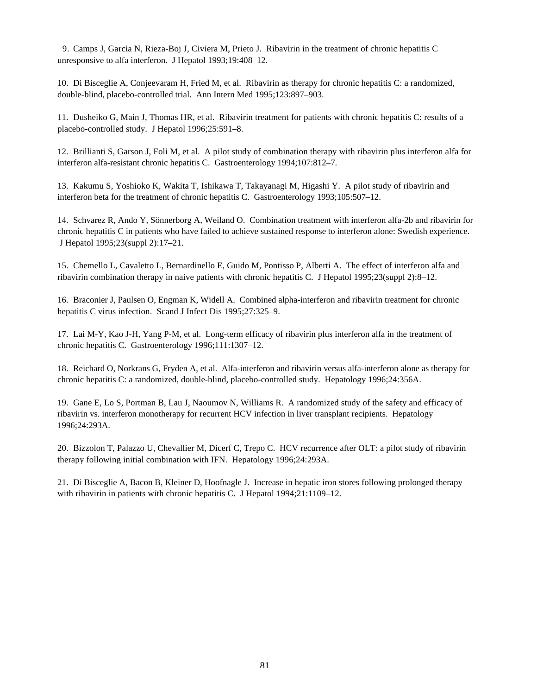9. Camps J, Garcia N, Rieza-Boj J, Civiera M, Prieto J. Ribavirin in the treatment of chronic hepatitis C unresponsive to alfa interferon. J Hepatol 1993;19:408–12.

10. Di Bisceglie A, Conjeevaram H, Fried M, et al. Ribavirin as therapy for chronic hepatitis C: a randomized, double-blind, placebo-controlled trial. Ann Intern Med 1995;123:897–903.

11. Dusheiko G, Main J, Thomas HR, et al. Ribavirin treatment for patients with chronic hepatitis C: results of a placebo-controlled study. J Hepatol 1996;25:591–8.

12. Brillianti S, Garson J, Foli M, et al. A pilot study of combination therapy with ribavirin plus interferon alfa for interferon alfa-resistant chronic hepatitis C. Gastroenterology 1994;107:812–7.

13. Kakumu S, Yoshioko K, Wakita T, Ishikawa T, Takayanagi M, Higashi Y. A pilot study of ribavirin and interferon beta for the treatment of chronic hepatitis C. Gastroenterology 1993;105:507–12.

14. Schvarez R, Ando Y, Sönnerborg A, Weiland O. Combination treatment with interferon alfa-2b and ribavirin for chronic hepatitis C in patients who have failed to achieve sustained response to interferon alone: Swedish experience. J Hepatol 1995;23(suppl 2):17–21.

15. Chemello L, Cavaletto L, Bernardinello E, Guido M, Pontisso P, Alberti A. The effect of interferon alfa and ribavirin combination therapy in naive patients with chronic hepatitis C. J Hepatol 1995;23(suppl 2):8–12.

16. Braconier J, Paulsen O, Engman K, Widell A. Combined alpha-interferon and ribavirin treatment for chronic hepatitis C virus infection. Scand J Infect Dis 1995;27:325–9.

17. Lai M-Y, Kao J-H, Yang P-M, et al. Long-term efficacy of ribavirin plus interferon alfa in the treatment of chronic hepatitis C. Gastroenterology 1996;111:1307–12.

18. Reichard O, Norkrans G, Fryden A, et al. Alfa-interferon and ribavirin versus alfa-interferon alone as therapy for chronic hepatitis C: a randomized, double-blind, placebo-controlled study. Hepatology 1996;24:356A.

19. Gane E, Lo S, Portman B, Lau J, Naoumov N, Williams R. A randomized study of the safety and efficacy of ribavirin vs. interferon monotherapy for recurrent HCV infection in liver transplant recipients. Hepatology 1996;24:293A.

20. Bizzolon T, Palazzo U, Chevallier M, Dicerf C, Trepo C. HCV recurrence after OLT: a pilot study of ribavirin therapy following initial combination with IFN. Hepatology 1996;24:293A.

21. Di Bisceglie A, Bacon B, Kleiner D, Hoofnagle J. Increase in hepatic iron stores following prolonged therapy with ribavirin in patients with chronic hepatitis C. J Hepatol 1994;21:1109–12.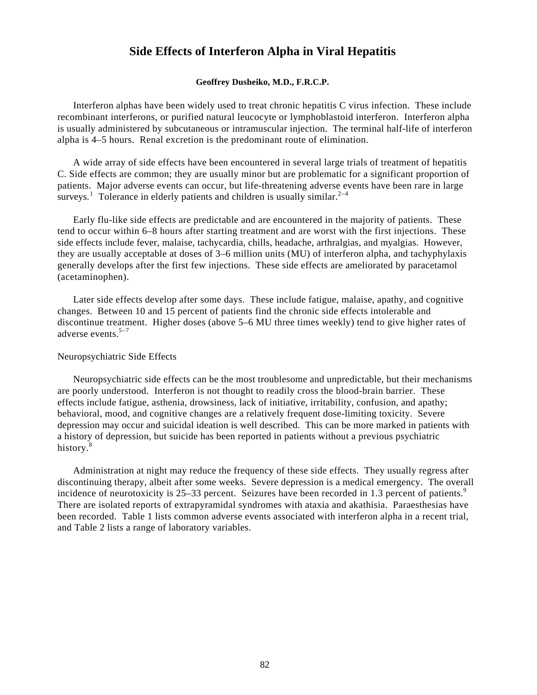# **Side Effects of Interferon Alpha in Viral Hepatitis**

### **Geoffrey Dusheiko, M.D., F.R.C.P.**

Interferon alphas have been widely used to treat chronic hepatitis C virus infection. These include recombinant interferons, or purified natural leucocyte or lymphoblastoid interferon. Interferon alpha is usually administered by subcutaneous or intramuscular injection. The terminal half-life of interferon alpha is 4–5 hours. Renal excretion is the predominant route of elimination.

A wide array of side effects have been encountered in several large trials of treatment of hepatitis C. Side effects are common; they are usually minor but are problematic for a significant proportion of patients. Major adverse events can occur, but life-threatening adverse events have been rare in large surveys.<sup>1</sup> Tolerance in elderly patients and children is usually similar.<sup>2–4</sup>

Early flu-like side effects are predictable and are encountered in the majority of patients. These tend to occur within 6–8 hours after starting treatment and are worst with the first injections. These side effects include fever, malaise, tachycardia, chills, headache, arthralgias, and myalgias. However, they are usually acceptable at doses of 3–6 million units (MU) of interferon alpha, and tachyphylaxis generally develops after the first few injections. These side effects are ameliorated by paracetamol (acetaminophen).

Later side effects develop after some days. These include fatigue, malaise, apathy, and cognitive changes. Between 10 and 15 percent of patients find the chronic side effects intolerable and discontinue treatment. Higher doses (above 5–6 MU three times weekly) tend to give higher rates of adverse events.5–7

#### Neuropsychiatric Side Effects

Neuropsychiatric side effects can be the most troublesome and unpredictable, but their mechanisms are poorly understood. Interferon is not thought to readily cross the blood-brain barrier. These effects include fatigue, asthenia, drowsiness, lack of initiative, irritability, confusion, and apathy; behavioral, mood, and cognitive changes are a relatively frequent dose-limiting toxicity. Severe depression may occur and suicidal ideation is well described. This can be more marked in patients with a history of depression, but suicide has been reported in patients without a previous psychiatric history.<sup>8</sup>

Administration at night may reduce the frequency of these side effects. They usually regress after discontinuing therapy, albeit after some weeks. Severe depression is a medical emergency. The overall incidence of neurotoxicity is  $25-33$  percent. Seizures have been recorded in 1.3 percent of patients.<sup>9</sup> There are isolated reports of extrapyramidal syndromes with ataxia and akathisia. Paraesthesias have been recorded. Table 1 lists common adverse events associated with interferon alpha in a recent trial, and Table 2 lists a range of laboratory variables.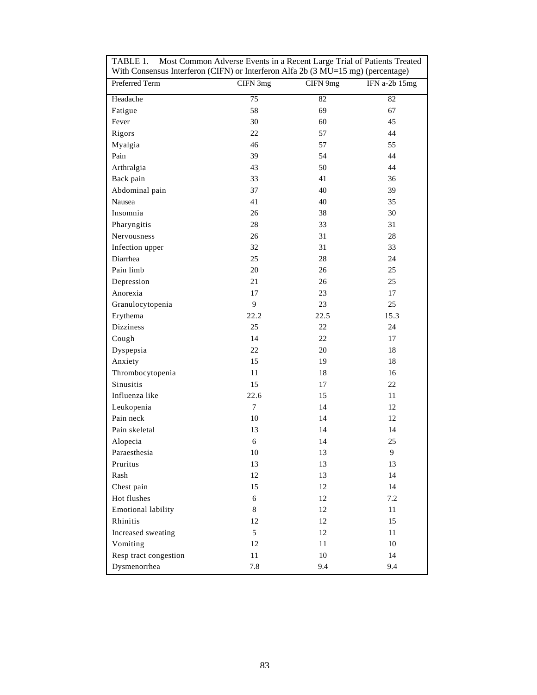| Most Common Adverse Events in a Recent Large Trial of Patients Treated<br>TABLE 1. |          |          |                    |  |  |  |  |
|------------------------------------------------------------------------------------|----------|----------|--------------------|--|--|--|--|
| With Consensus Interferon (CIFN) or Interferon Alfa 2b (3 MU=15 mg) (percentage)   |          |          |                    |  |  |  |  |
| Preferred Term                                                                     | CIFN 3mg | CIFN 9mg | IFN $a-2b$ 15 $mg$ |  |  |  |  |
| Headache                                                                           | 75       | 82       | 82                 |  |  |  |  |
| Fatigue                                                                            | 58       | 69       | 67                 |  |  |  |  |
| Fever                                                                              | 30       | 60       | 45                 |  |  |  |  |
| Rigors                                                                             | 22       | 57       | 44                 |  |  |  |  |
| Myalgia                                                                            | 46       | 57       | 55                 |  |  |  |  |
| Pain                                                                               | 39       | 54       | 44                 |  |  |  |  |
| Arthralgia                                                                         | 43       | 50       | 44                 |  |  |  |  |
| Back pain                                                                          | 33       | 41       | 36                 |  |  |  |  |
| Abdominal pain                                                                     | 37       | 40       | 39                 |  |  |  |  |
| Nausea                                                                             | 41       | 40       | 35                 |  |  |  |  |
| Insomnia                                                                           | 26       | 38       | 30                 |  |  |  |  |
| Pharyngitis                                                                        | 28       | 33       | 31                 |  |  |  |  |
| Nervousness                                                                        | 26       | 31       | 28                 |  |  |  |  |
| Infection upper                                                                    | 32       | 31       | 33                 |  |  |  |  |
| Diarrhea                                                                           | 25       | 28       | 24                 |  |  |  |  |
| Pain limb                                                                          | 20       | 26       | 25                 |  |  |  |  |
| Depression                                                                         | 21       | 26       | 25                 |  |  |  |  |
| Anorexia                                                                           | 17       | 23       | 17                 |  |  |  |  |
| Granulocytopenia                                                                   | 9        | 23       | 25                 |  |  |  |  |
| Erythema                                                                           | 22.2     | 22.5     | 15.3               |  |  |  |  |
| <b>Dizziness</b>                                                                   | 25       | 22       | 24                 |  |  |  |  |
| Cough                                                                              | 14       | 22       | 17                 |  |  |  |  |
| Dyspepsia                                                                          | 22       | 20       | 18                 |  |  |  |  |
| Anxiety                                                                            | 15       | 19       | 18                 |  |  |  |  |
| Thrombocytopenia                                                                   | 11       | 18       | 16                 |  |  |  |  |
| Sinusitis                                                                          | 15       | 17       | 22                 |  |  |  |  |
| Influenza like                                                                     | 22.6     | 15       | 11                 |  |  |  |  |
| Leukopenia                                                                         | $\tau$   | 14       | 12                 |  |  |  |  |
| Pain neck                                                                          | 10       | 14       | 12                 |  |  |  |  |
| Pain skeletal                                                                      | 13       | 14       | 14                 |  |  |  |  |
| Alopecia                                                                           | 6        | 14       | 25                 |  |  |  |  |
| Paraesthesia                                                                       | $10\,$   | 13       | 9                  |  |  |  |  |
| Pruritus                                                                           | 13       | 13       | 13                 |  |  |  |  |
| Rash                                                                               | 12       | 13       | 14                 |  |  |  |  |
| Chest pain                                                                         | 15       | 12       | 14                 |  |  |  |  |
| Hot flushes                                                                        | 6        | 12       | 7.2                |  |  |  |  |
| <b>Emotional lability</b>                                                          | 8        | 12       | 11                 |  |  |  |  |
| Rhinitis                                                                           | 12       | 12       | 15                 |  |  |  |  |
| Increased sweating                                                                 | 5        | 12       | 11                 |  |  |  |  |
| Vomiting                                                                           | 12       | 11       | 10                 |  |  |  |  |
| Resp tract congestion                                                              | 11       | 10       | 14                 |  |  |  |  |
| Dysmenorrhea                                                                       | 7.8      | 9.4      | 9.4                |  |  |  |  |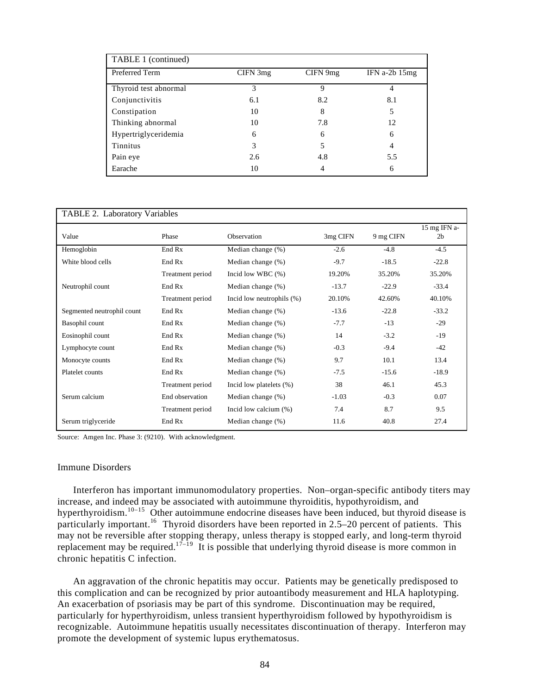| TABLE 1 (continued)   |          |          |               |
|-----------------------|----------|----------|---------------|
| Preferred Term        | CIFN 3mg | CIFN 9mg | IFN a-2b 15mg |
| Thyroid test abnormal | 3        | 9        | 4             |
| Conjunctivitis        | 6.1      | 8.2      | 8.1           |
| Constipation          | 10       | 8        | 5             |
| Thinking abnormal     | 10       | 7.8      | 12            |
| Hypertriglyceridemia  | 6        | 6        | 6             |
| Tinnitus              | 3        | 5        | 4             |
| Pain eye              | 2.6      | 4.8      | 5.5           |
| Earache               | 10       | 4        | 6             |

| TABLE 2. Laboratory Variables |                  |                              |          |           |                                |  |  |
|-------------------------------|------------------|------------------------------|----------|-----------|--------------------------------|--|--|
| Value                         | Phase            | Observation                  | 3mg CIFN | 9 mg CIFN | 15 mg IFN a-<br>2 <sub>b</sub> |  |  |
| Hemoglobin                    | End Rx           | Median change (%)            | $-2.6$   | $-4.8$    | $-4.5$                         |  |  |
| White blood cells             | End Rx           | Median change (%)            | $-9.7$   | $-18.5$   | $-22.8$                        |  |  |
|                               | Treatment period | Incid low WBC $(\%)$         | 19.20%   | 35.20%    | 35.20%                         |  |  |
| Neutrophil count              | End Rx           | Median change (%)            | $-13.7$  | $-22.9$   | $-33.4$                        |  |  |
|                               | Treatment period | Incid low neutrophils $(\%)$ | 20.10%   | 42.60%    | 40.10%                         |  |  |
| Segmented neutrophil count    | End Rx           | Median change (%)            | $-13.6$  | $-22.8$   | $-33.2$                        |  |  |
| Basophil count                | End Rx           | Median change (%)            | $-7.7$   | $-13$     | $-29$                          |  |  |
| Eosinophil count              | End Rx           | Median change $(\%)$         | 14       | $-3.2$    | $-19$                          |  |  |
| Lymphocyte count              | End Rx           | Median change (%)            | $-0.3$   | $-9.4$    | $-42$                          |  |  |
| Monocyte counts               | End Rx           | Median change (%)            | 9.7      | 10.1      | 13.4                           |  |  |
| Platelet counts               | End Rx           | Median change $(\%)$         | $-7.5$   | $-15.6$   | $-18.9$                        |  |  |
|                               | Treatment period | Incid low platelets $(\%)$   | 38       | 46.1      | 45.3                           |  |  |
| Serum calcium                 | End observation  | Median change $(\%)$         | $-1.03$  | $-0.3$    | 0.07                           |  |  |
|                               | Treatment period | Incid low calcium $(\%)$     | 7.4      | 8.7       | 9.5                            |  |  |
| Serum triglyceride            | End Rx           | Median change (%)            | 11.6     | 40.8      | 27.4                           |  |  |

Source: Amgen Inc. Phase 3: (9210). With acknowledgment.

#### Immune Disorders

Interferon has important immunomodulatory properties. Non–organ-specific antibody titers may increase, and indeed may be associated with autoimmune thyroiditis, hypothyroidism, and hyperthyroidism.<sup>10–15</sup> Other autoimmune endocrine diseases have been induced, but thyroid disease is particularly important.<sup>16</sup> Thyroid disorders have been reported in 2.5–20 percent of patients. This may not be reversible after stopping therapy, unless therapy is stopped early, and long-term thyroid replacement may be required.<sup>17–19</sup> It is possible that underlying thyroid disease is more common in chronic hepatitis C infection.

An aggravation of the chronic hepatitis may occur. Patients may be genetically predisposed to this complication and can be recognized by prior autoantibody measurement and HLA haplotyping. An exacerbation of psoriasis may be part of this syndrome. Discontinuation may be required, particularly for hyperthyroidism, unless transient hyperthyroidism followed by hypothyroidism is recognizable. Autoimmune hepatitis usually necessitates discontinuation of therapy. Interferon may promote the development of systemic lupus erythematosus.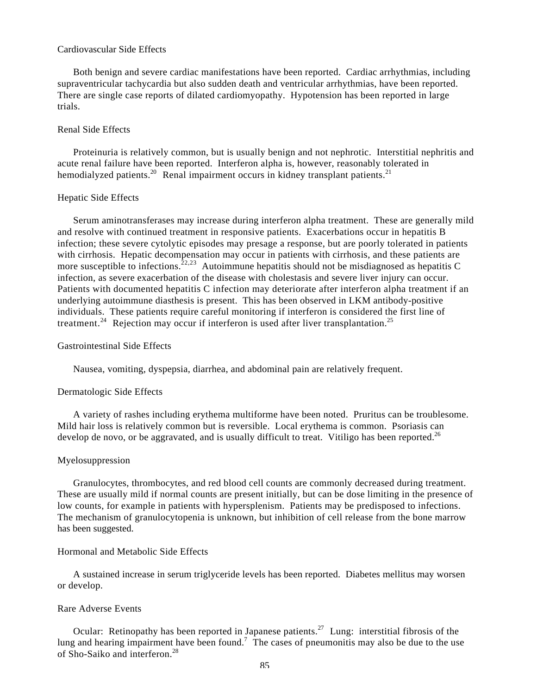# Cardiovascular Side Effects

Both benign and severe cardiac manifestations have been reported. Cardiac arrhythmias, including supraventricular tachycardia but also sudden death and ventricular arrhythmias, have been reported. There are single case reports of dilated cardiomyopathy. Hypotension has been reported in large trials.

### Renal Side Effects

Proteinuria is relatively common, but is usually benign and not nephrotic. Interstitial nephritis and acute renal failure have been reported. Interferon alpha is, however, reasonably tolerated in hemodialyzed patients.<sup>20</sup> Renal impairment occurs in kidney transplant patients.<sup>21</sup>

### Hepatic Side Effects

Serum aminotransferases may increase during interferon alpha treatment. These are generally mild and resolve with continued treatment in responsive patients. Exacerbations occur in hepatitis B infection; these severe cytolytic episodes may presage a response, but are poorly tolerated in patients with cirrhosis. Hepatic decompensation may occur in patients with cirrhosis, and these patients are more susceptible to infections.<sup>22,23</sup> Autoimmune hepatitis should not be misdiagnosed as hepatitis C infection, as severe exacerbation of the disease with cholestasis and severe liver injury can occur. Patients with documented hepatitis C infection may deteriorate after interferon alpha treatment if an underlying autoimmune diasthesis is present. This has been observed in LKM antibody-positive individuals. These patients require careful monitoring if interferon is considered the first line of treatment.<sup>24</sup> Rejection may occur if interferon is used after liver transplantation.<sup>25</sup>

### Gastrointestinal Side Effects

Nausea, vomiting, dyspepsia, diarrhea, and abdominal pain are relatively frequent.

## Dermatologic Side Effects

A variety of rashes including erythema multiforme have been noted. Pruritus can be troublesome. Mild hair loss is relatively common but is reversible. Local erythema is common. Psoriasis can develop de novo, or be aggravated, and is usually difficult to treat. Vitiligo has been reported.<sup>26</sup>

#### Myelosuppression

Granulocytes, thrombocytes, and red blood cell counts are commonly decreased during treatment. These are usually mild if normal counts are present initially, but can be dose limiting in the presence of low counts, for example in patients with hypersplenism. Patients may be predisposed to infections. The mechanism of granulocytopenia is unknown, but inhibition of cell release from the bone marrow has been suggested.

### Hormonal and Metabolic Side Effects

A sustained increase in serum triglyceride levels has been reported. Diabetes mellitus may worsen or develop.

# Rare Adverse Events

Ocular: Retinopathy has been reported in Japanese patients.<sup>27</sup> Lung: interstitial fibrosis of the lung and hearing impairment have been found.<sup>7</sup> The cases of pneumonitis may also be due to the use of Sho-Saiko and interferon.<sup>28</sup>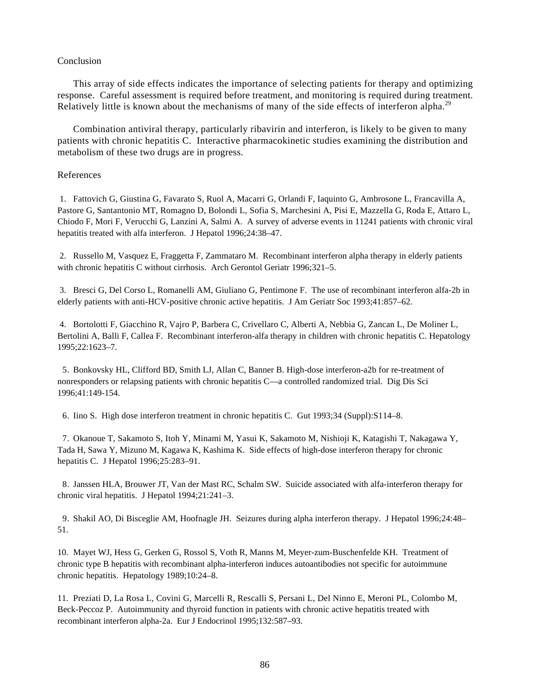## Conclusion

This array of side effects indicates the importance of selecting patients for therapy and optimizing response. Careful assessment is required before treatment, and monitoring is required during treatment. Relatively little is known about the mechanisms of many of the side effects of interferon alpha.<sup>29</sup>

Combination antiviral therapy, particularly ribavirin and interferon, is likely to be given to many patients with chronic hepatitis C. Interactive pharmacokinetic studies examining the distribution and metabolism of these two drugs are in progress.

### References

 1. Fattovich G, Giustina G, Favarato S, Ruol A, Macarri G, Orlandi F, Iaquinto G, Ambrosone L, Francavilla A, Pastore G, Santantonio MT, Romagno D, Bolondi L, Sofia S, Marchesini A, Pisi E, Mazzella G, Roda E, Attaro L, Chiodo F, Mori F, Verucchi G, Lanzini A, Salmi A. A survey of adverse events in 11241 patients with chronic viral hepatitis treated with alfa interferon. J Hepatol 1996;24:38–47.

 2. Russello M, Vasquez E, Fraggetta F, Zammataro M. Recombinant interferon alpha therapy in elderly patients with chronic hepatitis C without cirrhosis. Arch Gerontol Geriatr 1996;321-5.

 3. Bresci G, Del Corso L, Romanelli AM, Giuliano G, Pentimone F. The use of recombinant interferon alfa-2b in elderly patients with anti-HCV-positive chronic active hepatitis. J Am Geriatr Soc 1993;41:857–62.

 4. Bortolotti F, Giacchino R, Vajro P, Barbera C, Crivellaro C, Alberti A, Nebbia G, Zancan L, De Moliner L, Bertolini A, Balli F, Callea F. Recombinant interferon-alfa therapy in children with chronic hepatitis C. Hepatology 1995;22:1623–7.

 5. Bonkovsky HL, Clifford BD, Smith LJ, Allan C, Banner B. High-dose interferon-a2b for re-treatment of nonresponders or relapsing patients with chronic hepatitis C—a controlled randomized trial. Dig Dis Sci 1996;41:149-154.

6. Iino S. High dose interferon treatment in chronic hepatitis C. Gut 1993;34 (Suppl):S114–8.

 7. Okanoue T, Sakamoto S, Itoh Y, Minami M, Yasui K, Sakamoto M, Nishioji K, Katagishi T, Nakagawa Y, Tada H, Sawa Y, Mizuno M, Kagawa K, Kashima K. Side effects of high-dose interferon therapy for chronic hepatitis C. J Hepatol 1996;25:283–91.

 8. Janssen HLA, Brouwer JT, Van der Mast RC, Schalm SW. Suicide associated with alfa-interferon therapy for chronic viral hepatitis. J Hepatol 1994;21:241–3.

 9. Shakil AO, Di Bisceglie AM, Hoofnagle JH. Seizures during alpha interferon therapy. J Hepatol 1996;24:48– 51.

10. Mayet WJ, Hess G, Gerken G, Rossol S, Voth R, Manns M, Meyer-zum-Buschenfelde KH. Treatment of chronic type B hepatitis with recombinant alpha-interferon induces autoantibodies not specific for autoimmune chronic hepatitis. Hepatology 1989;10:24–8.

11. Preziati D, La Rosa L, Covini G, Marcelli R, Rescalli S, Persani L, Del Ninno E, Meroni PL, Colombo M, Beck-Peccoz P. Autoimmunity and thyroid function in patients with chronic active hepatitis treated with recombinant interferon alpha-2a. Eur J Endocrinol 1995;132:587–93.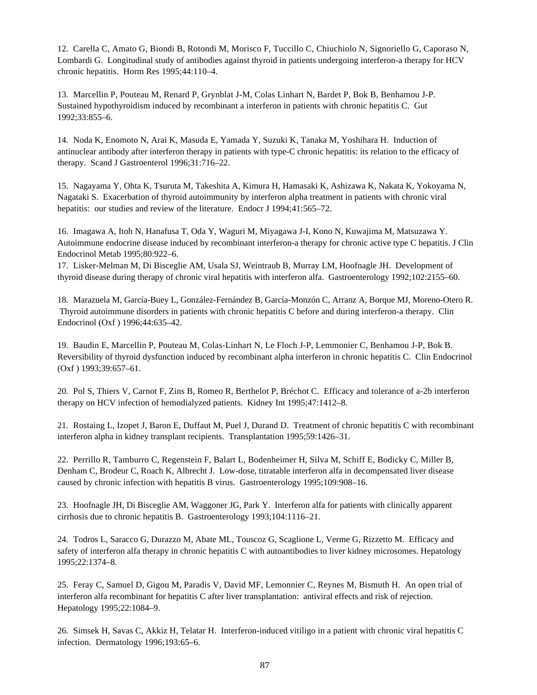12. Carella C, Amato G, Biondi B, Rotondi M, Morisco F, Tuccillo C, Chiuchiolo N, Signoriello G, Caporaso N, Lombardi G. Longitudinal study of antibodies against thyroid in patients undergoing interferon-a therapy for HCV chronic hepatitis. Horm Res 1995;44:110–4.

13. Marcellin P, Pouteau M, Renard P, Grynblat J-M, Colas Linhart N, Bardet P, Bok B, Benhamou J-P. Sustained hypothyroidism induced by recombinant a interferon in patients with chronic hepatitis C. Gut 1992;33:855–6.

14. Noda K, Enomoto N, Arai K, Masuda E, Yamada Y, Suzuki K, Tanaka M, Yoshihara H. Induction of antinuclear antibody after interferon therapy in patients with type-C chronic hepatitis: its relation to the efficacy of therapy. Scand J Gastroenterol 1996;31:716–22.

15. Nagayama Y, Ohta K, Tsuruta M, Takeshita A, Kimura H, Hamasaki K, Ashizawa K, Nakata K, Yokoyama N, Nagataki S. Exacerbation of thyroid autoimmunity by interferon alpha treatment in patients with chronic viral hepatitis: our studies and review of the literature. Endocr J 1994;41:565–72.

16. Imagawa A, Itoh N, Hanafusa T, Oda Y, Waguri M, Miyagawa J-I, Kono N, Kuwajima M, Matsuzawa Y. Autoimmune endocrine disease induced by recombinant interferon-a therapy for chronic active type C hepatitis. J Clin Endocrinol Metab 1995;80:922–6.

17. Lisker-Melman M, Di Bisceglie AM, Usala SJ, Weintraub B, Murray LM, Hoofnagle JH. Development of thyroid disease during therapy of chronic viral hepatitis with interferon alfa. Gastroenterology 1992;102:2155–60.

18. Marazuela M, García-Buey L, González-Fernández B, García-Monzón C, Arranz A, Borque MJ, Moreno-Otero R. Thyroid autoimmune disorders in patients with chronic hepatitis C before and during interferon-a therapy. Clin Endocrinol (Oxf ) 1996;44:635–42.

19. Baudin E, Marcellin P, Pouteau M, Colas-Linhart N, Le Floch J-P, Lemmonier C, Benhamou J-P, Bok B. Reversibility of thyroid dysfunction induced by recombinant alpha interferon in chronic hepatitis C. Clin Endocrinol (Oxf ) 1993;39:657–61.

20. Pol S, Thiers V, Carnot F, Zins B, Romeo R, Berthelot P, Bréchot C. Efficacy and tolerance of a-2b interferon therapy on HCV infection of hemodialyzed patients. Kidney Int 1995;47:1412–8.

21. Rostaing L, Izopet J, Baron E, Duffaut M, Puel J, Durand D. Treatment of chronic hepatitis C with recombinant interferon alpha in kidney transplant recipients. Transplantation 1995;59:1426–31.

22. Perrillo R, Tamburro C, Regenstein F, Balart L, Bodenheimer H, Silva M, Schiff E, Bodicky C, Miller B, Denham C, Brodeur C, Roach K, Albrecht J. Low-dose, titratable interferon alfa in decompensated liver disease caused by chronic infection with hepatitis B virus. Gastroenterology 1995;109:908–16.

23. Hoofnagle JH, Di Bisceglie AM, Waggoner JG, Park Y. Interferon alfa for patients with clinically apparent cirrhosis due to chronic hepatitis B. Gastroenterology 1993;104:1116–21.

24. Todros L, Saracco G, Durazzo M, Abate ML, Touscoz G, Scaglione L, Verme G, Rizzetto M. Efficacy and safety of interferon alfa therapy in chronic hepatitis C with autoantibodies to liver kidney microsomes. Hepatology 1995;22:1374–8.

25. Feray C, Samuel D, Gigou M, Paradis V, David MF, Lemonnier C, Reynes M, Bismuth H. An open trial of interferon alfa recombinant for hepatitis C after liver transplantation: antiviral effects and risk of rejection. Hepatology 1995;22:1084–9.

26. Simsek H, Savas C, Akkiz H, Telatar H. Interferon-induced vitiligo in a patient with chronic viral hepatitis C infection. Dermatology 1996;193:65–6.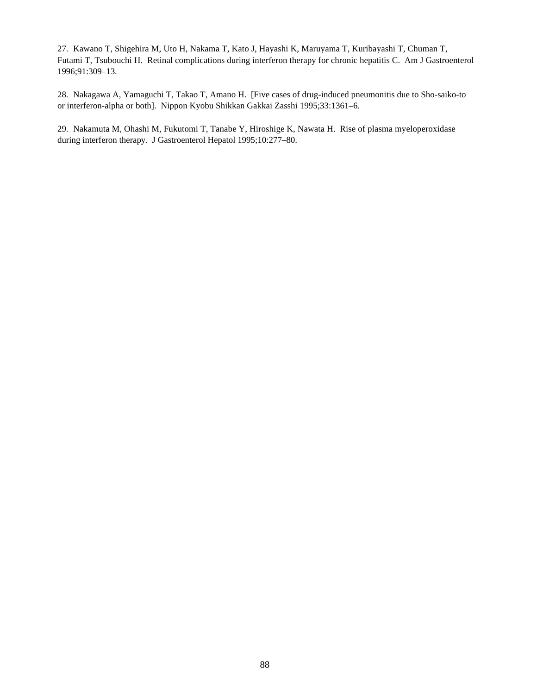27. Kawano T, Shigehira M, Uto H, Nakama T, Kato J, Hayashi K, Maruyama T, Kuribayashi T, Chuman T, Futami T, Tsubouchi H. Retinal complications during interferon therapy for chronic hepatitis C. Am J Gastroenterol 1996;91:309–13.

28. Nakagawa A, Yamaguchi T, Takao T, Amano H. [Five cases of drug-induced pneumonitis due to Sho-saiko-to or interferon-alpha or both]. Nippon Kyobu Shikkan Gakkai Zasshi 1995;33:1361–6.

29. Nakamuta M, Ohashi M, Fukutomi T, Tanabe Y, Hiroshige K, Nawata H. Rise of plasma myeloperoxidase during interferon therapy. J Gastroenterol Hepatol 1995;10:277–80.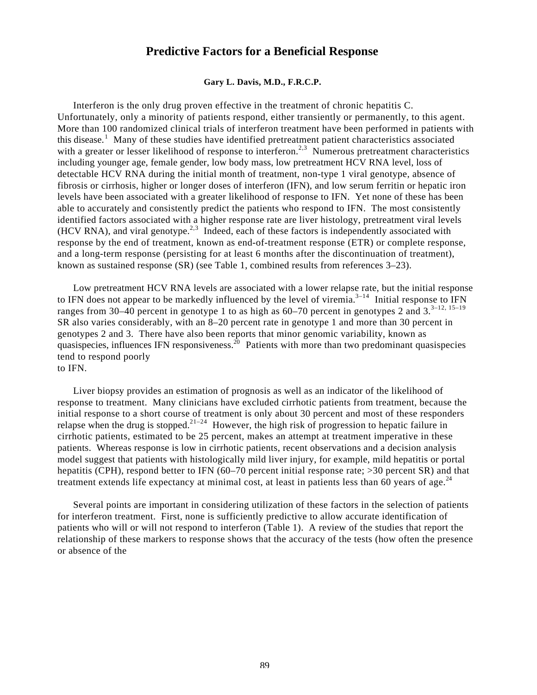# **Predictive Factors for a Beneficial Response**

### **Gary L. Davis, M.D., F.R.C.P.**

Interferon is the only drug proven effective in the treatment of chronic hepatitis C. Unfortunately, only a minority of patients respond, either transiently or permanently, to this agent. More than 100 randomized clinical trials of interferon treatment have been performed in patients with this disease.<sup>1</sup> Many of these studies have identified pretreatment patient characteristics associated with a greater or lesser likelihood of response to interferon.<sup>2,3</sup> Numerous pretreatment characteristics including younger age, female gender, low body mass, low pretreatment HCV RNA level, loss of detectable HCV RNA during the initial month of treatment, non-type 1 viral genotype, absence of fibrosis or cirrhosis, higher or longer doses of interferon (IFN), and low serum ferritin or hepatic iron levels have been associated with a greater likelihood of response to IFN. Yet none of these has been able to accurately and consistently predict the patients who respond to IFN. The most consistently identified factors associated with a higher response rate are liver histology, pretreatment viral levels (HCV RNA), and viral genotype.<sup>2,3</sup> Indeed, each of these factors is independently associated with response by the end of treatment, known as end-of-treatment response (ETR) or complete response, and a long-term response (persisting for at least 6 months after the discontinuation of treatment), known as sustained response (SR) (see Table 1, combined results from references 3–23).

Low pretreatment HCV RNA levels are associated with a lower relapse rate, but the initial response to IFN does not appear to be markedly influenced by the level of viremia.<sup>3–14</sup> Initial response to IFN ranges from 30–40 percent in genotype 1 to as high as  $60-70$  percent in genotypes 2 and 3.<sup>3–12, 15–19</sup> SR also varies considerably, with an 8–20 percent rate in genotype 1 and more than 30 percent in genotypes 2 and 3. There have also been reports that minor genomic variability, known as quasispecies, influences IFN responsiveness.<sup>20</sup> Patients with more than two predominant quasispecies tend to respond poorly to IFN.

Liver biopsy provides an estimation of prognosis as well as an indicator of the likelihood of response to treatment. Many clinicians have excluded cirrhotic patients from treatment, because the initial response to a short course of treatment is only about 30 percent and most of these responders relapse when the drug is stopped.<sup>21-24</sup> However, the high risk of progression to hepatic failure in cirrhotic patients, estimated to be 25 percent, makes an attempt at treatment imperative in these patients. Whereas response is low in cirrhotic patients, recent observations and a decision analysis model suggest that patients with histologically mild liver injury, for example, mild hepatitis or portal hepatitis (CPH), respond better to IFN (60–70 percent initial response rate; >30 percent SR) and that treatment extends life expectancy at minimal cost, at least in patients less than 60 years of age.<sup>24</sup>

Several points are important in considering utilization of these factors in the selection of patients for interferon treatment. First, none is sufficiently predictive to allow accurate identification of patients who will or will not respond to interferon (Table 1). A review of the studies that report the relationship of these markers to response shows that the accuracy of the tests (how often the presence or absence of the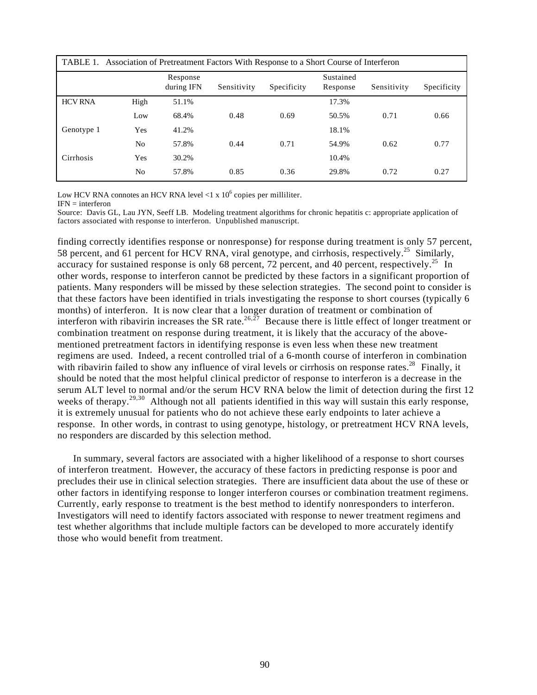| Association of Pretreatment Factors With Response to a Short Course of Interferon<br>TABLE 1. |      |                        |             |             |                       |             |             |
|-----------------------------------------------------------------------------------------------|------|------------------------|-------------|-------------|-----------------------|-------------|-------------|
|                                                                                               |      | Response<br>during IFN | Sensitivity | Specificity | Sustained<br>Response | Sensitivity | Specificity |
| <b>HCV RNA</b>                                                                                | High | 51.1%                  |             |             | 17.3%                 |             |             |
|                                                                                               | Low  | 68.4%                  | 0.48        | 0.69        | 50.5%                 | 0.71        | 0.66        |
| Genotype 1                                                                                    | Yes  | 41.2%                  |             |             | 18.1%                 |             |             |
|                                                                                               | No   | 57.8%                  | 0.44        | 0.71        | 54.9%                 | 0.62        | 0.77        |
| Cirrhosis                                                                                     | Yes  | 30.2%                  |             |             | 10.4%                 |             |             |
|                                                                                               | No   | 57.8%                  | 0.85        | 0.36        | 29.8%                 | 0.72        | 0.27        |

Low HCV RNA connotes an HCV RNA level  $\langle 1 \times 10^6 \text{ copies per milliliter.} \rangle$ 

IFN = interferon

Source: Davis GL, Lau JYN, Seeff LB. Modeling treatment algorithms for chronic hepatitis c: appropriate application of factors associated with response to interferon. Unpublished manuscript.

finding correctly identifies response or nonresponse) for response during treatment is only 57 percent, 58 percent, and 61 percent for HCV RNA, viral genotype, and cirrhosis, respectively.<sup>25</sup> Similarly, accuracy for sustained response is only 68 percent, 72 percent, and 40 percent, respectively.<sup>25</sup> In other words, response to interferon cannot be predicted by these factors in a significant proportion of patients. Many responders will be missed by these selection strategies. The second point to consider is that these factors have been identified in trials investigating the response to short courses (typically 6 months) of interferon. It is now clear that a longer duration of treatment or combination of interferon with ribavirin increases the SR rate.<sup>26,27</sup> Because there is little effect of longer treatment or combination treatment on response during treatment, it is likely that the accuracy of the abovementioned pretreatment factors in identifying response is even less when these new treatment regimens are used. Indeed, a recent controlled trial of a 6-month course of interferon in combination with ribavirin failed to show any influence of viral levels or cirrhosis on response rates.<sup>28</sup> Finally, it should be noted that the most helpful clinical predictor of response to interferon is a decrease in the serum ALT level to normal and/or the serum HCV RNA below the limit of detection during the first 12 weeks of therapy.<sup>29,30</sup> Although not all patients identified in this way will sustain this early response, it is extremely unusual for patients who do not achieve these early endpoints to later achieve a response. In other words, in contrast to using genotype, histology, or pretreatment HCV RNA levels, no responders are discarded by this selection method.

In summary, several factors are associated with a higher likelihood of a response to short courses of interferon treatment. However, the accuracy of these factors in predicting response is poor and precludes their use in clinical selection strategies. There are insufficient data about the use of these or other factors in identifying response to longer interferon courses or combination treatment regimens. Currently, early response to treatment is the best method to identify nonresponders to interferon. Investigators will need to identify factors associated with response to newer treatment regimens and test whether algorithms that include multiple factors can be developed to more accurately identify those who would benefit from treatment.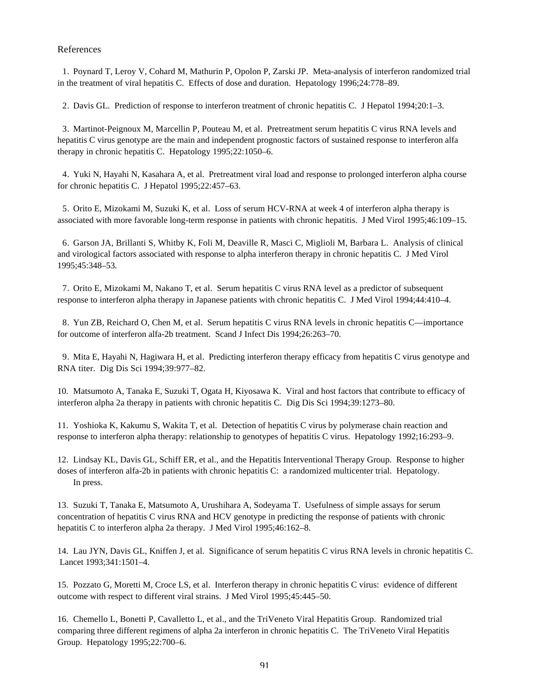## References

 1. Poynard T, Leroy V, Cohard M, Mathurin P, Opolon P, Zarski JP. Meta-analysis of interferon randomized trial in the treatment of viral hepatitis C. Effects of dose and duration. Hepatology 1996;24:778–89.

2. Davis GL. Prediction of response to interferon treatment of chronic hepatitis C. J Hepatol 1994;20:1–3.

 3. Martinot-Peignoux M, Marcellin P, Pouteau M, et al. Pretreatment serum hepatitis C virus RNA levels and hepatitis C virus genotype are the main and independent prognostic factors of sustained response to interferon alfa therapy in chronic hepatitis C. Hepatology 1995;22:1050–6.

 4. Yuki N, Hayahi N, Kasahara A, et al. Pretreatment viral load and response to prolonged interferon alpha course for chronic hepatitis C. J Hepatol 1995;22:457–63.

 5. Orito E, Mizokami M, Suzuki K, et al. Loss of serum HCV-RNA at week 4 of interferon alpha therapy is associated with more favorable long-term response in patients with chronic hepatitis. J Med Virol 1995;46:109–15.

 6. Garson JA, Brillanti S, Whitby K, Foli M, Deaville R, Masci C, Miglioli M, Barbara L. Analysis of clinical and virological factors associated with response to alpha interferon therapy in chronic hepatitis C. J Med Virol 1995;45:348–53.

 7. Orito E, Mizokami M, Nakano T, et al. Serum hepatitis C virus RNA level as a predictor of subsequent response to interferon alpha therapy in Japanese patients with chronic hepatitis C. J Med Virol 1994;44:410–4.

 8. Yun ZB, Reichard O, Chen M, et al. Serum hepatitis C virus RNA levels in chronic hepatitis C—importance for outcome of interferon alfa-2b treatment. Scand J Infect Dis 1994;26:263–70.

 9. Mita E, Hayahi N, Hagiwara H, et al. Predicting interferon therapy efficacy from hepatitis C virus genotype and RNA titer. Dig Dis Sci 1994;39:977–82.

10. Matsumoto A, Tanaka E, Suzuki T, Ogata H, Kiyosawa K. Viral and host factors that contribute to efficacy of interferon alpha 2a therapy in patients with chronic hepatitis C. Dig Dis Sci 1994;39:1273–80.

11. Yoshioka K, Kakumu S, Wakita T, et al. Detection of hepatitis C virus by polymerase chain reaction and response to interferon alpha therapy: relationship to genotypes of hepatitis C virus. Hepatology 1992;16:293–9.

12. Lindsay KL, Davis GL, Schiff ER, et al., and the Hepatitis Interventional Therapy Group. Response to higher doses of interferon alfa-2b in patients with chronic hepatitis C: a randomized multicenter trial. Hepatology. In press.

13. Suzuki T, Tanaka E, Matsumoto A, Urushihara A, Sodeyama T. Usefulness of simple assays for serum concentration of hepatitis C virus RNA and HCV genotype in predicting the response of patients with chronic hepatitis C to interferon alpha 2a therapy. J Med Virol 1995;46:162–8.

14. Lau JYN, Davis GL, Kniffen J, et al. Significance of serum hepatitis C virus RNA levels in chronic hepatitis C. Lancet 1993;341:1501–4.

15. Pozzato G, Moretti M, Croce LS, et al. Interferon therapy in chronic hepatitis C virus: evidence of different outcome with respect to different viral strains. J Med Virol 1995;45:445–50.

16. Chemello L, Bonetti P, Cavalletto L, et al., and the TriVeneto Viral Hepatitis Group. Randomized trial comparing three different regimens of alpha 2a interferon in chronic hepatitis C. The TriVeneto Viral Hepatitis Group. Hepatology 1995;22:700–6.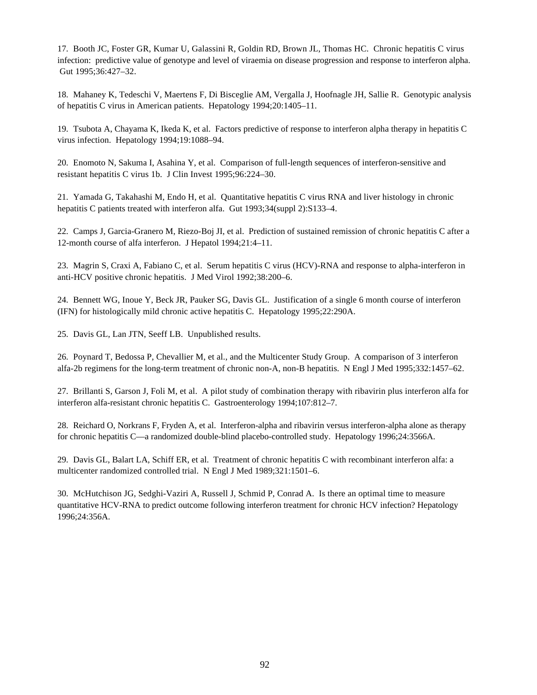17. Booth JC, Foster GR, Kumar U, Galassini R, Goldin RD, Brown JL, Thomas HC. Chronic hepatitis C virus infection: predictive value of genotype and level of viraemia on disease progression and response to interferon alpha. Gut 1995;36:427–32.

18. Mahaney K, Tedeschi V, Maertens F, Di Bisceglie AM, Vergalla J, Hoofnagle JH, Sallie R. Genotypic analysis of hepatitis C virus in American patients. Hepatology 1994;20:1405–11.

19. Tsubota A, Chayama K, Ikeda K, et al. Factors predictive of response to interferon alpha therapy in hepatitis C virus infection. Hepatology 1994;19:1088–94.

20. Enomoto N, Sakuma I, Asahina Y, et al. Comparison of full-length sequences of interferon-sensitive and resistant hepatitis C virus 1b. J Clin Invest 1995;96:224–30.

21. Yamada G, Takahashi M, Endo H, et al. Quantitative hepatitis C virus RNA and liver histology in chronic hepatitis C patients treated with interferon alfa. Gut 1993;34(suppl 2):S133–4.

22. Camps J, Garcia-Granero M, Riezo-Boj JI, et al. Prediction of sustained remission of chronic hepatitis C after a 12-month course of alfa interferon. J Hepatol 1994;21:4–11.

23. Magrin S, Craxi A, Fabiano C, et al. Serum hepatitis C virus (HCV)-RNA and response to alpha-interferon in anti-HCV positive chronic hepatitis. J Med Virol 1992;38:200–6.

24. Bennett WG, Inoue Y, Beck JR, Pauker SG, Davis GL. Justification of a single 6 month course of interferon (IFN) for histologically mild chronic active hepatitis C. Hepatology 1995;22:290A.

25. Davis GL, Lan JTN, Seeff LB. Unpublished results.

26. Poynard T, Bedossa P, Chevallier M, et al., and the Multicenter Study Group. A comparison of 3 interferon alfa-2b regimens for the long-term treatment of chronic non-A, non-B hepatitis. N Engl J Med 1995;332:1457–62.

27. Brillanti S, Garson J, Foli M, et al. A pilot study of combination therapy with ribavirin plus interferon alfa for interferon alfa-resistant chronic hepatitis C. Gastroenterology 1994;107:812–7.

28. Reichard O, Norkrans F, Fryden A, et al. Interferon-alpha and ribavirin versus interferon-alpha alone as therapy for chronic hepatitis C—a randomized double-blind placebo-controlled study. Hepatology 1996;24:3566A.

29. Davis GL, Balart LA, Schiff ER, et al. Treatment of chronic hepatitis C with recombinant interferon alfa: a multicenter randomized controlled trial. N Engl J Med 1989;321:1501–6.

30. McHutchison JG, Sedghi-Vaziri A, Russell J, Schmid P, Conrad A. Is there an optimal time to measure quantitative HCV-RNA to predict outcome following interferon treatment for chronic HCV infection? Hepatology 1996;24:356A.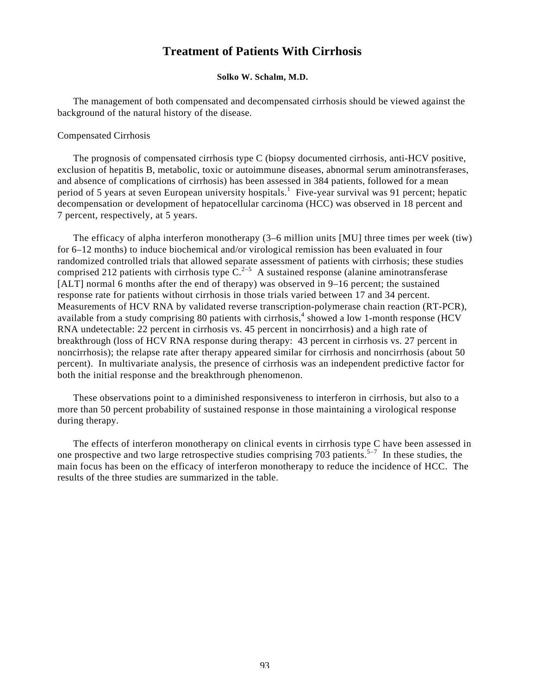# **Treatment of Patients With Cirrhosis**

### **Solko W. Schalm, M.D.**

The management of both compensated and decompensated cirrhosis should be viewed against the background of the natural history of the disease.

### Compensated Cirrhosis

The prognosis of compensated cirrhosis type C (biopsy documented cirrhosis, anti-HCV positive, exclusion of hepatitis B, metabolic, toxic or autoimmune diseases, abnormal serum aminotransferases, and absence of complications of cirrhosis) has been assessed in 384 patients, followed for a mean period of 5 years at seven European university hospitals.<sup>1</sup> Five-year survival was 91 percent; hepatic decompensation or development of hepatocellular carcinoma (HCC) was observed in 18 percent and 7 percent, respectively, at 5 years.

The efficacy of alpha interferon monotherapy (3–6 million units [MU] three times per week (tiw) for 6–12 months) to induce biochemical and/or virological remission has been evaluated in four randomized controlled trials that allowed separate assessment of patients with cirrhosis; these studies comprised 212 patients with cirrhosis type  $C<sup>2-5</sup>$  A sustained response (alanine aminotransferase [ALT] normal 6 months after the end of therapy) was observed in 9–16 percent; the sustained response rate for patients without cirrhosis in those trials varied between 17 and 34 percent. Measurements of HCV RNA by validated reverse transcription-polymerase chain reaction (RT-PCR), available from a study comprising 80 patients with cirrhosis,<sup>4</sup> showed a low 1-month response (HCV RNA undetectable: 22 percent in cirrhosis vs. 45 percent in noncirrhosis) and a high rate of breakthrough (loss of HCV RNA response during therapy: 43 percent in cirrhosis vs. 27 percent in noncirrhosis); the relapse rate after therapy appeared similar for cirrhosis and noncirrhosis (about 50 percent). In multivariate analysis, the presence of cirrhosis was an independent predictive factor for both the initial response and the breakthrough phenomenon.

These observations point to a diminished responsiveness to interferon in cirrhosis, but also to a more than 50 percent probability of sustained response in those maintaining a virological response during therapy.

The effects of interferon monotherapy on clinical events in cirrhosis type C have been assessed in one prospective and two large retrospective studies comprising 703 patients.<sup>5–7</sup> In these studies, the main focus has been on the efficacy of interferon monotherapy to reduce the incidence of HCC. The results of the three studies are summarized in the table.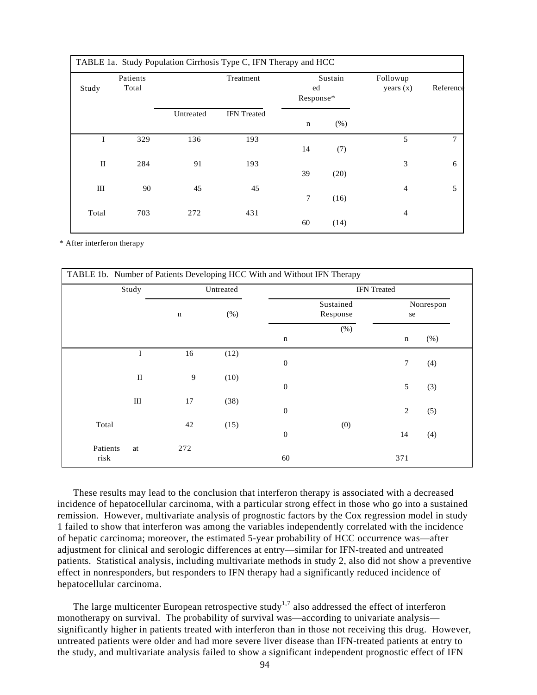| Study        | Patients<br>Total | Treatment |                    | Sustain<br>ed<br>Response* |        | Followup<br>years $(x)$ | Reference |
|--------------|-------------------|-----------|--------------------|----------------------------|--------|-------------------------|-----------|
|              |                   | Untreated | <b>IFN</b> Treated | $\mathbf n$                | $(\%)$ |                         |           |
| I            | 329               | 136       | 193                | 14                         | (7)    | 5                       | $\tau$    |
| $\mathbf{I}$ | 284               | 91        | 193                | 39                         | (20)   | 3                       | 6         |
| III          | 90                | 45        | 45                 | $\tau$                     | (16)   | $\overline{4}$          | 5         |
| Total        | 703               | 272       | 431                | 60                         | (14)   | $\overline{4}$          |           |

\* After interferon therapy

| TABLE 1b. Number of Patients Developing HCC With and Without IFN Therapy |              |             |           |                       |      |              |           |
|--------------------------------------------------------------------------|--------------|-------------|-----------|-----------------------|------|--------------|-----------|
|                                                                          | Study        |             | Untreated | <b>IFN</b> Treated    |      |              |           |
|                                                                          |              | $\mathbf n$ | $(\% )$   | Sustained<br>Response |      | se           | Nonrespon |
|                                                                          |              |             |           | $\mathbf n$           | (% ) | $\mathbf n$  | (% )      |
|                                                                          | I            | 16          | (12)      | $\mathbf{0}$          |      | 7            | (4)       |
|                                                                          | $\mathbf{I}$ | 9           | (10)      | $\overline{0}$        |      | 5            | (3)       |
|                                                                          | III          | 17          | (38)      | $\boldsymbol{0}$      |      | $\mathbf{2}$ | (5)       |
| Total                                                                    |              | 42          | (15)      | $\boldsymbol{0}$      | (0)  | 14           | (4)       |
| Patients<br>risk                                                         | at           | 272         |           | 60                    |      | 371          |           |

These results may lead to the conclusion that interferon therapy is associated with a decreased incidence of hepatocellular carcinoma, with a particular strong effect in those who go into a sustained remission. However, multivariate analysis of prognostic factors by the Cox regression model in study 1 failed to show that interferon was among the variables independently correlated with the incidence of hepatic carcinoma; moreover, the estimated 5-year probability of HCC occurrence was—after adjustment for clinical and serologic differences at entry—similar for IFN-treated and untreated patients. Statistical analysis, including multivariate methods in study 2, also did not show a preventive effect in nonresponders, but responders to IFN therapy had a significantly reduced incidence of hepatocellular carcinoma.

The large multicenter European retrospective study<sup>1,7</sup> also addressed the effect of interferon monotherapy on survival. The probability of survival was—according to univariate analysis significantly higher in patients treated with interferon than in those not receiving this drug. However, untreated patients were older and had more severe liver disease than IFN-treated patients at entry to the study, and multivariate analysis failed to show a significant independent prognostic effect of IFN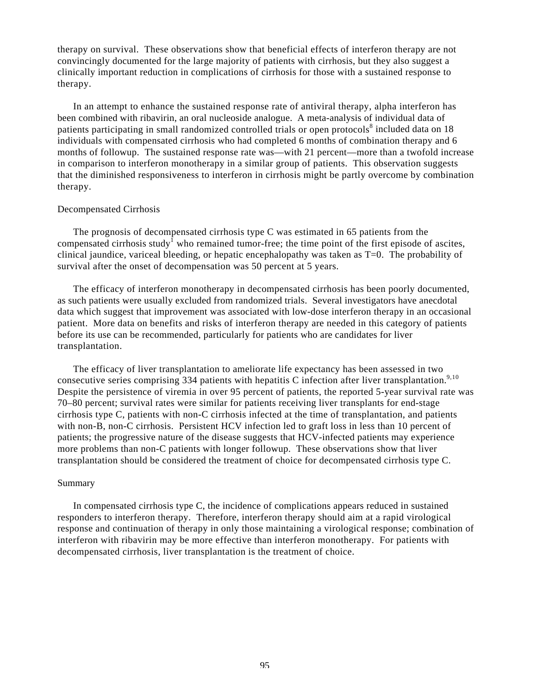therapy on survival. These observations show that beneficial effects of interferon therapy are not convincingly documented for the large majority of patients with cirrhosis, but they also suggest a clinically important reduction in complications of cirrhosis for those with a sustained response to therapy.

In an attempt to enhance the sustained response rate of antiviral therapy, alpha interferon has been combined with ribavirin, an oral nucleoside analogue. A meta-analysis of individual data of patients participating in small randomized controlled trials or open protocols<sup>8</sup> included data on 18 individuals with compensated cirrhosis who had completed 6 months of combination therapy and 6 months of followup. The sustained response rate was—with 21 percent—more than a twofold increase in comparison to interferon monotherapy in a similar group of patients. This observation suggests that the diminished responsiveness to interferon in cirrhosis might be partly overcome by combination therapy.

## Decompensated Cirrhosis

The prognosis of decompensated cirrhosis type C was estimated in 65 patients from the compensated cirrhosis study<sup>1</sup> who remained tumor-free; the time point of the first episode of ascites, clinical jaundice, variceal bleeding, or hepatic encephalopathy was taken as T=0. The probability of survival after the onset of decompensation was 50 percent at 5 years.

The efficacy of interferon monotherapy in decompensated cirrhosis has been poorly documented, as such patients were usually excluded from randomized trials. Several investigators have anecdotal data which suggest that improvement was associated with low-dose interferon therapy in an occasional patient. More data on benefits and risks of interferon therapy are needed in this category of patients before its use can be recommended, particularly for patients who are candidates for liver transplantation.

The efficacy of liver transplantation to ameliorate life expectancy has been assessed in two consecutive series comprising 334 patients with hepatitis C infection after liver transplantation.<sup>9,10</sup> Despite the persistence of viremia in over 95 percent of patients, the reported 5-year survival rate was 70–80 percent; survival rates were similar for patients receiving liver transplants for end-stage cirrhosis type C, patients with non-C cirrhosis infected at the time of transplantation, and patients with non-B, non-C cirrhosis. Persistent HCV infection led to graft loss in less than 10 percent of patients; the progressive nature of the disease suggests that HCV-infected patients may experience more problems than non-C patients with longer followup. These observations show that liver transplantation should be considered the treatment of choice for decompensated cirrhosis type C.

## Summary

In compensated cirrhosis type C, the incidence of complications appears reduced in sustained responders to interferon therapy. Therefore, interferon therapy should aim at a rapid virological response and continuation of therapy in only those maintaining a virological response; combination of interferon with ribavirin may be more effective than interferon monotherapy. For patients with decompensated cirrhosis, liver transplantation is the treatment of choice.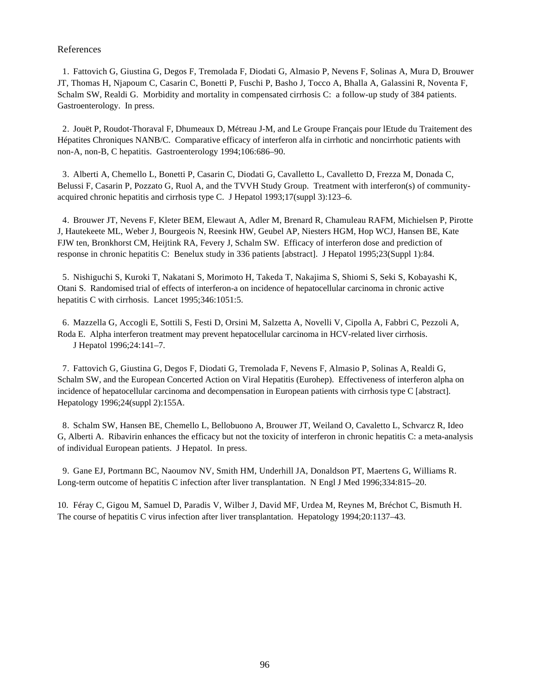### References

 1. Fattovich G, Giustina G, Degos F, Tremolada F, Diodati G, Almasio P, Nevens F, Solinas A, Mura D, Brouwer JT, Thomas H, Njapoum C, Casarin C, Bonetti P, Fuschi P, Basho J, Tocco A, Bhalla A, Galassini R, Noventa F, Schalm SW, Realdi G. Morbidity and mortality in compensated cirrhosis C: a follow-up study of 384 patients. Gastroenterology. In press.

 2. Jouët P, Roudot-Thoraval F, Dhumeaux D, Métreau J-M, and Le Groupe Français pour lEtude du Traitement des Hépatites Chroniques NANB/C. Comparative efficacy of interferon alfa in cirrhotic and noncirrhotic patients with non-A, non-B, C hepatitis. Gastroenterology 1994;106:686–90.

 3. Alberti A, Chemello L, Bonetti P, Casarin C, Diodati G, Cavalletto L, Cavalletto D, Frezza M, Donada C, Belussi F, Casarin P, Pozzato G, Ruol A, and the TVVH Study Group. Treatment with interferon(s) of communityacquired chronic hepatitis and cirrhosis type C. J Hepatol 1993;17(suppl 3):123–6.

 4. Brouwer JT, Nevens F, Kleter BEM, Elewaut A, Adler M, Brenard R, Chamuleau RAFM, Michielsen P, Pirotte J, Hautekeete ML, Weber J, Bourgeois N, Reesink HW, Geubel AP, Niesters HGM, Hop WCJ, Hansen BE, Kate FJW ten, Bronkhorst CM, Heijtink RA, Fevery J, Schalm SW. Efficacy of interferon dose and prediction of response in chronic hepatitis C: Benelux study in 336 patients [abstract]. J Hepatol 1995;23(Suppl 1):84.

 5. Nishiguchi S, Kuroki T, Nakatani S, Morimoto H, Takeda T, Nakajima S, Shiomi S, Seki S, Kobayashi K, Otani S. Randomised trial of effects of interferon-a on incidence of hepatocellular carcinoma in chronic active hepatitis C with cirrhosis. Lancet 1995;346:1051:5.

 6. Mazzella G, Accogli E, Sottili S, Festi D, Orsini M, Salzetta A, Novelli V, Cipolla A, Fabbri C, Pezzoli A, Roda E. Alpha interferon treatment may prevent hepatocellular carcinoma in HCV-related liver cirrhosis. J Hepatol 1996;24:141–7.

 7. Fattovich G, Giustina G, Degos F, Diodati G, Tremolada F, Nevens F, Almasio P, Solinas A, Realdi G, Schalm SW, and the European Concerted Action on Viral Hepatitis (Eurohep). Effectiveness of interferon alpha on incidence of hepatocellular carcinoma and decompensation in European patients with cirrhosis type C [abstract]. Hepatology 1996;24(suppl 2):155A.

 8. Schalm SW, Hansen BE, Chemello L, Bellobuono A, Brouwer JT, Weiland O, Cavaletto L, Schvarcz R, Ideo G, Alberti A. Ribavirin enhances the efficacy but not the toxicity of interferon in chronic hepatitis C: a meta-analysis of individual European patients. J Hepatol. In press.

9. Gane EJ, Portmann BC, Naoumov NV, Smith HM, Underhill JA, Donaldson PT, Maertens G, Williams R. Long-term outcome of hepatitis C infection after liver transplantation. N Engl J Med 1996;334:815–20.

10. Féray C, Gigou M, Samuel D, Paradis V, Wilber J, David MF, Urdea M, Reynes M, Bréchot C, Bismuth H. The course of hepatitis C virus infection after liver transplantation. Hepatology 1994;20:1137–43.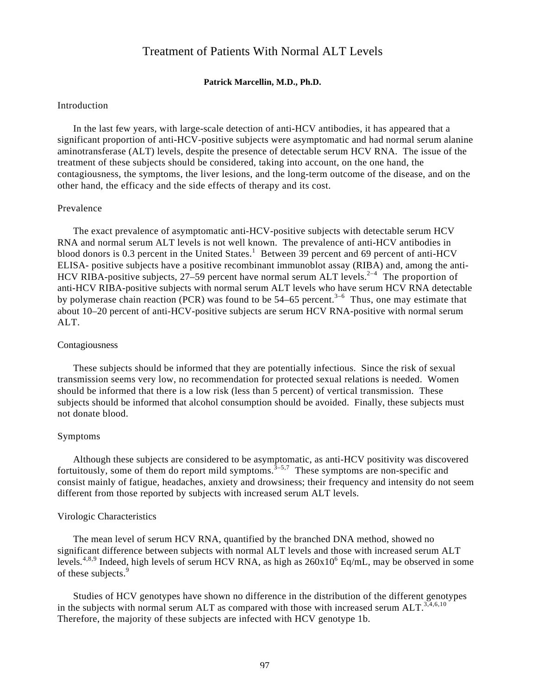# Treatment of Patients With Normal ALT Levels

### **Patrick Marcellin, M.D., Ph.D.**

### Introduction

In the last few years, with large-scale detection of anti-HCV antibodies, it has appeared that a significant proportion of anti-HCV-positive subjects were asymptomatic and had normal serum alanine aminotransferase (ALT) levels, despite the presence of detectable serum HCV RNA. The issue of the treatment of these subjects should be considered, taking into account, on the one hand, the contagiousness, the symptoms, the liver lesions, and the long-term outcome of the disease, and on the other hand, the efficacy and the side effects of therapy and its cost.

### Prevalence

The exact prevalence of asymptomatic anti-HCV-positive subjects with detectable serum HCV RNA and normal serum ALT levels is not well known. The prevalence of anti-HCV antibodies in blood donors is 0.3 percent in the United States.<sup>1</sup> Between 39 percent and 69 percent of anti-HCV ELISA- positive subjects have a positive recombinant immunoblot assay (RIBA) and, among the anti-HCV RIBA-positive subjects, 27–59 percent have normal serum ALT levels.<sup>2–4</sup> The proportion of anti-HCV RIBA-positive subjects with normal serum ALT levels who have serum HCV RNA detectable by polymerase chain reaction (PCR) was found to be  $54-65$  percent.<sup>3–6</sup> Thus, one may estimate that about 10–20 percent of anti-HCV-positive subjects are serum HCV RNA-positive with normal serum ALT.

### Contagiousness

These subjects should be informed that they are potentially infectious. Since the risk of sexual transmission seems very low, no recommendation for protected sexual relations is needed. Women should be informed that there is a low risk (less than 5 percent) of vertical transmission. These subjects should be informed that alcohol consumption should be avoided. Finally, these subjects must not donate blood.

### Symptoms

Although these subjects are considered to be asymptomatic, as anti-HCV positivity was discovered fortuitously, some of them do report mild symptoms.<sup>3–5,7</sup> These symptoms are non-specific and consist mainly of fatigue, headaches, anxiety and drowsiness; their frequency and intensity do not seem different from those reported by subjects with increased serum ALT levels.

### Virologic Characteristics

The mean level of serum HCV RNA, quantified by the branched DNA method, showed no significant difference between subjects with normal ALT levels and those with increased serum ALT levels.<sup>4,8,9</sup> Indeed, high levels of serum HCV RNA, as high as  $260x10^6$  Eq/mL, may be observed in some of these subjects.<sup>9</sup>

Studies of HCV genotypes have shown no difference in the distribution of the different genotypes in the subjects with normal serum ALT as compared with those with increased serum ALT.<sup>3,4,6,10</sup> Therefore, the majority of these subjects are infected with HCV genotype 1b.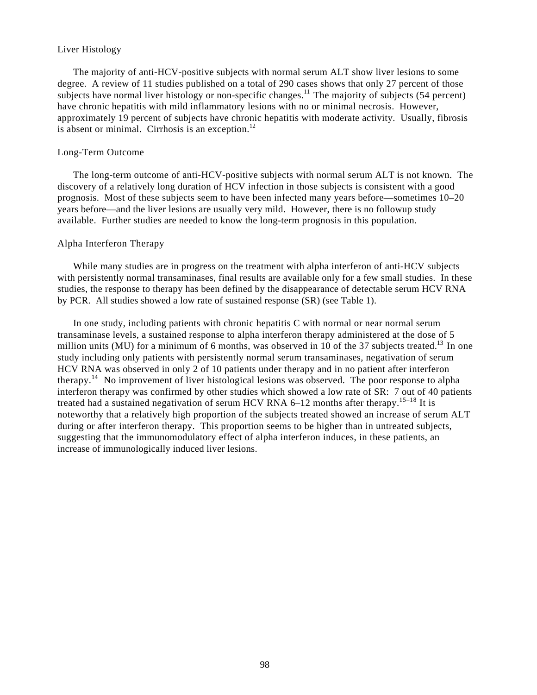# Liver Histology

The majority of anti-HCV-positive subjects with normal serum ALT show liver lesions to some degree. A review of 11 studies published on a total of 290 cases shows that only 27 percent of those subjects have normal liver histology or non-specific changes.<sup>11</sup> The majority of subjects (54 percent) have chronic hepatitis with mild inflammatory lesions with no or minimal necrosis. However, approximately 19 percent of subjects have chronic hepatitis with moderate activity. Usually, fibrosis is absent or minimal. Cirrhosis is an exception. $^{12}$ 

### Long-Term Outcome

The long-term outcome of anti-HCV-positive subjects with normal serum ALT is not known. The discovery of a relatively long duration of HCV infection in those subjects is consistent with a good prognosis. Most of these subjects seem to have been infected many years before—sometimes 10–20 years before—and the liver lesions are usually very mild. However, there is no followup study available. Further studies are needed to know the long-term prognosis in this population.

## Alpha Interferon Therapy

While many studies are in progress on the treatment with alpha interferon of anti-HCV subjects with persistently normal transaminases, final results are available only for a few small studies. In these studies, the response to therapy has been defined by the disappearance of detectable serum HCV RNA by PCR. All studies showed a low rate of sustained response (SR) (see Table 1).

In one study, including patients with chronic hepatitis C with normal or near normal serum transaminase levels, a sustained response to alpha interferon therapy administered at the dose of 5 million units (MU) for a minimum of 6 months, was observed in 10 of the 37 subjects treated.<sup>13</sup> In one study including only patients with persistently normal serum transaminases, negativation of serum HCV RNA was observed in only 2 of 10 patients under therapy and in no patient after interferon therapy.14 No improvement of liver histological lesions was observed. The poor response to alpha interferon therapy was confirmed by other studies which showed a low rate of SR: 7 out of 40 patients treated had a sustained negativation of serum HCV RNA 6–12 months after therapy.<sup>15–18</sup> It is noteworthy that a relatively high proportion of the subjects treated showed an increase of serum ALT during or after interferon therapy. This proportion seems to be higher than in untreated subjects, suggesting that the immunomodulatory effect of alpha interferon induces, in these patients, an increase of immunologically induced liver lesions.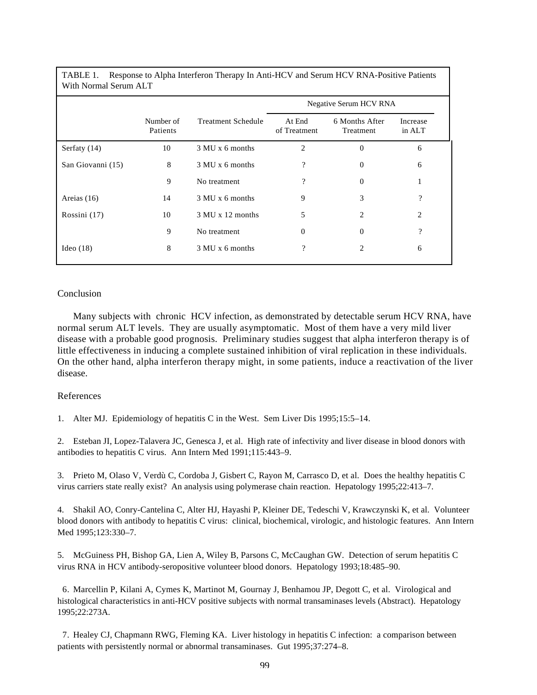| WILII INOITHAL SEI'UHI ALT |                    |                        |                             |                    |  |  |  |
|----------------------------|--------------------|------------------------|-----------------------------|--------------------|--|--|--|
|                            |                    | Negative Serum HCV RNA |                             |                    |  |  |  |
| Number of<br>Patients      | Treatment Schedule | At End<br>of Treatment | 6 Months After<br>Treatment | Increase<br>in ALT |  |  |  |
| 10                         | 3 MU x 6 months    | 2                      | $\Omega$                    | 6                  |  |  |  |
| 8                          | 3 MU x 6 months    | ?                      | $\Omega$                    | 6                  |  |  |  |
| 9                          | No treatment       | ?                      | $\Omega$                    | 1                  |  |  |  |
| 14                         | 3 MU x 6 months    | 9                      | 3                           | ?                  |  |  |  |
| 10                         | 3 MU x 12 months   | 5                      | 2                           | 2                  |  |  |  |
| 9                          | No treatment       | $\overline{0}$         | $\Omega$                    | 9                  |  |  |  |
| 8                          | 3 MU x 6 months    | $\overline{\cdot}$     | 2                           | 6                  |  |  |  |
|                            |                    |                        |                             |                    |  |  |  |

TABLE 1. Response to Alpha Interferon Therapy In Anti-HCV and Serum HCV RNA-Positive Patients  $W_{\text{th}}$  Normal  $\Omega$ 

### Conclusion

Many subjects with chronic HCV infection, as demonstrated by detectable serum HCV RNA, have normal serum ALT levels. They are usually asymptomatic. Most of them have a very mild liver disease with a probable good prognosis. Preliminary studies suggest that alpha interferon therapy is of little effectiveness in inducing a complete sustained inhibition of viral replication in these individuals. On the other hand, alpha interferon therapy might, in some patients, induce a reactivation of the liver disease.

## References

1. Alter MJ. Epidemiology of hepatitis C in the West. Sem Liver Dis 1995;15:5–14.

2. Esteban JI, Lopez-Talavera JC, Genesca J, et al. High rate of infectivity and liver disease in blood donors with antibodies to hepatitis C virus. Ann Intern Med 1991;115:443–9.

3. Prieto M, Olaso V, Verdù C, Cordoba J, Gisbert C, Rayon M, Carrasco D, et al. Does the healthy hepatitis C virus carriers state really exist? An analysis using polymerase chain reaction. Hepatology 1995;22:413–7.

4. Shakil AO, Conry-Cantelina C, Alter HJ, Hayashi P, Kleiner DE, Tedeschi V, Krawczynski K, et al. Volunteer blood donors with antibody to hepatitis C virus: clinical, biochemical, virologic, and histologic features. Ann Intern Med 1995;123:330–7.

5. McGuiness PH, Bishop GA, Lien A, Wiley B, Parsons C, McCaughan GW. Detection of serum hepatitis C virus RNA in HCV antibody-seropositive volunteer blood donors. Hepatology 1993;18:485–90.

 6. Marcellin P, Kilani A, Cymes K, Martinot M, Gournay J, Benhamou JP, Degott C, et al. Virological and histological characteristics in anti-HCV positive subjects with normal transaminases levels (Abstract). Hepatology 1995;22:273A.

 7. Healey CJ, Chapmann RWG, Fleming KA. Liver histology in hepatitis C infection: a comparison between patients with persistently normal or abnormal transaminases. Gut 1995;37:274–8.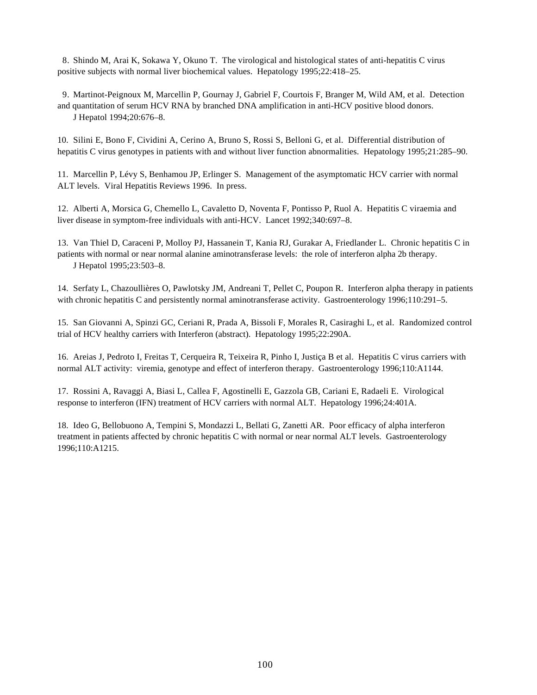8. Shindo M, Arai K, Sokawa Y, Okuno T. The virological and histological states of anti-hepatitis C virus positive subjects with normal liver biochemical values. Hepatology 1995;22:418–25.

 9. Martinot-Peignoux M, Marcellin P, Gournay J, Gabriel F, Courtois F, Branger M, Wild AM, et al. Detection and quantitation of serum HCV RNA by branched DNA amplification in anti-HCV positive blood donors. J Hepatol 1994;20:676–8.

10. Silini E, Bono F, Cividini A, Cerino A, Bruno S, Rossi S, Belloni G, et al. Differential distribution of hepatitis C virus genotypes in patients with and without liver function abnormalities. Hepatology 1995;21:285–90.

11. Marcellin P, Lévy S, Benhamou JP, Erlinger S. Management of the asymptomatic HCV carrier with normal ALT levels. Viral Hepatitis Reviews 1996. In press.

12. Alberti A, Morsica G, Chemello L, Cavaletto D, Noventa F, Pontisso P, Ruol A. Hepatitis C viraemia and liver disease in symptom-free individuals with anti-HCV. Lancet 1992;340:697–8.

13. Van Thiel D, Caraceni P, Molloy PJ, Hassanein T, Kania RJ, Gurakar A, Friedlander L. Chronic hepatitis C in patients with normal or near normal alanine aminotransferase levels: the role of interferon alpha 2b therapy. J Hepatol 1995;23:503–8.

14. Serfaty L, Chazoullières O, Pawlotsky JM, Andreani T, Pellet C, Poupon R. Interferon alpha therapy in patients with chronic hepatitis C and persistently normal aminotransferase activity. Gastroenterology 1996;110:291-5.

15. San Giovanni A, Spinzi GC, Ceriani R, Prada A, Bissoli F, Morales R, Casiraghi L, et al. Randomized control trial of HCV healthy carriers with Interferon (abstract). Hepatology 1995;22:290A.

16. Areias J, Pedroto I, Freitas T, Cerqueira R, Teixeira R, Pinho I, Justiça B et al. Hepatitis C virus carriers with normal ALT activity: viremia, genotype and effect of interferon therapy. Gastroenterology 1996;110:A1144.

17. Rossini A, Ravaggi A, Biasi L, Callea F, Agostinelli E, Gazzola GB, Cariani E, Radaeli E. Virological response to interferon (IFN) treatment of HCV carriers with normal ALT. Hepatology 1996;24:401A.

18. Ideo G, Bellobuono A, Tempini S, Mondazzi L, Bellati G, Zanetti AR. Poor efficacy of alpha interferon treatment in patients affected by chronic hepatitis C with normal or near normal ALT levels. Gastroenterology 1996;110:A1215.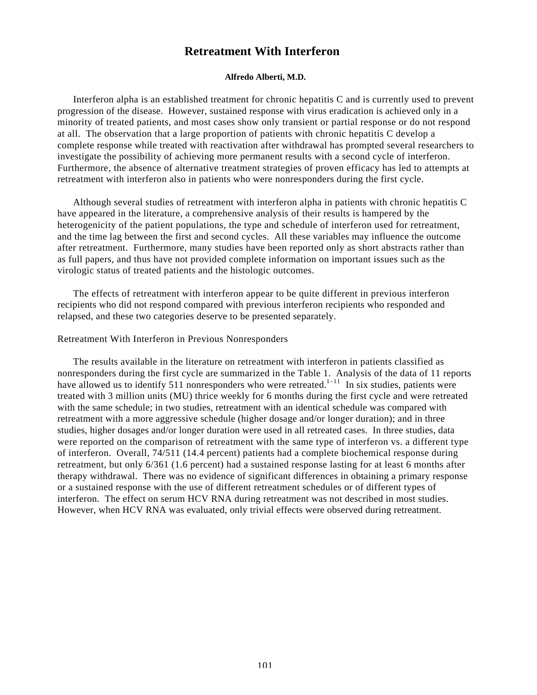# **Retreatment With Interferon**

### **Alfredo Alberti, M.D.**

Interferon alpha is an established treatment for chronic hepatitis C and is currently used to prevent progression of the disease. However, sustained response with virus eradication is achieved only in a minority of treated patients, and most cases show only transient or partial response or do not respond at all. The observation that a large proportion of patients with chronic hepatitis C develop a complete response while treated with reactivation after withdrawal has prompted several researchers to investigate the possibility of achieving more permanent results with a second cycle of interferon. Furthermore, the absence of alternative treatment strategies of proven efficacy has led to attempts at retreatment with interferon also in patients who were nonresponders during the first cycle.

Although several studies of retreatment with interferon alpha in patients with chronic hepatitis C have appeared in the literature, a comprehensive analysis of their results is hampered by the heterogenicity of the patient populations, the type and schedule of interferon used for retreatment, and the time lag between the first and second cycles. All these variables may influence the outcome after retreatment. Furthermore, many studies have been reported only as short abstracts rather than as full papers, and thus have not provided complete information on important issues such as the virologic status of treated patients and the histologic outcomes.

The effects of retreatment with interferon appear to be quite different in previous interferon recipients who did not respond compared with previous interferon recipients who responded and relapsed, and these two categories deserve to be presented separately.

# Retreatment With Interferon in Previous Nonresponders

The results available in the literature on retreatment with interferon in patients classified as nonresponders during the first cycle are summarized in the Table 1. Analysis of the data of 11 reports have allowed us to identify 511 nonresponders who were retreated.<sup>1–11</sup> In six studies, patients were treated with 3 million units (MU) thrice weekly for 6 months during the first cycle and were retreated with the same schedule; in two studies, retreatment with an identical schedule was compared with retreatment with a more aggressive schedule (higher dosage and/or longer duration); and in three studies, higher dosages and/or longer duration were used in all retreated cases. In three studies, data were reported on the comparison of retreatment with the same type of interferon vs. a different type of interferon. Overall, 74/511 (14.4 percent) patients had a complete biochemical response during retreatment, but only 6/361 (1.6 percent) had a sustained response lasting for at least 6 months after therapy withdrawal. There was no evidence of significant differences in obtaining a primary response or a sustained response with the use of different retreatment schedules or of different types of interferon. The effect on serum HCV RNA during retreatment was not described in most studies. However, when HCV RNA was evaluated, only trivial effects were observed during retreatment.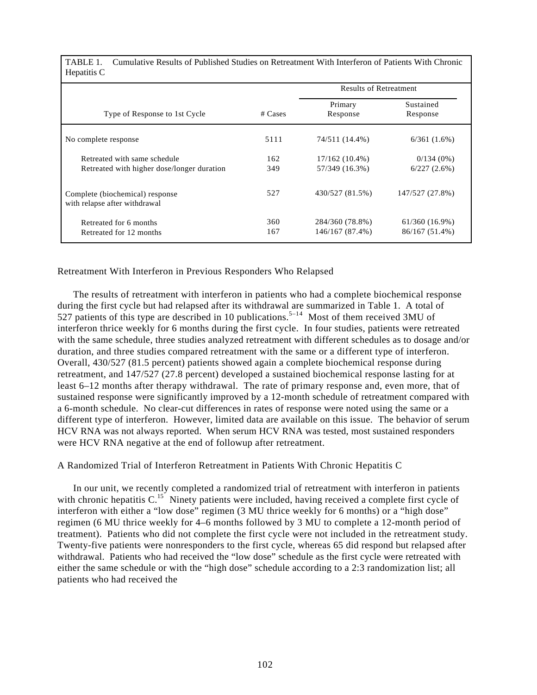| Hepatitis C                                                                |            |                                    |                                  |  |
|----------------------------------------------------------------------------|------------|------------------------------------|----------------------------------|--|
|                                                                            |            | <b>Results of Retreatment</b>      |                                  |  |
| Type of Response to 1st Cycle                                              | # Cases    | Primary<br>Response                | Sustained<br>Response            |  |
| No complete response                                                       | 5111       | 74/511 (14.4%)                     | 6/361(1.6%)                      |  |
| Retreated with same schedule<br>Retreated with higher dose/longer duration | 162<br>349 | $17/162(10.4\%)$<br>57/349 (16.3%) | $0/134(0\%)$<br>6/227(2.6%)      |  |
| Complete (biochemical) response<br>with relapse after withdrawal           | 527        | 430/527 (81.5%)                    | 147/527 (27.8%)                  |  |
| Retreated for 6 months<br>Retreated for 12 months                          | 360<br>167 | 284/360 (78.8%)<br>146/167 (87.4%) | 61/360 (16.9%)<br>86/167 (51.4%) |  |

TABLE 1. Cumulative Results of Published Studies on Retreatment With Interferon of Patients With Chronic

Retreatment With Interferon in Previous Responders Who Relapsed

The results of retreatment with interferon in patients who had a complete biochemical response during the first cycle but had relapsed after its withdrawal are summarized in Table 1. A total of 527 patients of this type are described in 10 publications.<sup>5–14</sup> Most of them received 3MU of interferon thrice weekly for 6 months during the first cycle. In four studies, patients were retreated with the same schedule, three studies analyzed retreatment with different schedules as to dosage and/or duration, and three studies compared retreatment with the same or a different type of interferon. Overall, 430/527 (81.5 percent) patients showed again a complete biochemical response during retreatment, and 147/527 (27.8 percent) developed a sustained biochemical response lasting for at least 6–12 months after therapy withdrawal. The rate of primary response and, even more, that of sustained response were significantly improved by a 12-month schedule of retreatment compared with a 6-month schedule. No clear-cut differences in rates of response were noted using the same or a different type of interferon. However, limited data are available on this issue. The behavior of serum HCV RNA was not always reported. When serum HCV RNA was tested, most sustained responders were HCV RNA negative at the end of followup after retreatment.

# A Randomized Trial of Interferon Retreatment in Patients With Chronic Hepatitis C

In our unit, we recently completed a randomized trial of retreatment with interferon in patients with chronic hepatitis C.<sup>15</sup> Ninety patients were included, having received a complete first cycle of interferon with either a "low dose" regimen (3 MU thrice weekly for 6 months) or a "high dose" regimen (6 MU thrice weekly for 4–6 months followed by 3 MU to complete a 12-month period of treatment). Patients who did not complete the first cycle were not included in the retreatment study. Twenty-five patients were nonresponders to the first cycle, whereas 65 did respond but relapsed after withdrawal. Patients who had received the "low dose" schedule as the first cycle were retreated with either the same schedule or with the "high dose" schedule according to a 2:3 randomization list; all patients who had received the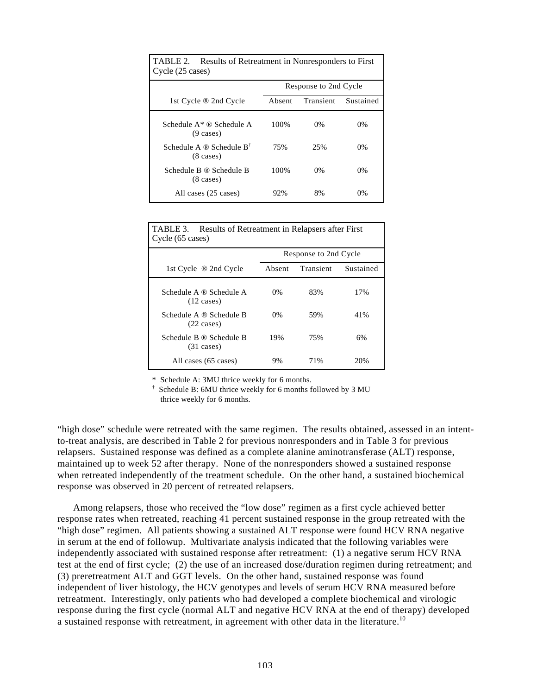| TABLE 2. Results of Retreatment in Nonresponders to First<br>Cycle (25 cases) |                       |           |           |  |
|-------------------------------------------------------------------------------|-----------------------|-----------|-----------|--|
|                                                                               | Response to 2nd Cycle |           |           |  |
| 1st Cycle <sup>®</sup> 2nd Cycle                                              | Absent                | Transient | Sustained |  |
| Schedule A* ® Schedule A<br>$(9 \text{ cases})$                               | 100%                  | $0\%$     | $0\%$     |  |
| Schedule A $\otimes$ Schedule B <sup>†</sup><br>$(8 \text{ cases})$           | 75%                   | 25%       | $0\%$     |  |
| Schedule B ® Schedule B<br>$(8 \text{ cases})$                                | 100%                  | $0\%$     | $0\%$     |  |
| All cases (25 cases)                                                          | 92%                   | 8%        | $^{196}$  |  |

| TABLE 3.<br>Results of Retreatment in Relapsers after First<br>Cycle (65 cases) |                       |           |           |  |
|---------------------------------------------------------------------------------|-----------------------|-----------|-----------|--|
|                                                                                 | Response to 2nd Cycle |           |           |  |
| 1st Cycle <sup>®</sup> 2nd Cycle                                                | Absent                | Transient | Sustained |  |
| Schedule A ® Schedule A<br>$(12 \text{ cases})$                                 | $0\%$                 | 83%       | 17%       |  |
| Schedule A ® Schedule B<br>$(22 \text{ cases})$                                 | $0\%$                 | 59%       | 41%       |  |
| Schedule B ® Schedule B<br>$(31 \text{ cases})$                                 | 19%                   | 75%       | 6%        |  |
| All cases (65 cases)                                                            | 9%                    | 71%       | 20\%      |  |

\* Schedule A: 3MU thrice weekly for 6 months.

† Schedule B: 6MU thrice weekly for 6 months followed by 3 MU thrice weekly for 6 months.

"high dose" schedule were retreated with the same regimen. The results obtained, assessed in an intentto-treat analysis, are described in Table 2 for previous nonresponders and in Table 3 for previous relapsers. Sustained response was defined as a complete alanine aminotransferase (ALT) response, maintained up to week 52 after therapy. None of the nonresponders showed a sustained response when retreated independently of the treatment schedule. On the other hand, a sustained biochemical response was observed in 20 percent of retreated relapsers.

Among relapsers, those who received the "low dose" regimen as a first cycle achieved better response rates when retreated, reaching 41 percent sustained response in the group retreated with the "high dose" regimen. All patients showing a sustained ALT response were found HCV RNA negative in serum at the end of followup. Multivariate analysis indicated that the following variables were independently associated with sustained response after retreatment: (1) a negative serum HCV RNA test at the end of first cycle; (2) the use of an increased dose/duration regimen during retreatment; and (3) preretreatment ALT and GGT levels. On the other hand, sustained response was found independent of liver histology, the HCV genotypes and levels of serum HCV RNA measured before retreatment. Interestingly, only patients who had developed a complete biochemical and virologic response during the first cycle (normal ALT and negative HCV RNA at the end of therapy) developed a sustained response with retreatment, in agreement with other data in the literature.<sup>10</sup>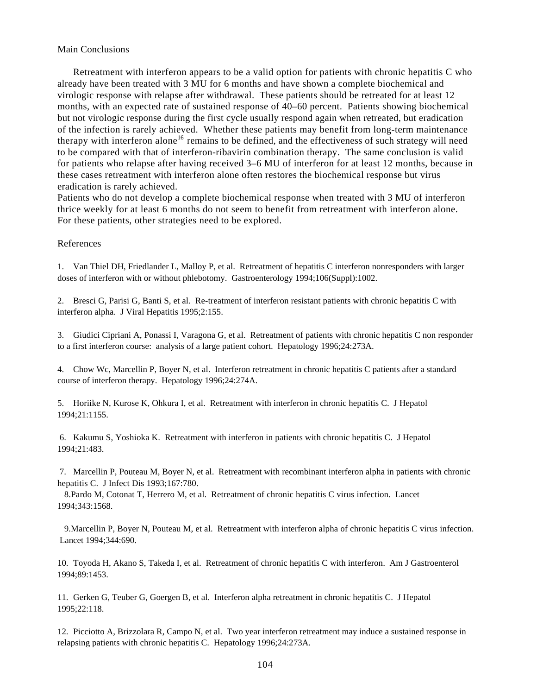## Main Conclusions

Retreatment with interferon appears to be a valid option for patients with chronic hepatitis C who already have been treated with 3 MU for 6 months and have shown a complete biochemical and virologic response with relapse after withdrawal. These patients should be retreated for at least 12 months, with an expected rate of sustained response of 40–60 percent. Patients showing biochemical but not virologic response during the first cycle usually respond again when retreated, but eradication of the infection is rarely achieved. Whether these patients may benefit from long-term maintenance therapy with interferon alone<sup>16</sup> remains to be defined, and the effectiveness of such strategy will need to be compared with that of interferon-ribavirin combination therapy. The same conclusion is valid for patients who relapse after having received 3–6 MU of interferon for at least 12 months, because in these cases retreatment with interferon alone often restores the biochemical response but virus eradication is rarely achieved.

Patients who do not develop a complete biochemical response when treated with 3 MU of interferon thrice weekly for at least 6 months do not seem to benefit from retreatment with interferon alone. For these patients, other strategies need to be explored.

#### References

1. Van Thiel DH, Friedlander L, Malloy P, et al. Retreatment of hepatitis C interferon nonresponders with larger doses of interferon with or without phlebotomy. Gastroenterology 1994;106(Suppl):1002.

2. Bresci G, Parisi G, Banti S, et al. Re-treatment of interferon resistant patients with chronic hepatitis C with interferon alpha. J Viral Hepatitis 1995;2:155.

3. Giudici Cipriani A, Ponassi I, Varagona G, et al. Retreatment of patients with chronic hepatitis C non responder to a first interferon course: analysis of a large patient cohort. Hepatology 1996;24:273A.

4. Chow Wc, Marcellin P, Boyer N, et al. Interferon retreatment in chronic hepatitis C patients after a standard course of interferon therapy. Hepatology 1996;24:274A.

5. Horiike N, Kurose K, Ohkura I, et al. Retreatment with interferon in chronic hepatitis C. J Hepatol 1994;21:1155.

 6. Kakumu S, Yoshioka K. Retreatment with interferon in patients with chronic hepatitis C. J Hepatol 1994;21:483.

 7. Marcellin P, Pouteau M, Boyer N, et al. Retreatment with recombinant interferon alpha in patients with chronic hepatitis C. J Infect Dis 1993;167:780.

 8.Pardo M, Cotonat T, Herrero M, et al. Retreatment of chronic hepatitis C virus infection. Lancet 1994;343:1568.

 9.Marcellin P, Boyer N, Pouteau M, et al. Retreatment with interferon alpha of chronic hepatitis C virus infection. Lancet 1994;344:690.

10. Toyoda H, Akano S, Takeda I, et al. Retreatment of chronic hepatitis C with interferon. Am J Gastroenterol 1994;89:1453.

11. Gerken G, Teuber G, Goergen B, et al. Interferon alpha retreatment in chronic hepatitis C. J Hepatol 1995;22:118.

12. Picciotto A, Brizzolara R, Campo N, et al. Two year interferon retreatment may induce a sustained response in relapsing patients with chronic hepatitis C. Hepatology 1996;24:273A.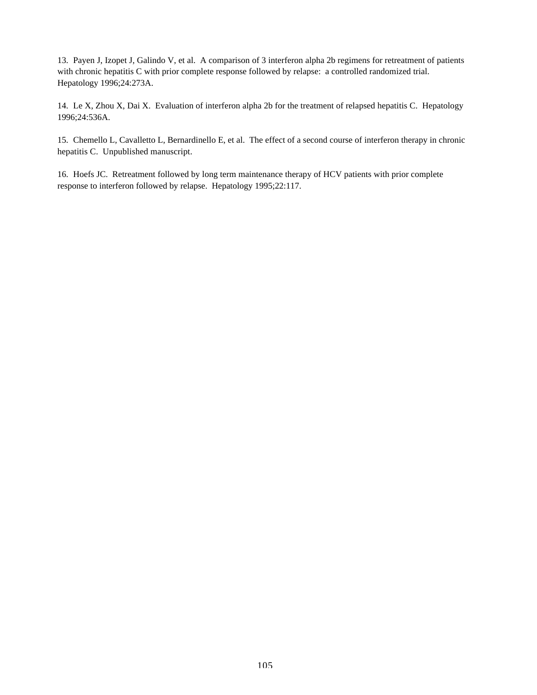13. Payen J, Izopet J, Galindo V, et al. A comparison of 3 interferon alpha 2b regimens for retreatment of patients with chronic hepatitis C with prior complete response followed by relapse: a controlled randomized trial. Hepatology 1996;24:273A.

14. Le X, Zhou X, Dai X. Evaluation of interferon alpha 2b for the treatment of relapsed hepatitis C. Hepatology 1996;24:536A.

15. Chemello L, Cavalletto L, Bernardinello E, et al. The effect of a second course of interferon therapy in chronic hepatitis C. Unpublished manuscript.

16. Hoefs JC. Retreatment followed by long term maintenance therapy of HCV patients with prior complete response to interferon followed by relapse. Hepatology 1995;22:117.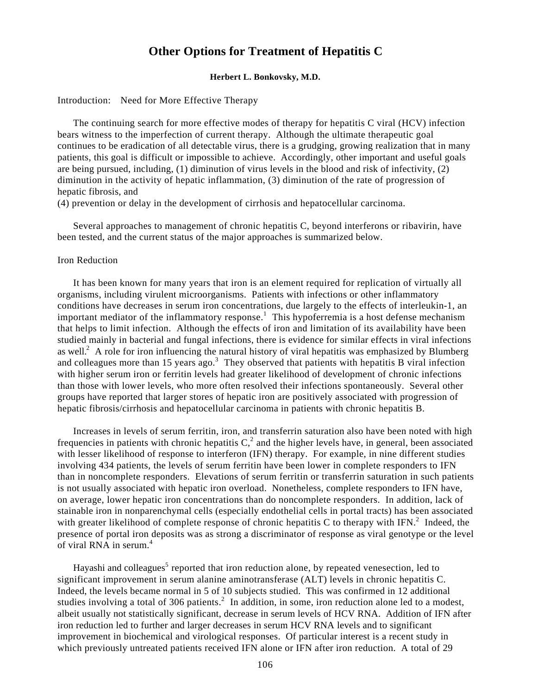# **Other Options for Treatment of Hepatitis C**

### **Herbert L. Bonkovsky, M.D.**

#### Introduction: Need for More Effective Therapy

The continuing search for more effective modes of therapy for hepatitis C viral (HCV) infection bears witness to the imperfection of current therapy. Although the ultimate therapeutic goal continues to be eradication of all detectable virus, there is a grudging, growing realization that in many patients, this goal is difficult or impossible to achieve. Accordingly, other important and useful goals are being pursued, including, (1) diminution of virus levels in the blood and risk of infectivity, (2) diminution in the activity of hepatic inflammation, (3) diminution of the rate of progression of hepatic fibrosis, and

(4) prevention or delay in the development of cirrhosis and hepatocellular carcinoma.

Several approaches to management of chronic hepatitis C, beyond interferons or ribavirin, have been tested, and the current status of the major approaches is summarized below.

# Iron Reduction

It has been known for many years that iron is an element required for replication of virtually all organisms, including virulent microorganisms. Patients with infections or other inflammatory conditions have decreases in serum iron concentrations, due largely to the effects of interleukin-1, an important mediator of the inflammatory response.<sup>1</sup> This hypoferremia is a host defense mechanism that helps to limit infection. Although the effects of iron and limitation of its availability have been studied mainly in bacterial and fungal infections, there is evidence for similar effects in viral infections as well.<sup>2</sup> A role for iron influencing the natural history of viral hepatitis was emphasized by Blumberg and colleagues more than 15 years ago.<sup>3</sup> They observed that patients with hepatitis B viral infection with higher serum iron or ferritin levels had greater likelihood of development of chronic infections than those with lower levels, who more often resolved their infections spontaneously. Several other groups have reported that larger stores of hepatic iron are positively associated with progression of hepatic fibrosis/cirrhosis and hepatocellular carcinoma in patients with chronic hepatitis B.

Increases in levels of serum ferritin, iron, and transferrin saturation also have been noted with high frequencies in patients with chronic hepatitis  $C<sub>i</sub><sup>2</sup>$  and the higher levels have, in general, been associated with lesser likelihood of response to interferon (IFN) therapy. For example, in nine different studies involving 434 patients, the levels of serum ferritin have been lower in complete responders to IFN than in noncomplete responders. Elevations of serum ferritin or transferrin saturation in such patients is not usually associated with hepatic iron overload. Nonetheless, complete responders to IFN have, on average, lower hepatic iron concentrations than do noncomplete responders. In addition, lack of stainable iron in nonparenchymal cells (especially endothelial cells in portal tracts) has been associated with greater likelihood of complete response of chronic hepatitis C to therapy with IFN. $^2$  Indeed, the presence of portal iron deposits was as strong a discriminator of response as viral genotype or the level of viral RNA in serum.<sup>4</sup>

Hayashi and colleagues<sup>5</sup> reported that iron reduction alone, by repeated venesection, led to significant improvement in serum alanine aminotransferase (ALT) levels in chronic hepatitis C. Indeed, the levels became normal in 5 of 10 subjects studied. This was confirmed in 12 additional studies involving a total of 306 patients.<sup>2</sup> In addition, in some, iron reduction alone led to a modest, albeit usually not statistically significant, decrease in serum levels of HCV RNA. Addition of IFN after iron reduction led to further and larger decreases in serum HCV RNA levels and to significant improvement in biochemical and virological responses. Of particular interest is a recent study in which previously untreated patients received IFN alone or IFN after iron reduction. A total of 29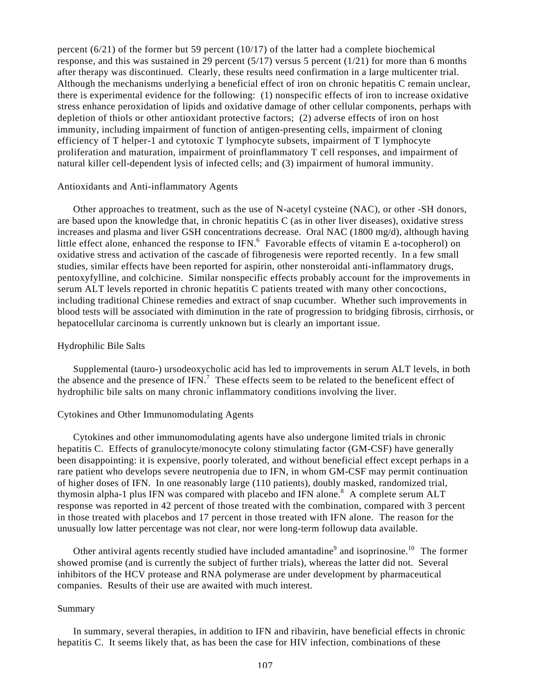percent (6/21) of the former but 59 percent (10/17) of the latter had a complete biochemical response, and this was sustained in 29 percent  $(5/17)$  versus 5 percent  $(1/21)$  for more than 6 months after therapy was discontinued. Clearly, these results need confirmation in a large multicenter trial. Although the mechanisms underlying a beneficial effect of iron on chronic hepatitis C remain unclear, there is experimental evidence for the following: (1) nonspecific effects of iron to increase oxidative stress enhance peroxidation of lipids and oxidative damage of other cellular components, perhaps with depletion of thiols or other antioxidant protective factors; (2) adverse effects of iron on host immunity, including impairment of function of antigen-presenting cells, impairment of cloning efficiency of T helper-1 and cytotoxic T lymphocyte subsets, impairment of T lymphocyte proliferation and maturation, impairment of proinflammatory T cell responses, and impairment of natural killer cell-dependent lysis of infected cells; and (3) impairment of humoral immunity.

# Antioxidants and Anti-inflammatory Agents

Other approaches to treatment, such as the use of N-acetyl cysteine (NAC), or other -SH donors, are based upon the knowledge that, in chronic hepatitis C (as in other liver diseases), oxidative stress increases and plasma and liver GSH concentrations decrease. Oral NAC (1800 mg/d), although having little effect alone, enhanced the response to IFN. $<sup>6</sup>$  Favorable effects of vitamin E a-tocopherol) on</sup> oxidative stress and activation of the cascade of fibrogenesis were reported recently. In a few small studies, similar effects have been reported for aspirin, other nonsteroidal anti-inflammatory drugs, pentoxyfylline, and colchicine. Similar nonspecific effects probably account for the improvements in serum ALT levels reported in chronic hepatitis C patients treated with many other concoctions, including traditional Chinese remedies and extract of snap cucumber. Whether such improvements in blood tests will be associated with diminution in the rate of progression to bridging fibrosis, cirrhosis, or hepatocellular carcinoma is currently unknown but is clearly an important issue.

### Hydrophilic Bile Salts

Supplemental (tauro-) ursodeoxycholic acid has led to improvements in serum ALT levels, in both the absence and the presence of  $IFN.<sup>7</sup>$  These effects seem to be related to the beneficent effect of hydrophilic bile salts on many chronic inflammatory conditions involving the liver.

# Cytokines and Other Immunomodulating Agents

Cytokines and other immunomodulating agents have also undergone limited trials in chronic hepatitis C. Effects of granulocyte/monocyte colony stimulating factor (GM-CSF) have generally been disappointing: it is expensive, poorly tolerated, and without beneficial effect except perhaps in a rare patient who develops severe neutropenia due to IFN, in whom GM-CSF may permit continuation of higher doses of IFN. In one reasonably large (110 patients), doubly masked, randomized trial, thymosin alpha-1 plus IFN was compared with placebo and IFN alone.<sup>8</sup> A complete serum ALT response was reported in 42 percent of those treated with the combination, compared with 3 percent in those treated with placebos and 17 percent in those treated with IFN alone. The reason for the unusually low latter percentage was not clear, nor were long-term followup data available.

Other antiviral agents recently studied have included amantadine<sup>9</sup> and isoprinosine.<sup>10</sup> The former showed promise (and is currently the subject of further trials), whereas the latter did not. Several inhibitors of the HCV protease and RNA polymerase are under development by pharmaceutical companies. Results of their use are awaited with much interest.

## Summary

In summary, several therapies, in addition to IFN and ribavirin, have beneficial effects in chronic hepatitis C. It seems likely that, as has been the case for HIV infection, combinations of these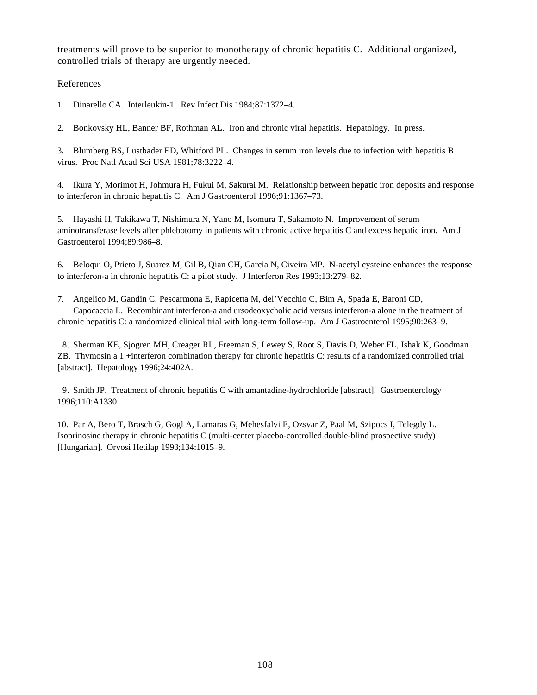treatments will prove to be superior to monotherapy of chronic hepatitis C. Additional organized, controlled trials of therapy are urgently needed.

References

1 Dinarello CA. Interleukin-1. Rev Infect Dis 1984;87:1372–4.

2. Bonkovsky HL, Banner BF, Rothman AL. Iron and chronic viral hepatitis. Hepatology. In press.

3. Blumberg BS, Lustbader ED, Whitford PL. Changes in serum iron levels due to infection with hepatitis B virus. Proc Natl Acad Sci USA 1981;78:3222–4.

4. Ikura Y, Morimot H, Johmura H, Fukui M, Sakurai M. Relationship between hepatic iron deposits and response to interferon in chronic hepatitis C. Am J Gastroenterol 1996;91:1367–73.

5. Hayashi H, Takikawa T, Nishimura N, Yano M, Isomura T, Sakamoto N. Improvement of serum aminotransferase levels after phlebotomy in patients with chronic active hepatitis C and excess hepatic iron. Am J Gastroenterol 1994;89:986–8.

6. Beloqui O, Prieto J, Suarez M, Gil B, Qian CH, Garcia N, Civeira MP. N-acetyl cysteine enhances the response to interferon-a in chronic hepatitis C: a pilot study. J Interferon Res 1993;13:279–82.

7. Angelico M, Gandin C, Pescarmona E, Rapicetta M, del'Vecchio C, Bim A, Spada E, Baroni CD, Capocaccia L. Recombinant interferon-a and ursodeoxycholic acid versus interferon-a alone in the treatment of chronic hepatitis C: a randomized clinical trial with long-term follow-up. Am J Gastroenterol 1995;90:263–9.

 8. Sherman KE, Sjogren MH, Creager RL, Freeman S, Lewey S, Root S, Davis D, Weber FL, Ishak K, Goodman ZB. Thymosin a 1 +interferon combination therapy for chronic hepatitis C: results of a randomized controlled trial [abstract]. Hepatology 1996;24:402A.

 9. Smith JP. Treatment of chronic hepatitis C with amantadine-hydrochloride [abstract]. Gastroenterology 1996;110:A1330.

10. Par A, Bero T, Brasch G, Gogl A, Lamaras G, Mehesfalvi E, Ozsvar Z, Paal M, Szipocs I, Telegdy L. Isoprinosine therapy in chronic hepatitis C (multi-center placebo-controlled double-blind prospective study) [Hungarian]. Orvosi Hetilap 1993;134:1015–9.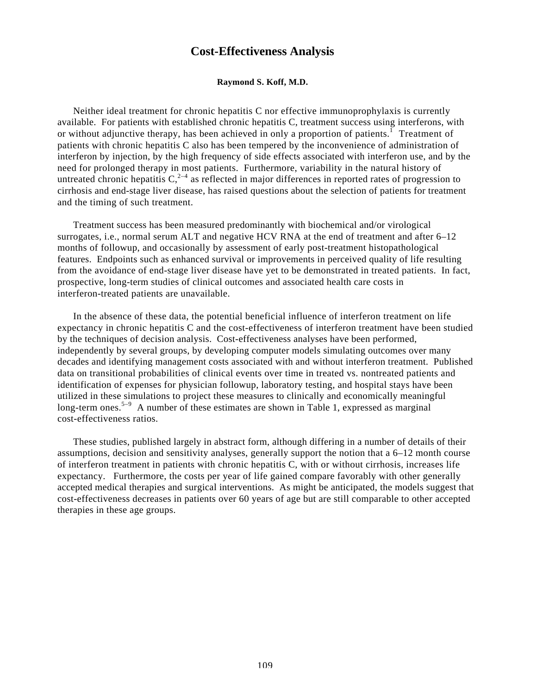# **Cost-Effectiveness Analysis**

# **Raymond S. Koff, M.D.**

Neither ideal treatment for chronic hepatitis C nor effective immunoprophylaxis is currently available. For patients with established chronic hepatitis C, treatment success using interferons, with or without adjunctive therapy, has been achieved in only a proportion of patients.<sup>1</sup> Treatment of patients with chronic hepatitis C also has been tempered by the inconvenience of administration of interferon by injection, by the high frequency of side effects associated with interferon use, and by the need for prolonged therapy in most patients. Furthermore, variability in the natural history of untreated chronic hepatitis  $C<sub>1</sub><sup>2-4</sup>$  as reflected in major differences in reported rates of progression to cirrhosis and end-stage liver disease, has raised questions about the selection of patients for treatment and the timing of such treatment.

Treatment success has been measured predominantly with biochemical and/or virological surrogates, i.e., normal serum ALT and negative HCV RNA at the end of treatment and after 6–12 months of followup, and occasionally by assessment of early post-treatment histopathological features. Endpoints such as enhanced survival or improvements in perceived quality of life resulting from the avoidance of end-stage liver disease have yet to be demonstrated in treated patients. In fact, prospective, long-term studies of clinical outcomes and associated health care costs in interferon-treated patients are unavailable.

In the absence of these data, the potential beneficial influence of interferon treatment on life expectancy in chronic hepatitis C and the cost-effectiveness of interferon treatment have been studied by the techniques of decision analysis. Cost-effectiveness analyses have been performed, independently by several groups, by developing computer models simulating outcomes over many decades and identifying management costs associated with and without interferon treatment. Published data on transitional probabilities of clinical events over time in treated vs. nontreated patients and identification of expenses for physician followup, laboratory testing, and hospital stays have been utilized in these simulations to project these measures to clinically and economically meaningful long-term ones.<sup>5–9</sup> A number of these estimates are shown in Table 1, expressed as marginal cost-effectiveness ratios.

These studies, published largely in abstract form, although differing in a number of details of their assumptions, decision and sensitivity analyses, generally support the notion that a 6–12 month course of interferon treatment in patients with chronic hepatitis C, with or without cirrhosis, increases life expectancy. Furthermore, the costs per year of life gained compare favorably with other generally accepted medical therapies and surgical interventions. As might be anticipated, the models suggest that cost-effectiveness decreases in patients over 60 years of age but are still comparable to other accepted therapies in these age groups.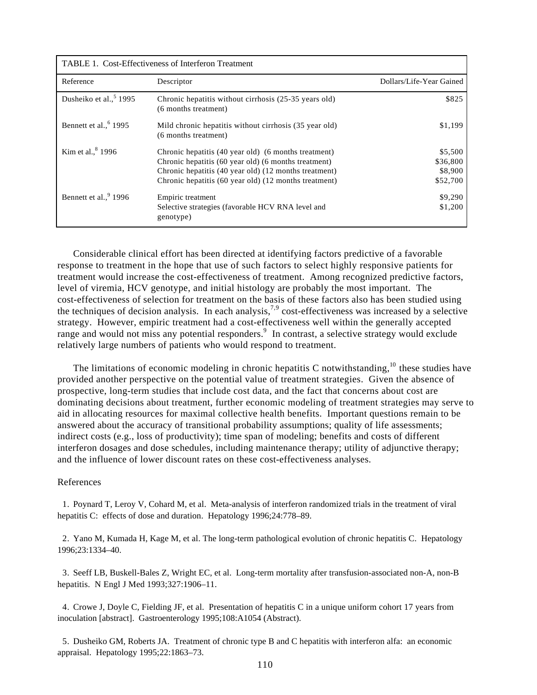| TABLE 1. Cost-Effectiveness of Interferon Treatment |                                                                                                                                                                                                                                |                                            |
|-----------------------------------------------------|--------------------------------------------------------------------------------------------------------------------------------------------------------------------------------------------------------------------------------|--------------------------------------------|
| Reference                                           | Descriptor                                                                                                                                                                                                                     | Dollars/Life-Year Gained                   |
| Dusheiko et al., <sup>5</sup> 1995                  | Chronic hepatitis without cirrhosis (25-35 years old)<br>(6 months treatment)                                                                                                                                                  | \$825                                      |
| Bennett et al., <sup>6</sup> 1995                   | Mild chronic hepatitis without cirrhosis (35 year old)<br>(6 months treatment)                                                                                                                                                 | \$1,199                                    |
| Kim et al., $8\frac{\text{1996}}{\text{1996}}$      | Chronic hepatitis (40 year old) (6 months treatment)<br>Chronic hepatitis (60 year old) (6 months treatment)<br>Chronic hepatitis (40 year old) (12 months treatment)<br>Chronic hepatitis (60 year old) (12 months treatment) | \$5,500<br>\$36,800<br>\$8,900<br>\$52,700 |
| Bennett et al., <sup>9</sup> 1996                   | Empiric treatment<br>Selective strategies (favorable HCV RNA level and<br>genotype)                                                                                                                                            | \$9,290<br>\$1,200                         |

Considerable clinical effort has been directed at identifying factors predictive of a favorable response to treatment in the hope that use of such factors to select highly responsive patients for treatment would increase the cost-effectiveness of treatment. Among recognized predictive factors, level of viremia, HCV genotype, and initial histology are probably the most important. The cost-effectiveness of selection for treatment on the basis of these factors also has been studied using the techniques of decision analysis. In each analysis,  $7.9$  cost-effectiveness was increased by a selective strategy. However, empiric treatment had a cost-effectiveness well within the generally accepted range and would not miss any potential responders.<sup>9</sup> In contrast, a selective strategy would exclude relatively large numbers of patients who would respond to treatment.

The limitations of economic modeling in chronic hepatitis C notwithstanding,  $10$  these studies have provided another perspective on the potential value of treatment strategies. Given the absence of prospective, long-term studies that include cost data, and the fact that concerns about cost are dominating decisions about treatment, further economic modeling of treatment strategies may serve to aid in allocating resources for maximal collective health benefits. Important questions remain to be answered about the accuracy of transitional probability assumptions; quality of life assessments; indirect costs (e.g., loss of productivity); time span of modeling; benefits and costs of different interferon dosages and dose schedules, including maintenance therapy; utility of adjunctive therapy; and the influence of lower discount rates on these cost-effectiveness analyses.

## References

 1. Poynard T, Leroy V, Cohard M, et al. Meta-analysis of interferon randomized trials in the treatment of viral hepatitis C: effects of dose and duration. Hepatology 1996;24:778-89.

 2. Yano M, Kumada H, Kage M, et al. The long-term pathological evolution of chronic hepatitis C. Hepatology 1996;23:1334–40.

 3. Seeff LB, Buskell-Bales Z, Wright EC, et al. Long-term mortality after transfusion-associated non-A, non-B hepatitis. N Engl J Med 1993;327:1906–11.

 4. Crowe J, Doyle C, Fielding JF, et al. Presentation of hepatitis C in a unique uniform cohort 17 years from inoculation [abstract]. Gastroenterology 1995;108:A1054 (Abstract).

 5. Dusheiko GM, Roberts JA. Treatment of chronic type B and C hepatitis with interferon alfa: an economic appraisal. Hepatology 1995;22:1863–73.